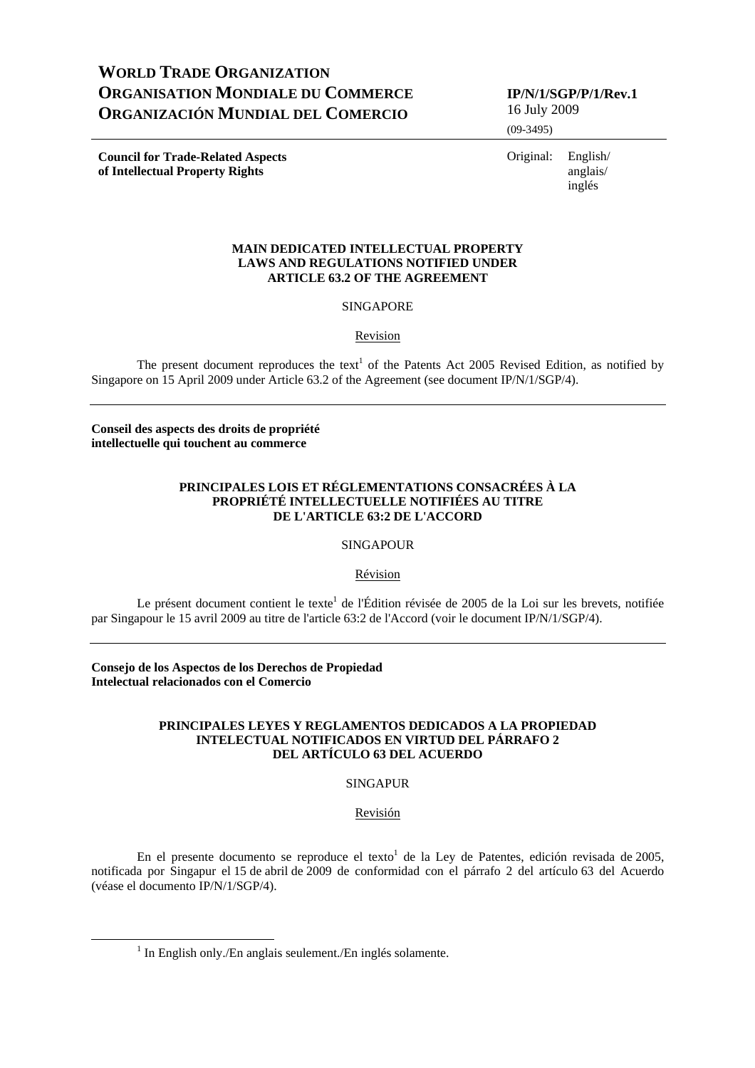# **WORLD TRADE ORGANIZATION ORGANISATION MONDIALE DU COMMERCE ORGANIZACIÓN MUNDIAL DEL COMERCIO**

**Council for Trade-Related Aspects of Intellectual Property Rights** 

**IP/N/1/SGP/P/1/Rev.1**  16 July 2009 (09-3495)

Original: English/ anglais/ inglés

#### **MAIN DEDICATED INTELLECTUAL PROPERTY LAWS AND REGULATIONS NOTIFIED UNDER ARTICLE 63.2 OF THE AGREEMENT**

#### **SINGAPORE**

Revision

The present document reproduces the text<sup>1</sup> of the Patents Act 2005 Revised Edition, as notified by Singapore on 15 April 2009 under Article 63.2 of the Agreement (see document IP/N/1/SGP/4).

**Conseil des aspects des droits de propriété intellectuelle qui touchent au commerce**

#### **PRINCIPALES LOIS ET RÉGLEMENTATIONS CONSACRÉES À LA PROPRIÉTÉ INTELLECTUELLE NOTIFIÉES AU TITRE DE L'ARTICLE 63:2 DE L'ACCORD**

SINGAPOUR

Révision

Le présent document contient le texte<sup>1</sup> de l'Édition révisée de 2005 de la Loi sur les brevets, notifiée par Singapour le 15 avril 2009 au titre de l'article 63:2 de l'Accord (voir le document IP/N/1/SGP/4).

**Consejo de los Aspectos de los Derechos de Propiedad Intelectual relacionados con el Comercio**

#### **PRINCIPALES LEYES Y REGLAMENTOS DEDICADOS A LA PROPIEDAD INTELECTUAL NOTIFICADOS EN VIRTUD DEL PÁRRAFO 2 DEL ARTÍCULO 63 DEL ACUERDO**

#### SINGAPUR

#### Revisión

En el presente documento se reproduce el texto<sup>1</sup> de la Ley de Patentes, edición revisada de 2005, notificada por Singapur el 15 de abril de 2009 de conformidad con el párrafo 2 del artículo 63 del Acuerdo (véase el documento IP/N/1/SGP/4).

 $\frac{1}{1}$  $1$  In English only./En anglais seulement./En inglés solamente.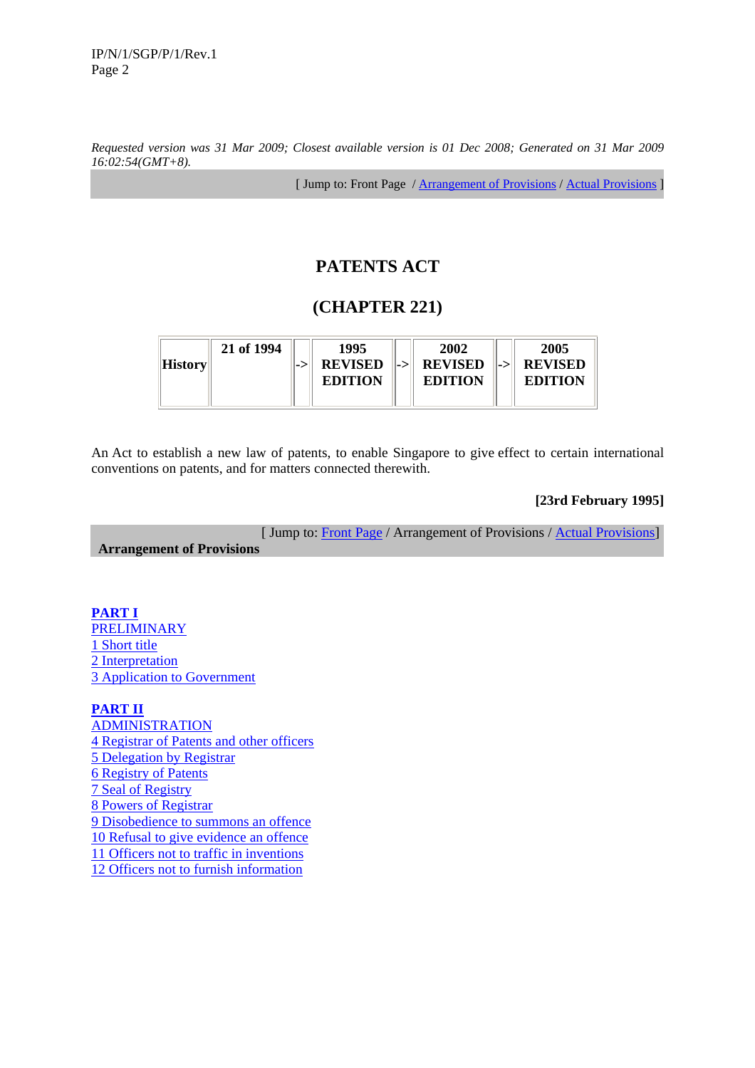*Requested version was 31 Mar 2009; Closest available version is 01 Dec 2008; Generated on 31 Mar 2009 16:02:54(GMT+8).* 

[ Jump to: Front Page / Arrangement of Provisions / Actual Provisions ]

# **PATENTS ACT**

## **(CHAPTER 221)**

|                | 21 of 1994 | 1995                             |      | 2002                             | 2005                             |
|----------------|------------|----------------------------------|------|----------------------------------|----------------------------------|
| <b>History</b> |            | <b>REVISED</b><br><b>EDITION</b> | l->1 | <b>REVISED</b><br><b>EDITION</b> | <b>REVISED</b><br><b>EDITION</b> |
|                |            |                                  |      |                                  |                                  |

An Act to establish a new law of patents, to enable Singapore to give effect to certain international conventions on patents, and for matters connected therewith.

#### **[23rd February 1995]**

[ Jump to: Front Page / Arrangement of Provisions / Actual Provisions]

 **Arrangement of Provisions** 

**PART I PRELIMINARY** 1 Short title 2 Interpretation 3 Application to Government

**PART II** ADMINISTRATION 4 Registrar of Patents and other officers 5 Delegation by Registrar 6 Registry of Patents 7 Seal of Registry 8 Powers of Registrar 9 Disobedience to summons an offence 10 Refusal to give evidence an offence 11 Officers not to traffic in inventions 12 Officers not to furnish information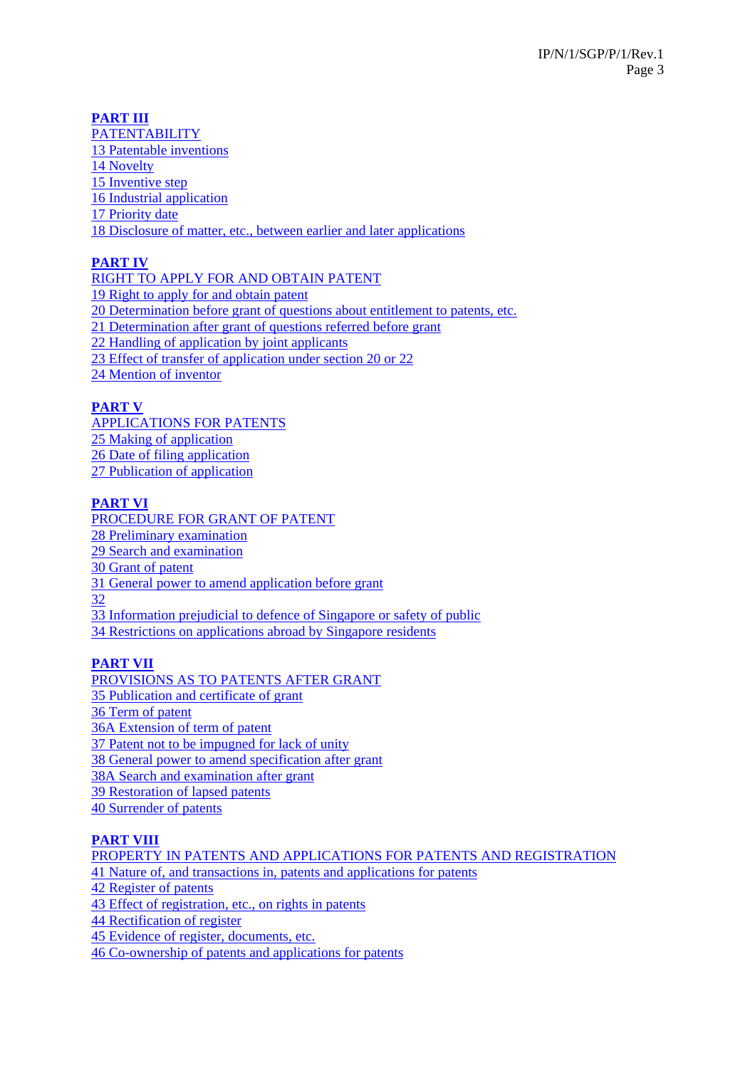**PART III PATENTABILITY** 13 Patentable inventions 14 Novelty 15 Inventive step 16 Industrial application 17 Priority date 18 Disclosure of matter, etc., between earlier and later applications

## **PART IV**

RIGHT TO APPLY FOR AND OBTAIN PATENT 19 Right to apply for and obtain patent 20 Determination before grant of questions about entitlement to patents, etc. 21 Determination after grant of questions referred before grant 22 Handling of application by joint applicants 23 Effect of transfer of application under section 20 or 22 24 Mention of inventor

## **PART V**

APPLICATIONS FOR PATENTS 25 Making of application 26 Date of filing application 27 Publication of application

## **PART VI**

PROCEDURE FOR GRANT OF PATENT 28 Preliminary examination 29 Search and examination 30 Grant of patent 31 General power to amend application before grant 32 33 Information prejudicial to defence of Singapore or safety of public 34 Restrictions on applications abroad by Singapore residents

## **PART VII**

PROVISIONS AS TO PATENTS AFTER GRANT 35 Publication and certificate of grant 36 Term of patent 36A Extension of term of patent 37 Patent not to be impugned for lack of unity 38 General power to amend specification after grant 38A Search and examination after grant 39 Restoration of lapsed patents 40 Surrender of patents

## **PART VIII**

PROPERTY IN PATENTS AND APPLICATIONS FOR PATENTS AND REGISTRATION 41 Nature of, and transactions in, patents and applications for patents 42 Register of patents 43 Effect of registration, etc., on rights in patents 44 Rectification of register 45 Evidence of register, documents, etc. 46 Co-ownership of patents and applications for patents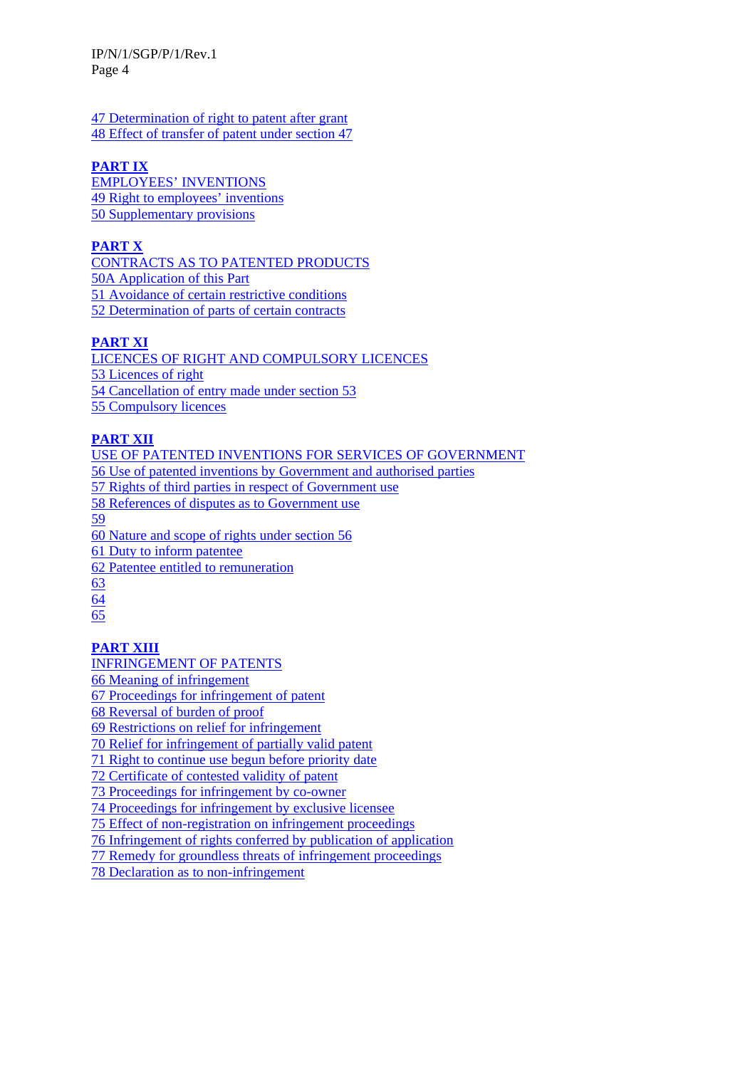47 Determination of right to patent after grant 48 Effect of transfer of patent under section 47

### **PART IX**

EMPLOYEES' INVENTIONS 49 Right to employees' inventions 50 Supplementary provisions

## **PART X**

CONTRACTS AS TO PATENTED PRODUCTS 50A Application of this Part 51 Avoidance of certain restrictive conditions 52 Determination of parts of certain contracts

## **PART XI**

LICENCES OF RIGHT AND COMPULSORY LICENCES 53 Licences of right 54 Cancellation of entry made under section 53 55 Compulsory licences

## **PART XII**

USE OF PATENTED INVENTIONS FOR SERVICES OF GOVERNMENT 56 Use of patented inventions by Government and authorised parties 57 Rights of third parties in respect of Government use 58 References of disputes as to Government use 59 60 Nature and scope of rights under section 56 61 Duty to inform patentee 62 Patentee entitled to remuneration 63 64 65

## **PART XIII**

INFRINGEMENT OF PATENTS

66 Meaning of infringement

67 Proceedings for infringement of patent

68 Reversal of burden of proof

69 Restrictions on relief for infringement

70 Relief for infringement of partially valid patent

71 Right to continue use begun before priority date

72 Certificate of contested validity of patent

73 Proceedings for infringement by co-owner

74 Proceedings for infringement by exclusive licensee

75 Effect of non-registration on infringement proceedings

76 Infringement of rights conferred by publication of application

77 Remedy for groundless threats of infringement proceedings

78 Declaration as to non-infringement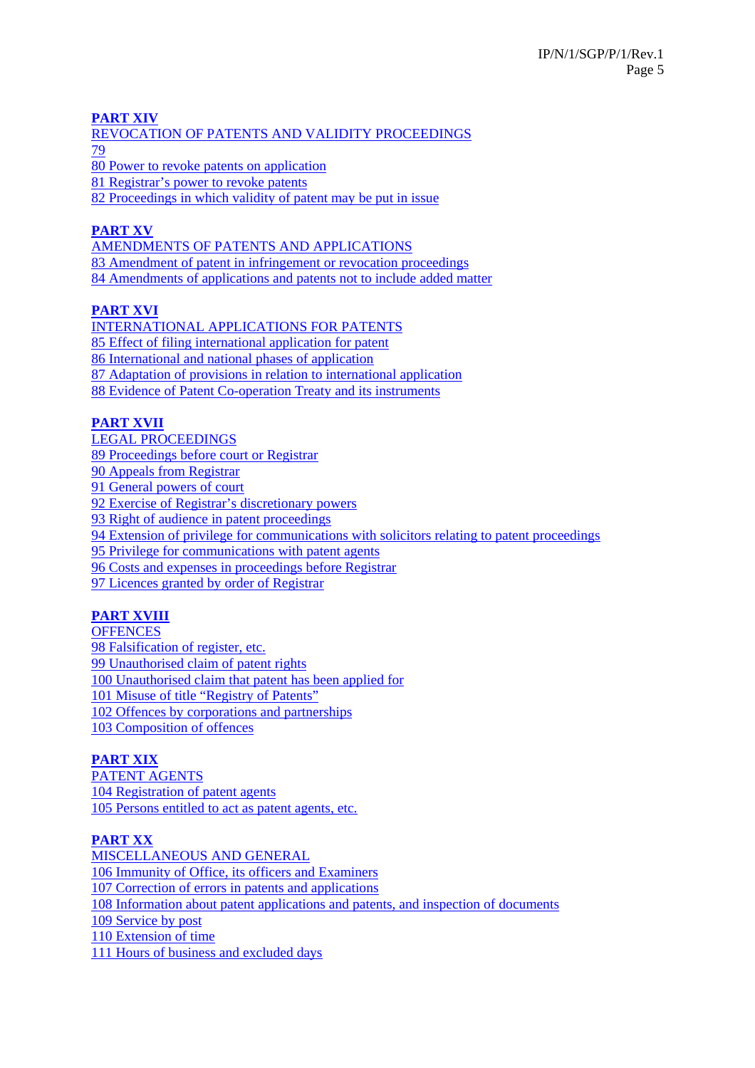## **PART XIV**

#### REVOCATION OF PATENTS AND VALIDITY PROCEEDINGS 79

80 Power to revoke patents on application

81 Registrar's power to revoke patents

82 Proceedings in which validity of patent may be put in issue

### **PART XV**

AMENDMENTS OF PATENTS AND APPLICATIONS

83 Amendment of patent in infringement or revocation proceedings

84 Amendments of applications and patents not to include added matter

### **PART XVI**

INTERNATIONAL APPLICATIONS FOR PATENTS 85 Effect of filing international application for patent 86 International and national phases of application 87 Adaptation of provisions in relation to international application 88 Evidence of Patent Co-operation Treaty and its instruments

## **PART XVII**

LEGAL PROCEEDINGS 89 Proceedings before court or Registrar 90 Appeals from Registrar 91 General powers of court 92 Exercise of Registrar's discretionary powers 93 Right of audience in patent proceedings 94 Extension of privilege for communications with solicitors relating to patent proceedings 95 Privilege for communications with patent agents 96 Costs and expenses in proceedings before Registrar 97 Licences granted by order of Registrar

## **PART XVIII**

**OFFENCES** 98 Falsification of register, etc. 99 Unauthorised claim of patent rights 100 Unauthorised claim that patent has been applied for 101 Misuse of title "Registry of Patents" 102 Offences by corporations and partnerships 103 Composition of offences

## **PART XIX**

PATENT AGENTS 104 Registration of patent agents 105 Persons entitled to act as patent agents, etc.

## **PART XX**

MISCELLANEOUS AND GENERAL 106 Immunity of Office, its officers and Examiners 107 Correction of errors in patents and applications 108 Information about patent applications and patents, and inspection of documents 109 Service by post 110 Extension of time 111 Hours of business and excluded days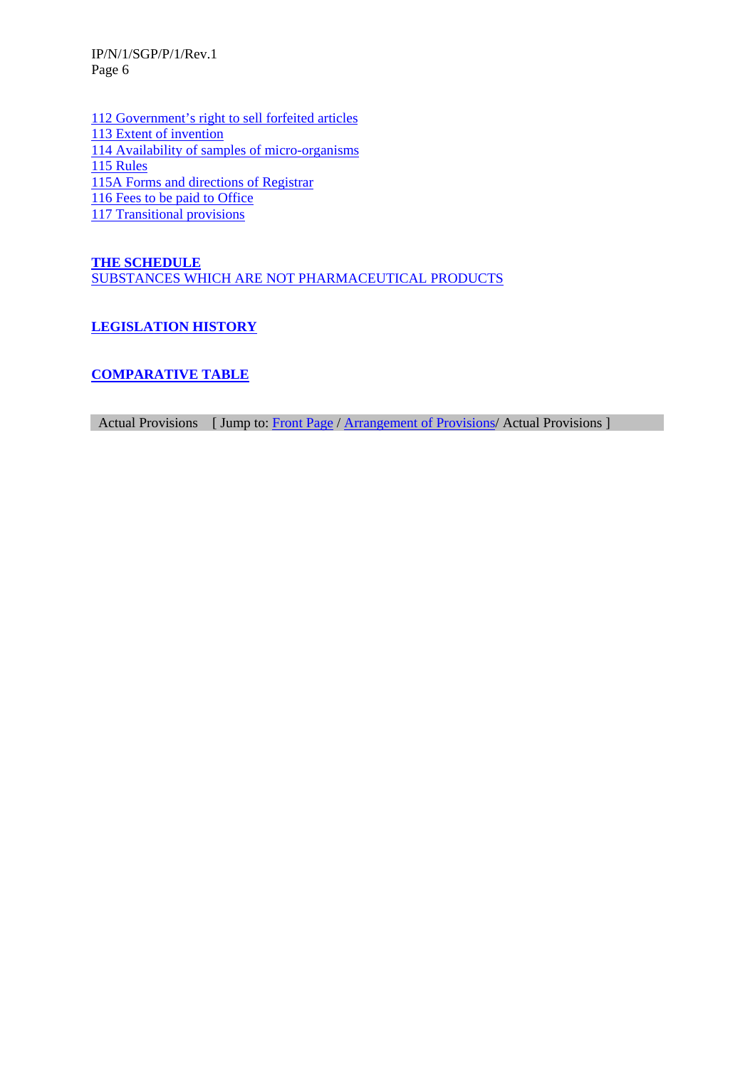112 Government's right to sell forfeited articles 113 Extent of invention 114 Availability of samples of micro-organisms 115 Rules 115A Forms and directions of Registrar 116 Fees to be paid to Office 117 Transitional provisions

### **THE SCHEDULE** SUBSTANCES WHICH ARE NOT PHARMACEUTICAL PRODUCTS

## **LEGISLATION HISTORY**

**COMPARATIVE TABLE**

Actual Provisions [ Jump to: Front Page / Arrangement of Provisions/ Actual Provisions ]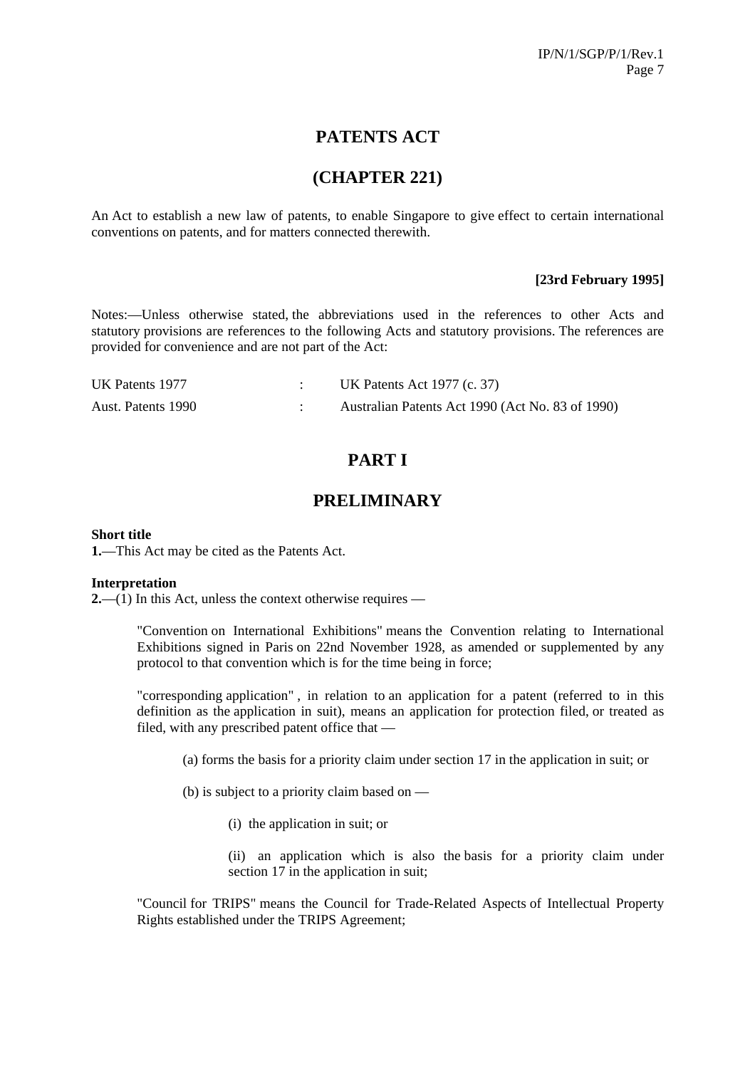# **PATENTS ACT**

# **(CHAPTER 221)**

An Act to establish a new law of patents, to enable Singapore to give effect to certain international conventions on patents, and for matters connected therewith.

#### **[23rd February 1995]**

Notes:—Unless otherwise stated, the abbreviations used in the references to other Acts and statutory provisions are references to the following Acts and statutory provisions. The references are provided for convenience and are not part of the Act:

| UK Patents 1977    | UK Patents Act 1977 (c. 37)                      |
|--------------------|--------------------------------------------------|
| Aust. Patents 1990 | Australian Patents Act 1990 (Act No. 83 of 1990) |

# **PART I**

## **PRELIMINARY**

#### **Short title**

**1.**—This Act may be cited as the Patents Act.

#### **Interpretation**

**2.**—(1) In this Act, unless the context otherwise requires —

"Convention on International Exhibitions" means the Convention relating to International Exhibitions signed in Paris on 22nd November 1928, as amended or supplemented by any protocol to that convention which is for the time being in force;

"corresponding application" , in relation to an application for a patent (referred to in this definition as the application in suit), means an application for protection filed, or treated as filed, with any prescribed patent office that —

(a) forms the basis for a priority claim under section 17 in the application in suit; or

(b) is subject to a priority claim based on —

- (i) the application in suit; or
- (ii) an application which is also the basis for a priority claim under section 17 in the application in suit;

"Council for TRIPS" means the Council for Trade-Related Aspects of Intellectual Property Rights established under the TRIPS Agreement;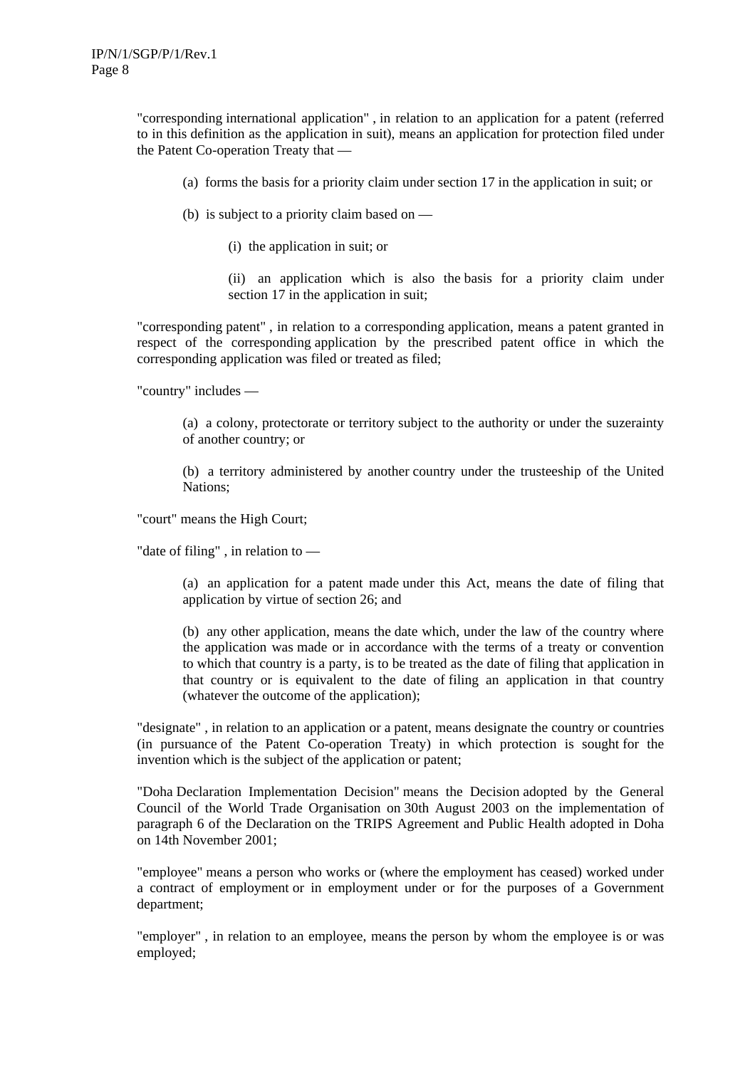"corresponding international application" , in relation to an application for a patent (referred to in this definition as the application in suit), means an application for protection filed under the Patent Co-operation Treaty that —

- (a) forms the basis for a priority claim under section 17 in the application in suit; or
- (b) is subject to a priority claim based on
	- (i) the application in suit; or

(ii) an application which is also the basis for a priority claim under section 17 in the application in suit;

"corresponding patent" , in relation to a corresponding application, means a patent granted in respect of the corresponding application by the prescribed patent office in which the corresponding application was filed or treated as filed;

"country" includes —

(a) a colony, protectorate or territory subject to the authority or under the suzerainty of another country; or

(b) a territory administered by another country under the trusteeship of the United Nations;

"court" means the High Court;

"date of filing" , in relation to —

(a) an application for a patent made under this Act, means the date of filing that application by virtue of section 26; and

(b) any other application, means the date which, under the law of the country where the application was made or in accordance with the terms of a treaty or convention to which that country is a party, is to be treated as the date of filing that application in that country or is equivalent to the date of filing an application in that country (whatever the outcome of the application);

"designate" , in relation to an application or a patent, means designate the country or countries (in pursuance of the Patent Co-operation Treaty) in which protection is sought for the invention which is the subject of the application or patent;

"Doha Declaration Implementation Decision" means the Decision adopted by the General Council of the World Trade Organisation on 30th August 2003 on the implementation of paragraph 6 of the Declaration on the TRIPS Agreement and Public Health adopted in Doha on 14th November 2001;

"employee" means a person who works or (where the employment has ceased) worked under a contract of employment or in employment under or for the purposes of a Government department;

"employer" , in relation to an employee, means the person by whom the employee is or was employed;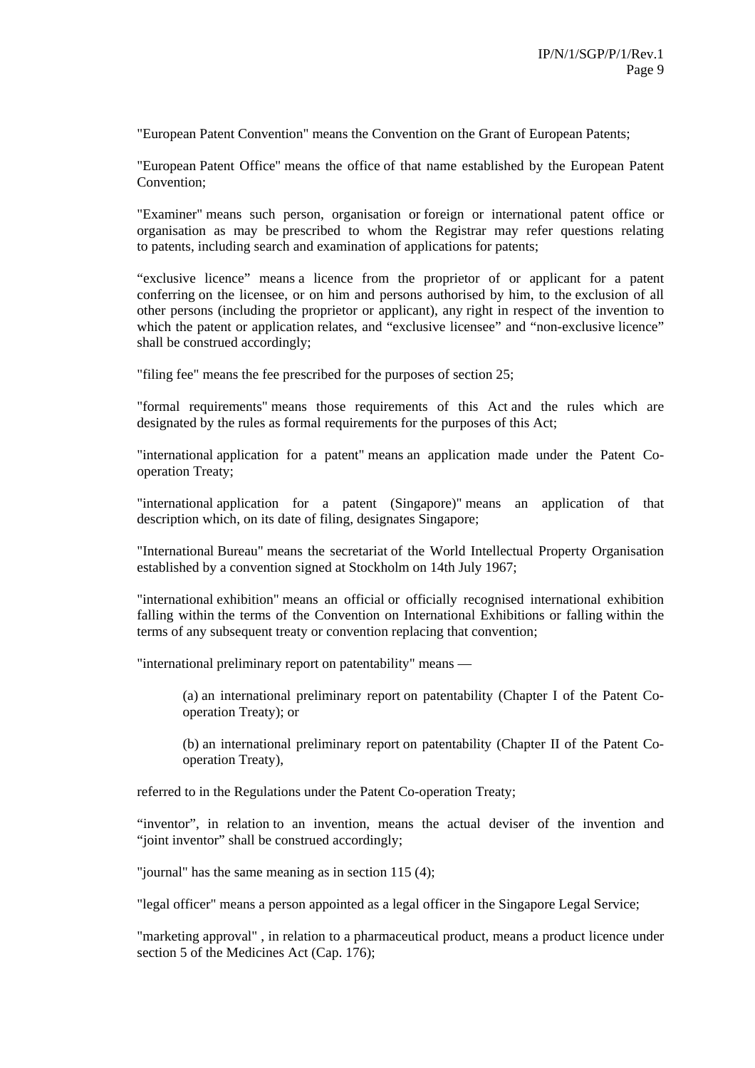"European Patent Convention" means the Convention on the Grant of European Patents;

"European Patent Office" means the office of that name established by the European Patent Convention;

"Examiner" means such person, organisation or foreign or international patent office or organisation as may be prescribed to whom the Registrar may refer questions relating to patents, including search and examination of applications for patents;

"exclusive licence" means a licence from the proprietor of or applicant for a patent conferring on the licensee, or on him and persons authorised by him, to the exclusion of all other persons (including the proprietor or applicant), any right in respect of the invention to which the patent or application relates, and "exclusive licensee" and "non-exclusive licence" shall be construed accordingly;

"filing fee" means the fee prescribed for the purposes of section 25;

"formal requirements" means those requirements of this Act and the rules which are designated by the rules as formal requirements for the purposes of this Act;

"international application for a patent" means an application made under the Patent Cooperation Treaty;

"international application for a patent (Singapore)" means an application of that description which, on its date of filing, designates Singapore;

"International Bureau" means the secretariat of the World Intellectual Property Organisation established by a convention signed at Stockholm on 14th July 1967;

"international exhibition" means an official or officially recognised international exhibition falling within the terms of the Convention on International Exhibitions or falling within the terms of any subsequent treaty or convention replacing that convention;

"international preliminary report on patentability" means —

(a) an international preliminary report on patentability (Chapter I of the Patent Cooperation Treaty); or

(b) an international preliminary report on patentability (Chapter II of the Patent Cooperation Treaty),

referred to in the Regulations under the Patent Co-operation Treaty;

"inventor", in relation to an invention, means the actual deviser of the invention and "joint inventor" shall be construed accordingly;

"journal" has the same meaning as in section 115 (4);

"legal officer" means a person appointed as a legal officer in the Singapore Legal Service;

"marketing approval" , in relation to a pharmaceutical product, means a product licence under section 5 of the Medicines Act (Cap. 176);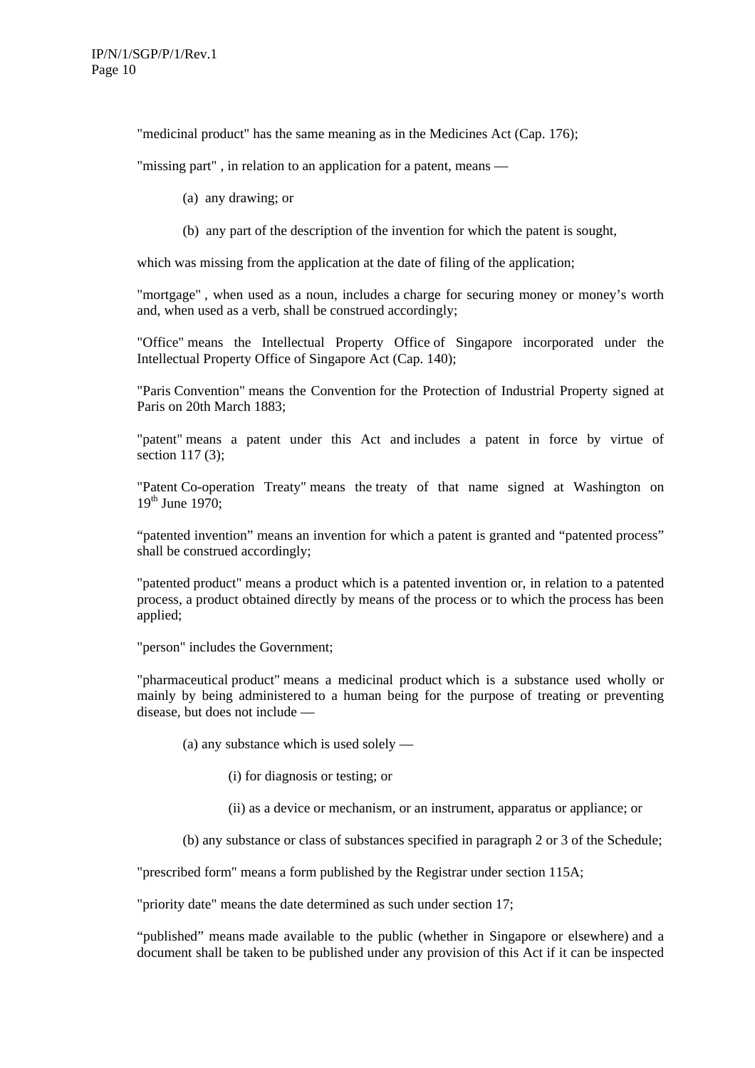"medicinal product" has the same meaning as in the Medicines Act (Cap. 176);

"missing part" , in relation to an application for a patent, means —

- (a) any drawing; or
- (b) any part of the description of the invention for which the patent is sought,

which was missing from the application at the date of filing of the application;

"mortgage" , when used as a noun, includes a charge for securing money or money's worth and, when used as a verb, shall be construed accordingly;

"Office" means the Intellectual Property Office of Singapore incorporated under the Intellectual Property Office of Singapore Act (Cap. 140);

"Paris Convention" means the Convention for the Protection of Industrial Property signed at Paris on 20th March 1883;

"patent" means a patent under this Act and includes a patent in force by virtue of section 117 (3):

"Patent Co-operation Treaty" means the treaty of that name signed at Washington on  $19^{th}$  June  $1970$ 

"patented invention" means an invention for which a patent is granted and "patented process" shall be construed accordingly;

"patented product" means a product which is a patented invention or, in relation to a patented process, a product obtained directly by means of the process or to which the process has been applied;

"person" includes the Government;

"pharmaceutical product" means a medicinal product which is a substance used wholly or mainly by being administered to a human being for the purpose of treating or preventing disease, but does not include —

(a) any substance which is used solely —

- (i) for diagnosis or testing; or
- (ii) as a device or mechanism, or an instrument, apparatus or appliance; or
- (b) any substance or class of substances specified in paragraph 2 or 3 of the Schedule;

"prescribed form" means a form published by the Registrar under section 115A;

"priority date" means the date determined as such under section 17;

"published" means made available to the public (whether in Singapore or elsewhere) and a document shall be taken to be published under any provision of this Act if it can be inspected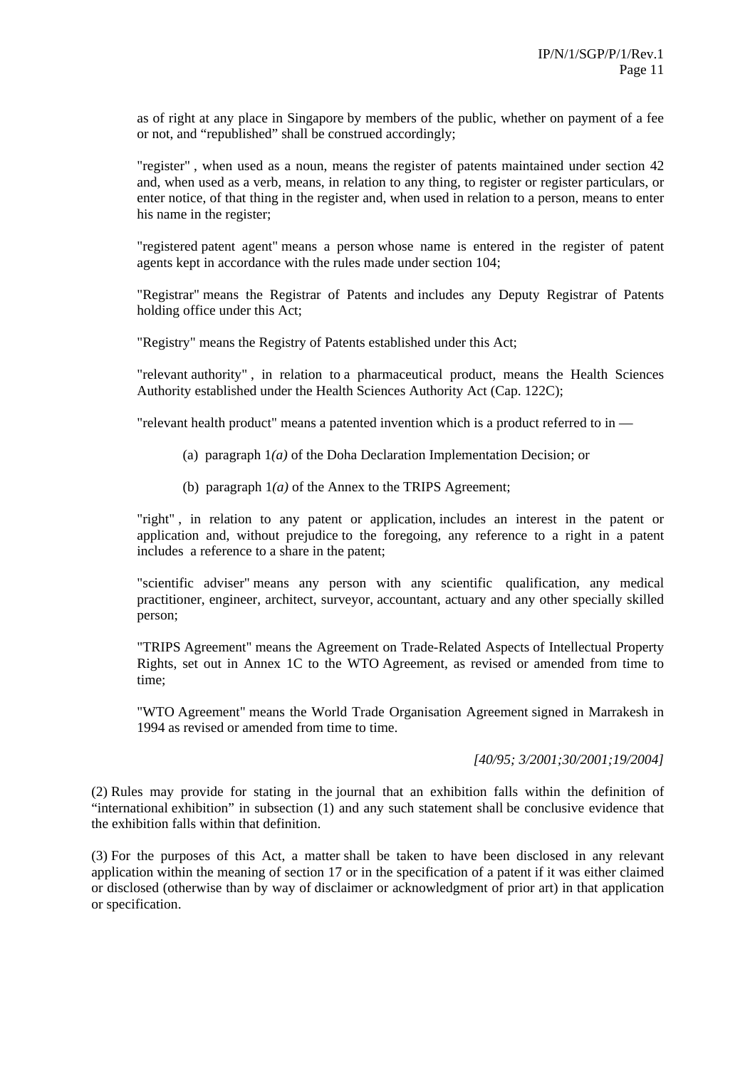as of right at any place in Singapore by members of the public, whether on payment of a fee or not, and "republished" shall be construed accordingly;

"register" , when used as a noun, means the register of patents maintained under section 42 and, when used as a verb, means, in relation to any thing, to register or register particulars, or enter notice, of that thing in the register and, when used in relation to a person, means to enter his name in the register;

"registered patent agent" means a person whose name is entered in the register of patent agents kept in accordance with the rules made under section 104;

"Registrar" means the Registrar of Patents and includes any Deputy Registrar of Patents holding office under this Act;

"Registry" means the Registry of Patents established under this Act;

"relevant authority" , in relation to a pharmaceutical product, means the Health Sciences Authority established under the Health Sciences Authority Act (Cap. 122C);

"relevant health product" means a patented invention which is a product referred to in —

- (a) paragraph 1*(a)* of the Doha Declaration Implementation Decision; or
- (b) paragraph 1*(a)* of the Annex to the TRIPS Agreement;

"right" , in relation to any patent or application, includes an interest in the patent or application and, without prejudice to the foregoing, any reference to a right in a patent includes a reference to a share in the patent;

"scientific adviser" means any person with any scientific qualification, any medical practitioner, engineer, architect, surveyor, accountant, actuary and any other specially skilled person;

"TRIPS Agreement" means the Agreement on Trade-Related Aspects of Intellectual Property Rights, set out in Annex 1C to the WTO Agreement, as revised or amended from time to time;

"WTO Agreement" means the World Trade Organisation Agreement signed in Marrakesh in 1994 as revised or amended from time to time.

#### *[40/95; 3/2001;30/2001;19/2004]*

(2) Rules may provide for stating in the journal that an exhibition falls within the definition of "international exhibition" in subsection (1) and any such statement shall be conclusive evidence that the exhibition falls within that definition.

(3) For the purposes of this Act, a matter shall be taken to have been disclosed in any relevant application within the meaning of section 17 or in the specification of a patent if it was either claimed or disclosed (otherwise than by way of disclaimer or acknowledgment of prior art) in that application or specification.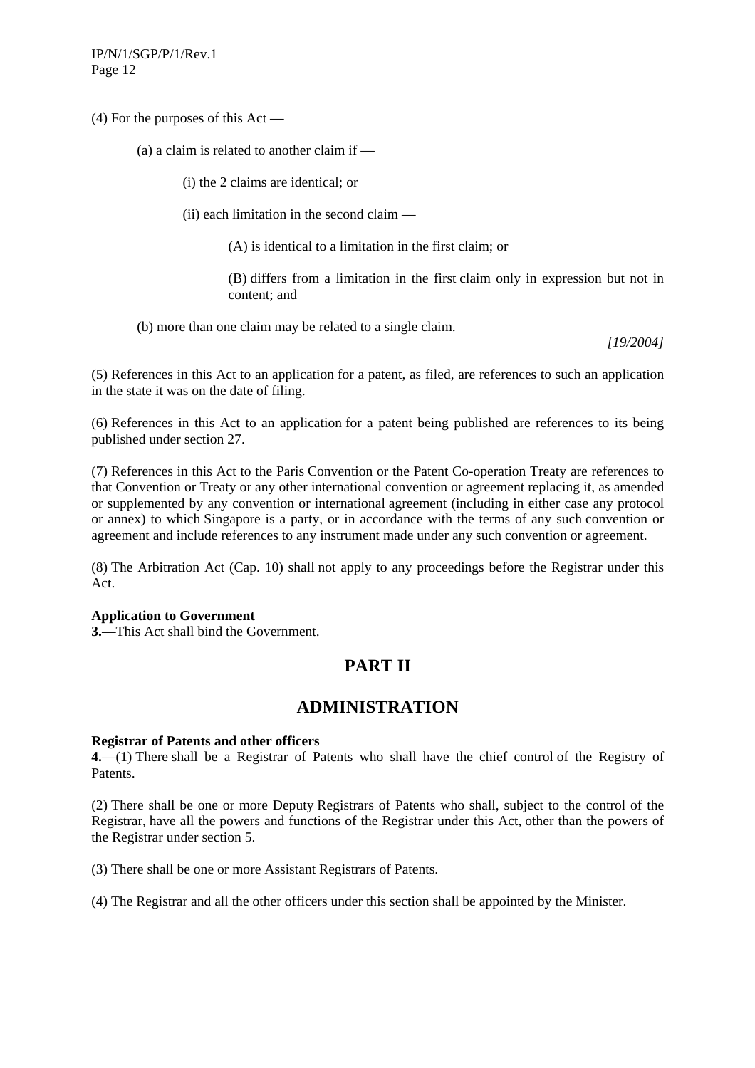(4) For the purposes of this Act —

 $(a)$  a claim is related to another claim if  $\overline{\phantom{a}}$ 

(i) the 2 claims are identical; or

(ii) each limitation in the second claim —

(A) is identical to a limitation in the first claim; or

(B) differs from a limitation in the first claim only in expression but not in content; and

(b) more than one claim may be related to a single claim.

*[19/2004]* 

(5) References in this Act to an application for a patent, as filed, are references to such an application in the state it was on the date of filing.

(6) References in this Act to an application for a patent being published are references to its being published under section 27.

(7) References in this Act to the Paris Convention or the Patent Co-operation Treaty are references to that Convention or Treaty or any other international convention or agreement replacing it, as amended or supplemented by any convention or international agreement (including in either case any protocol or annex) to which Singapore is a party, or in accordance with the terms of any such convention or agreement and include references to any instrument made under any such convention or agreement.

(8) The Arbitration Act (Cap. 10) shall not apply to any proceedings before the Registrar under this Act.

#### **Application to Government**

**3.**—This Act shall bind the Government.

## **PART II**

## **ADMINISTRATION**

#### **Registrar of Patents and other officers**

**4.**—(1) There shall be a Registrar of Patents who shall have the chief control of the Registry of Patents.

(2) There shall be one or more Deputy Registrars of Patents who shall, subject to the control of the Registrar, have all the powers and functions of the Registrar under this Act, other than the powers of the Registrar under section 5.

(3) There shall be one or more Assistant Registrars of Patents.

(4) The Registrar and all the other officers under this section shall be appointed by the Minister.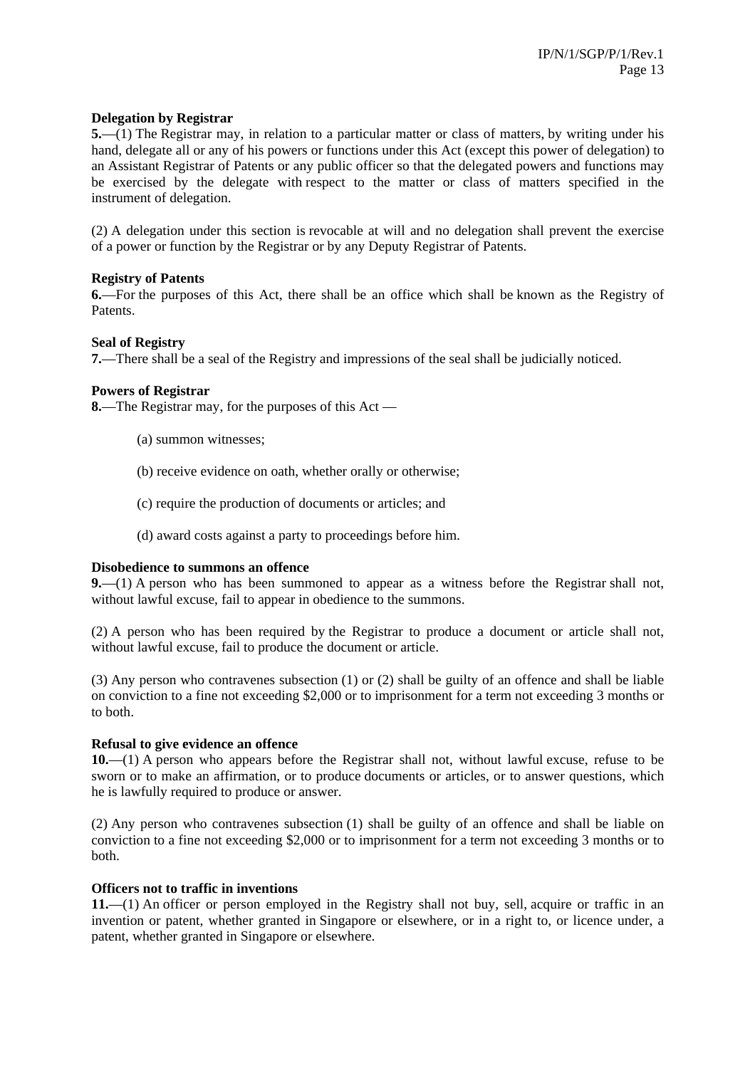#### **Delegation by Registrar**

**5.**—(1) The Registrar may, in relation to a particular matter or class of matters, by writing under his hand, delegate all or any of his powers or functions under this Act (except this power of delegation) to an Assistant Registrar of Patents or any public officer so that the delegated powers and functions may be exercised by the delegate with respect to the matter or class of matters specified in the instrument of delegation.

(2) A delegation under this section is revocable at will and no delegation shall prevent the exercise of a power or function by the Registrar or by any Deputy Registrar of Patents.

#### **Registry of Patents**

**6.**—For the purposes of this Act, there shall be an office which shall be known as the Registry of Patents.

#### **Seal of Registry**

**7.**—There shall be a seal of the Registry and impressions of the seal shall be judicially noticed.

#### **Powers of Registrar**

**8.**—The Registrar may, for the purposes of this Act —

- (a) summon witnesses;
- (b) receive evidence on oath, whether orally or otherwise;
- (c) require the production of documents or articles; and
- (d) award costs against a party to proceedings before him.

#### **Disobedience to summons an offence**

**9.**—(1) A person who has been summoned to appear as a witness before the Registrar shall not, without lawful excuse, fail to appear in obedience to the summons.

(2) A person who has been required by the Registrar to produce a document or article shall not, without lawful excuse, fail to produce the document or article.

(3) Any person who contravenes subsection (1) or (2) shall be guilty of an offence and shall be liable on conviction to a fine not exceeding \$2,000 or to imprisonment for a term not exceeding 3 months or to both.

#### **Refusal to give evidence an offence**

**10.**—(1) A person who appears before the Registrar shall not, without lawful excuse, refuse to be sworn or to make an affirmation, or to produce documents or articles, or to answer questions, which he is lawfully required to produce or answer.

(2) Any person who contravenes subsection (1) shall be guilty of an offence and shall be liable on conviction to a fine not exceeding \$2,000 or to imprisonment for a term not exceeding 3 months or to both.

#### **Officers not to traffic in inventions**

**11.**—(1) An officer or person employed in the Registry shall not buy, sell, acquire or traffic in an invention or patent, whether granted in Singapore or elsewhere, or in a right to, or licence under, a patent, whether granted in Singapore or elsewhere.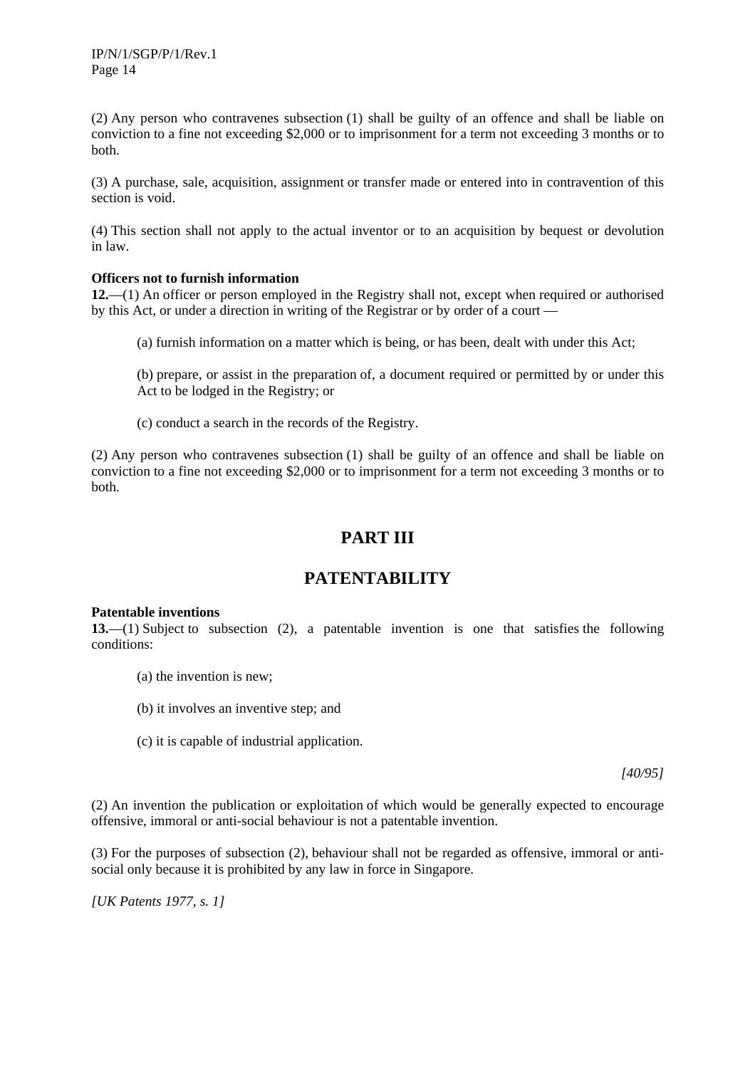(2) Any person who contravenes subsection (1) shall be guilty of an offence and shall be liable on conviction to a fine not exceeding \$2,000 or to imprisonment for a term not exceeding 3 months or to both.

(3) A purchase, sale, acquisition, assignment or transfer made or entered into in contravention of this section is void.

(4) This section shall not apply to the actual inventor or to an acquisition by bequest or devolution in law.

#### **Officers not to furnish information**

**12.**—(1) An officer or person employed in the Registry shall not, except when required or authorised by this Act, or under a direction in writing of the Registrar or by order of a court —

(a) furnish information on a matter which is being, or has been, dealt with under this Act;

(b) prepare, or assist in the preparation of, a document required or permitted by or under this Act to be lodged in the Registry; or

(c) conduct a search in the records of the Registry.

(2) Any person who contravenes subsection (1) shall be guilty of an offence and shall be liable on conviction to a fine not exceeding \$2,000 or to imprisonment for a term not exceeding 3 months or to both.

# **PART III**

# **PATENTABILITY**

#### **Patentable inventions**

**13.**—(1) Subject to subsection (2), a patentable invention is one that satisfies the following conditions:

- (a) the invention is new;
- (b) it involves an inventive step; and
- (c) it is capable of industrial application.

*[40/95]* 

(2) An invention the publication or exploitation of which would be generally expected to encourage offensive, immoral or anti-social behaviour is not a patentable invention.

(3) For the purposes of subsection (2), behaviour shall not be regarded as offensive, immoral or antisocial only because it is prohibited by any law in force in Singapore.

*[UK Patents 1977, s. 1]*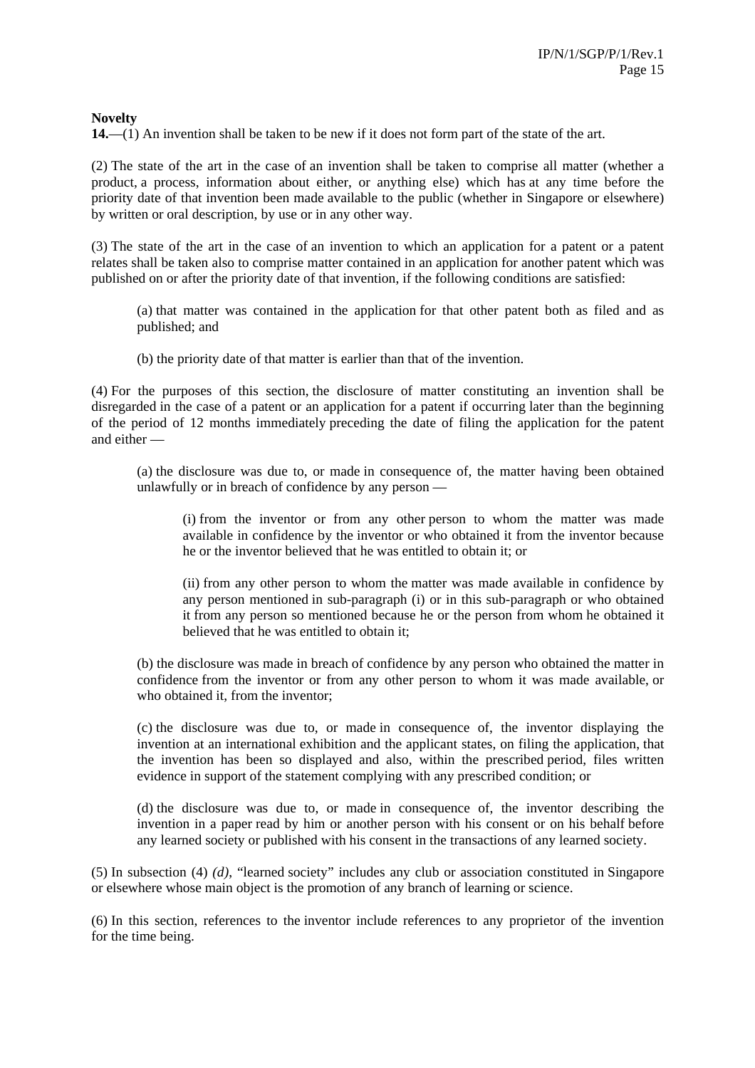**Novelty** 

**14.**—(1) An invention shall be taken to be new if it does not form part of the state of the art.

(2) The state of the art in the case of an invention shall be taken to comprise all matter (whether a product, a process, information about either, or anything else) which has at any time before the priority date of that invention been made available to the public (whether in Singapore or elsewhere) by written or oral description, by use or in any other way.

(3) The state of the art in the case of an invention to which an application for a patent or a patent relates shall be taken also to comprise matter contained in an application for another patent which was published on or after the priority date of that invention, if the following conditions are satisfied:

(a) that matter was contained in the application for that other patent both as filed and as published; and

(b) the priority date of that matter is earlier than that of the invention.

(4) For the purposes of this section, the disclosure of matter constituting an invention shall be disregarded in the case of a patent or an application for a patent if occurring later than the beginning of the period of 12 months immediately preceding the date of filing the application for the patent and either —

(a) the disclosure was due to, or made in consequence of, the matter having been obtained unlawfully or in breach of confidence by any person —

(i) from the inventor or from any other person to whom the matter was made available in confidence by the inventor or who obtained it from the inventor because he or the inventor believed that he was entitled to obtain it; or

(ii) from any other person to whom the matter was made available in confidence by any person mentioned in sub-paragraph (i) or in this sub-paragraph or who obtained it from any person so mentioned because he or the person from whom he obtained it believed that he was entitled to obtain it;

(b) the disclosure was made in breach of confidence by any person who obtained the matter in confidence from the inventor or from any other person to whom it was made available, or who obtained it, from the inventor;

(c) the disclosure was due to, or made in consequence of, the inventor displaying the invention at an international exhibition and the applicant states, on filing the application, that the invention has been so displayed and also, within the prescribed period, files written evidence in support of the statement complying with any prescribed condition; or

(d) the disclosure was due to, or made in consequence of, the inventor describing the invention in a paper read by him or another person with his consent or on his behalf before any learned society or published with his consent in the transactions of any learned society.

(5) In subsection (4) *(d)*, "learned society" includes any club or association constituted in Singapore or elsewhere whose main object is the promotion of any branch of learning or science.

(6) In this section, references to the inventor include references to any proprietor of the invention for the time being.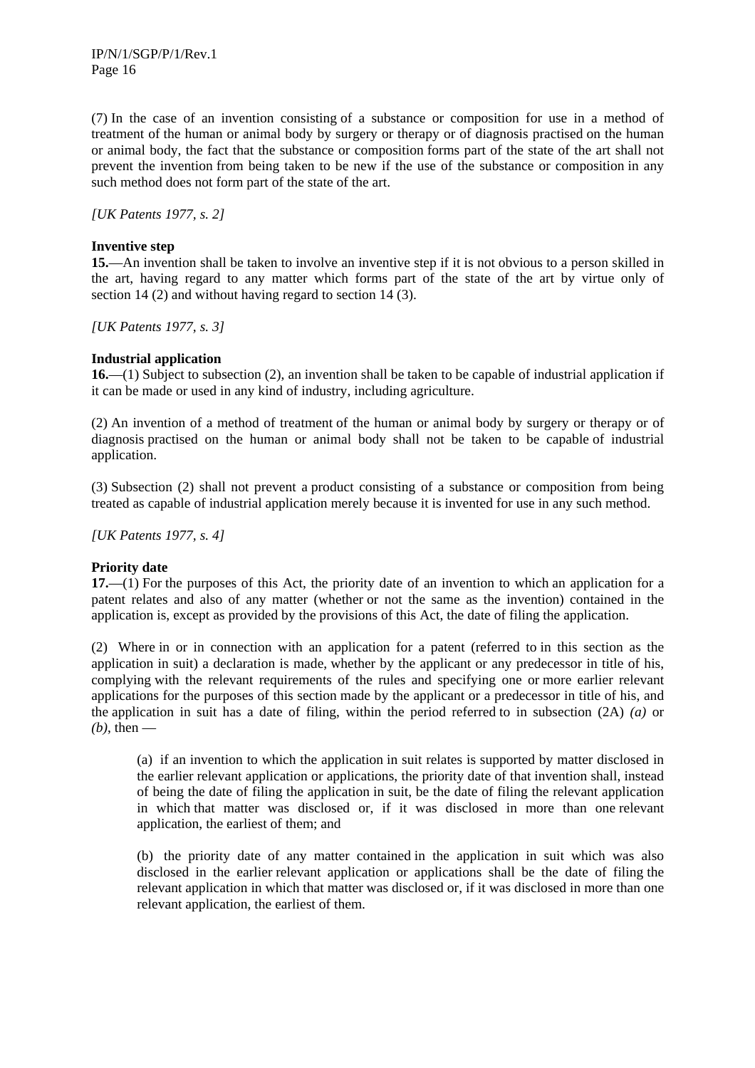(7) In the case of an invention consisting of a substance or composition for use in a method of treatment of the human or animal body by surgery or therapy or of diagnosis practised on the human or animal body, the fact that the substance or composition forms part of the state of the art shall not prevent the invention from being taken to be new if the use of the substance or composition in any such method does not form part of the state of the art.

*[UK Patents 1977, s. 2]* 

### **Inventive step**

**15.**—An invention shall be taken to involve an inventive step if it is not obvious to a person skilled in the art, having regard to any matter which forms part of the state of the art by virtue only of section 14 (2) and without having regard to section 14 (3).

*[UK Patents 1977, s. 3]* 

#### **Industrial application**

**16.**—(1) Subject to subsection (2), an invention shall be taken to be capable of industrial application if it can be made or used in any kind of industry, including agriculture.

(2) An invention of a method of treatment of the human or animal body by surgery or therapy or of diagnosis practised on the human or animal body shall not be taken to be capable of industrial application.

(3) Subsection (2) shall not prevent a product consisting of a substance or composition from being treated as capable of industrial application merely because it is invented for use in any such method.

*[UK Patents 1977, s. 4]* 

#### **Priority date**

**17.**—(1) For the purposes of this Act, the priority date of an invention to which an application for a patent relates and also of any matter (whether or not the same as the invention) contained in the application is, except as provided by the provisions of this Act, the date of filing the application.

(2) Where in or in connection with an application for a patent (referred to in this section as the application in suit) a declaration is made, whether by the applicant or any predecessor in title of his, complying with the relevant requirements of the rules and specifying one or more earlier relevant applications for the purposes of this section made by the applicant or a predecessor in title of his, and the application in suit has a date of filing, within the period referred to in subsection (2A) *(a)* or *(b)*, then —

(a) if an invention to which the application in suit relates is supported by matter disclosed in the earlier relevant application or applications, the priority date of that invention shall, instead of being the date of filing the application in suit, be the date of filing the relevant application in which that matter was disclosed or, if it was disclosed in more than one relevant application, the earliest of them; and

(b) the priority date of any matter contained in the application in suit which was also disclosed in the earlier relevant application or applications shall be the date of filing the relevant application in which that matter was disclosed or, if it was disclosed in more than one relevant application, the earliest of them.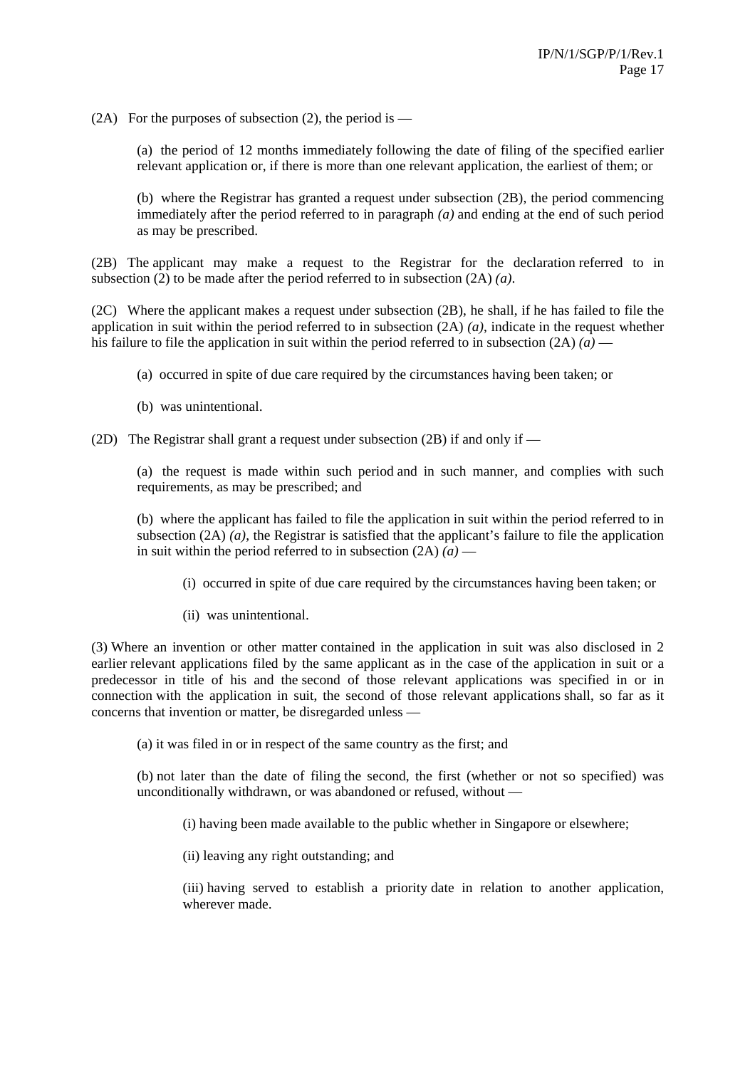(2A) For the purposes of subsection (2), the period is —

(a) the period of 12 months immediately following the date of filing of the specified earlier relevant application or, if there is more than one relevant application, the earliest of them; or

(b) where the Registrar has granted a request under subsection (2B), the period commencing immediately after the period referred to in paragraph *(a)* and ending at the end of such period as may be prescribed.

(2B) The applicant may make a request to the Registrar for the declaration referred to in subsection (2) to be made after the period referred to in subsection (2A) *(a)*.

(2C) Where the applicant makes a request under subsection (2B), he shall, if he has failed to file the application in suit within the period referred to in subsection (2A) *(a)*, indicate in the request whether his failure to file the application in suit within the period referred to in subsection  $(2A)$   $(a)$  —

- (a) occurred in spite of due care required by the circumstances having been taken; or
- (b) was unintentional.

(2D) The Registrar shall grant a request under subsection (2B) if and only if  $-$ 

(a) the request is made within such period and in such manner, and complies with such requirements, as may be prescribed; and

(b) where the applicant has failed to file the application in suit within the period referred to in subsection  $(2A)$   $(a)$ , the Registrar is satisfied that the applicant's failure to file the application in suit within the period referred to in subsection  $(2A) (a)$  —

(i) occurred in spite of due care required by the circumstances having been taken; or

(ii) was unintentional.

(3) Where an invention or other matter contained in the application in suit was also disclosed in 2 earlier relevant applications filed by the same applicant as in the case of the application in suit or a predecessor in title of his and the second of those relevant applications was specified in or in connection with the application in suit, the second of those relevant applications shall, so far as it concerns that invention or matter, be disregarded unless —

(a) it was filed in or in respect of the same country as the first; and

(b) not later than the date of filing the second, the first (whether or not so specified) was unconditionally withdrawn, or was abandoned or refused, without —

(i) having been made available to the public whether in Singapore or elsewhere;

(ii) leaving any right outstanding; and

(iii) having served to establish a priority date in relation to another application, wherever made.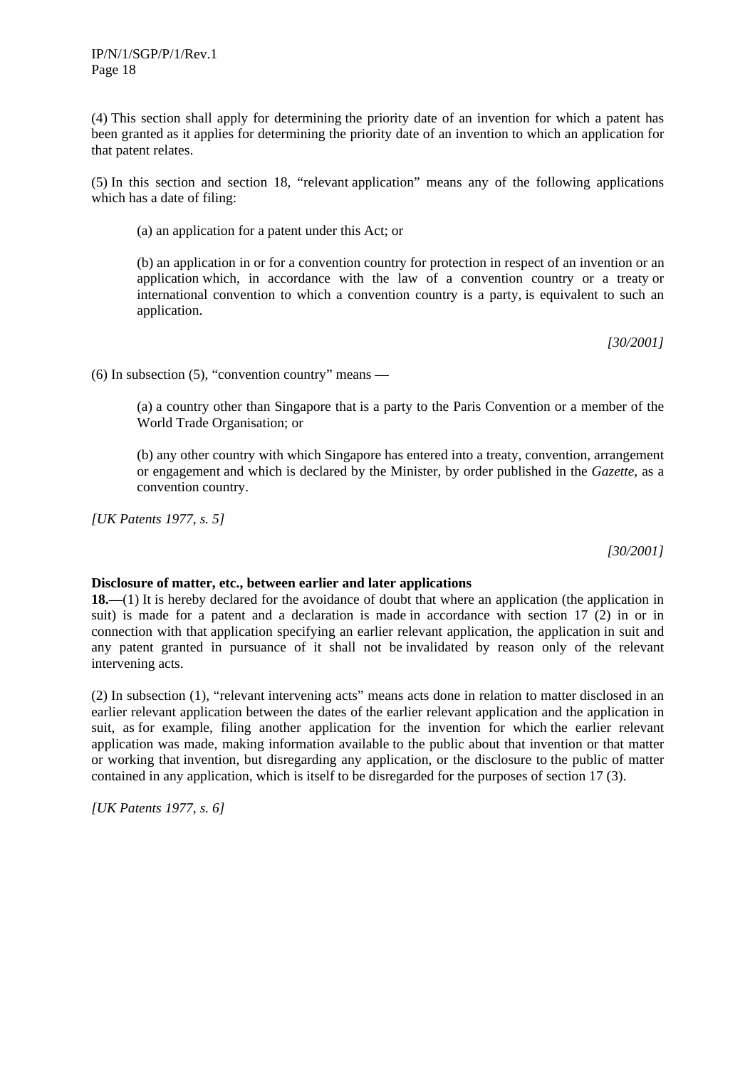(4) This section shall apply for determining the priority date of an invention for which a patent has been granted as it applies for determining the priority date of an invention to which an application for that patent relates.

(5) In this section and section 18, "relevant application" means any of the following applications which has a date of filing:

(a) an application for a patent under this Act; or

(b) an application in or for a convention country for protection in respect of an invention or an application which, in accordance with the law of a convention country or a treaty or international convention to which a convention country is a party, is equivalent to such an application.

*[30/2001]* 

 $(6)$  In subsection  $(5)$ , "convention country" means —

(a) a country other than Singapore that is a party to the Paris Convention or a member of the World Trade Organisation; or

(b) any other country with which Singapore has entered into a treaty, convention, arrangement or engagement and which is declared by the Minister, by order published in the *Gazette*, as a convention country.

*[UK Patents 1977, s. 5]* 

*[30/2001]* 

#### **Disclosure of matter, etc., between earlier and later applications**

**18.**—(1) It is hereby declared for the avoidance of doubt that where an application (the application in suit) is made for a patent and a declaration is made in accordance with section 17 (2) in or in connection with that application specifying an earlier relevant application, the application in suit and any patent granted in pursuance of it shall not be invalidated by reason only of the relevant intervening acts.

(2) In subsection (1), "relevant intervening acts" means acts done in relation to matter disclosed in an earlier relevant application between the dates of the earlier relevant application and the application in suit, as for example, filing another application for the invention for which the earlier relevant application was made, making information available to the public about that invention or that matter or working that invention, but disregarding any application, or the disclosure to the public of matter contained in any application, which is itself to be disregarded for the purposes of section 17 (3).

*[UK Patents 1977, s. 6]*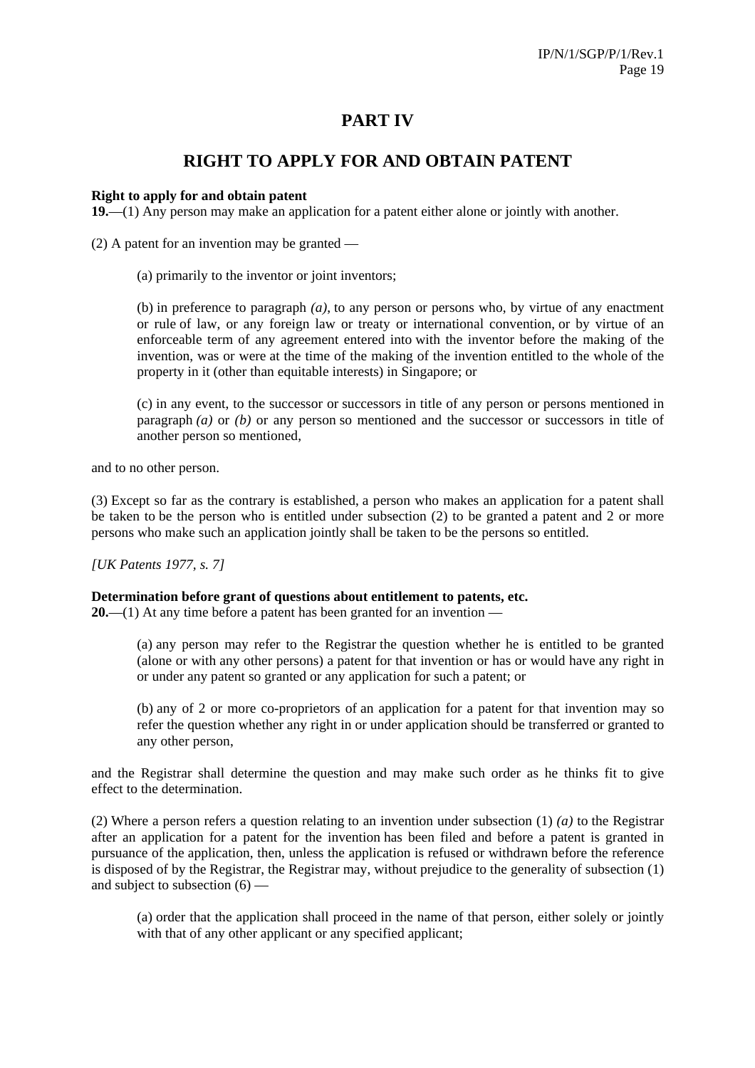# **PART IV**

# **RIGHT TO APPLY FOR AND OBTAIN PATENT**

### **Right to apply for and obtain patent**

**19.**—(1) Any person may make an application for a patent either alone or jointly with another.

(2) A patent for an invention may be granted —

(a) primarily to the inventor or joint inventors;

(b) in preference to paragraph *(a)*, to any person or persons who, by virtue of any enactment or rule of law, or any foreign law or treaty or international convention, or by virtue of an enforceable term of any agreement entered into with the inventor before the making of the invention, was or were at the time of the making of the invention entitled to the whole of the property in it (other than equitable interests) in Singapore; or

(c) in any event, to the successor or successors in title of any person or persons mentioned in paragraph *(a)* or *(b)* or any person so mentioned and the successor or successors in title of another person so mentioned,

and to no other person.

(3) Except so far as the contrary is established, a person who makes an application for a patent shall be taken to be the person who is entitled under subsection (2) to be granted a patent and 2 or more persons who make such an application jointly shall be taken to be the persons so entitled.

*[UK Patents 1977, s. 7]* 

### **Determination before grant of questions about entitlement to patents, etc.**

**20.**—(1) At any time before a patent has been granted for an invention —

(a) any person may refer to the Registrar the question whether he is entitled to be granted (alone or with any other persons) a patent for that invention or has or would have any right in or under any patent so granted or any application for such a patent; or

(b) any of 2 or more co-proprietors of an application for a patent for that invention may so refer the question whether any right in or under application should be transferred or granted to any other person,

and the Registrar shall determine the question and may make such order as he thinks fit to give effect to the determination.

(2) Where a person refers a question relating to an invention under subsection (1) *(a)* to the Registrar after an application for a patent for the invention has been filed and before a patent is granted in pursuance of the application, then, unless the application is refused or withdrawn before the reference is disposed of by the Registrar, the Registrar may, without prejudice to the generality of subsection (1) and subject to subsection (6) —

(a) order that the application shall proceed in the name of that person, either solely or jointly with that of any other applicant or any specified applicant: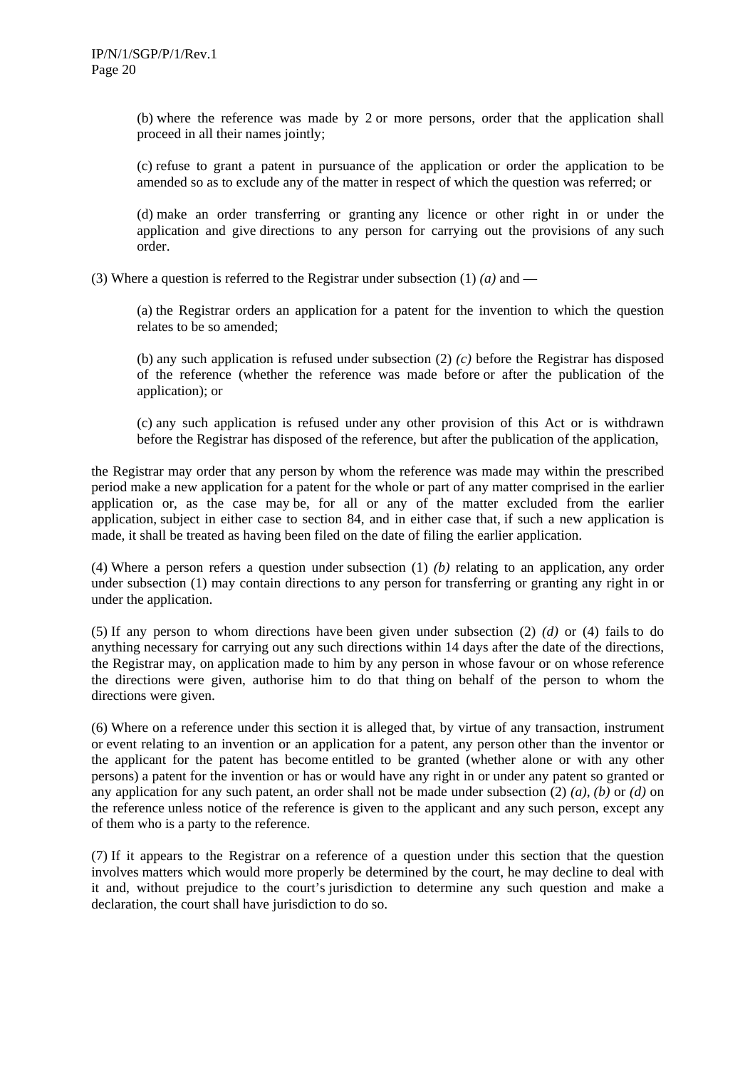(b) where the reference was made by 2 or more persons, order that the application shall proceed in all their names jointly;

(c) refuse to grant a patent in pursuance of the application or order the application to be amended so as to exclude any of the matter in respect of which the question was referred; or

(d) make an order transferring or granting any licence or other right in or under the application and give directions to any person for carrying out the provisions of any such order.

(3) Where a question is referred to the Registrar under subsection (1) *(a)* and —

(a) the Registrar orders an application for a patent for the invention to which the question relates to be so amended;

(b) any such application is refused under subsection (2) *(c)* before the Registrar has disposed of the reference (whether the reference was made before or after the publication of the application); or

(c) any such application is refused under any other provision of this Act or is withdrawn before the Registrar has disposed of the reference, but after the publication of the application,

the Registrar may order that any person by whom the reference was made may within the prescribed period make a new application for a patent for the whole or part of any matter comprised in the earlier application or, as the case may be, for all or any of the matter excluded from the earlier application, subject in either case to section 84, and in either case that, if such a new application is made, it shall be treated as having been filed on the date of filing the earlier application.

(4) Where a person refers a question under subsection (1) *(b)* relating to an application, any order under subsection (1) may contain directions to any person for transferring or granting any right in or under the application.

(5) If any person to whom directions have been given under subsection (2) *(d)* or (4) fails to do anything necessary for carrying out any such directions within 14 days after the date of the directions, the Registrar may, on application made to him by any person in whose favour or on whose reference the directions were given, authorise him to do that thing on behalf of the person to whom the directions were given.

(6) Where on a reference under this section it is alleged that, by virtue of any transaction, instrument or event relating to an invention or an application for a patent, any person other than the inventor or the applicant for the patent has become entitled to be granted (whether alone or with any other persons) a patent for the invention or has or would have any right in or under any patent so granted or any application for any such patent, an order shall not be made under subsection (2) *(a)*, *(b)* or *(d)* on the reference unless notice of the reference is given to the applicant and any such person, except any of them who is a party to the reference.

(7) If it appears to the Registrar on a reference of a question under this section that the question involves matters which would more properly be determined by the court, he may decline to deal with it and, without prejudice to the court's jurisdiction to determine any such question and make a declaration, the court shall have jurisdiction to do so.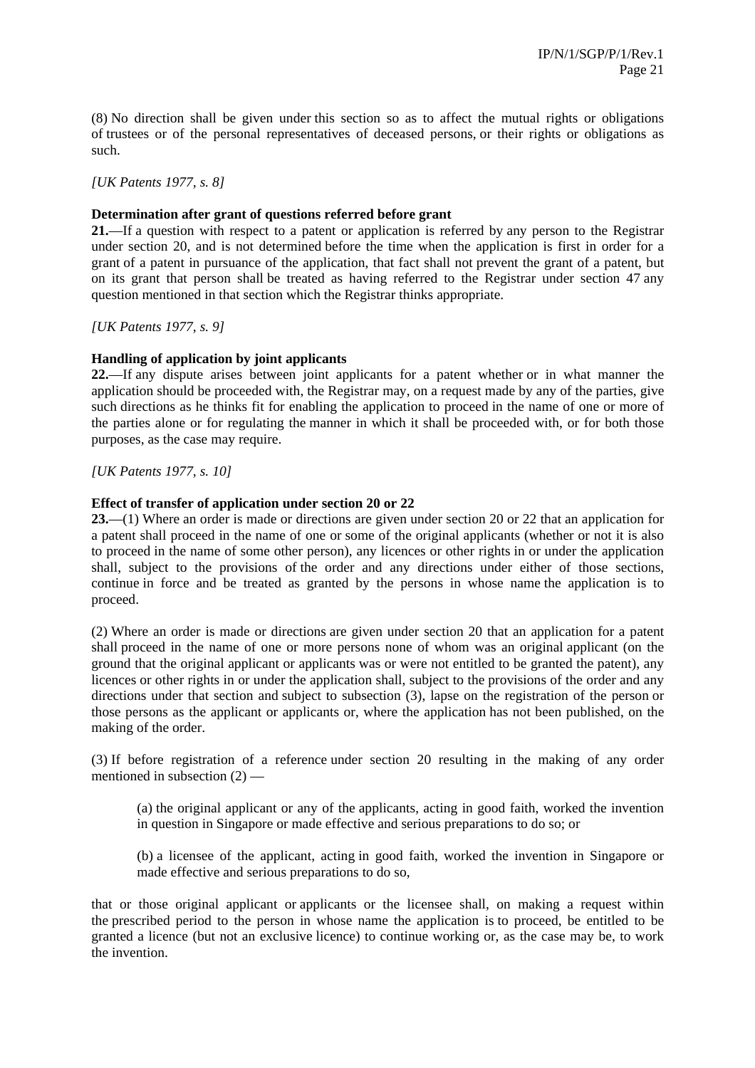(8) No direction shall be given under this section so as to affect the mutual rights or obligations of trustees or of the personal representatives of deceased persons, or their rights or obligations as such.

*[UK Patents 1977, s. 8]* 

### **Determination after grant of questions referred before grant**

**21.**—If a question with respect to a patent or application is referred by any person to the Registrar under section 20, and is not determined before the time when the application is first in order for a grant of a patent in pursuance of the application, that fact shall not prevent the grant of a patent, but on its grant that person shall be treated as having referred to the Registrar under section 47 any question mentioned in that section which the Registrar thinks appropriate.

*[UK Patents 1977, s. 9]* 

## **Handling of application by joint applicants**

**22.**—If any dispute arises between joint applicants for a patent whether or in what manner the application should be proceeded with, the Registrar may, on a request made by any of the parties, give such directions as he thinks fit for enabling the application to proceed in the name of one or more of the parties alone or for regulating the manner in which it shall be proceeded with, or for both those purposes, as the case may require.

### *[UK Patents 1977, s. 10]*

#### **Effect of transfer of application under section 20 or 22**

**23.**—(1) Where an order is made or directions are given under section 20 or 22 that an application for a patent shall proceed in the name of one or some of the original applicants (whether or not it is also to proceed in the name of some other person), any licences or other rights in or under the application shall, subject to the provisions of the order and any directions under either of those sections, continue in force and be treated as granted by the persons in whose name the application is to proceed.

(2) Where an order is made or directions are given under section 20 that an application for a patent shall proceed in the name of one or more persons none of whom was an original applicant (on the ground that the original applicant or applicants was or were not entitled to be granted the patent), any licences or other rights in or under the application shall, subject to the provisions of the order and any directions under that section and subject to subsection (3), lapse on the registration of the person or those persons as the applicant or applicants or, where the application has not been published, on the making of the order.

(3) If before registration of a reference under section 20 resulting in the making of any order mentioned in subsection (2) —

(a) the original applicant or any of the applicants, acting in good faith, worked the invention in question in Singapore or made effective and serious preparations to do so; or

(b) a licensee of the applicant, acting in good faith, worked the invention in Singapore or made effective and serious preparations to do so,

that or those original applicant or applicants or the licensee shall, on making a request within the prescribed period to the person in whose name the application is to proceed, be entitled to be granted a licence (but not an exclusive licence) to continue working or, as the case may be, to work the invention.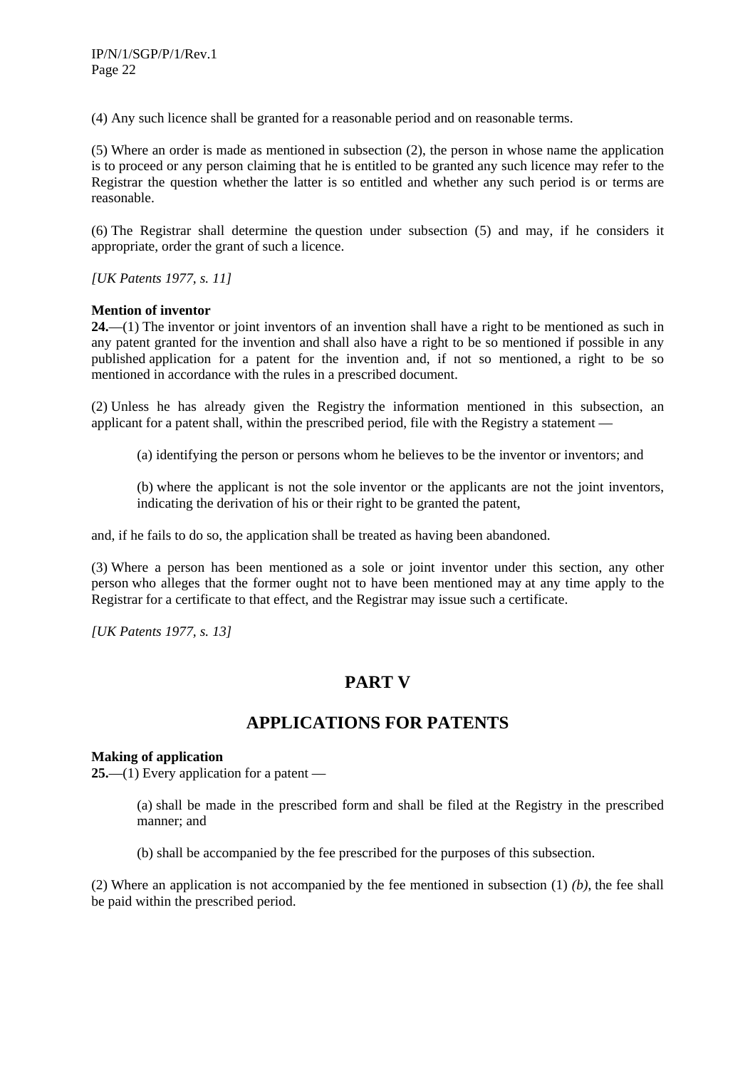(4) Any such licence shall be granted for a reasonable period and on reasonable terms.

(5) Where an order is made as mentioned in subsection (2), the person in whose name the application is to proceed or any person claiming that he is entitled to be granted any such licence may refer to the Registrar the question whether the latter is so entitled and whether any such period is or terms are reasonable.

(6) The Registrar shall determine the question under subsection (5) and may, if he considers it appropriate, order the grant of such a licence.

*[UK Patents 1977, s. 11]* 

### **Mention of inventor**

**24.**—(1) The inventor or joint inventors of an invention shall have a right to be mentioned as such in any patent granted for the invention and shall also have a right to be so mentioned if possible in any published application for a patent for the invention and, if not so mentioned, a right to be so mentioned in accordance with the rules in a prescribed document.

(2) Unless he has already given the Registry the information mentioned in this subsection, an applicant for a patent shall, within the prescribed period, file with the Registry a statement —

(a) identifying the person or persons whom he believes to be the inventor or inventors; and

(b) where the applicant is not the sole inventor or the applicants are not the joint inventors, indicating the derivation of his or their right to be granted the patent,

and, if he fails to do so, the application shall be treated as having been abandoned.

(3) Where a person has been mentioned as a sole or joint inventor under this section, any other person who alleges that the former ought not to have been mentioned may at any time apply to the Registrar for a certificate to that effect, and the Registrar may issue such a certificate.

*[UK Patents 1977, s. 13]* 

# **PART V**

# **APPLICATIONS FOR PATENTS**

## **Making of application**

**25.**—(1) Every application for a patent —

(a) shall be made in the prescribed form and shall be filed at the Registry in the prescribed manner; and

(b) shall be accompanied by the fee prescribed for the purposes of this subsection.

(2) Where an application is not accompanied by the fee mentioned in subsection (1) *(b)*, the fee shall be paid within the prescribed period.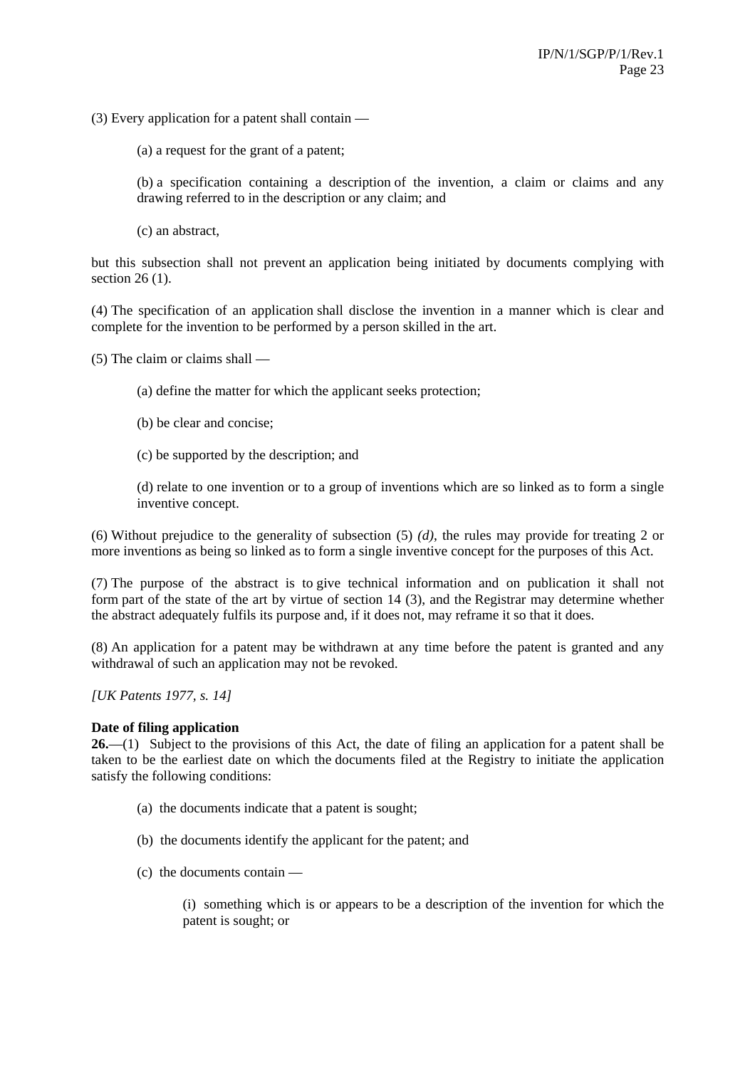(3) Every application for a patent shall contain —

(a) a request for the grant of a patent;

(b) a specification containing a description of the invention, a claim or claims and any drawing referred to in the description or any claim; and

(c) an abstract,

but this subsection shall not prevent an application being initiated by documents complying with section 26 (1).

(4) The specification of an application shall disclose the invention in a manner which is clear and complete for the invention to be performed by a person skilled in the art.

(5) The claim or claims shall —

(a) define the matter for which the applicant seeks protection;

- (b) be clear and concise;
- (c) be supported by the description; and

(d) relate to one invention or to a group of inventions which are so linked as to form a single inventive concept.

(6) Without prejudice to the generality of subsection (5) *(d)*, the rules may provide for treating 2 or more inventions as being so linked as to form a single inventive concept for the purposes of this Act.

(7) The purpose of the abstract is to give technical information and on publication it shall not form part of the state of the art by virtue of section 14 (3), and the Registrar may determine whether the abstract adequately fulfils its purpose and, if it does not, may reframe it so that it does.

(8) An application for a patent may be withdrawn at any time before the patent is granted and any withdrawal of such an application may not be revoked.

*[UK Patents 1977, s. 14]* 

#### **Date of filing application**

**26.**—(1) Subject to the provisions of this Act, the date of filing an application for a patent shall be taken to be the earliest date on which the documents filed at the Registry to initiate the application satisfy the following conditions:

- (a) the documents indicate that a patent is sought;
- (b) the documents identify the applicant for the patent; and
- (c) the documents contain —

(i) something which is or appears to be a description of the invention for which the patent is sought; or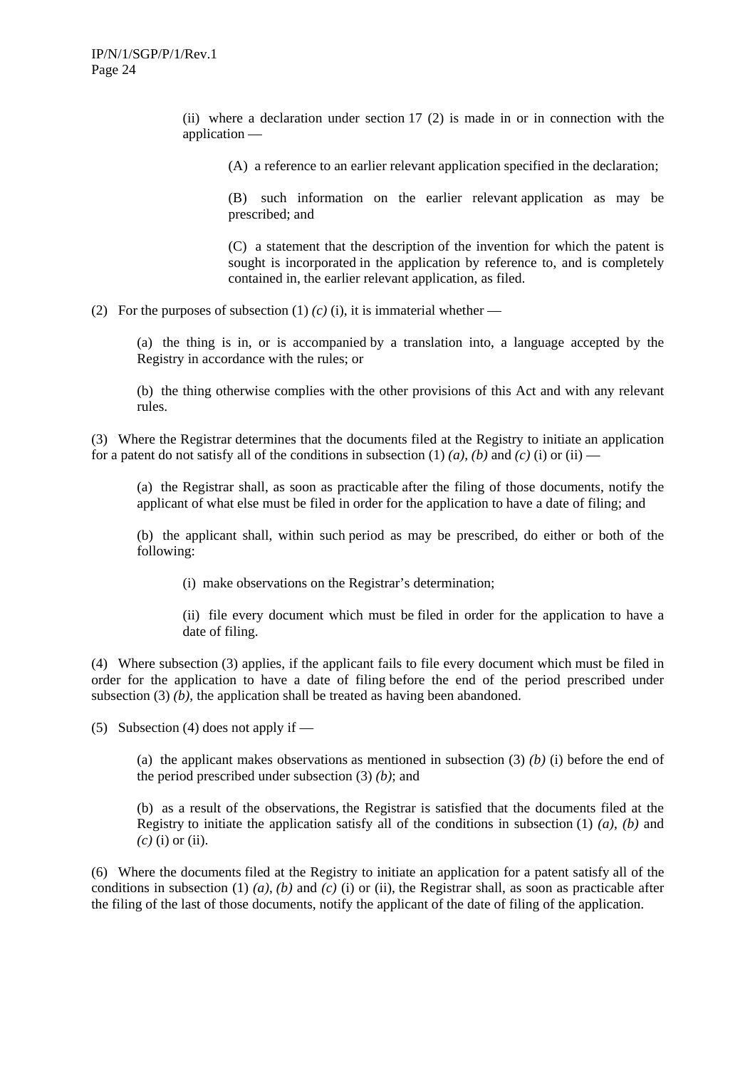(ii) where a declaration under section 17 (2) is made in or in connection with the application —

(A) a reference to an earlier relevant application specified in the declaration;

(B) such information on the earlier relevant application as may be prescribed; and

(C) a statement that the description of the invention for which the patent is sought is incorporated in the application by reference to, and is completely contained in, the earlier relevant application, as filed.

(2) For the purposes of subsection  $(1)$   $(c)$   $(i)$ , it is immaterial whether —

(a) the thing is in, or is accompanied by a translation into, a language accepted by the Registry in accordance with the rules; or

(b) the thing otherwise complies with the other provisions of this Act and with any relevant rules.

(3) Where the Registrar determines that the documents filed at the Registry to initiate an application for a patent do not satisfy all of the conditions in subsection  $(1)$   $(a)$ ,  $(b)$  and  $(c)$  (i) or (ii) —

(a) the Registrar shall, as soon as practicable after the filing of those documents, notify the applicant of what else must be filed in order for the application to have a date of filing; and

(b) the applicant shall, within such period as may be prescribed, do either or both of the following:

(i) make observations on the Registrar's determination;

(ii) file every document which must be filed in order for the application to have a date of filing.

(4) Where subsection (3) applies, if the applicant fails to file every document which must be filed in order for the application to have a date of filing before the end of the period prescribed under subsection (3)  $(b)$ , the application shall be treated as having been abandoned.

(5) Subsection (4) does not apply if —

(a) the applicant makes observations as mentioned in subsection (3) *(b)* (i) before the end of the period prescribed under subsection (3) *(b)*; and

(b) as a result of the observations, the Registrar is satisfied that the documents filed at the Registry to initiate the application satisfy all of the conditions in subsection (1) *(a)*, *(b)* and *(c)* (i) or (ii).

(6) Where the documents filed at the Registry to initiate an application for a patent satisfy all of the conditions in subsection (1) *(a)*, *(b)* and *(c)* (i) or (ii), the Registrar shall, as soon as practicable after the filing of the last of those documents, notify the applicant of the date of filing of the application.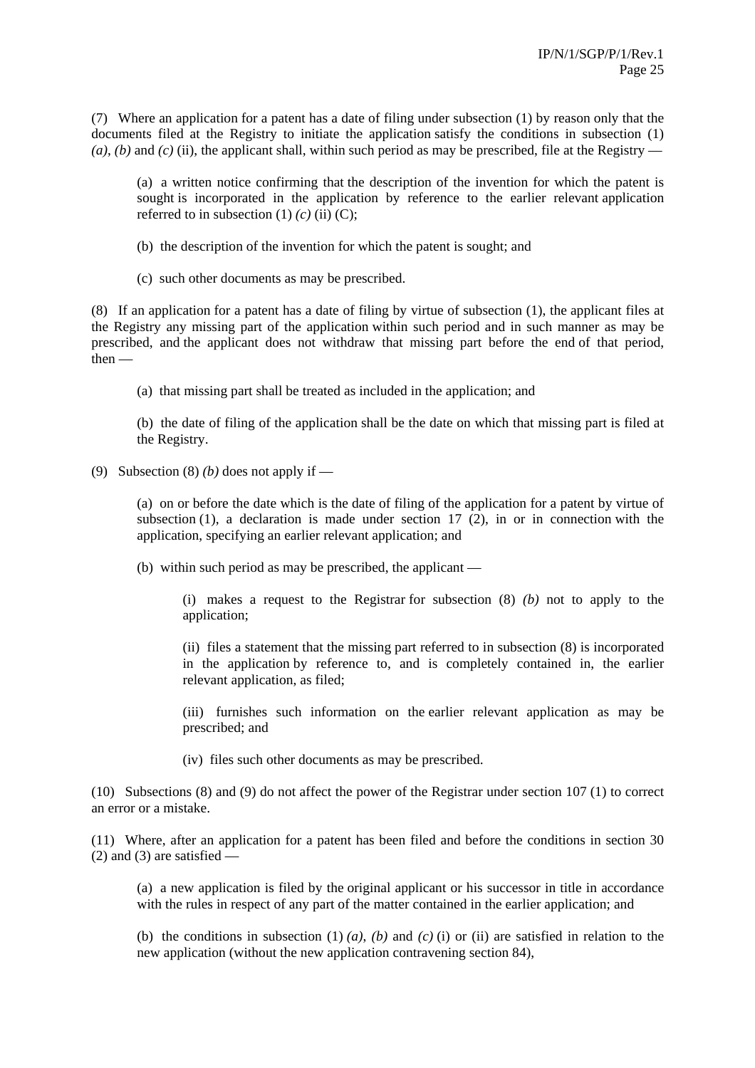(7) Where an application for a patent has a date of filing under subsection (1) by reason only that the documents filed at the Registry to initiate the application satisfy the conditions in subsection (1)  $(a)$ ,  $(b)$  and  $(c)$  (ii), the applicant shall, within such period as may be prescribed, file at the Registry —

(a) a written notice confirming that the description of the invention for which the patent is sought is incorporated in the application by reference to the earlier relevant application referred to in subsection  $(1)$   $(c)$   $(ii)$   $(C)$ ;

- (b) the description of the invention for which the patent is sought; and
- (c) such other documents as may be prescribed.

(8) If an application for a patent has a date of filing by virtue of subsection (1), the applicant files at the Registry any missing part of the application within such period and in such manner as may be prescribed, and the applicant does not withdraw that missing part before the end of that period, then —

(a) that missing part shall be treated as included in the application; and

(b) the date of filing of the application shall be the date on which that missing part is filed at the Registry.

(9) Subsection (8) *(b)* does not apply if —

(a) on or before the date which is the date of filing of the application for a patent by virtue of subsection  $(1)$ , a declaration is made under section 17  $(2)$ , in or in connection with the application, specifying an earlier relevant application; and

(b) within such period as may be prescribed, the applicant —

(i) makes a request to the Registrar for subsection (8) *(b)* not to apply to the application;

(ii) files a statement that the missing part referred to in subsection (8) is incorporated in the application by reference to, and is completely contained in, the earlier relevant application, as filed;

(iii) furnishes such information on the earlier relevant application as may be prescribed; and

(iv) files such other documents as may be prescribed.

(10) Subsections (8) and (9) do not affect the power of the Registrar under section 107 (1) to correct an error or a mistake.

(11) Where, after an application for a patent has been filed and before the conditions in section 30  $(2)$  and  $(3)$  are satisfied —

(a) a new application is filed by the original applicant or his successor in title in accordance with the rules in respect of any part of the matter contained in the earlier application; and

(b) the conditions in subsection  $(1)$   $(a)$ ,  $(b)$  and  $(c)$   $(i)$  or  $(ii)$  are satisfied in relation to the new application (without the new application contravening section 84),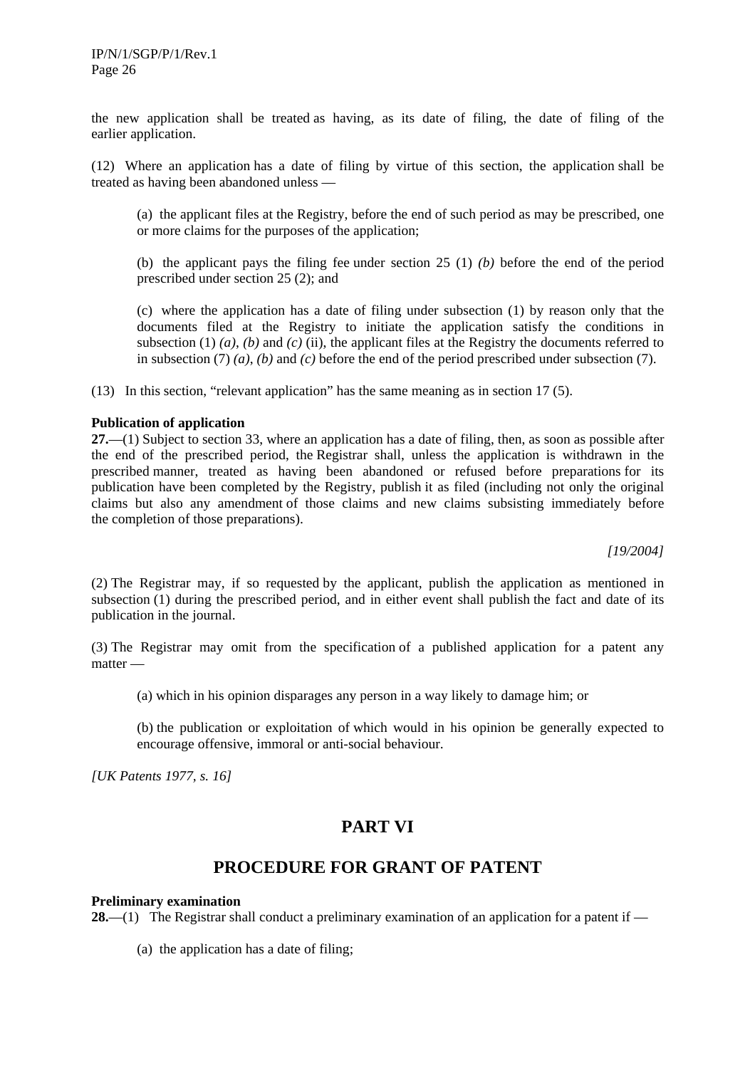the new application shall be treated as having, as its date of filing, the date of filing of the earlier application.

(12) Where an application has a date of filing by virtue of this section, the application shall be treated as having been abandoned unless —

(a) the applicant files at the Registry, before the end of such period as may be prescribed, one or more claims for the purposes of the application;

(b) the applicant pays the filing fee under section 25 (1) *(b)* before the end of the period prescribed under section 25 (2); and

(c) where the application has a date of filing under subsection (1) by reason only that the documents filed at the Registry to initiate the application satisfy the conditions in subsection (1)  $(a)$ ,  $(b)$  and  $(c)$  (ii), the applicant files at the Registry the documents referred to in subsection (7) *(a)*, *(b)* and *(c)* before the end of the period prescribed under subsection (7).

(13) In this section, "relevant application" has the same meaning as in section 17 (5).

#### **Publication of application**

**27.**—(1) Subject to section 33, where an application has a date of filing, then, as soon as possible after the end of the prescribed period, the Registrar shall, unless the application is withdrawn in the prescribed manner, treated as having been abandoned or refused before preparations for its publication have been completed by the Registry, publish it as filed (including not only the original claims but also any amendment of those claims and new claims subsisting immediately before the completion of those preparations).

*[19/2004]* 

(2) The Registrar may, if so requested by the applicant, publish the application as mentioned in subsection (1) during the prescribed period, and in either event shall publish the fact and date of its publication in the journal.

(3) The Registrar may omit from the specification of a published application for a patent any matter —

(a) which in his opinion disparages any person in a way likely to damage him; or

(b) the publication or exploitation of which would in his opinion be generally expected to encourage offensive, immoral or anti-social behaviour.

*[UK Patents 1977, s. 16]* 

# **PART VI**

## **PROCEDURE FOR GRANT OF PATENT**

#### **Preliminary examination**

**28.**—(1) The Registrar shall conduct a preliminary examination of an application for a patent if —

(a) the application has a date of filing;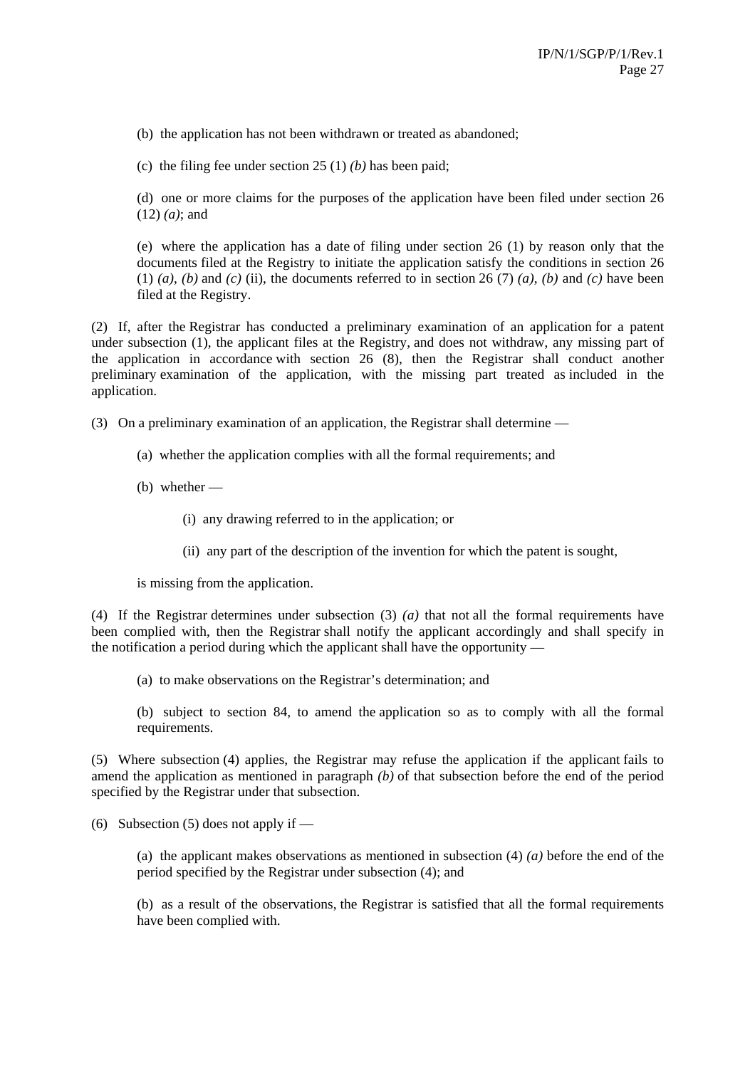(b) the application has not been withdrawn or treated as abandoned;

(c) the filing fee under section 25 (1) *(b)* has been paid;

(d) one or more claims for the purposes of the application have been filed under section 26 (12) *(a)*; and

(e) where the application has a date of filing under section 26 (1) by reason only that the documents filed at the Registry to initiate the application satisfy the conditions in section 26 (1)  $(a)$ ,  $(b)$  and  $(c)$  (ii), the documents referred to in section 26  $(7)$   $(a)$ ,  $(b)$  and  $(c)$  have been filed at the Registry.

(2) If, after the Registrar has conducted a preliminary examination of an application for a patent under subsection (1), the applicant files at the Registry, and does not withdraw, any missing part of the application in accordance with section 26 (8), then the Registrar shall conduct another preliminary examination of the application, with the missing part treated as included in the application.

(3) On a preliminary examination of an application, the Registrar shall determine —

- (a) whether the application complies with all the formal requirements; and
- (b) whether
	- (i) any drawing referred to in the application; or
	- (ii) any part of the description of the invention for which the patent is sought,

is missing from the application.

(4) If the Registrar determines under subsection (3) *(a)* that not all the formal requirements have been complied with, then the Registrar shall notify the applicant accordingly and shall specify in the notification a period during which the applicant shall have the opportunity —

(a) to make observations on the Registrar's determination; and

(b) subject to section 84, to amend the application so as to comply with all the formal requirements.

(5) Where subsection (4) applies, the Registrar may refuse the application if the applicant fails to amend the application as mentioned in paragraph *(b)* of that subsection before the end of the period specified by the Registrar under that subsection.

(6) Subsection (5) does not apply if —

(a) the applicant makes observations as mentioned in subsection (4) *(a)* before the end of the period specified by the Registrar under subsection (4); and

(b) as a result of the observations, the Registrar is satisfied that all the formal requirements have been complied with.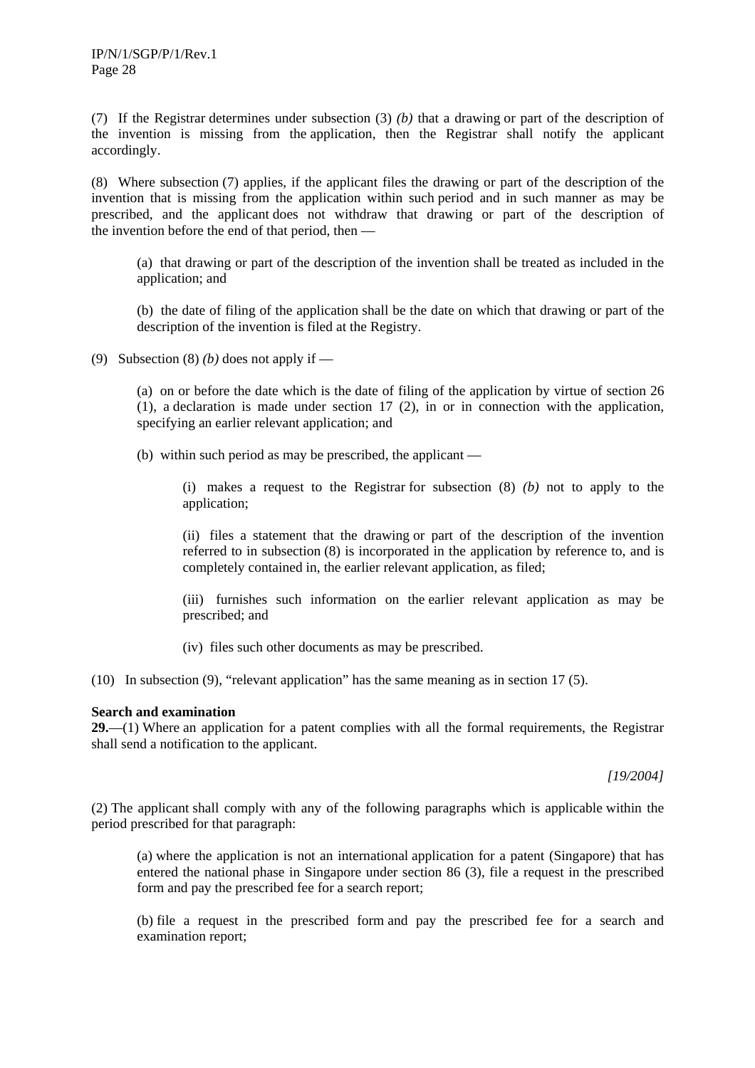(7) If the Registrar determines under subsection (3) *(b)* that a drawing or part of the description of the invention is missing from the application, then the Registrar shall notify the applicant accordingly.

(8) Where subsection (7) applies, if the applicant files the drawing or part of the description of the invention that is missing from the application within such period and in such manner as may be prescribed, and the applicant does not withdraw that drawing or part of the description of the invention before the end of that period, then —

(a) that drawing or part of the description of the invention shall be treated as included in the application; and

(b) the date of filing of the application shall be the date on which that drawing or part of the description of the invention is filed at the Registry.

(9) Subsection (8) *(b)* does not apply if —

(a) on or before the date which is the date of filing of the application by virtue of section 26 (1), a declaration is made under section 17 (2), in or in connection with the application, specifying an earlier relevant application; and

(b) within such period as may be prescribed, the applicant —

(i) makes a request to the Registrar for subsection (8) *(b)* not to apply to the application;

(ii) files a statement that the drawing or part of the description of the invention referred to in subsection (8) is incorporated in the application by reference to, and is completely contained in, the earlier relevant application, as filed;

(iii) furnishes such information on the earlier relevant application as may be prescribed; and

- (iv) files such other documents as may be prescribed.
- (10) In subsection (9), "relevant application" has the same meaning as in section 17 (5).

#### **Search and examination**

**29.**—(1) Where an application for a patent complies with all the formal requirements, the Registrar shall send a notification to the applicant.

*[19/2004]* 

(2) The applicant shall comply with any of the following paragraphs which is applicable within the period prescribed for that paragraph:

(a) where the application is not an international application for a patent (Singapore) that has entered the national phase in Singapore under section 86 (3), file a request in the prescribed form and pay the prescribed fee for a search report;

(b) file a request in the prescribed form and pay the prescribed fee for a search and examination report;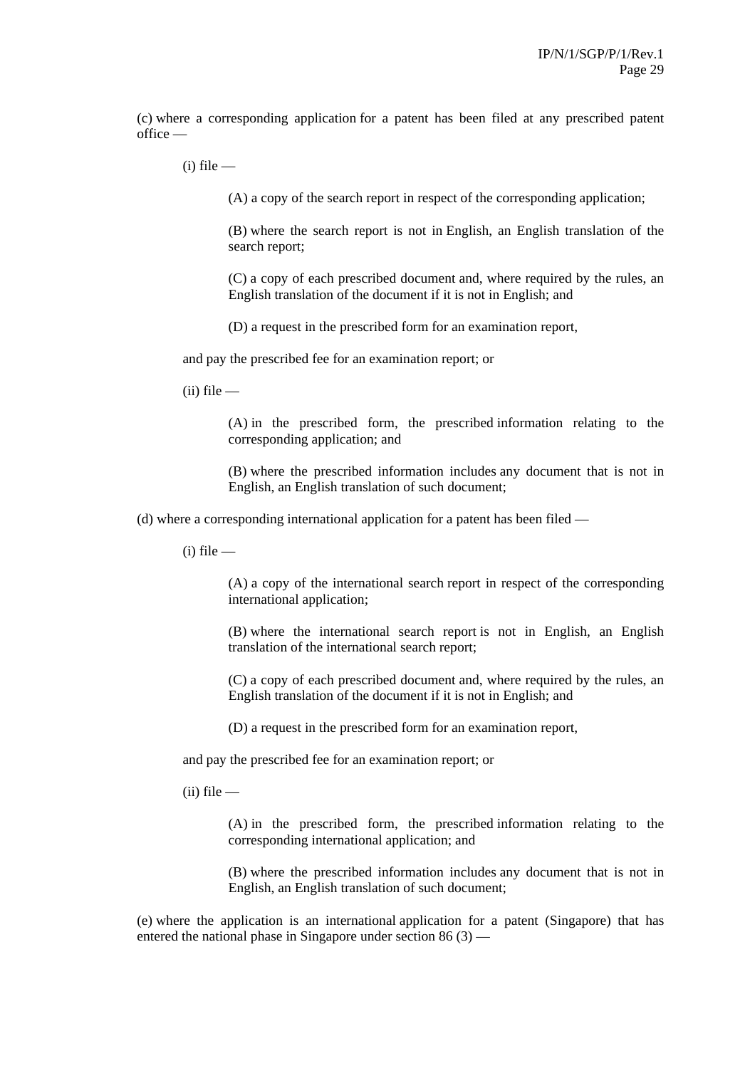(c) where a corresponding application for a patent has been filed at any prescribed patent office —

 $(i)$  file —

(A) a copy of the search report in respect of the corresponding application;

(B) where the search report is not in English, an English translation of the search report;

(C) a copy of each prescribed document and, where required by the rules, an English translation of the document if it is not in English; and

(D) a request in the prescribed form for an examination report,

and pay the prescribed fee for an examination report; or

 $(ii)$  file —

(A) in the prescribed form, the prescribed information relating to the corresponding application; and

(B) where the prescribed information includes any document that is not in English, an English translation of such document;

(d) where a corresponding international application for a patent has been filed —

 $(i)$  file —

(A) a copy of the international search report in respect of the corresponding international application;

(B) where the international search report is not in English, an English translation of the international search report;

(C) a copy of each prescribed document and, where required by the rules, an English translation of the document if it is not in English; and

(D) a request in the prescribed form for an examination report,

and pay the prescribed fee for an examination report; or

 $(ii)$  file —

(A) in the prescribed form, the prescribed information relating to the corresponding international application; and

(B) where the prescribed information includes any document that is not in English, an English translation of such document;

(e) where the application is an international application for a patent (Singapore) that has entered the national phase in Singapore under section 86 (3) —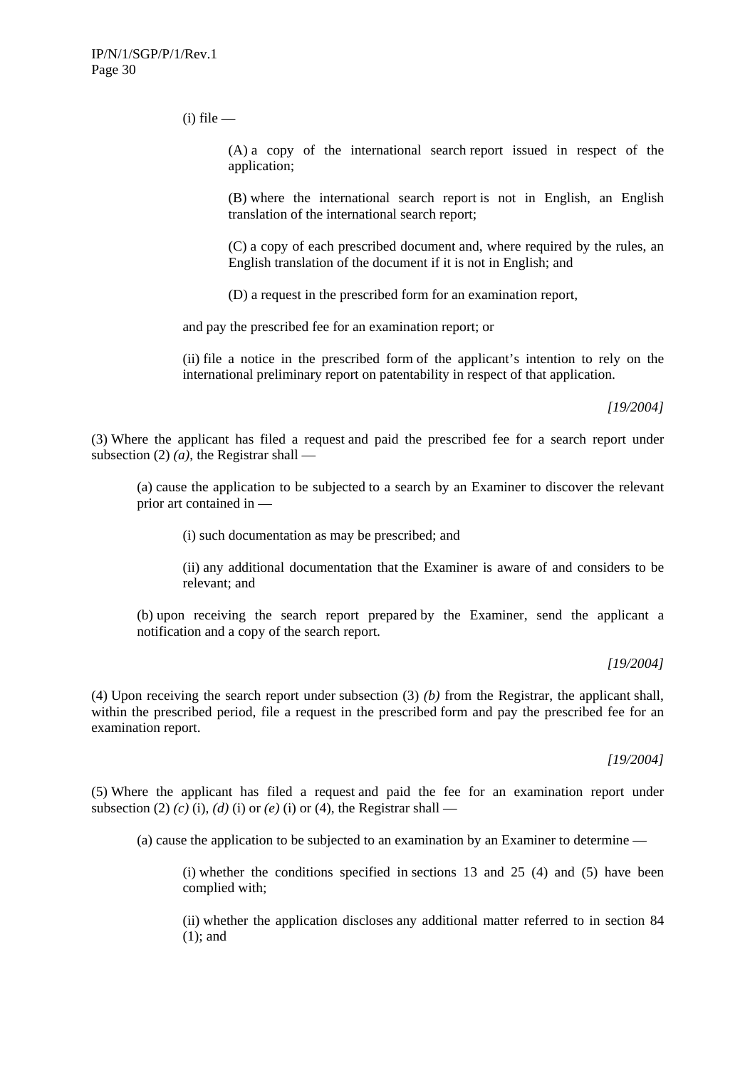$(i)$  file —

(A) a copy of the international search report issued in respect of the application;

(B) where the international search report is not in English, an English translation of the international search report;

(C) a copy of each prescribed document and, where required by the rules, an English translation of the document if it is not in English; and

(D) a request in the prescribed form for an examination report,

and pay the prescribed fee for an examination report; or

(ii) file a notice in the prescribed form of the applicant's intention to rely on the international preliminary report on patentability in respect of that application.

*[19/2004]* 

(3) Where the applicant has filed a request and paid the prescribed fee for a search report under subsection (2) *(a)*, the Registrar shall —

(a) cause the application to be subjected to a search by an Examiner to discover the relevant prior art contained in —

(i) such documentation as may be prescribed; and

(ii) any additional documentation that the Examiner is aware of and considers to be relevant; and

(b) upon receiving the search report prepared by the Examiner, send the applicant a notification and a copy of the search report.

*[19/2004]* 

(4) Upon receiving the search report under subsection (3) *(b)* from the Registrar, the applicant shall, within the prescribed period, file a request in the prescribed form and pay the prescribed fee for an examination report.

*[19/2004]* 

(5) Where the applicant has filed a request and paid the fee for an examination report under subsection (2)  $(c)$  (i),  $(d)$  (i) or  $(e)$  (i) or (4), the Registrar shall —

(a) cause the application to be subjected to an examination by an Examiner to determine —

(i) whether the conditions specified in sections 13 and 25 (4) and (5) have been complied with;

(ii) whether the application discloses any additional matter referred to in section 84 (1); and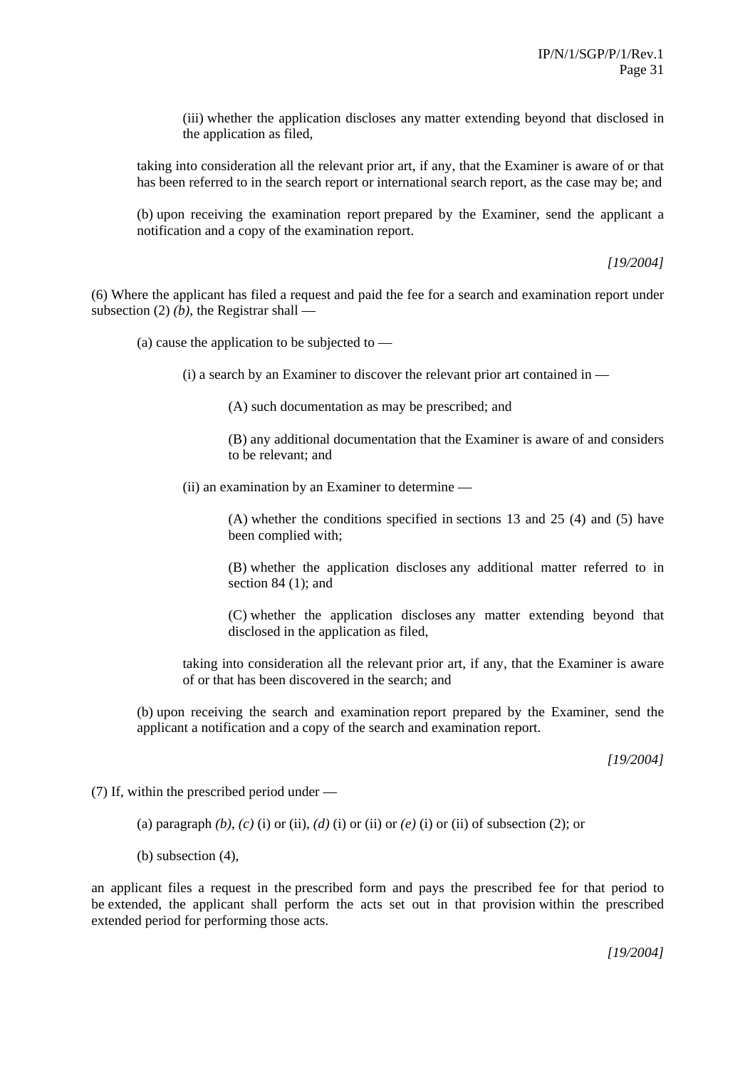(iii) whether the application discloses any matter extending beyond that disclosed in the application as filed,

taking into consideration all the relevant prior art, if any, that the Examiner is aware of or that has been referred to in the search report or international search report, as the case may be; and

(b) upon receiving the examination report prepared by the Examiner, send the applicant a notification and a copy of the examination report.

*[19/2004]* 

(6) Where the applicant has filed a request and paid the fee for a search and examination report under subsection  $(2)$  *(b)*, the Registrar shall –

(a) cause the application to be subjected to —

(i) a search by an Examiner to discover the relevant prior art contained in —

(A) such documentation as may be prescribed; and

(B) any additional documentation that the Examiner is aware of and considers to be relevant; and

(ii) an examination by an Examiner to determine —

(A) whether the conditions specified in sections 13 and 25 (4) and (5) have been complied with;

(B) whether the application discloses any additional matter referred to in section 84 (1); and

(C) whether the application discloses any matter extending beyond that disclosed in the application as filed,

taking into consideration all the relevant prior art, if any, that the Examiner is aware of or that has been discovered in the search; and

(b) upon receiving the search and examination report prepared by the Examiner, send the applicant a notification and a copy of the search and examination report.

*[19/2004]* 

(7) If, within the prescribed period under —

(a) paragraph  $(b)$ ,  $(c)$  (i) or (ii),  $(d)$  (i) or (ii) or  $(e)$  (i) or (ii) of subsection (2); or

(b) subsection (4),

an applicant files a request in the prescribed form and pays the prescribed fee for that period to be extended, the applicant shall perform the acts set out in that provision within the prescribed extended period for performing those acts.

*[19/2004]*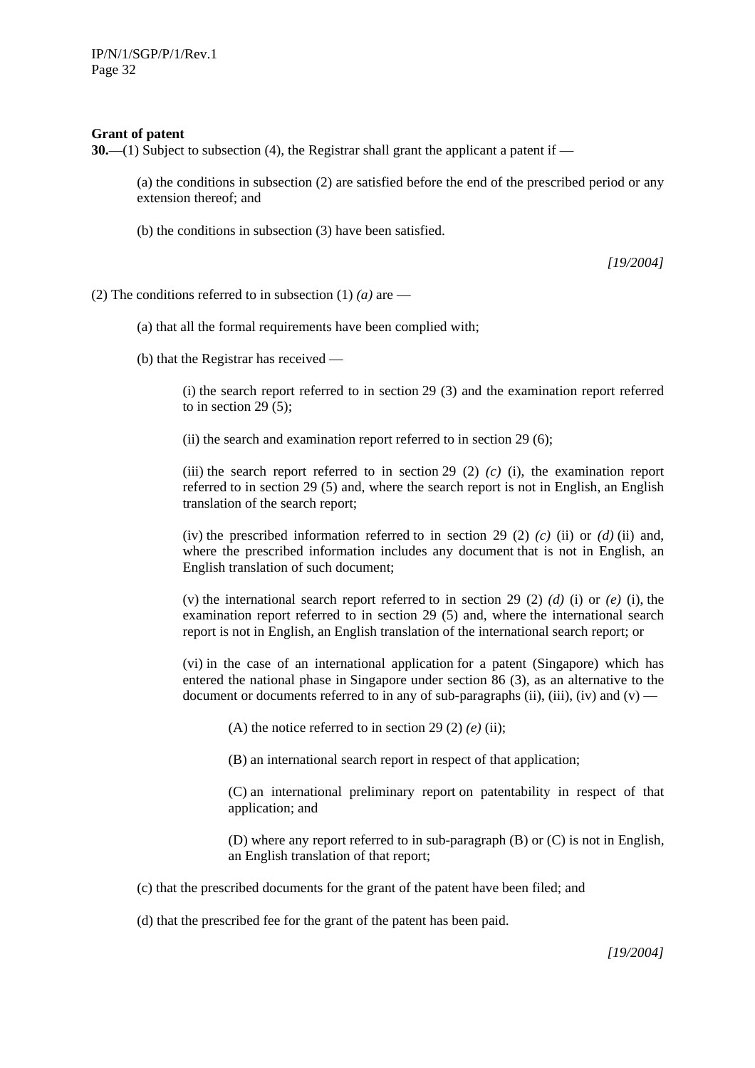#### **Grant of patent**

**30.**—(1) Subject to subsection (4), the Registrar shall grant the applicant a patent if —

(a) the conditions in subsection (2) are satisfied before the end of the prescribed period or any extension thereof; and

(b) the conditions in subsection (3) have been satisfied.

*[19/2004]* 

(2) The conditions referred to in subsection (1)  $(a)$  are —

(a) that all the formal requirements have been complied with;

(b) that the Registrar has received —

(i) the search report referred to in section 29 (3) and the examination report referred to in section 29 $(5)$ ;

(ii) the search and examination report referred to in section 29 (6);

(iii) the search report referred to in section 29 (2) *(c)* (i), the examination report referred to in section 29 (5) and, where the search report is not in English, an English translation of the search report;

(iv) the prescribed information referred to in section 29 (2)  $(c)$  (ii) or  $(d)$  (ii) and, where the prescribed information includes any document that is not in English, an English translation of such document;

(v) the international search report referred to in section 29 (2) *(d)* (i) or *(e)* (i), the examination report referred to in section 29 (5) and, where the international search report is not in English, an English translation of the international search report; or

(vi) in the case of an international application for a patent (Singapore) which has entered the national phase in Singapore under section 86 (3), as an alternative to the document or documents referred to in any of sub-paragraphs (ii), (iii), (iv) and (v) —

(A) the notice referred to in section 29 (2)  $(e)$  (ii);

(B) an international search report in respect of that application;

(C) an international preliminary report on patentability in respect of that application; and

(D) where any report referred to in sub-paragraph (B) or (C) is not in English, an English translation of that report;

(c) that the prescribed documents for the grant of the patent have been filed; and

(d) that the prescribed fee for the grant of the patent has been paid.

*[19/2004]*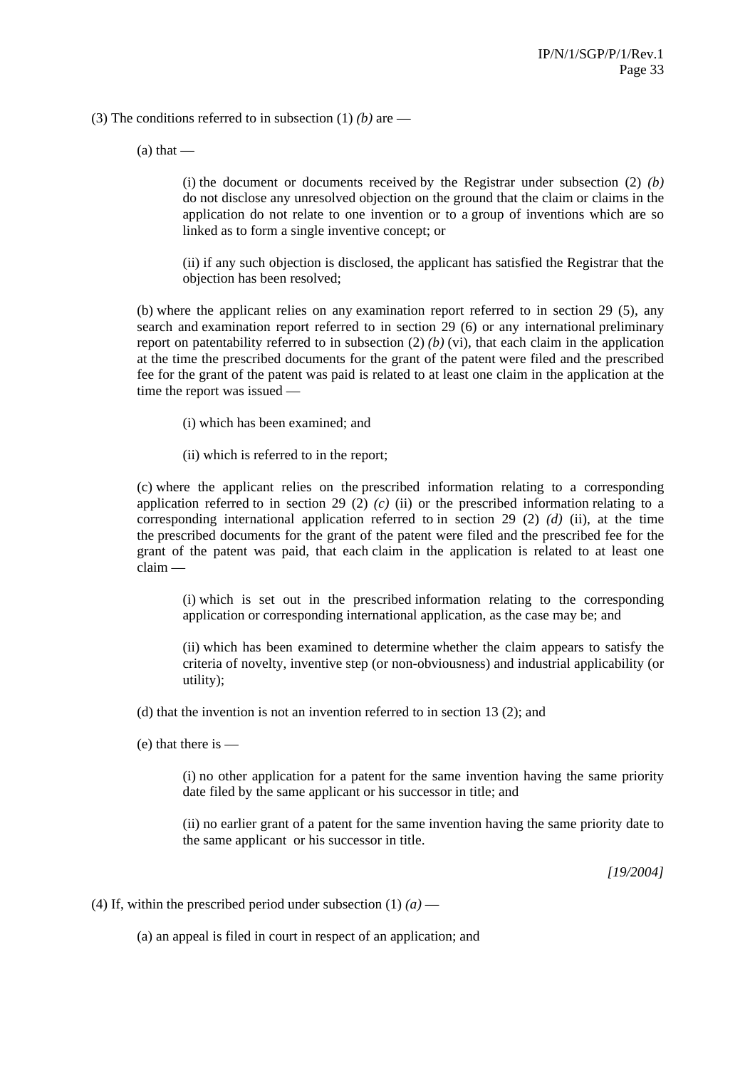(3) The conditions referred to in subsection  $(1)$  *(b)* are —

 $(a)$  that —

(i) the document or documents received by the Registrar under subsection  $(2)$  *(b)* do not disclose any unresolved objection on the ground that the claim or claims in the application do not relate to one invention or to a group of inventions which are so linked as to form a single inventive concept; or

(ii) if any such objection is disclosed, the applicant has satisfied the Registrar that the objection has been resolved;

(b) where the applicant relies on any examination report referred to in section 29 (5), any search and examination report referred to in section 29 (6) or any international preliminary report on patentability referred to in subsection  $(2)$   $(b)$   $(vi)$ , that each claim in the application at the time the prescribed documents for the grant of the patent were filed and the prescribed fee for the grant of the patent was paid is related to at least one claim in the application at the time the report was issued —

- (i) which has been examined; and
- (ii) which is referred to in the report;

(c) where the applicant relies on the prescribed information relating to a corresponding application referred to in section 29 (2) *(c)* (ii) or the prescribed information relating to a corresponding international application referred to in section 29 (2) *(d)* (ii), at the time the prescribed documents for the grant of the patent were filed and the prescribed fee for the grant of the patent was paid, that each claim in the application is related to at least one claim —

(i) which is set out in the prescribed information relating to the corresponding application or corresponding international application, as the case may be; and

(ii) which has been examined to determine whether the claim appears to satisfy the criteria of novelty, inventive step (or non-obviousness) and industrial applicability (or utility);

(d) that the invention is not an invention referred to in section 13 (2); and

(e) that there is —

(i) no other application for a patent for the same invention having the same priority date filed by the same applicant or his successor in title; and

(ii) no earlier grant of a patent for the same invention having the same priority date to the same applicant or his successor in title.

*[19/2004]* 

(4) If, within the prescribed period under subsection  $(1)$   $(a)$  —

(a) an appeal is filed in court in respect of an application; and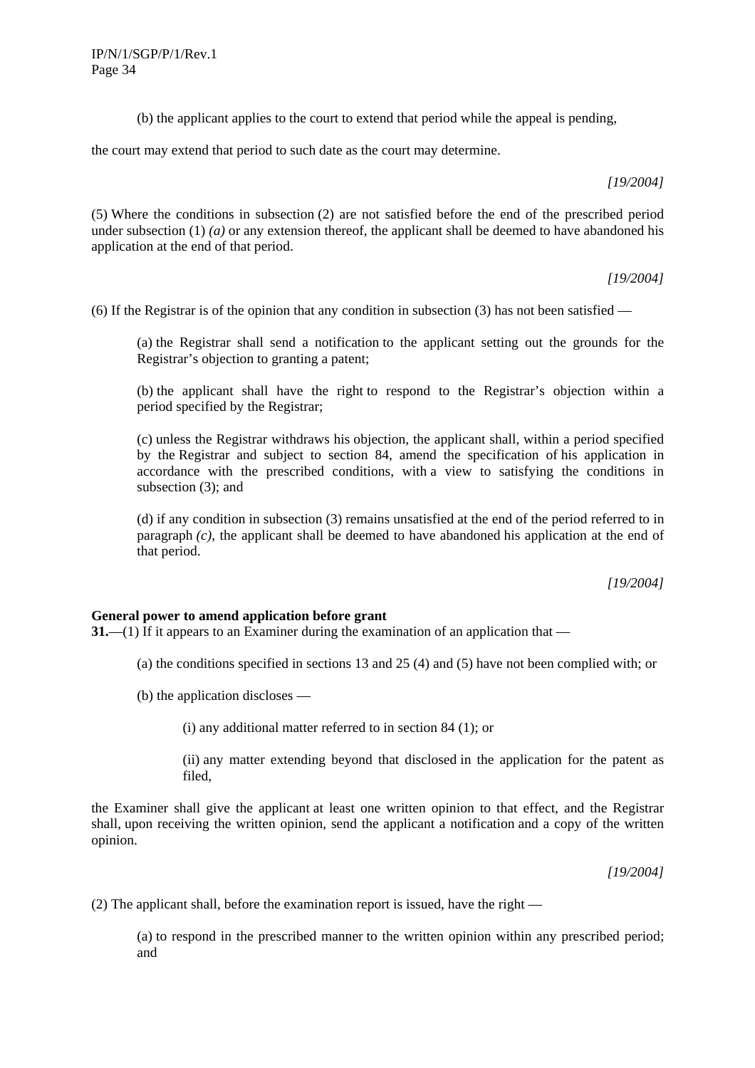(b) the applicant applies to the court to extend that period while the appeal is pending,

the court may extend that period to such date as the court may determine.

*[19/2004]* 

(5) Where the conditions in subsection (2) are not satisfied before the end of the prescribed period under subsection  $(1)$  *(a)* or any extension thereof, the applicant shall be deemed to have abandoned his application at the end of that period.

*[19/2004]* 

(6) If the Registrar is of the opinion that any condition in subsection (3) has not been satisfied —

(a) the Registrar shall send a notification to the applicant setting out the grounds for the Registrar's objection to granting a patent;

(b) the applicant shall have the right to respond to the Registrar's objection within a period specified by the Registrar;

(c) unless the Registrar withdraws his objection, the applicant shall, within a period specified by the Registrar and subject to section 84, amend the specification of his application in accordance with the prescribed conditions, with a view to satisfying the conditions in subsection (3); and

(d) if any condition in subsection (3) remains unsatisfied at the end of the period referred to in paragraph *(c)*, the applicant shall be deemed to have abandoned his application at the end of that period.

*[19/2004]* 

#### **General power to amend application before grant**

**31.**—(1) If it appears to an Examiner during the examination of an application that —

(a) the conditions specified in sections 13 and 25 (4) and (5) have not been complied with; or

(b) the application discloses —

(i) any additional matter referred to in section 84 (1); or

(ii) any matter extending beyond that disclosed in the application for the patent as filed,

the Examiner shall give the applicant at least one written opinion to that effect, and the Registrar shall, upon receiving the written opinion, send the applicant a notification and a copy of the written opinion.

*[19/2004]* 

(2) The applicant shall, before the examination report is issued, have the right —

(a) to respond in the prescribed manner to the written opinion within any prescribed period; and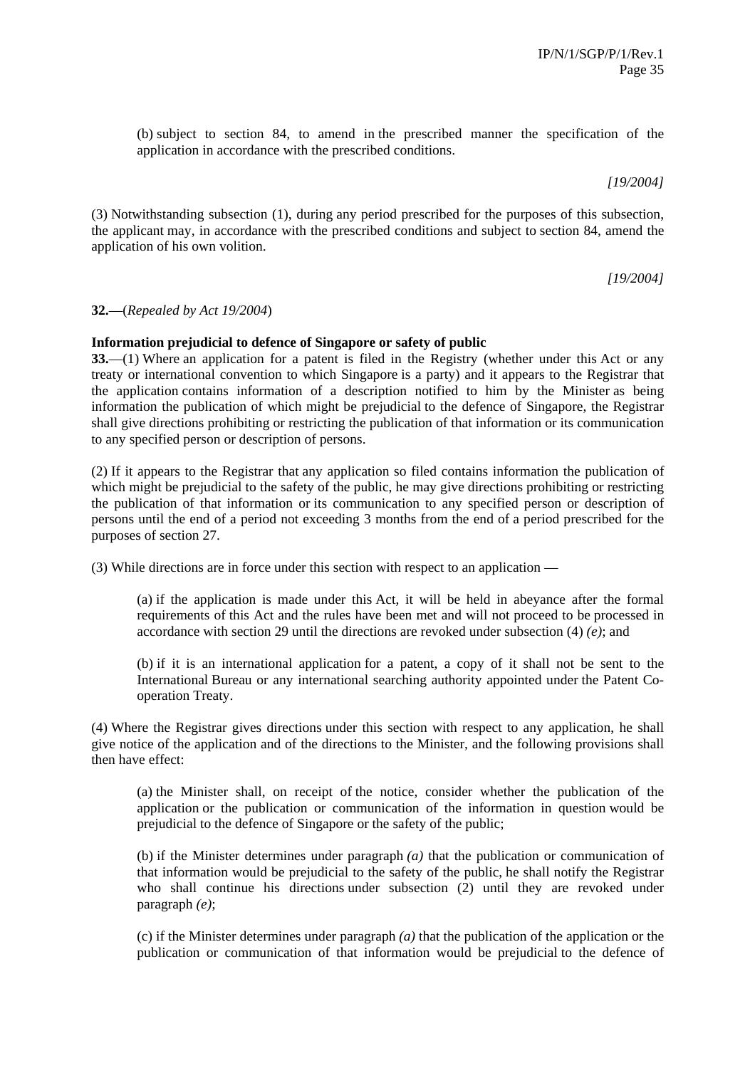(b) subject to section 84, to amend in the prescribed manner the specification of the application in accordance with the prescribed conditions.

*[19/2004]* 

(3) Notwithstanding subsection (1), during any period prescribed for the purposes of this subsection, the applicant may, in accordance with the prescribed conditions and subject to section 84, amend the application of his own volition.

*[19/2004]* 

#### **32.**—(*Repealed by Act 19/2004*)

#### **Information prejudicial to defence of Singapore or safety of public**

**33.**—(1) Where an application for a patent is filed in the Registry (whether under this Act or any treaty or international convention to which Singapore is a party) and it appears to the Registrar that the application contains information of a description notified to him by the Minister as being information the publication of which might be prejudicial to the defence of Singapore, the Registrar shall give directions prohibiting or restricting the publication of that information or its communication to any specified person or description of persons.

(2) If it appears to the Registrar that any application so filed contains information the publication of which might be prejudicial to the safety of the public, he may give directions prohibiting or restricting the publication of that information or its communication to any specified person or description of persons until the end of a period not exceeding 3 months from the end of a period prescribed for the purposes of section 27.

(3) While directions are in force under this section with respect to an application —

(a) if the application is made under this Act, it will be held in abeyance after the formal requirements of this Act and the rules have been met and will not proceed to be processed in accordance with section 29 until the directions are revoked under subsection (4) *(e)*; and

(b) if it is an international application for a patent, a copy of it shall not be sent to the International Bureau or any international searching authority appointed under the Patent Cooperation Treaty.

(4) Where the Registrar gives directions under this section with respect to any application, he shall give notice of the application and of the directions to the Minister, and the following provisions shall then have effect:

(a) the Minister shall, on receipt of the notice, consider whether the publication of the application or the publication or communication of the information in question would be prejudicial to the defence of Singapore or the safety of the public;

(b) if the Minister determines under paragraph *(a)* that the publication or communication of that information would be prejudicial to the safety of the public, he shall notify the Registrar who shall continue his directions under subsection (2) until they are revoked under paragraph *(e)*;

(c) if the Minister determines under paragraph *(a)* that the publication of the application or the publication or communication of that information would be prejudicial to the defence of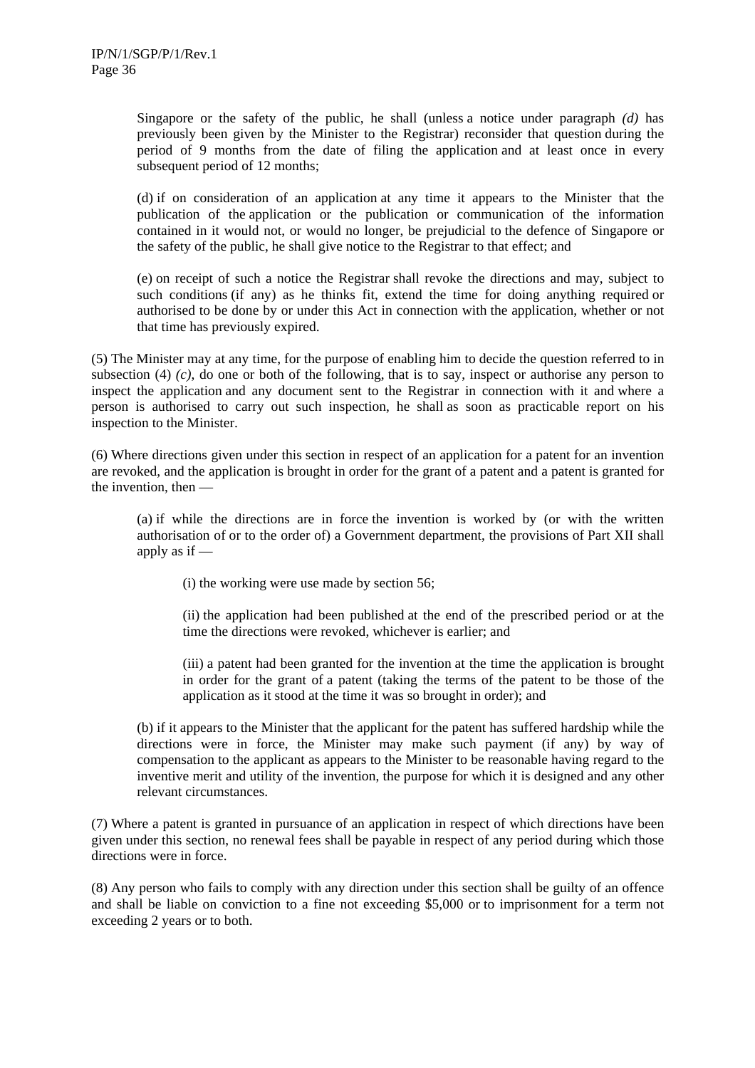Singapore or the safety of the public, he shall (unless a notice under paragraph *(d)* has previously been given by the Minister to the Registrar) reconsider that question during the period of 9 months from the date of filing the application and at least once in every subsequent period of 12 months;

(d) if on consideration of an application at any time it appears to the Minister that the publication of the application or the publication or communication of the information contained in it would not, or would no longer, be prejudicial to the defence of Singapore or the safety of the public, he shall give notice to the Registrar to that effect; and

(e) on receipt of such a notice the Registrar shall revoke the directions and may, subject to such conditions (if any) as he thinks fit, extend the time for doing anything required or authorised to be done by or under this Act in connection with the application, whether or not that time has previously expired.

(5) The Minister may at any time, for the purpose of enabling him to decide the question referred to in subsection (4) *(c)*, do one or both of the following, that is to say, inspect or authorise any person to inspect the application and any document sent to the Registrar in connection with it and where a person is authorised to carry out such inspection, he shall as soon as practicable report on his inspection to the Minister.

(6) Where directions given under this section in respect of an application for a patent for an invention are revoked, and the application is brought in order for the grant of a patent and a patent is granted for the invention, then —

(a) if while the directions are in force the invention is worked by (or with the written authorisation of or to the order of) a Government department, the provisions of Part XII shall apply as if  $-$ 

(i) the working were use made by section 56;

(ii) the application had been published at the end of the prescribed period or at the time the directions were revoked, whichever is earlier; and

(iii) a patent had been granted for the invention at the time the application is brought in order for the grant of a patent (taking the terms of the patent to be those of the application as it stood at the time it was so brought in order); and

(b) if it appears to the Minister that the applicant for the patent has suffered hardship while the directions were in force, the Minister may make such payment (if any) by way of compensation to the applicant as appears to the Minister to be reasonable having regard to the inventive merit and utility of the invention, the purpose for which it is designed and any other relevant circumstances.

(7) Where a patent is granted in pursuance of an application in respect of which directions have been given under this section, no renewal fees shall be payable in respect of any period during which those directions were in force.

(8) Any person who fails to comply with any direction under this section shall be guilty of an offence and shall be liable on conviction to a fine not exceeding \$5,000 or to imprisonment for a term not exceeding 2 years or to both.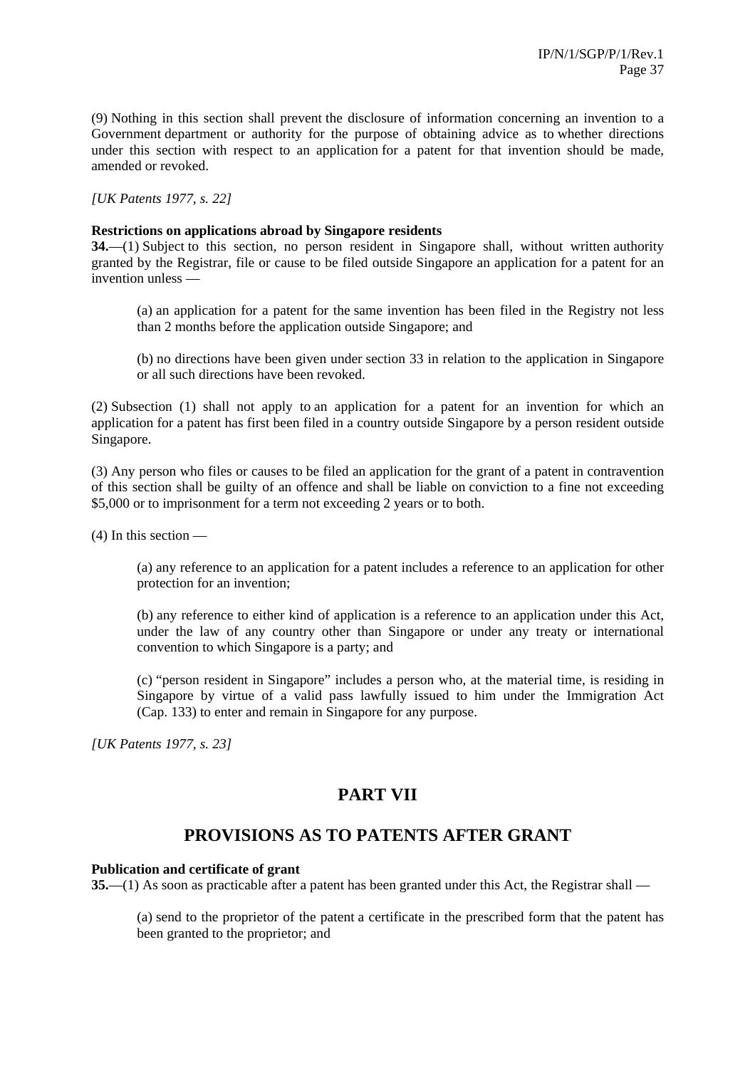(9) Nothing in this section shall prevent the disclosure of information concerning an invention to a Government department or authority for the purpose of obtaining advice as to whether directions under this section with respect to an application for a patent for that invention should be made, amended or revoked.

*[UK Patents 1977, s. 22]* 

## **Restrictions on applications abroad by Singapore residents**

**34.**—(1) Subject to this section, no person resident in Singapore shall, without written authority granted by the Registrar, file or cause to be filed outside Singapore an application for a patent for an invention unless —

- (a) an application for a patent for the same invention has been filed in the Registry not less than 2 months before the application outside Singapore; and
- (b) no directions have been given under section 33 in relation to the application in Singapore or all such directions have been revoked.

(2) Subsection (1) shall not apply to an application for a patent for an invention for which an application for a patent has first been filed in a country outside Singapore by a person resident outside Singapore.

(3) Any person who files or causes to be filed an application for the grant of a patent in contravention of this section shall be guilty of an offence and shall be liable on conviction to a fine not exceeding \$5,000 or to imprisonment for a term not exceeding 2 years or to both.

(4) In this section —

(a) any reference to an application for a patent includes a reference to an application for other protection for an invention;

(b) any reference to either kind of application is a reference to an application under this Act, under the law of any country other than Singapore or under any treaty or international convention to which Singapore is a party; and

(c) "person resident in Singapore" includes a person who, at the material time, is residing in Singapore by virtue of a valid pass lawfully issued to him under the Immigration Act (Cap. 133) to enter and remain in Singapore for any purpose.

*[UK Patents 1977, s. 23]* 

## **PART VII**

## **PROVISIONS AS TO PATENTS AFTER GRANT**

## **Publication and certificate of grant**

**35.**—(1) As soon as practicable after a patent has been granted under this Act, the Registrar shall —

(a) send to the proprietor of the patent a certificate in the prescribed form that the patent has been granted to the proprietor; and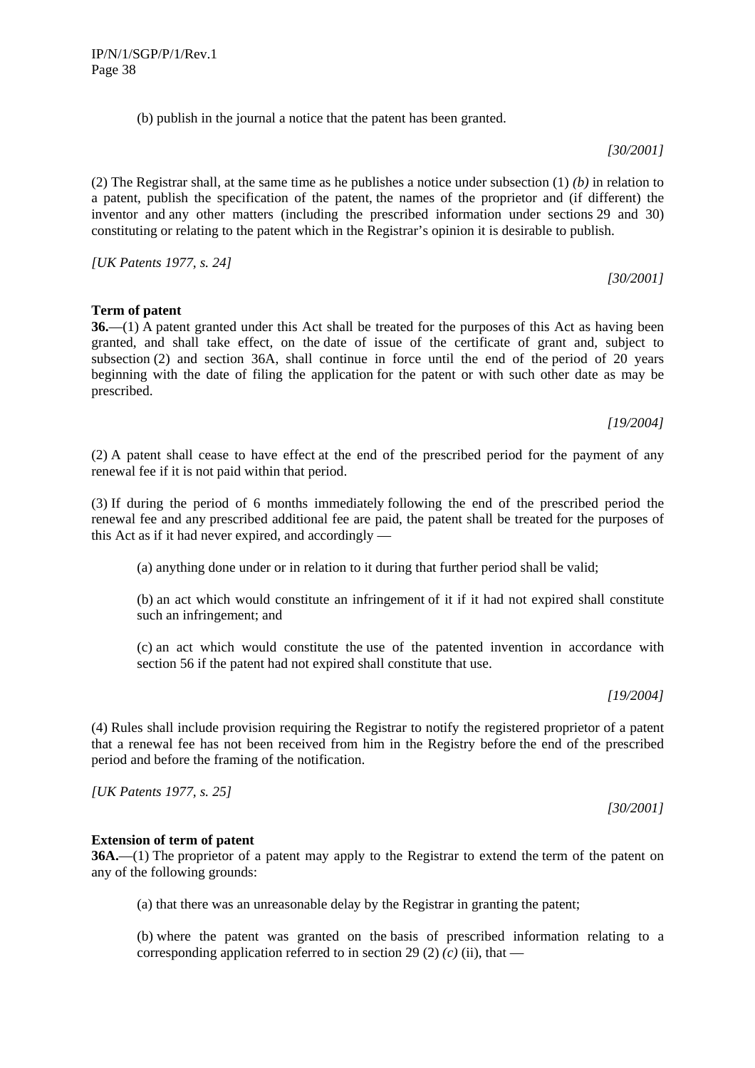(b) publish in the journal a notice that the patent has been granted.

*[30/2001]* 

*[30/2001]* 

(2) The Registrar shall, at the same time as he publishes a notice under subsection (1) *(b)* in relation to a patent, publish the specification of the patent, the names of the proprietor and (if different) the inventor and any other matters (including the prescribed information under sections 29 and 30) constituting or relating to the patent which in the Registrar's opinion it is desirable to publish.

*[UK Patents 1977, s. 24]* 

## **Term of patent**

**36.**—(1) A patent granted under this Act shall be treated for the purposes of this Act as having been granted, and shall take effect, on the date of issue of the certificate of grant and, subject to subsection (2) and section 36A, shall continue in force until the end of the period of 20 years beginning with the date of filing the application for the patent or with such other date as may be prescribed.

*[19/2004]* 

(2) A patent shall cease to have effect at the end of the prescribed period for the payment of any renewal fee if it is not paid within that period.

(3) If during the period of 6 months immediately following the end of the prescribed period the renewal fee and any prescribed additional fee are paid, the patent shall be treated for the purposes of this Act as if it had never expired, and accordingly —

(a) anything done under or in relation to it during that further period shall be valid;

(b) an act which would constitute an infringement of it if it had not expired shall constitute such an infringement; and

(c) an act which would constitute the use of the patented invention in accordance with section 56 if the patent had not expired shall constitute that use.

*[19/2004]* 

*[30/2001]* 

(4) Rules shall include provision requiring the Registrar to notify the registered proprietor of a patent that a renewal fee has not been received from him in the Registry before the end of the prescribed period and before the framing of the notification.

*[UK Patents 1977, s. 25]* 

## **Extension of term of patent**

**36A.**—(1) The proprietor of a patent may apply to the Registrar to extend the term of the patent on any of the following grounds:

(a) that there was an unreasonable delay by the Registrar in granting the patent;

(b) where the patent was granted on the basis of prescribed information relating to a corresponding application referred to in section 29 (2)  $(c)$  (ii), that —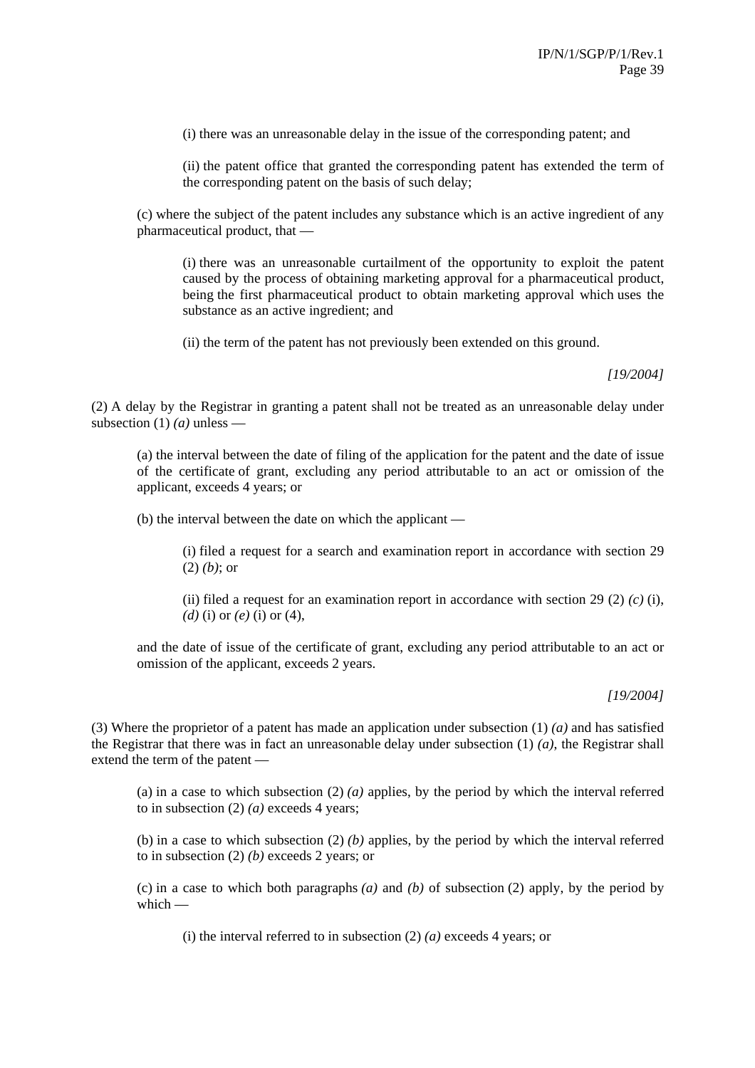(i) there was an unreasonable delay in the issue of the corresponding patent; and

(ii) the patent office that granted the corresponding patent has extended the term of the corresponding patent on the basis of such delay;

(c) where the subject of the patent includes any substance which is an active ingredient of any pharmaceutical product, that —

(i) there was an unreasonable curtailment of the opportunity to exploit the patent caused by the process of obtaining marketing approval for a pharmaceutical product, being the first pharmaceutical product to obtain marketing approval which uses the substance as an active ingredient; and

(ii) the term of the patent has not previously been extended on this ground.

*[19/2004]* 

(2) A delay by the Registrar in granting a patent shall not be treated as an unreasonable delay under subsection  $(1)$   $(a)$  unless —

(a) the interval between the date of filing of the application for the patent and the date of issue of the certificate of grant, excluding any period attributable to an act or omission of the applicant, exceeds 4 years; or

(b) the interval between the date on which the applicant —

(i) filed a request for a search and examination report in accordance with section 29 (2) *(b)*; or

(ii) filed a request for an examination report in accordance with section 29 (2) *(c)* (i), *(d)* (i) or *(e)* (i) or (4),

and the date of issue of the certificate of grant, excluding any period attributable to an act or omission of the applicant, exceeds 2 years.

*[19/2004]* 

(3) Where the proprietor of a patent has made an application under subsection (1) *(a)* and has satisfied the Registrar that there was in fact an unreasonable delay under subsection (1) *(a)*, the Registrar shall extend the term of the patent —

(a) in a case to which subsection (2) *(a)* applies, by the period by which the interval referred to in subsection  $(2)$   $(a)$  exceeds 4 years;

(b) in a case to which subsection (2) *(b)* applies, by the period by which the interval referred to in subsection (2) *(b)* exceeds 2 years; or

(c) in a case to which both paragraphs *(a)* and *(b)* of subsection (2) apply, by the period by which  $-$ 

(i) the interval referred to in subsection (2) *(a)* exceeds 4 years; or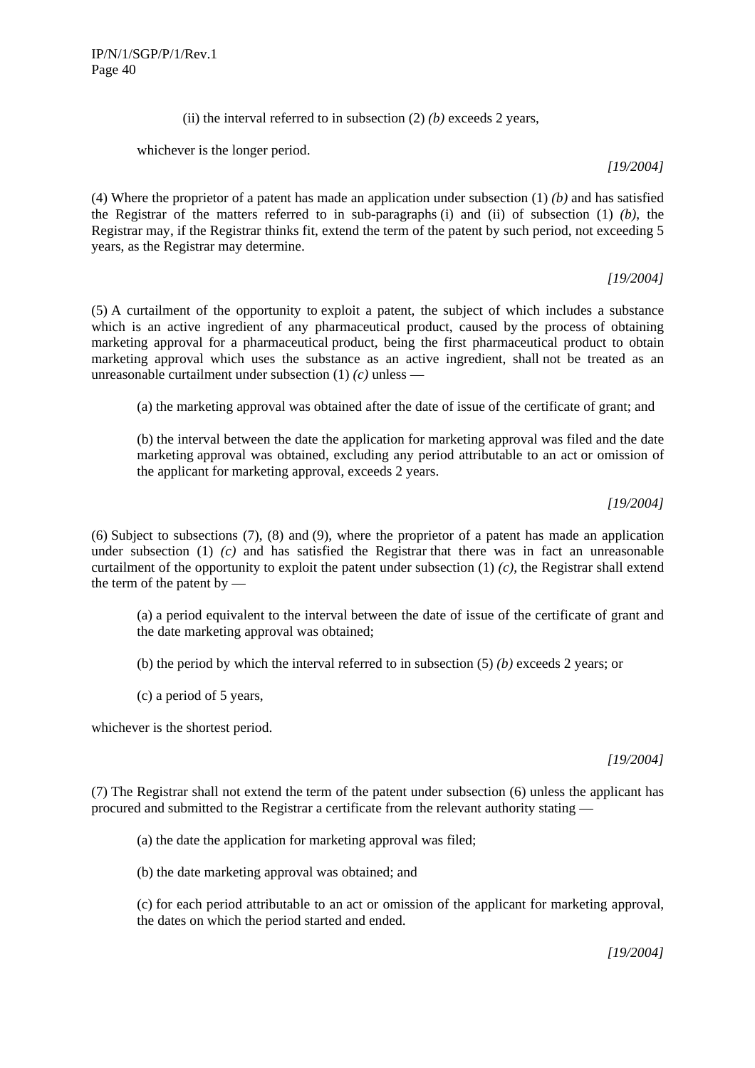## (ii) the interval referred to in subsection  $(2)$  *(b)* exceeds 2 years,

whichever is the longer period.

*[19/2004]* 

(4) Where the proprietor of a patent has made an application under subsection (1) *(b)* and has satisfied the Registrar of the matters referred to in sub-paragraphs (i) and (ii) of subsection (1) *(b)*, the Registrar may, if the Registrar thinks fit, extend the term of the patent by such period, not exceeding 5 years, as the Registrar may determine.

## *[19/2004]*

(5) A curtailment of the opportunity to exploit a patent, the subject of which includes a substance which is an active ingredient of any pharmaceutical product, caused by the process of obtaining marketing approval for a pharmaceutical product, being the first pharmaceutical product to obtain marketing approval which uses the substance as an active ingredient, shall not be treated as an unreasonable curtailment under subsection (1) *(c)* unless —

(a) the marketing approval was obtained after the date of issue of the certificate of grant; and

(b) the interval between the date the application for marketing approval was filed and the date marketing approval was obtained, excluding any period attributable to an act or omission of the applicant for marketing approval, exceeds 2 years.

*[19/2004]* 

(6) Subject to subsections (7), (8) and (9), where the proprietor of a patent has made an application under subsection (1) *(c)* and has satisfied the Registrar that there was in fact an unreasonable curtailment of the opportunity to exploit the patent under subsection (1) *(c)*, the Registrar shall extend the term of the patent by —

(a) a period equivalent to the interval between the date of issue of the certificate of grant and the date marketing approval was obtained;

- (b) the period by which the interval referred to in subsection (5) *(b)* exceeds 2 years; or
- (c) a period of 5 years,

whichever is the shortest period.

*[19/2004]* 

(7) The Registrar shall not extend the term of the patent under subsection (6) unless the applicant has procured and submitted to the Registrar a certificate from the relevant authority stating —

(a) the date the application for marketing approval was filed;

(b) the date marketing approval was obtained; and

(c) for each period attributable to an act or omission of the applicant for marketing approval, the dates on which the period started and ended.

*[19/2004]*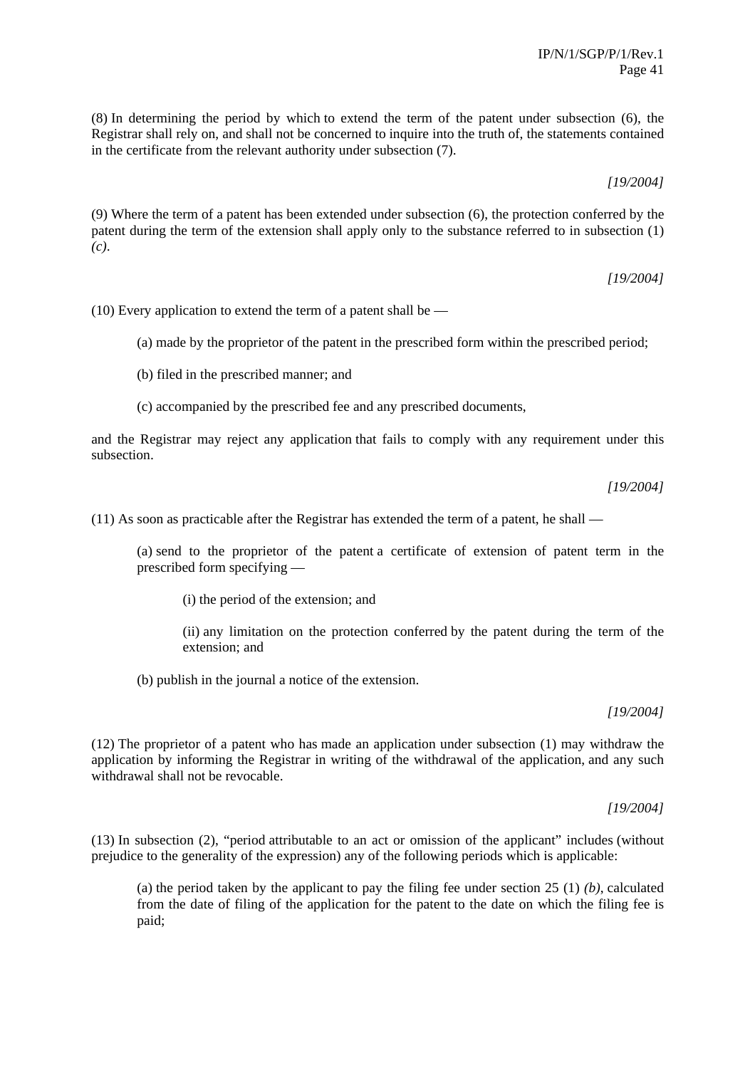(8) In determining the period by which to extend the term of the patent under subsection (6), the Registrar shall rely on, and shall not be concerned to inquire into the truth of, the statements contained in the certificate from the relevant authority under subsection (7).

*[19/2004]* 

(9) Where the term of a patent has been extended under subsection (6), the protection conferred by the patent during the term of the extension shall apply only to the substance referred to in subsection (1) *(c)*.

*[19/2004]* 

(10) Every application to extend the term of a patent shall be —

(a) made by the proprietor of the patent in the prescribed form within the prescribed period;

(b) filed in the prescribed manner; and

(c) accompanied by the prescribed fee and any prescribed documents,

and the Registrar may reject any application that fails to comply with any requirement under this subsection.

*[19/2004]* 

(11) As soon as practicable after the Registrar has extended the term of a patent, he shall —

(a) send to the proprietor of the patent a certificate of extension of patent term in the prescribed form specifying —

(i) the period of the extension; and

(ii) any limitation on the protection conferred by the patent during the term of the extension; and

(b) publish in the journal a notice of the extension.

*[19/2004]* 

(12) The proprietor of a patent who has made an application under subsection (1) may withdraw the application by informing the Registrar in writing of the withdrawal of the application, and any such withdrawal shall not be revocable.

*[19/2004]* 

(13) In subsection (2), "period attributable to an act or omission of the applicant" includes (without prejudice to the generality of the expression) any of the following periods which is applicable:

(a) the period taken by the applicant to pay the filing fee under section 25 (1) *(b)*, calculated from the date of filing of the application for the patent to the date on which the filing fee is paid;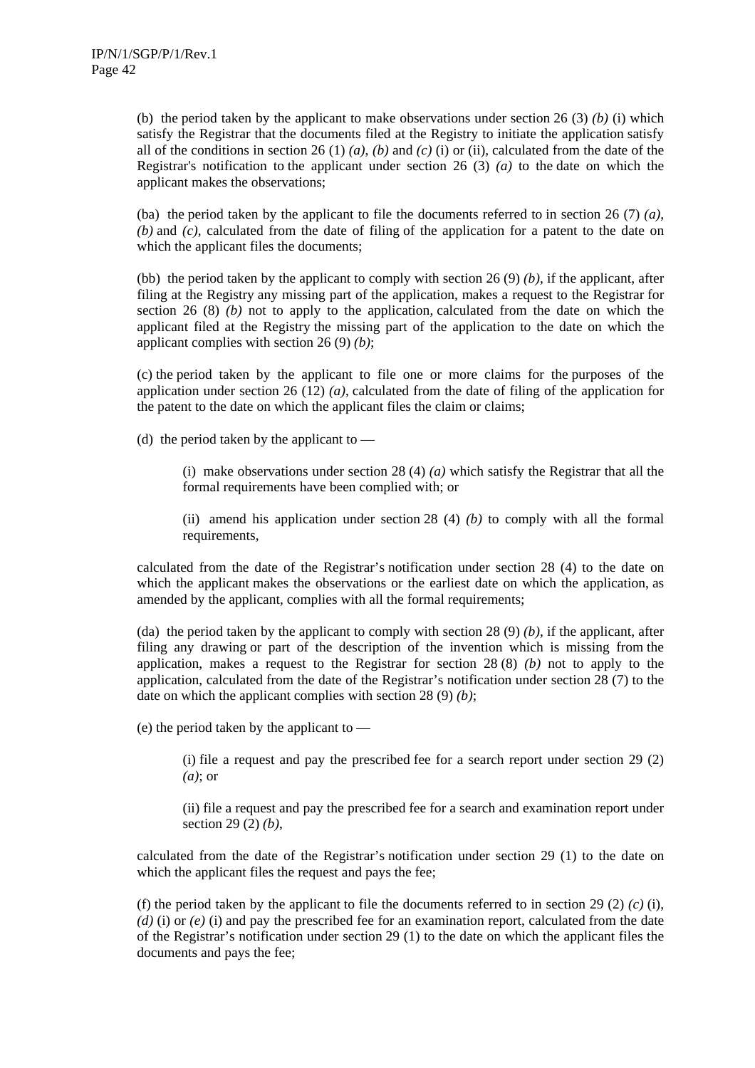(b) the period taken by the applicant to make observations under section 26 (3) *(b)* (i) which satisfy the Registrar that the documents filed at the Registry to initiate the application satisfy all of the conditions in section 26 (1) *(a)*, *(b)* and *(c)* (i) or (ii), calculated from the date of the Registrar's notification to the applicant under section 26 (3) *(a)* to the date on which the applicant makes the observations;

(ba) the period taken by the applicant to file the documents referred to in section 26 (7) *(a)*, *(b)* and *(c)*, calculated from the date of filing of the application for a patent to the date on which the applicant files the documents;

(bb) the period taken by the applicant to comply with section 26 (9) *(b)*, if the applicant, after filing at the Registry any missing part of the application, makes a request to the Registrar for section 26  $(8)$  *(b)* not to apply to the application, calculated from the date on which the applicant filed at the Registry the missing part of the application to the date on which the applicant complies with section 26 (9) *(b)*;

(c) the period taken by the applicant to file one or more claims for the purposes of the application under section 26 (12) *(a)*, calculated from the date of filing of the application for the patent to the date on which the applicant files the claim or claims;

(d) the period taken by the applicant to  $-$ 

(i) make observations under section 28 (4) *(a)* which satisfy the Registrar that all the formal requirements have been complied with; or

(ii) amend his application under section 28 (4) *(b)* to comply with all the formal requirements,

calculated from the date of the Registrar's notification under section 28 (4) to the date on which the applicant makes the observations or the earliest date on which the application, as amended by the applicant, complies with all the formal requirements;

(da) the period taken by the applicant to comply with section 28 (9) *(b)*, if the applicant, after filing any drawing or part of the description of the invention which is missing from the application, makes a request to the Registrar for section 28 (8) *(b)* not to apply to the application, calculated from the date of the Registrar's notification under section 28 (7) to the date on which the applicant complies with section 28 (9) *(b)*;

(e) the period taken by the applicant to —

(i) file a request and pay the prescribed fee for a search report under section 29 (2) *(a)*; or

(ii) file a request and pay the prescribed fee for a search and examination report under section 29 (2) *(b)*,

calculated from the date of the Registrar's notification under section 29 (1) to the date on which the applicant files the request and pays the fee;

(f) the period taken by the applicant to file the documents referred to in section 29 (2)  $(c)$  (i), *(d)* (i) or *(e)* (i) and pay the prescribed fee for an examination report, calculated from the date of the Registrar's notification under section 29 (1) to the date on which the applicant files the documents and pays the fee;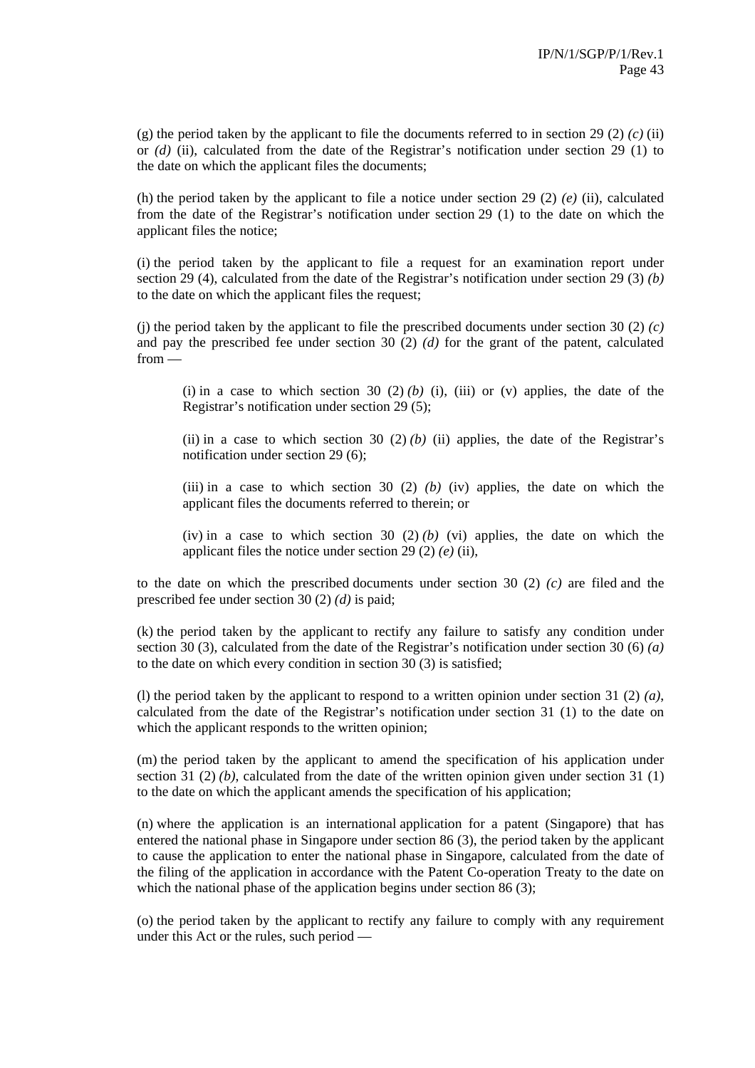(g) the period taken by the applicant to file the documents referred to in section 29 (2)  $(c)$  (ii) or  $(d)$  (ii), calculated from the date of the Registrar's notification under section 29 (1) to the date on which the applicant files the documents;

(h) the period taken by the applicant to file a notice under section 29 (2) *(e)* (ii), calculated from the date of the Registrar's notification under section 29 (1) to the date on which the applicant files the notice;

(i) the period taken by the applicant to file a request for an examination report under section 29 (4), calculated from the date of the Registrar's notification under section 29 (3) *(b)* to the date on which the applicant files the request;

(i) the period taken by the applicant to file the prescribed documents under section 30 (2)  $(c)$ and pay the prescribed fee under section 30 (2) *(d)* for the grant of the patent, calculated from —

(i) in a case to which section 30 (2)  $(b)$  (i), (iii) or (v) applies, the date of the Registrar's notification under section 29 (5);

(ii) in a case to which section 30 (2)  $(b)$  (ii) applies, the date of the Registrar's notification under section 29 (6);

(iii) in a case to which section 30 (2)  $(b)$  (iv) applies, the date on which the applicant files the documents referred to therein; or

(iv) in a case to which section 30 (2)  $(b)$  (vi) applies, the date on which the applicant files the notice under section 29 (2) *(e)* (ii),

to the date on which the prescribed documents under section 30  $(2)$   $(c)$  are filed and the prescribed fee under section 30 (2) *(d)* is paid;

(k) the period taken by the applicant to rectify any failure to satisfy any condition under section 30 (3), calculated from the date of the Registrar's notification under section 30 (6) *(a)*  to the date on which every condition in section 30 (3) is satisfied;

(l) the period taken by the applicant to respond to a written opinion under section 31 (2) *(a)*, calculated from the date of the Registrar's notification under section 31 (1) to the date on which the applicant responds to the written opinion;

(m) the period taken by the applicant to amend the specification of his application under section 31 (2) *(b)*, calculated from the date of the written opinion given under section 31 (1) to the date on which the applicant amends the specification of his application;

(n) where the application is an international application for a patent (Singapore) that has entered the national phase in Singapore under section 86 (3), the period taken by the applicant to cause the application to enter the national phase in Singapore, calculated from the date of the filing of the application in accordance with the Patent Co-operation Treaty to the date on which the national phase of the application begins under section 86 (3);

(o) the period taken by the applicant to rectify any failure to comply with any requirement under this Act or the rules, such period —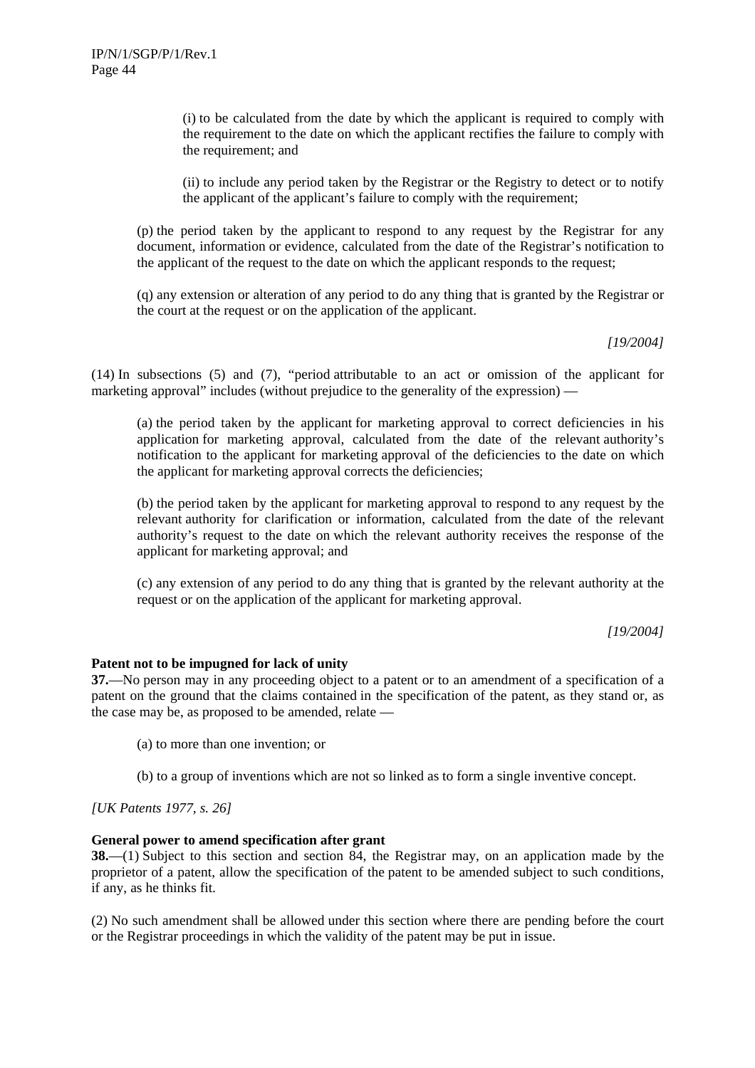(i) to be calculated from the date by which the applicant is required to comply with the requirement to the date on which the applicant rectifies the failure to comply with the requirement; and

(ii) to include any period taken by the Registrar or the Registry to detect or to notify the applicant of the applicant's failure to comply with the requirement;

(p) the period taken by the applicant to respond to any request by the Registrar for any document, information or evidence, calculated from the date of the Registrar's notification to the applicant of the request to the date on which the applicant responds to the request;

(q) any extension or alteration of any period to do any thing that is granted by the Registrar or the court at the request or on the application of the applicant.

*[19/2004]* 

(14) In subsections (5) and (7), "period attributable to an act or omission of the applicant for marketing approval" includes (without prejudice to the generality of the expression) —

(a) the period taken by the applicant for marketing approval to correct deficiencies in his application for marketing approval, calculated from the date of the relevant authority's notification to the applicant for marketing approval of the deficiencies to the date on which the applicant for marketing approval corrects the deficiencies;

(b) the period taken by the applicant for marketing approval to respond to any request by the relevant authority for clarification or information, calculated from the date of the relevant authority's request to the date on which the relevant authority receives the response of the applicant for marketing approval; and

(c) any extension of any period to do any thing that is granted by the relevant authority at the request or on the application of the applicant for marketing approval.

*[19/2004]* 

#### **Patent not to be impugned for lack of unity**

**37.**—No person may in any proceeding object to a patent or to an amendment of a specification of a patent on the ground that the claims contained in the specification of the patent, as they stand or, as the case may be, as proposed to be amended, relate —

- (a) to more than one invention; or
- (b) to a group of inventions which are not so linked as to form a single inventive concept.

## *[UK Patents 1977, s. 26]*

## **General power to amend specification after grant**

**38.**—(1) Subject to this section and section 84, the Registrar may, on an application made by the proprietor of a patent, allow the specification of the patent to be amended subject to such conditions, if any, as he thinks fit.

(2) No such amendment shall be allowed under this section where there are pending before the court or the Registrar proceedings in which the validity of the patent may be put in issue.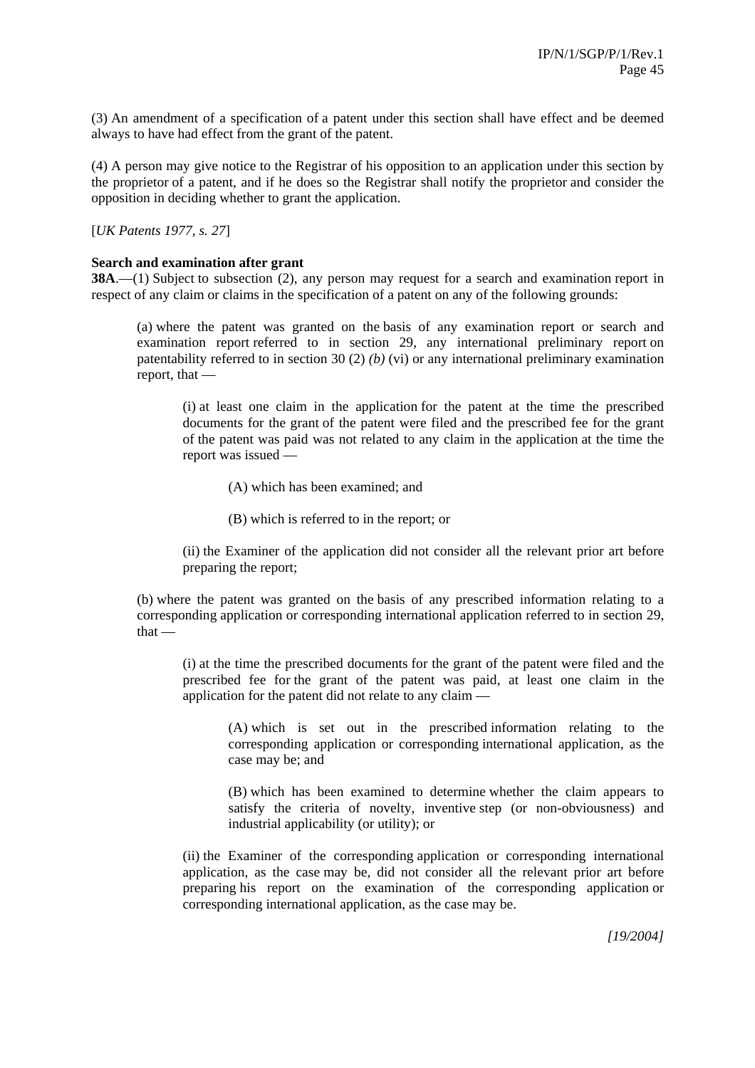(3) An amendment of a specification of a patent under this section shall have effect and be deemed always to have had effect from the grant of the patent.

(4) A person may give notice to the Registrar of his opposition to an application under this section by the proprietor of a patent, and if he does so the Registrar shall notify the proprietor and consider the opposition in deciding whether to grant the application.

[*UK Patents 1977, s. 27*]

#### **Search and examination after grant**

**38A**.—(1) Subject to subsection (2), any person may request for a search and examination report in respect of any claim or claims in the specification of a patent on any of the following grounds:

(a) where the patent was granted on the basis of any examination report or search and examination report referred to in section 29, any international preliminary report on patentability referred to in section 30 (2) *(b)* (vi) or any international preliminary examination report, that —

(i) at least one claim in the application for the patent at the time the prescribed documents for the grant of the patent were filed and the prescribed fee for the grant of the patent was paid was not related to any claim in the application at the time the report was issued —

(A) which has been examined; and

(B) which is referred to in the report; or

(ii) the Examiner of the application did not consider all the relevant prior art before preparing the report;

(b) where the patent was granted on the basis of any prescribed information relating to a corresponding application or corresponding international application referred to in section 29,  $that -$ 

(i) at the time the prescribed documents for the grant of the patent were filed and the prescribed fee for the grant of the patent was paid, at least one claim in the application for the patent did not relate to any claim —

(A) which is set out in the prescribed information relating to the corresponding application or corresponding international application, as the case may be; and

(B) which has been examined to determine whether the claim appears to satisfy the criteria of novelty, inventive step (or non-obviousness) and industrial applicability (or utility); or

(ii) the Examiner of the corresponding application or corresponding international application, as the case may be, did not consider all the relevant prior art before preparing his report on the examination of the corresponding application or corresponding international application, as the case may be.

*[19/2004]*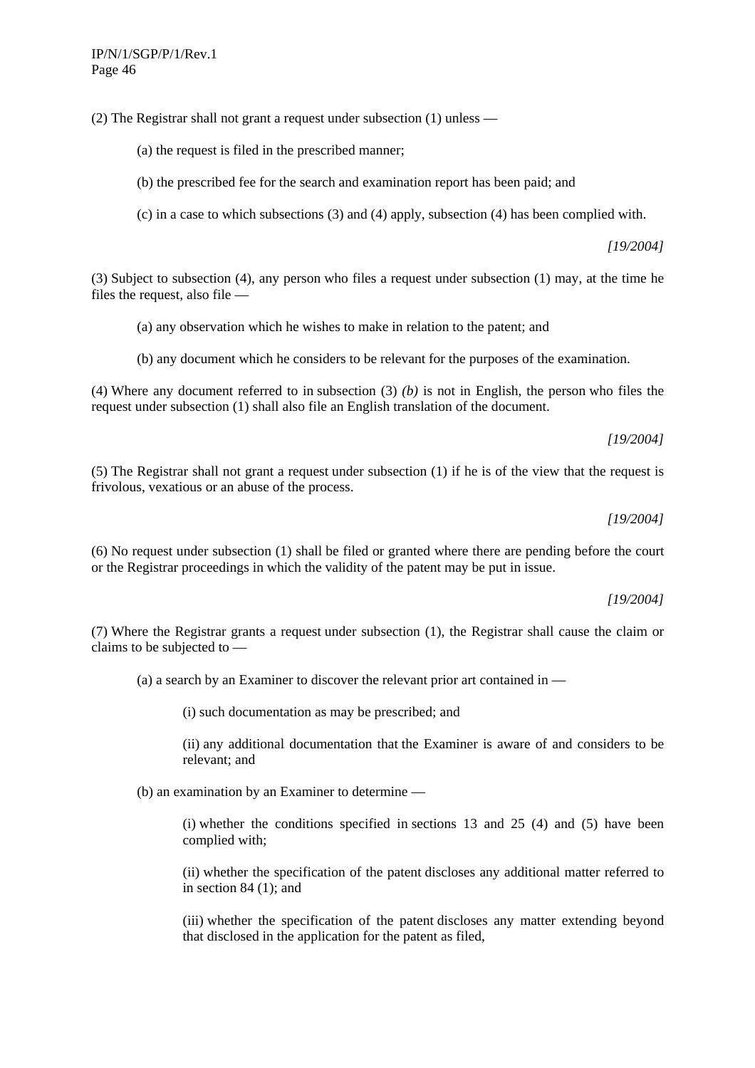(2) The Registrar shall not grant a request under subsection (1) unless —

- (a) the request is filed in the prescribed manner;
- (b) the prescribed fee for the search and examination report has been paid; and
- (c) in a case to which subsections (3) and (4) apply, subsection (4) has been complied with.

*[19/2004]* 

(3) Subject to subsection (4), any person who files a request under subsection (1) may, at the time he files the request, also file —

- (a) any observation which he wishes to make in relation to the patent; and
- (b) any document which he considers to be relevant for the purposes of the examination.

(4) Where any document referred to in subsection (3) *(b)* is not in English, the person who files the request under subsection (1) shall also file an English translation of the document.

*[19/2004]* 

(5) The Registrar shall not grant a request under subsection (1) if he is of the view that the request is frivolous, vexatious or an abuse of the process.

*[19/2004]* 

(6) No request under subsection (1) shall be filed or granted where there are pending before the court or the Registrar proceedings in which the validity of the patent may be put in issue.

## *[19/2004]*

(7) Where the Registrar grants a request under subsection (1), the Registrar shall cause the claim or claims to be subjected to —

(a) a search by an Examiner to discover the relevant prior art contained in —

(i) such documentation as may be prescribed; and

(ii) any additional documentation that the Examiner is aware of and considers to be relevant; and

(b) an examination by an Examiner to determine —

(i) whether the conditions specified in sections 13 and 25 (4) and (5) have been complied with;

(ii) whether the specification of the patent discloses any additional matter referred to in section 84 (1); and

(iii) whether the specification of the patent discloses any matter extending beyond that disclosed in the application for the patent as filed,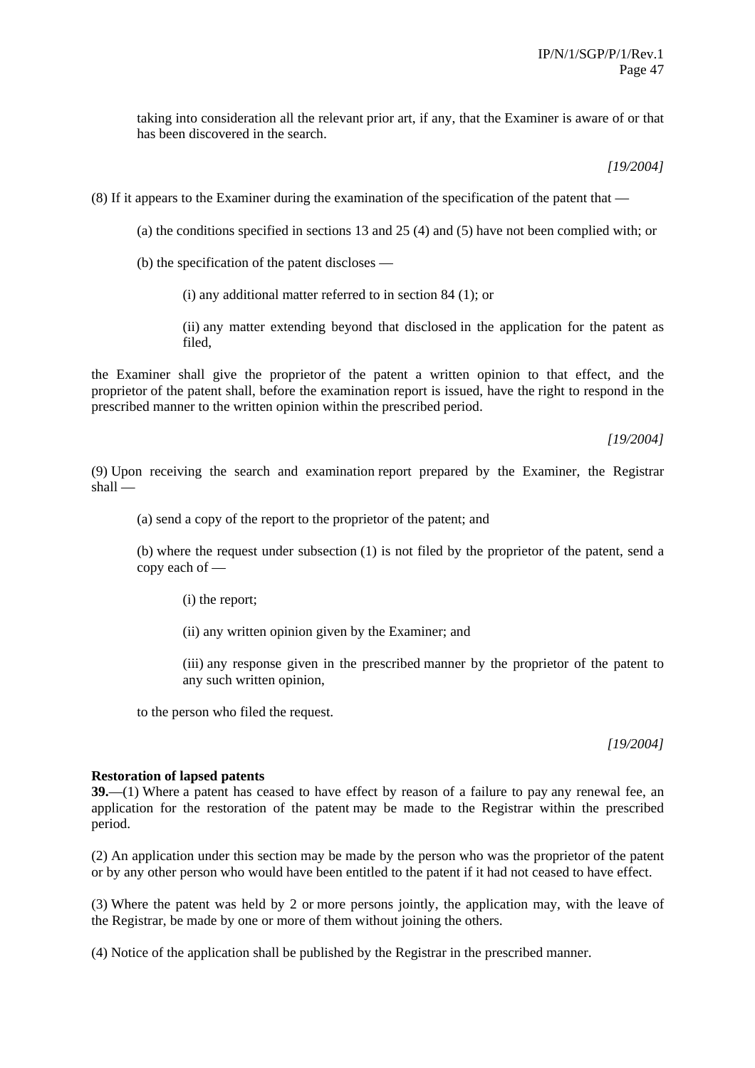taking into consideration all the relevant prior art, if any, that the Examiner is aware of or that has been discovered in the search.

*[19/2004]* 

- (8) If it appears to the Examiner during the examination of the specification of the patent that
	- (a) the conditions specified in sections 13 and 25 (4) and (5) have not been complied with; or
	- (b) the specification of the patent discloses —

(i) any additional matter referred to in section 84 (1); or

(ii) any matter extending beyond that disclosed in the application for the patent as filed,

the Examiner shall give the proprietor of the patent a written opinion to that effect, and the proprietor of the patent shall, before the examination report is issued, have the right to respond in the prescribed manner to the written opinion within the prescribed period.

*[19/2004]* 

(9) Upon receiving the search and examination report prepared by the Examiner, the Registrar shall —

(a) send a copy of the report to the proprietor of the patent; and

(b) where the request under subsection (1) is not filed by the proprietor of the patent, send a copy each of —

(i) the report;

(ii) any written opinion given by the Examiner; and

(iii) any response given in the prescribed manner by the proprietor of the patent to any such written opinion,

to the person who filed the request.

*[19/2004]* 

#### **Restoration of lapsed patents**

**39.**—(1) Where a patent has ceased to have effect by reason of a failure to pay any renewal fee, an application for the restoration of the patent may be made to the Registrar within the prescribed period.

(2) An application under this section may be made by the person who was the proprietor of the patent or by any other person who would have been entitled to the patent if it had not ceased to have effect.

(3) Where the patent was held by 2 or more persons jointly, the application may, with the leave of the Registrar, be made by one or more of them without joining the others.

(4) Notice of the application shall be published by the Registrar in the prescribed manner.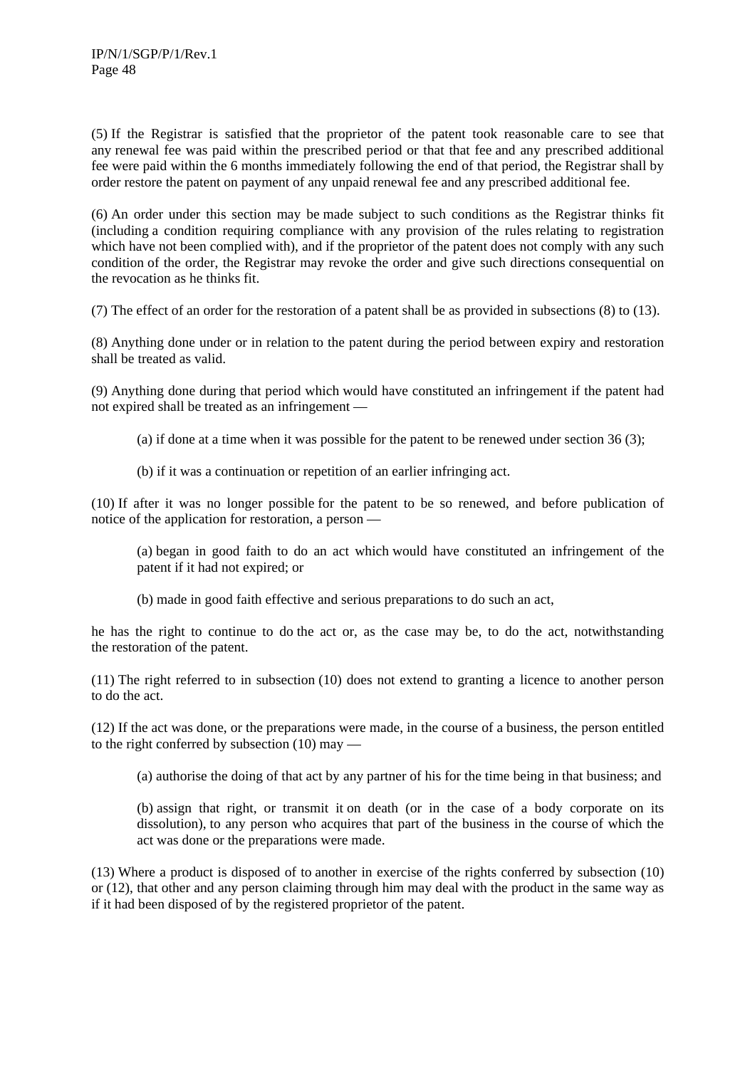(5) If the Registrar is satisfied that the proprietor of the patent took reasonable care to see that any renewal fee was paid within the prescribed period or that that fee and any prescribed additional fee were paid within the 6 months immediately following the end of that period, the Registrar shall by order restore the patent on payment of any unpaid renewal fee and any prescribed additional fee.

(6) An order under this section may be made subject to such conditions as the Registrar thinks fit (including a condition requiring compliance with any provision of the rules relating to registration which have not been complied with), and if the proprietor of the patent does not comply with any such condition of the order, the Registrar may revoke the order and give such directions consequential on the revocation as he thinks fit.

(7) The effect of an order for the restoration of a patent shall be as provided in subsections (8) to (13).

(8) Anything done under or in relation to the patent during the period between expiry and restoration shall be treated as valid.

(9) Anything done during that period which would have constituted an infringement if the patent had not expired shall be treated as an infringement —

- (a) if done at a time when it was possible for the patent to be renewed under section 36 (3);
- (b) if it was a continuation or repetition of an earlier infringing act.

(10) If after it was no longer possible for the patent to be so renewed, and before publication of notice of the application for restoration, a person —

(a) began in good faith to do an act which would have constituted an infringement of the patent if it had not expired; or

(b) made in good faith effective and serious preparations to do such an act,

he has the right to continue to do the act or, as the case may be, to do the act, notwithstanding the restoration of the patent.

(11) The right referred to in subsection (10) does not extend to granting a licence to another person to do the act.

(12) If the act was done, or the preparations were made, in the course of a business, the person entitled to the right conferred by subsection (10) may —

(a) authorise the doing of that act by any partner of his for the time being in that business; and

(b) assign that right, or transmit it on death (or in the case of a body corporate on its dissolution), to any person who acquires that part of the business in the course of which the act was done or the preparations were made.

(13) Where a product is disposed of to another in exercise of the rights conferred by subsection (10) or (12), that other and any person claiming through him may deal with the product in the same way as if it had been disposed of by the registered proprietor of the patent.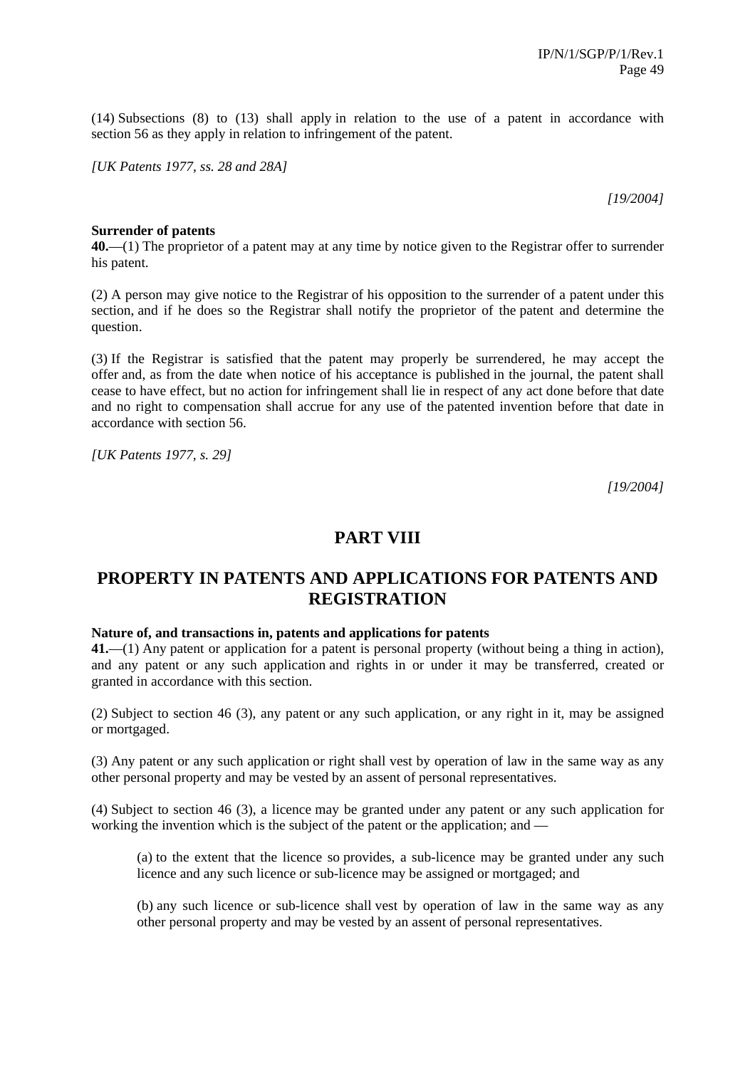(14) Subsections (8) to (13) shall apply in relation to the use of a patent in accordance with section 56 as they apply in relation to infringement of the patent.

*[UK Patents 1977, ss. 28 and 28A]* 

*[19/2004]* 

## **Surrender of patents**

**40.**—(1) The proprietor of a patent may at any time by notice given to the Registrar offer to surrender his patent.

(2) A person may give notice to the Registrar of his opposition to the surrender of a patent under this section, and if he does so the Registrar shall notify the proprietor of the patent and determine the question.

(3) If the Registrar is satisfied that the patent may properly be surrendered, he may accept the offer and, as from the date when notice of his acceptance is published in the journal, the patent shall cease to have effect, but no action for infringement shall lie in respect of any act done before that date and no right to compensation shall accrue for any use of the patented invention before that date in accordance with section 56.

*[UK Patents 1977, s. 29]* 

*[19/2004]* 

## **PART VIII**

## **PROPERTY IN PATENTS AND APPLICATIONS FOR PATENTS AND REGISTRATION**

## **Nature of, and transactions in, patents and applications for patents**

**41.**—(1) Any patent or application for a patent is personal property (without being a thing in action), and any patent or any such application and rights in or under it may be transferred, created or granted in accordance with this section.

(2) Subject to section 46 (3), any patent or any such application, or any right in it, may be assigned or mortgaged.

(3) Any patent or any such application or right shall vest by operation of law in the same way as any other personal property and may be vested by an assent of personal representatives.

(4) Subject to section 46 (3), a licence may be granted under any patent or any such application for working the invention which is the subject of the patent or the application; and —

(a) to the extent that the licence so provides, a sub-licence may be granted under any such licence and any such licence or sub-licence may be assigned or mortgaged; and

(b) any such licence or sub-licence shall vest by operation of law in the same way as any other personal property and may be vested by an assent of personal representatives.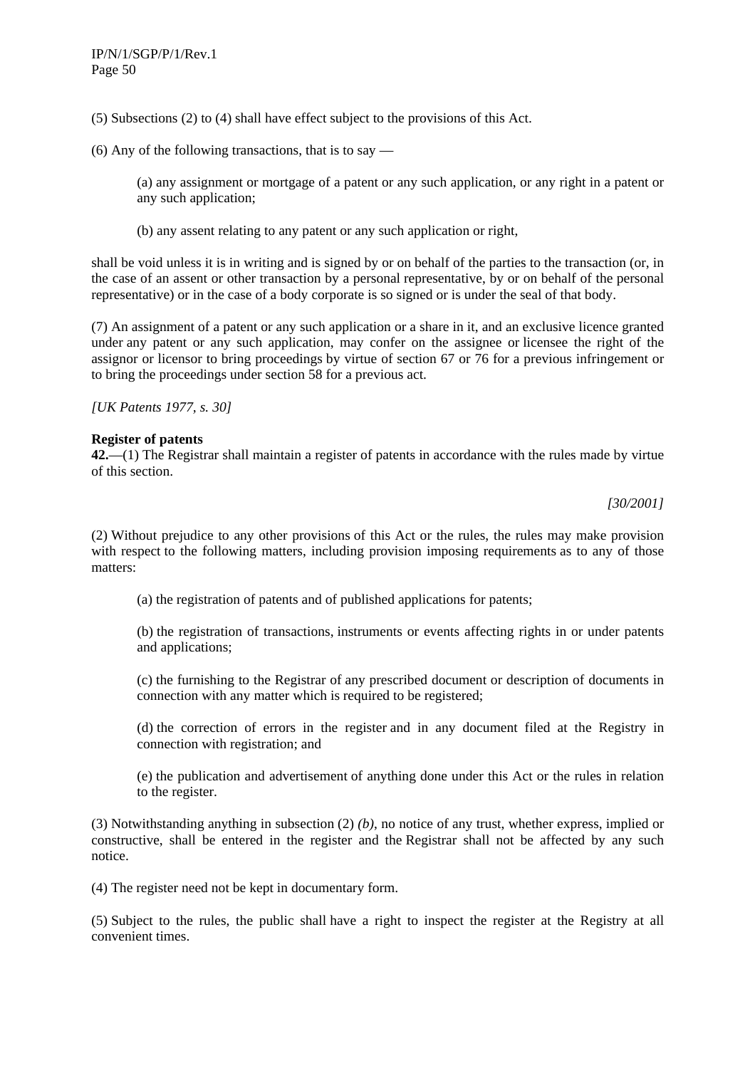(5) Subsections (2) to (4) shall have effect subject to the provisions of this Act.

(6) Any of the following transactions, that is to say —

(a) any assignment or mortgage of a patent or any such application, or any right in a patent or any such application;

(b) any assent relating to any patent or any such application or right,

shall be void unless it is in writing and is signed by or on behalf of the parties to the transaction (or, in the case of an assent or other transaction by a personal representative, by or on behalf of the personal representative) or in the case of a body corporate is so signed or is under the seal of that body.

(7) An assignment of a patent or any such application or a share in it, and an exclusive licence granted under any patent or any such application, may confer on the assignee or licensee the right of the assignor or licensor to bring proceedings by virtue of section 67 or 76 for a previous infringement or to bring the proceedings under section 58 for a previous act.

*[UK Patents 1977, s. 30]* 

## **Register of patents**

**42.**—(1) The Registrar shall maintain a register of patents in accordance with the rules made by virtue of this section.

*[30/2001]* 

(2) Without prejudice to any other provisions of this Act or the rules, the rules may make provision with respect to the following matters, including provision imposing requirements as to any of those matters:

(a) the registration of patents and of published applications for patents;

(b) the registration of transactions, instruments or events affecting rights in or under patents and applications;

(c) the furnishing to the Registrar of any prescribed document or description of documents in connection with any matter which is required to be registered;

(d) the correction of errors in the register and in any document filed at the Registry in connection with registration; and

(e) the publication and advertisement of anything done under this Act or the rules in relation to the register.

(3) Notwithstanding anything in subsection (2) *(b)*, no notice of any trust, whether express, implied or constructive, shall be entered in the register and the Registrar shall not be affected by any such notice.

(4) The register need not be kept in documentary form.

(5) Subject to the rules, the public shall have a right to inspect the register at the Registry at all convenient times.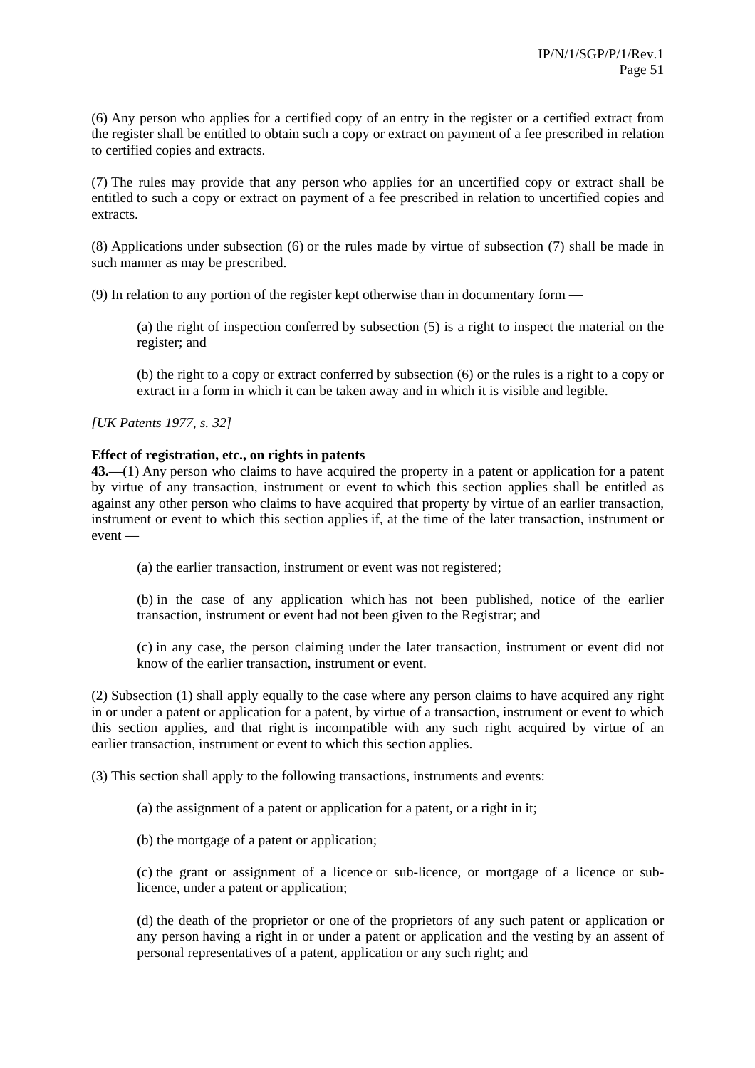(6) Any person who applies for a certified copy of an entry in the register or a certified extract from the register shall be entitled to obtain such a copy or extract on payment of a fee prescribed in relation to certified copies and extracts.

(7) The rules may provide that any person who applies for an uncertified copy or extract shall be entitled to such a copy or extract on payment of a fee prescribed in relation to uncertified copies and extracts.

(8) Applications under subsection (6) or the rules made by virtue of subsection (7) shall be made in such manner as may be prescribed.

(9) In relation to any portion of the register kept otherwise than in documentary form —

(a) the right of inspection conferred by subsection (5) is a right to inspect the material on the register; and

(b) the right to a copy or extract conferred by subsection (6) or the rules is a right to a copy or extract in a form in which it can be taken away and in which it is visible and legible.

*[UK Patents 1977, s. 32]* 

## **Effect of registration, etc., on rights in patents**

**43.**—(1) Any person who claims to have acquired the property in a patent or application for a patent by virtue of any transaction, instrument or event to which this section applies shall be entitled as against any other person who claims to have acquired that property by virtue of an earlier transaction, instrument or event to which this section applies if, at the time of the later transaction, instrument or event —

(a) the earlier transaction, instrument or event was not registered;

(b) in the case of any application which has not been published, notice of the earlier transaction, instrument or event had not been given to the Registrar; and

(c) in any case, the person claiming under the later transaction, instrument or event did not know of the earlier transaction, instrument or event.

(2) Subsection (1) shall apply equally to the case where any person claims to have acquired any right in or under a patent or application for a patent, by virtue of a transaction, instrument or event to which this section applies, and that right is incompatible with any such right acquired by virtue of an earlier transaction, instrument or event to which this section applies.

(3) This section shall apply to the following transactions, instruments and events:

- (a) the assignment of a patent or application for a patent, or a right in it;
- (b) the mortgage of a patent or application;

(c) the grant or assignment of a licence or sub-licence, or mortgage of a licence or sublicence, under a patent or application;

(d) the death of the proprietor or one of the proprietors of any such patent or application or any person having a right in or under a patent or application and the vesting by an assent of personal representatives of a patent, application or any such right; and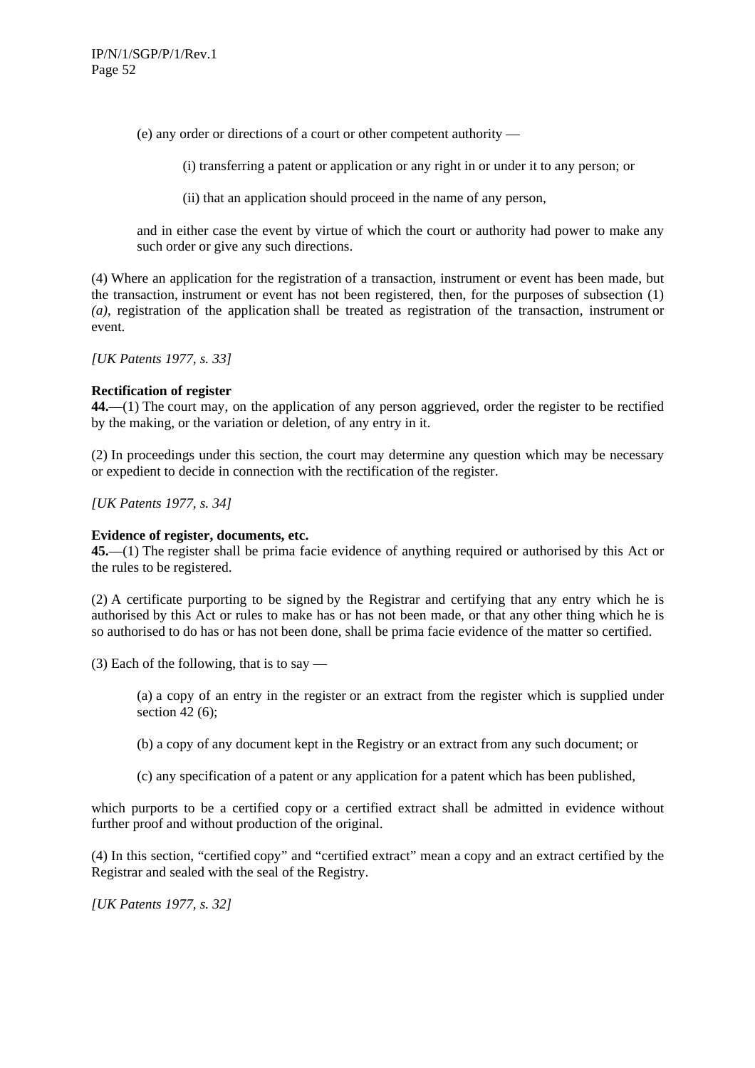(e) any order or directions of a court or other competent authority —

(i) transferring a patent or application or any right in or under it to any person; or

(ii) that an application should proceed in the name of any person,

and in either case the event by virtue of which the court or authority had power to make any such order or give any such directions.

(4) Where an application for the registration of a transaction, instrument or event has been made, but the transaction, instrument or event has not been registered, then, for the purposes of subsection (1) *(a)*, registration of the application shall be treated as registration of the transaction, instrument or event.

*[UK Patents 1977, s. 33]* 

## **Rectification of register**

**44.**—(1) The court may, on the application of any person aggrieved, order the register to be rectified by the making, or the variation or deletion, of any entry in it.

(2) In proceedings under this section, the court may determine any question which may be necessary or expedient to decide in connection with the rectification of the register.

*[UK Patents 1977, s. 34]* 

## **Evidence of register, documents, etc.**

**45.**—(1) The register shall be prima facie evidence of anything required or authorised by this Act or the rules to be registered.

(2) A certificate purporting to be signed by the Registrar and certifying that any entry which he is authorised by this Act or rules to make has or has not been made, or that any other thing which he is so authorised to do has or has not been done, shall be prima facie evidence of the matter so certified.

(3) Each of the following, that is to say —

(a) a copy of an entry in the register or an extract from the register which is supplied under section 42 $(6)$ ;

(b) a copy of any document kept in the Registry or an extract from any such document; or

(c) any specification of a patent or any application for a patent which has been published,

which purports to be a certified copy or a certified extract shall be admitted in evidence without further proof and without production of the original.

(4) In this section, "certified copy" and "certified extract" mean a copy and an extract certified by the Registrar and sealed with the seal of the Registry.

*[UK Patents 1977, s. 32]*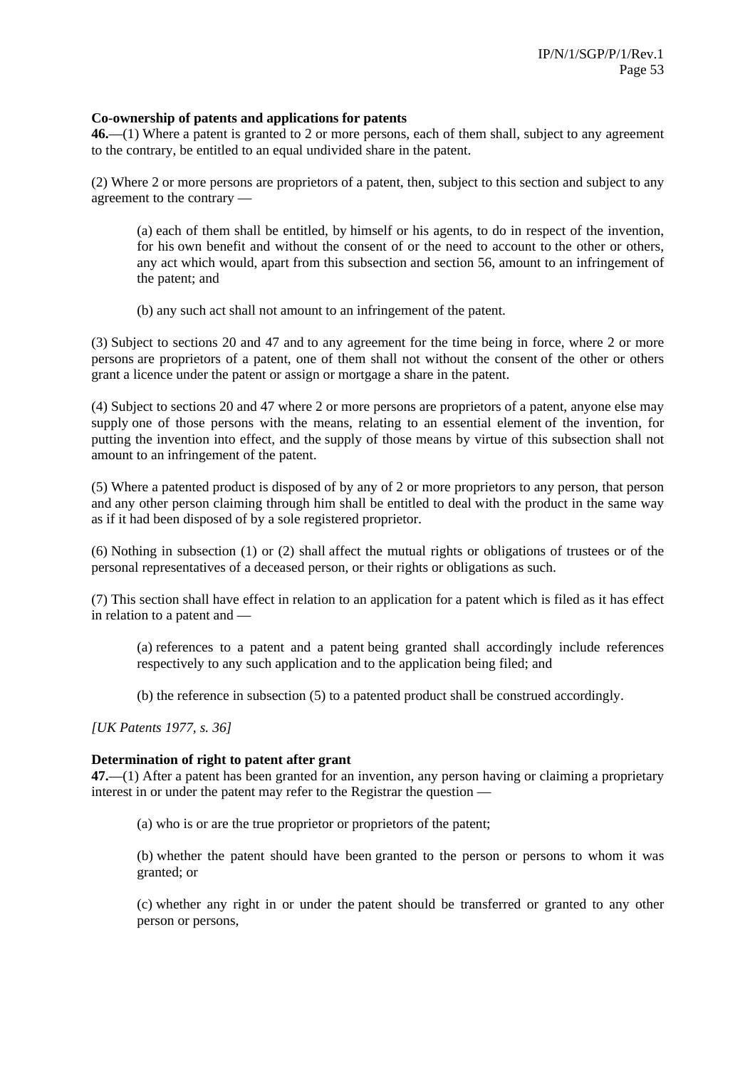## **Co-ownership of patents and applications for patents**

**46.**—(1) Where a patent is granted to 2 or more persons, each of them shall, subject to any agreement to the contrary, be entitled to an equal undivided share in the patent.

(2) Where 2 or more persons are proprietors of a patent, then, subject to this section and subject to any agreement to the contrary —

(a) each of them shall be entitled, by himself or his agents, to do in respect of the invention, for his own benefit and without the consent of or the need to account to the other or others, any act which would, apart from this subsection and section 56, amount to an infringement of the patent; and

(b) any such act shall not amount to an infringement of the patent.

(3) Subject to sections 20 and 47 and to any agreement for the time being in force, where 2 or more persons are proprietors of a patent, one of them shall not without the consent of the other or others grant a licence under the patent or assign or mortgage a share in the patent.

(4) Subject to sections 20 and 47 where 2 or more persons are proprietors of a patent, anyone else may supply one of those persons with the means, relating to an essential element of the invention, for putting the invention into effect, and the supply of those means by virtue of this subsection shall not amount to an infringement of the patent.

(5) Where a patented product is disposed of by any of 2 or more proprietors to any person, that person and any other person claiming through him shall be entitled to deal with the product in the same way as if it had been disposed of by a sole registered proprietor.

(6) Nothing in subsection (1) or (2) shall affect the mutual rights or obligations of trustees or of the personal representatives of a deceased person, or their rights or obligations as such.

(7) This section shall have effect in relation to an application for a patent which is filed as it has effect in relation to a patent and —

(a) references to a patent and a patent being granted shall accordingly include references respectively to any such application and to the application being filed; and

(b) the reference in subsection (5) to a patented product shall be construed accordingly.

*[UK Patents 1977, s. 36]* 

## **Determination of right to patent after grant**

**47.**—(1) After a patent has been granted for an invention, any person having or claiming a proprietary interest in or under the patent may refer to the Registrar the question —

(a) who is or are the true proprietor or proprietors of the patent;

(b) whether the patent should have been granted to the person or persons to whom it was granted; or

(c) whether any right in or under the patent should be transferred or granted to any other person or persons,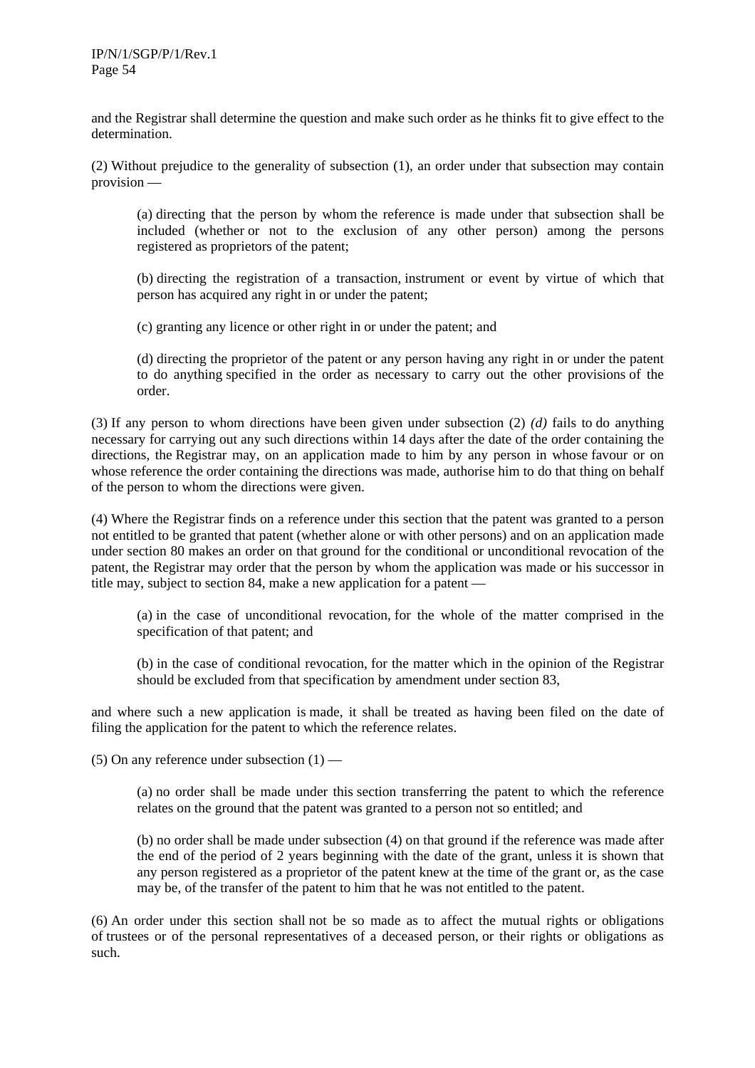IP/N/1/SGP/P/1/Rev.1 Page 54

and the Registrar shall determine the question and make such order as he thinks fit to give effect to the determination.

(2) Without prejudice to the generality of subsection (1), an order under that subsection may contain provision —

(a) directing that the person by whom the reference is made under that subsection shall be included (whether or not to the exclusion of any other person) among the persons registered as proprietors of the patent;

(b) directing the registration of a transaction, instrument or event by virtue of which that person has acquired any right in or under the patent;

(c) granting any licence or other right in or under the patent; and

(d) directing the proprietor of the patent or any person having any right in or under the patent to do anything specified in the order as necessary to carry out the other provisions of the order.

(3) If any person to whom directions have been given under subsection (2) *(d)* fails to do anything necessary for carrying out any such directions within 14 days after the date of the order containing the directions, the Registrar may, on an application made to him by any person in whose favour or on whose reference the order containing the directions was made, authorise him to do that thing on behalf of the person to whom the directions were given.

(4) Where the Registrar finds on a reference under this section that the patent was granted to a person not entitled to be granted that patent (whether alone or with other persons) and on an application made under section 80 makes an order on that ground for the conditional or unconditional revocation of the patent, the Registrar may order that the person by whom the application was made or his successor in title may, subject to section 84, make a new application for a patent —

(a) in the case of unconditional revocation, for the whole of the matter comprised in the specification of that patent; and

(b) in the case of conditional revocation, for the matter which in the opinion of the Registrar should be excluded from that specification by amendment under section 83,

and where such a new application is made, it shall be treated as having been filed on the date of filing the application for the patent to which the reference relates.

(5) On any reference under subsection  $(1)$  —

(a) no order shall be made under this section transferring the patent to which the reference relates on the ground that the patent was granted to a person not so entitled; and

(b) no order shall be made under subsection (4) on that ground if the reference was made after the end of the period of 2 years beginning with the date of the grant, unless it is shown that any person registered as a proprietor of the patent knew at the time of the grant or, as the case may be, of the transfer of the patent to him that he was not entitled to the patent.

(6) An order under this section shall not be so made as to affect the mutual rights or obligations of trustees or of the personal representatives of a deceased person, or their rights or obligations as such.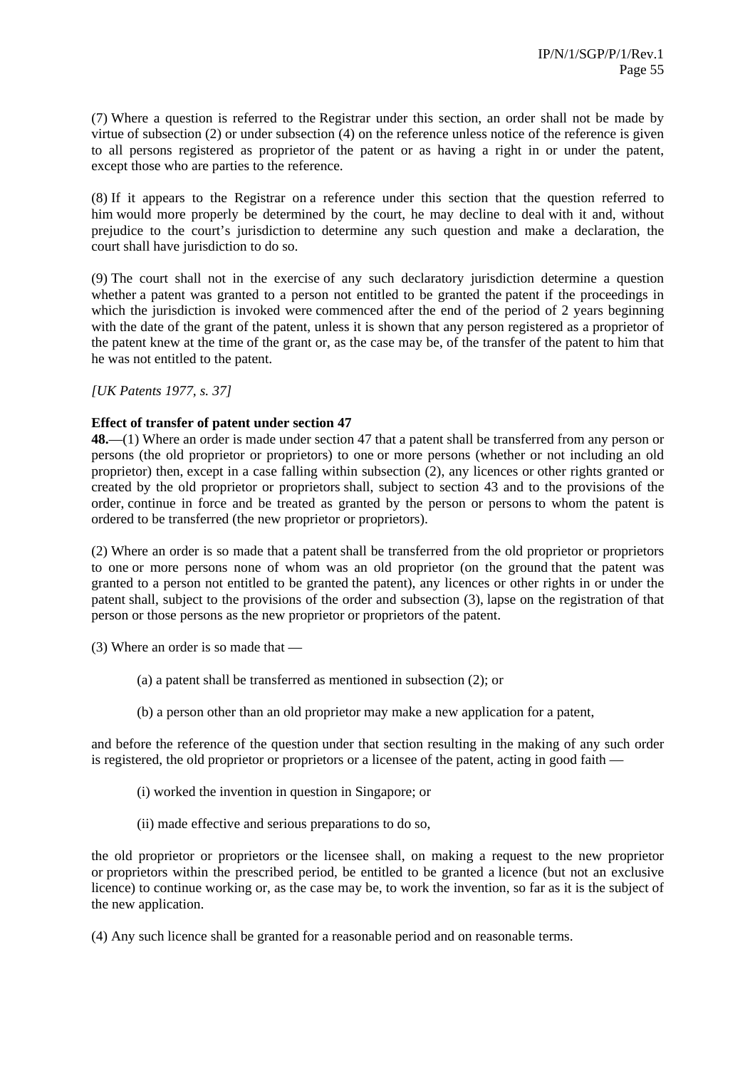(7) Where a question is referred to the Registrar under this section, an order shall not be made by virtue of subsection (2) or under subsection (4) on the reference unless notice of the reference is given to all persons registered as proprietor of the patent or as having a right in or under the patent, except those who are parties to the reference.

(8) If it appears to the Registrar on a reference under this section that the question referred to him would more properly be determined by the court, he may decline to deal with it and, without prejudice to the court's jurisdiction to determine any such question and make a declaration, the court shall have jurisdiction to do so.

(9) The court shall not in the exercise of any such declaratory jurisdiction determine a question whether a patent was granted to a person not entitled to be granted the patent if the proceedings in which the jurisdiction is invoked were commenced after the end of the period of 2 years beginning with the date of the grant of the patent, unless it is shown that any person registered as a proprietor of the patent knew at the time of the grant or, as the case may be, of the transfer of the patent to him that he was not entitled to the patent.

*[UK Patents 1977, s. 37]* 

## **Effect of transfer of patent under section 47**

**48.**—(1) Where an order is made under section 47 that a patent shall be transferred from any person or persons (the old proprietor or proprietors) to one or more persons (whether or not including an old proprietor) then, except in a case falling within subsection (2), any licences or other rights granted or created by the old proprietor or proprietors shall, subject to section 43 and to the provisions of the order, continue in force and be treated as granted by the person or persons to whom the patent is ordered to be transferred (the new proprietor or proprietors).

(2) Where an order is so made that a patent shall be transferred from the old proprietor or proprietors to one or more persons none of whom was an old proprietor (on the ground that the patent was granted to a person not entitled to be granted the patent), any licences or other rights in or under the patent shall, subject to the provisions of the order and subsection (3), lapse on the registration of that person or those persons as the new proprietor or proprietors of the patent.

(3) Where an order is so made that —

- (a) a patent shall be transferred as mentioned in subsection (2); or
- (b) a person other than an old proprietor may make a new application for a patent,

and before the reference of the question under that section resulting in the making of any such order is registered, the old proprietor or proprietors or a licensee of the patent, acting in good faith —

- (i) worked the invention in question in Singapore; or
- (ii) made effective and serious preparations to do so,

the old proprietor or proprietors or the licensee shall, on making a request to the new proprietor or proprietors within the prescribed period, be entitled to be granted a licence (but not an exclusive licence) to continue working or, as the case may be, to work the invention, so far as it is the subject of the new application.

(4) Any such licence shall be granted for a reasonable period and on reasonable terms.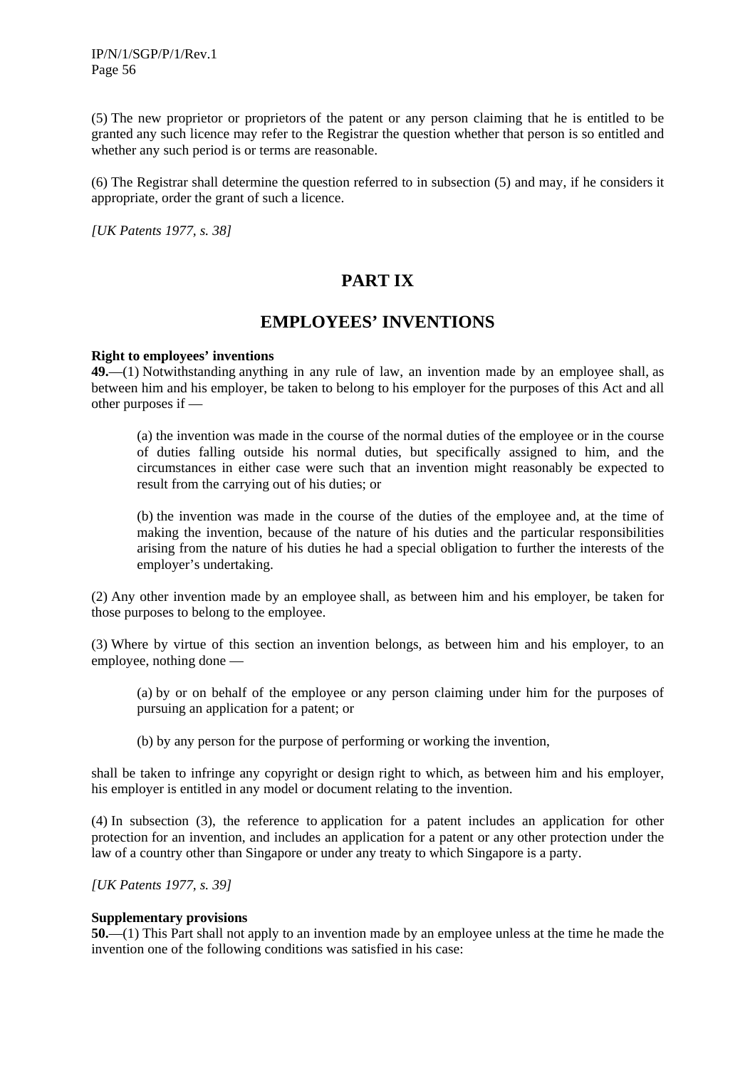(5) The new proprietor or proprietors of the patent or any person claiming that he is entitled to be granted any such licence may refer to the Registrar the question whether that person is so entitled and whether any such period is or terms are reasonable.

(6) The Registrar shall determine the question referred to in subsection (5) and may, if he considers it appropriate, order the grant of such a licence.

*[UK Patents 1977, s. 38]* 

## **PART IX**

## **EMPLOYEES' INVENTIONS**

## **Right to employees' inventions**

**49.**—(1) Notwithstanding anything in any rule of law, an invention made by an employee shall, as between him and his employer, be taken to belong to his employer for the purposes of this Act and all other purposes if —

(a) the invention was made in the course of the normal duties of the employee or in the course of duties falling outside his normal duties, but specifically assigned to him, and the circumstances in either case were such that an invention might reasonably be expected to result from the carrying out of his duties; or

(b) the invention was made in the course of the duties of the employee and, at the time of making the invention, because of the nature of his duties and the particular responsibilities arising from the nature of his duties he had a special obligation to further the interests of the employer's undertaking.

(2) Any other invention made by an employee shall, as between him and his employer, be taken for those purposes to belong to the employee.

(3) Where by virtue of this section an invention belongs, as between him and his employer, to an employee, nothing done —

- (a) by or on behalf of the employee or any person claiming under him for the purposes of pursuing an application for a patent; or
- (b) by any person for the purpose of performing or working the invention,

shall be taken to infringe any copyright or design right to which, as between him and his employer, his employer is entitled in any model or document relating to the invention.

(4) In subsection (3), the reference to application for a patent includes an application for other protection for an invention, and includes an application for a patent or any other protection under the law of a country other than Singapore or under any treaty to which Singapore is a party.

*[UK Patents 1977, s. 39]* 

## **Supplementary provisions**

**50.**—(1) This Part shall not apply to an invention made by an employee unless at the time he made the invention one of the following conditions was satisfied in his case: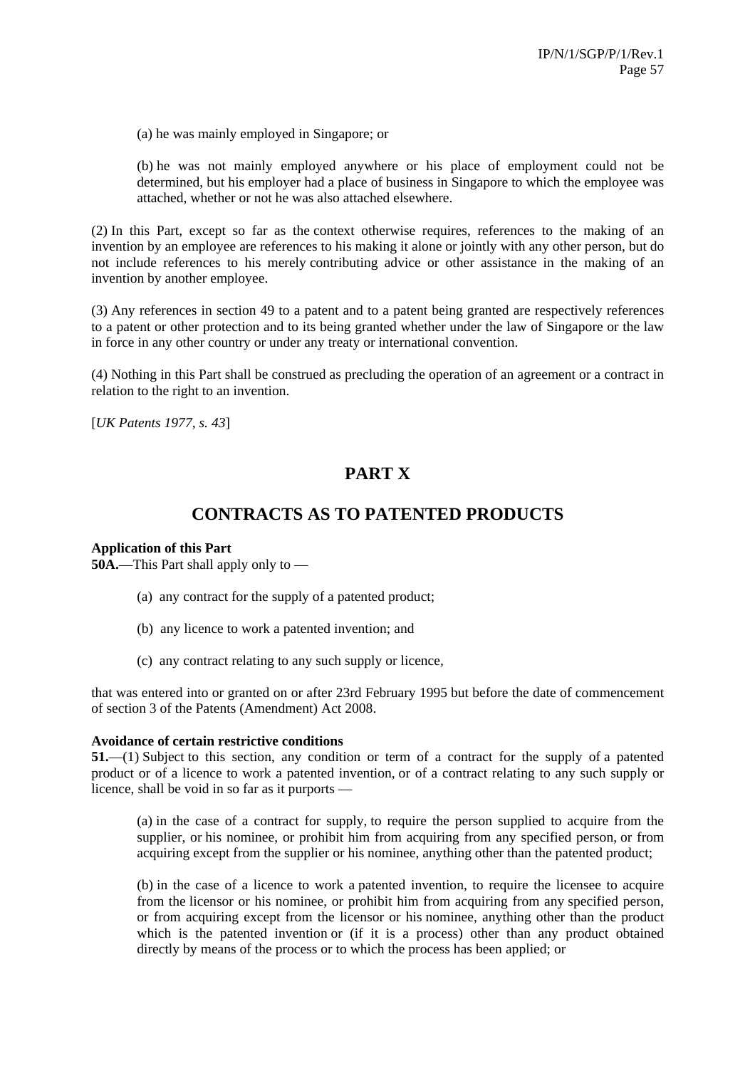(a) he was mainly employed in Singapore; or

(b) he was not mainly employed anywhere or his place of employment could not be determined, but his employer had a place of business in Singapore to which the employee was attached, whether or not he was also attached elsewhere.

(2) In this Part, except so far as the context otherwise requires, references to the making of an invention by an employee are references to his making it alone or jointly with any other person, but do not include references to his merely contributing advice or other assistance in the making of an invention by another employee.

(3) Any references in section 49 to a patent and to a patent being granted are respectively references to a patent or other protection and to its being granted whether under the law of Singapore or the law in force in any other country or under any treaty or international convention.

(4) Nothing in this Part shall be construed as precluding the operation of an agreement or a contract in relation to the right to an invention.

[*UK Patents 1977, s. 43*]

## **PART X**

## **CONTRACTS AS TO PATENTED PRODUCTS**

## **Application of this Part**

**50A.**—This Part shall apply only to —

- (a) any contract for the supply of a patented product;
- (b) any licence to work a patented invention; and
- (c) any contract relating to any such supply or licence,

that was entered into or granted on or after 23rd February 1995 but before the date of commencement of section 3 of the Patents (Amendment) Act 2008.

#### **Avoidance of certain restrictive conditions**

**51.**—(1) Subject to this section, any condition or term of a contract for the supply of a patented product or of a licence to work a patented invention, or of a contract relating to any such supply or licence, shall be void in so far as it purports —

(a) in the case of a contract for supply, to require the person supplied to acquire from the supplier, or his nominee, or prohibit him from acquiring from any specified person, or from acquiring except from the supplier or his nominee, anything other than the patented product;

(b) in the case of a licence to work a patented invention, to require the licensee to acquire from the licensor or his nominee, or prohibit him from acquiring from any specified person, or from acquiring except from the licensor or his nominee, anything other than the product which is the patented invention or (if it is a process) other than any product obtained directly by means of the process or to which the process has been applied; or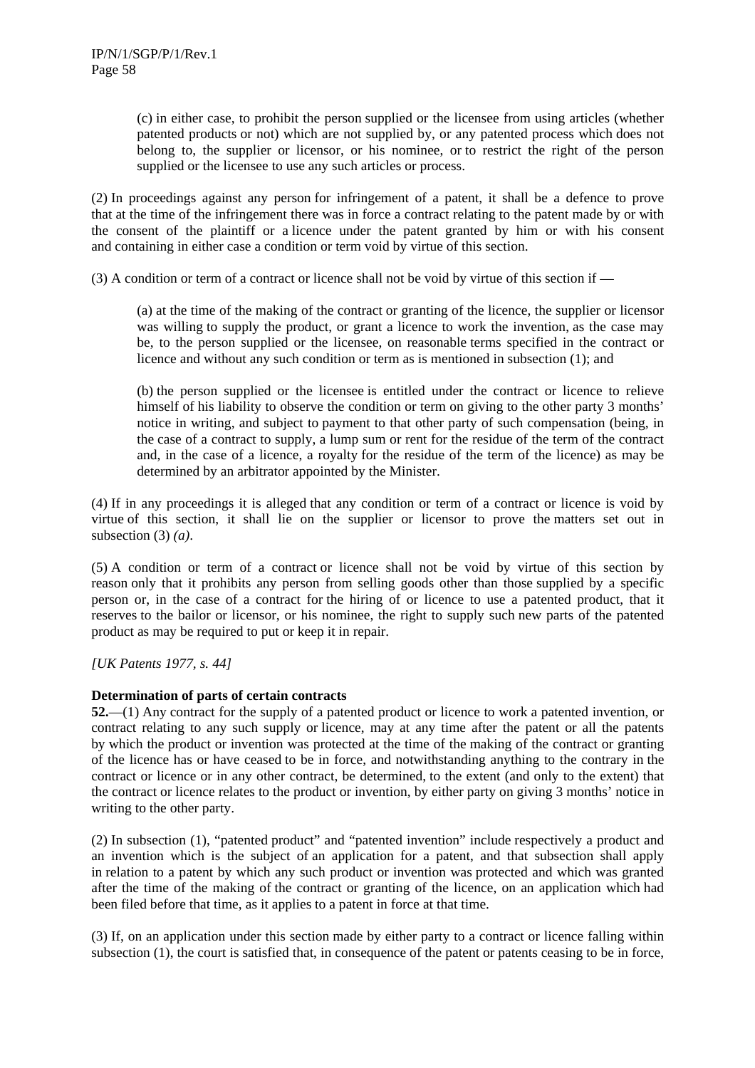(c) in either case, to prohibit the person supplied or the licensee from using articles (whether patented products or not) which are not supplied by, or any patented process which does not belong to, the supplier or licensor, or his nominee, or to restrict the right of the person supplied or the licensee to use any such articles or process.

(2) In proceedings against any person for infringement of a patent, it shall be a defence to prove that at the time of the infringement there was in force a contract relating to the patent made by or with the consent of the plaintiff or a licence under the patent granted by him or with his consent and containing in either case a condition or term void by virtue of this section.

(3) A condition or term of a contract or licence shall not be void by virtue of this section if —

(a) at the time of the making of the contract or granting of the licence, the supplier or licensor was willing to supply the product, or grant a licence to work the invention, as the case may be, to the person supplied or the licensee, on reasonable terms specified in the contract or licence and without any such condition or term as is mentioned in subsection (1); and

(b) the person supplied or the licensee is entitled under the contract or licence to relieve himself of his liability to observe the condition or term on giving to the other party 3 months' notice in writing, and subject to payment to that other party of such compensation (being, in the case of a contract to supply, a lump sum or rent for the residue of the term of the contract and, in the case of a licence, a royalty for the residue of the term of the licence) as may be determined by an arbitrator appointed by the Minister.

(4) If in any proceedings it is alleged that any condition or term of a contract or licence is void by virtue of this section, it shall lie on the supplier or licensor to prove the matters set out in subsection (3) *(a)*.

(5) A condition or term of a contract or licence shall not be void by virtue of this section by reason only that it prohibits any person from selling goods other than those supplied by a specific person or, in the case of a contract for the hiring of or licence to use a patented product, that it reserves to the bailor or licensor, or his nominee, the right to supply such new parts of the patented product as may be required to put or keep it in repair.

*[UK Patents 1977, s. 44]* 

## **Determination of parts of certain contracts**

**52.**—(1) Any contract for the supply of a patented product or licence to work a patented invention, or contract relating to any such supply or licence, may at any time after the patent or all the patents by which the product or invention was protected at the time of the making of the contract or granting of the licence has or have ceased to be in force, and notwithstanding anything to the contrary in the contract or licence or in any other contract, be determined, to the extent (and only to the extent) that the contract or licence relates to the product or invention, by either party on giving 3 months' notice in writing to the other party.

(2) In subsection (1), "patented product" and "patented invention" include respectively a product and an invention which is the subject of an application for a patent, and that subsection shall apply in relation to a patent by which any such product or invention was protected and which was granted after the time of the making of the contract or granting of the licence, on an application which had been filed before that time, as it applies to a patent in force at that time.

(3) If, on an application under this section made by either party to a contract or licence falling within subsection (1), the court is satisfied that, in consequence of the patent or patents ceasing to be in force,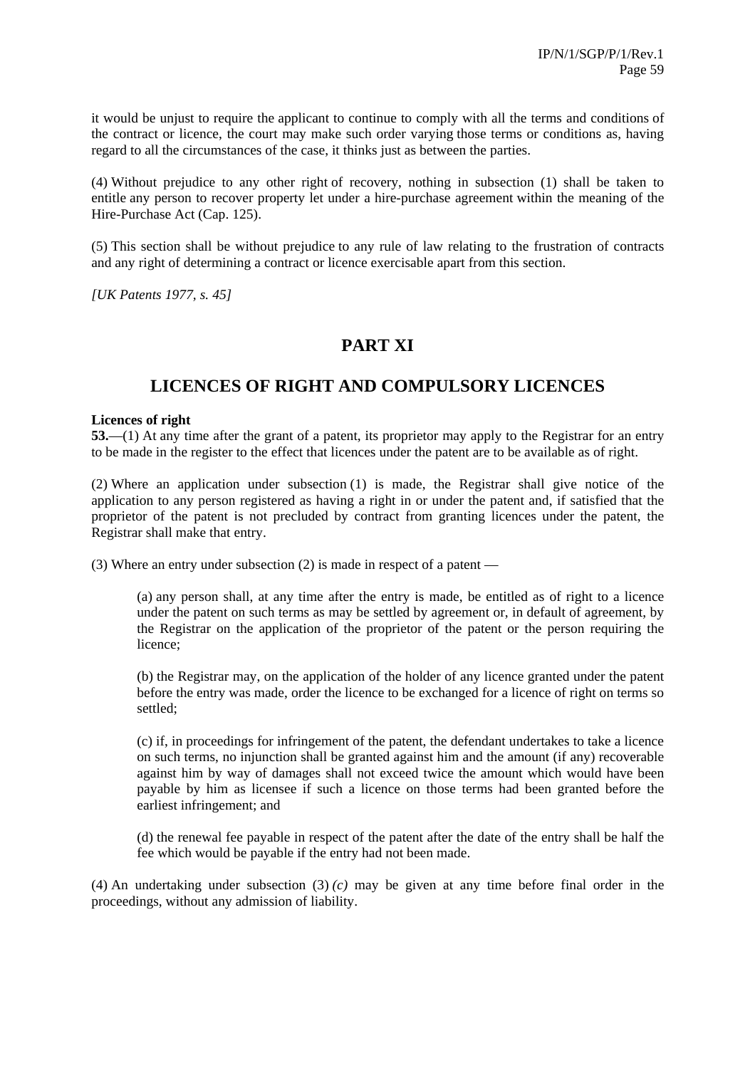it would be unjust to require the applicant to continue to comply with all the terms and conditions of the contract or licence, the court may make such order varying those terms or conditions as, having regard to all the circumstances of the case, it thinks just as between the parties.

(4) Without prejudice to any other right of recovery, nothing in subsection (1) shall be taken to entitle any person to recover property let under a hire-purchase agreement within the meaning of the Hire-Purchase Act (Cap. 125).

(5) This section shall be without prejudice to any rule of law relating to the frustration of contracts and any right of determining a contract or licence exercisable apart from this section.

*[UK Patents 1977, s. 45]* 

## **PART XI**

## **LICENCES OF RIGHT AND COMPULSORY LICENCES**

#### **Licences of right**

**53.**—(1) At any time after the grant of a patent, its proprietor may apply to the Registrar for an entry to be made in the register to the effect that licences under the patent are to be available as of right.

(2) Where an application under subsection (1) is made, the Registrar shall give notice of the application to any person registered as having a right in or under the patent and, if satisfied that the proprietor of the patent is not precluded by contract from granting licences under the patent, the Registrar shall make that entry.

(3) Where an entry under subsection (2) is made in respect of a patent —

(a) any person shall, at any time after the entry is made, be entitled as of right to a licence under the patent on such terms as may be settled by agreement or, in default of agreement, by the Registrar on the application of the proprietor of the patent or the person requiring the licence;

(b) the Registrar may, on the application of the holder of any licence granted under the patent before the entry was made, order the licence to be exchanged for a licence of right on terms so settled;

(c) if, in proceedings for infringement of the patent, the defendant undertakes to take a licence on such terms, no injunction shall be granted against him and the amount (if any) recoverable against him by way of damages shall not exceed twice the amount which would have been payable by him as licensee if such a licence on those terms had been granted before the earliest infringement; and

(d) the renewal fee payable in respect of the patent after the date of the entry shall be half the fee which would be payable if the entry had not been made.

(4) An undertaking under subsection  $(3)$   $(c)$  may be given at any time before final order in the proceedings, without any admission of liability.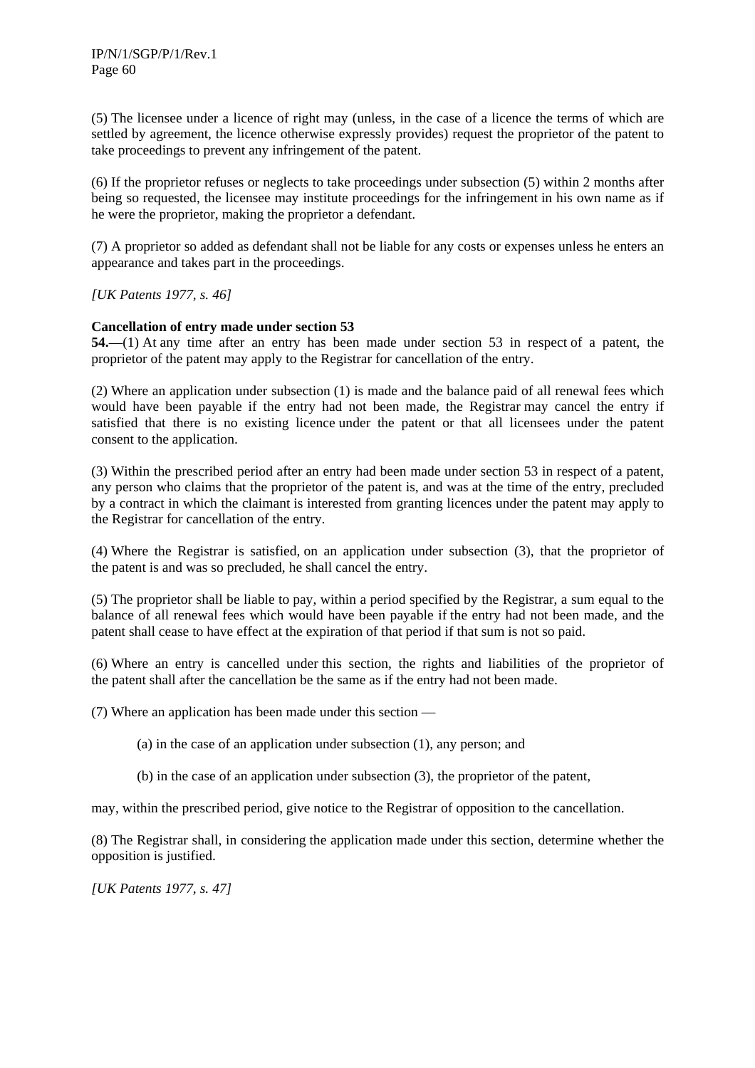(5) The licensee under a licence of right may (unless, in the case of a licence the terms of which are settled by agreement, the licence otherwise expressly provides) request the proprietor of the patent to take proceedings to prevent any infringement of the patent.

(6) If the proprietor refuses or neglects to take proceedings under subsection (5) within 2 months after being so requested, the licensee may institute proceedings for the infringement in his own name as if he were the proprietor, making the proprietor a defendant.

(7) A proprietor so added as defendant shall not be liable for any costs or expenses unless he enters an appearance and takes part in the proceedings.

*[UK Patents 1977, s. 46]* 

## **Cancellation of entry made under section 53**

**54.**—(1) At any time after an entry has been made under section 53 in respect of a patent, the proprietor of the patent may apply to the Registrar for cancellation of the entry.

(2) Where an application under subsection (1) is made and the balance paid of all renewal fees which would have been payable if the entry had not been made, the Registrar may cancel the entry if satisfied that there is no existing licence under the patent or that all licensees under the patent consent to the application.

(3) Within the prescribed period after an entry had been made under section 53 in respect of a patent, any person who claims that the proprietor of the patent is, and was at the time of the entry, precluded by a contract in which the claimant is interested from granting licences under the patent may apply to the Registrar for cancellation of the entry.

(4) Where the Registrar is satisfied, on an application under subsection (3), that the proprietor of the patent is and was so precluded, he shall cancel the entry.

(5) The proprietor shall be liable to pay, within a period specified by the Registrar, a sum equal to the balance of all renewal fees which would have been payable if the entry had not been made, and the patent shall cease to have effect at the expiration of that period if that sum is not so paid.

(6) Where an entry is cancelled under this section, the rights and liabilities of the proprietor of the patent shall after the cancellation be the same as if the entry had not been made.

(7) Where an application has been made under this section —

(a) in the case of an application under subsection (1), any person; and

(b) in the case of an application under subsection (3), the proprietor of the patent,

may, within the prescribed period, give notice to the Registrar of opposition to the cancellation.

(8) The Registrar shall, in considering the application made under this section, determine whether the opposition is justified.

*[UK Patents 1977, s. 47]*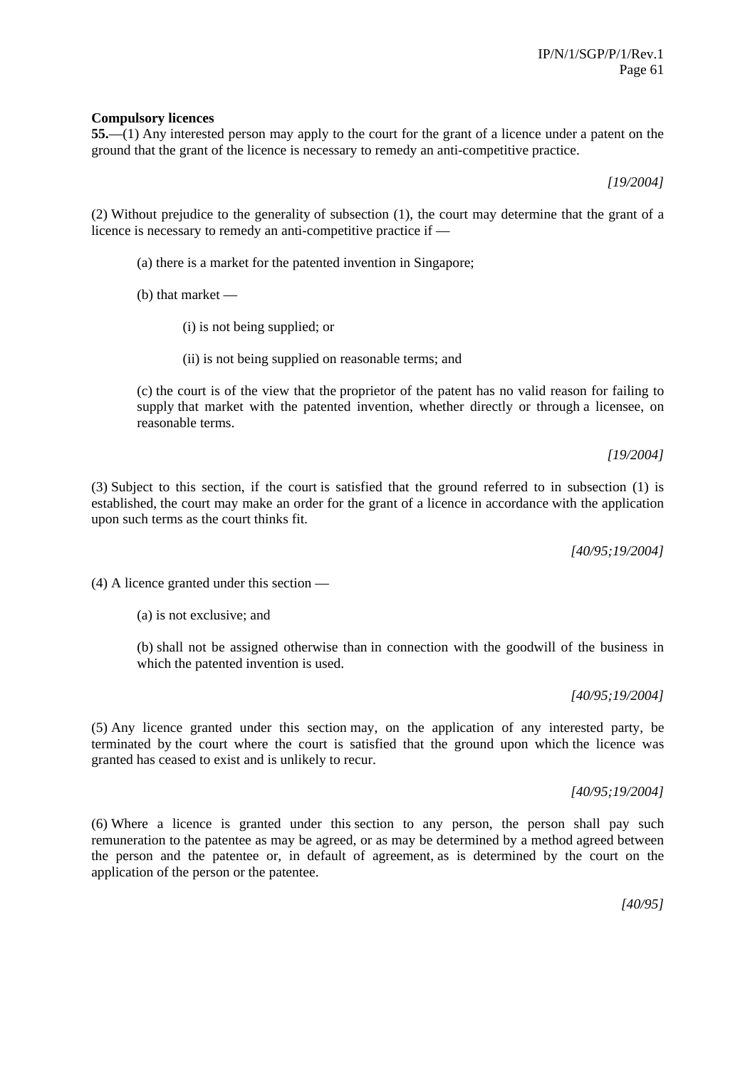#### **Compulsory licences**

**55.**—(1) Any interested person may apply to the court for the grant of a licence under a patent on the ground that the grant of the licence is necessary to remedy an anti-competitive practice.

*[19/2004]* 

(2) Without prejudice to the generality of subsection (1), the court may determine that the grant of a licence is necessary to remedy an anti-competitive practice if —

(a) there is a market for the patented invention in Singapore;

(b) that market —

(i) is not being supplied; or

(ii) is not being supplied on reasonable terms; and

(c) the court is of the view that the proprietor of the patent has no valid reason for failing to supply that market with the patented invention, whether directly or through a licensee, on reasonable terms.

*[19/2004]* 

(3) Subject to this section, if the court is satisfied that the ground referred to in subsection (1) is established, the court may make an order for the grant of a licence in accordance with the application upon such terms as the court thinks fit.

*[40/95;19/2004]* 

(4) A licence granted under this section —

(a) is not exclusive; and

(b) shall not be assigned otherwise than in connection with the goodwill of the business in which the patented invention is used.

*[40/95;19/2004]* 

(5) Any licence granted under this section may, on the application of any interested party, be terminated by the court where the court is satisfied that the ground upon which the licence was granted has ceased to exist and is unlikely to recur.

*[40/95;19/2004]* 

(6) Where a licence is granted under this section to any person, the person shall pay such remuneration to the patentee as may be agreed, or as may be determined by a method agreed between the person and the patentee or, in default of agreement, as is determined by the court on the application of the person or the patentee.

*[40/95]*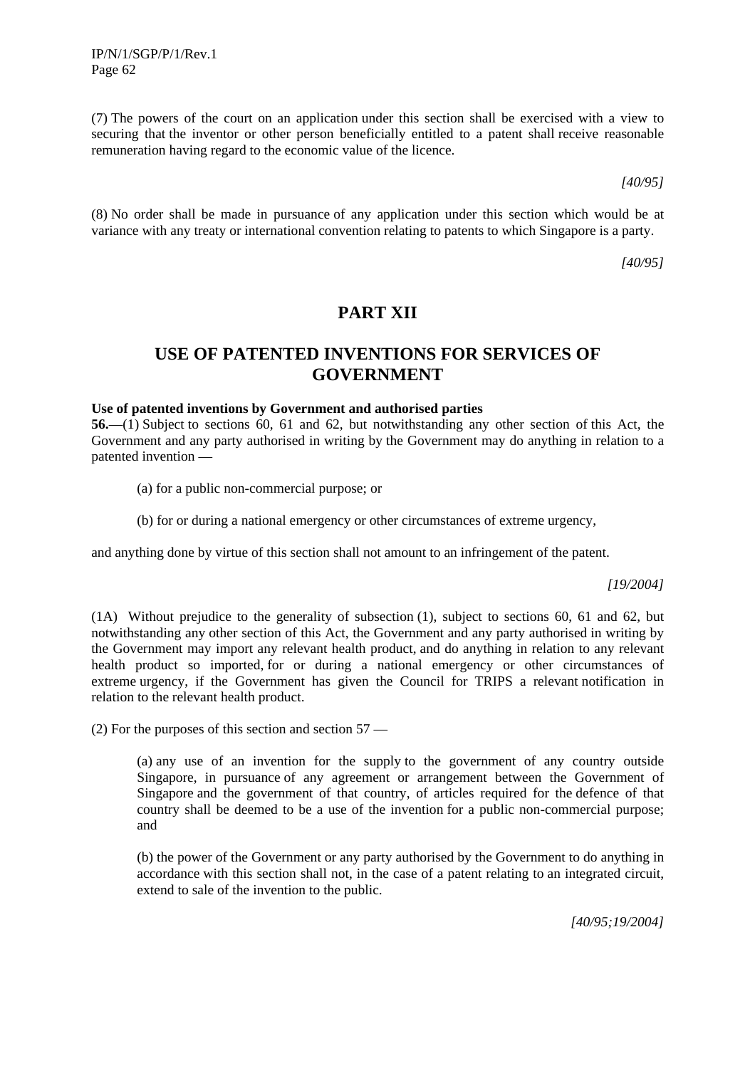IP/N/1/SGP/P/1/Rev.1 Page 62

(7) The powers of the court on an application under this section shall be exercised with a view to securing that the inventor or other person beneficially entitled to a patent shall receive reasonable remuneration having regard to the economic value of the licence.

*[40/95]* 

(8) No order shall be made in pursuance of any application under this section which would be at variance with any treaty or international convention relating to patents to which Singapore is a party.

*[40/95]* 

## **PART XII**

## **USE OF PATENTED INVENTIONS FOR SERVICES OF GOVERNMENT**

#### **Use of patented inventions by Government and authorised parties**

**56.**—(1) Subject to sections 60, 61 and 62, but notwithstanding any other section of this Act, the Government and any party authorised in writing by the Government may do anything in relation to a patented invention —

- (a) for a public non-commercial purpose; or
- (b) for or during a national emergency or other circumstances of extreme urgency,

and anything done by virtue of this section shall not amount to an infringement of the patent.

*[19/2004]* 

(1A) Without prejudice to the generality of subsection (1), subject to sections 60, 61 and 62, but notwithstanding any other section of this Act, the Government and any party authorised in writing by the Government may import any relevant health product, and do anything in relation to any relevant health product so imported, for or during a national emergency or other circumstances of extreme urgency, if the Government has given the Council for TRIPS a relevant notification in relation to the relevant health product.

(2) For the purposes of this section and section 57 —

(a) any use of an invention for the supply to the government of any country outside Singapore, in pursuance of any agreement or arrangement between the Government of Singapore and the government of that country, of articles required for the defence of that country shall be deemed to be a use of the invention for a public non-commercial purpose; and

(b) the power of the Government or any party authorised by the Government to do anything in accordance with this section shall not, in the case of a patent relating to an integrated circuit, extend to sale of the invention to the public.

*[40/95;19/2004]*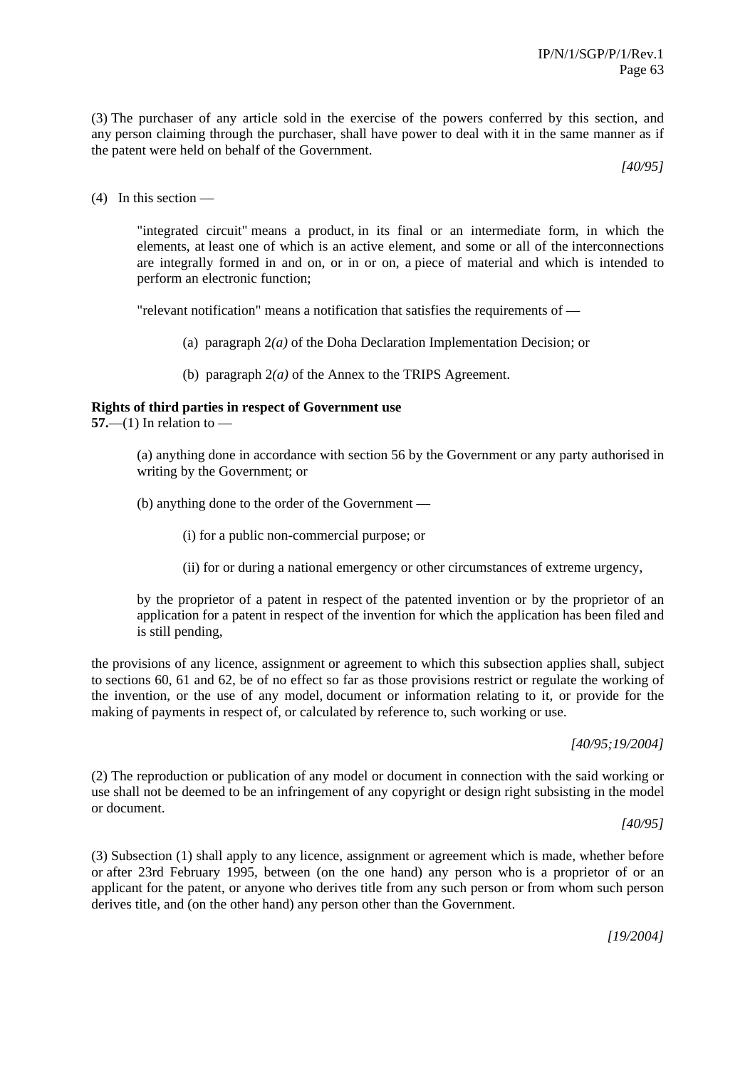(3) The purchaser of any article sold in the exercise of the powers conferred by this section, and any person claiming through the purchaser, shall have power to deal with it in the same manner as if the patent were held on behalf of the Government.

*[40/95]* 

(4) In this section —

"integrated circuit" means a product, in its final or an intermediate form, in which the elements, at least one of which is an active element, and some or all of the interconnections are integrally formed in and on, or in or on, a piece of material and which is intended to perform an electronic function;

"relevant notification" means a notification that satisfies the requirements of —

- (a) paragraph 2*(a)* of the Doha Declaration Implementation Decision; or
- (b) paragraph 2*(a)* of the Annex to the TRIPS Agreement.

#### **Rights of third parties in respect of Government use**

**57.**—(1) In relation to —

(a) anything done in accordance with section 56 by the Government or any party authorised in writing by the Government; or

(b) anything done to the order of the Government —

(i) for a public non-commercial purpose; or

(ii) for or during a national emergency or other circumstances of extreme urgency,

by the proprietor of a patent in respect of the patented invention or by the proprietor of an application for a patent in respect of the invention for which the application has been filed and is still pending,

the provisions of any licence, assignment or agreement to which this subsection applies shall, subject to sections 60, 61 and 62, be of no effect so far as those provisions restrict or regulate the working of the invention, or the use of any model, document or information relating to it, or provide for the making of payments in respect of, or calculated by reference to, such working or use.

*[40/95;19/2004]* 

(2) The reproduction or publication of any model or document in connection with the said working or use shall not be deemed to be an infringement of any copyright or design right subsisting in the model or document.

*[40/95]* 

(3) Subsection (1) shall apply to any licence, assignment or agreement which is made, whether before or after 23rd February 1995, between (on the one hand) any person who is a proprietor of or an applicant for the patent, or anyone who derives title from any such person or from whom such person derives title, and (on the other hand) any person other than the Government.

*[19/2004]*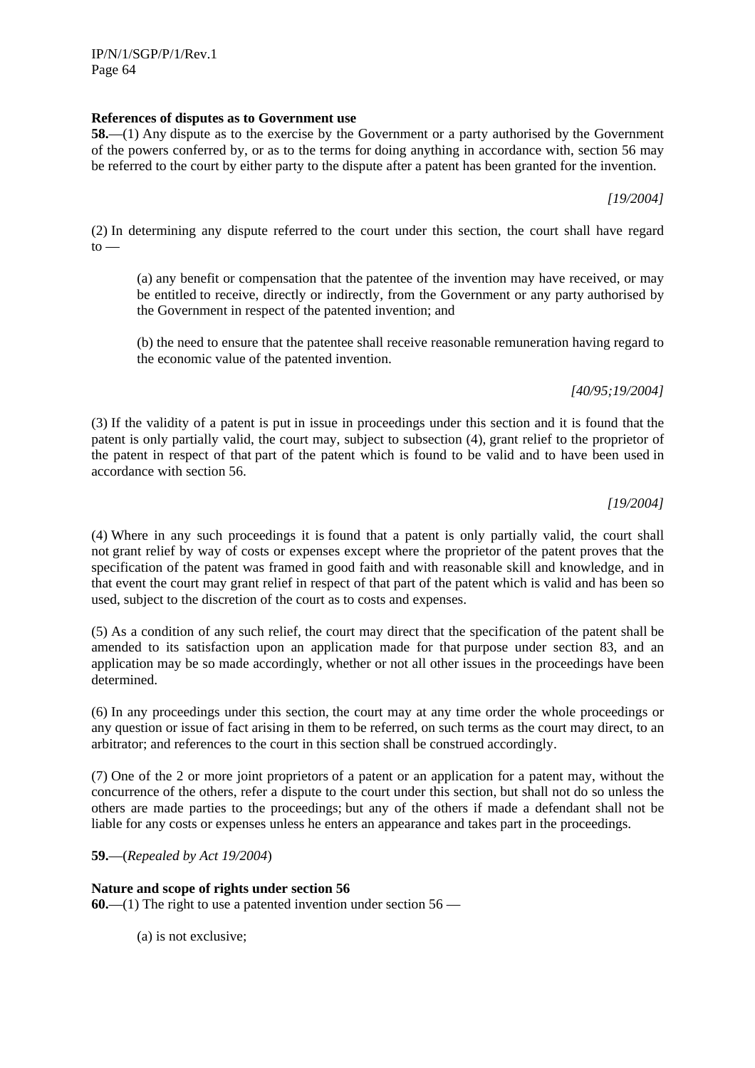IP/N/1/SGP/P/1/Rev.1

Page 64

**58.**—(1) Any dispute as to the exercise by the Government or a party authorised by the Government of the powers conferred by, or as to the terms for doing anything in accordance with, section 56 may be referred to the court by either party to the dispute after a patent has been granted for the invention.

*[19/2004]* 

(2) In determining any dispute referred to the court under this section, the court shall have regard  $to -$ 

(a) any benefit or compensation that the patentee of the invention may have received, or may be entitled to receive, directly or indirectly, from the Government or any party authorised by the Government in respect of the patented invention; and

(b) the need to ensure that the patentee shall receive reasonable remuneration having regard to the economic value of the patented invention.

*[40/95;19/2004]* 

(3) If the validity of a patent is put in issue in proceedings under this section and it is found that the patent is only partially valid, the court may, subject to subsection (4), grant relief to the proprietor of the patent in respect of that part of the patent which is found to be valid and to have been used in accordance with section 56.

#### *[19/2004]*

(4) Where in any such proceedings it is found that a patent is only partially valid, the court shall not grant relief by way of costs or expenses except where the proprietor of the patent proves that the specification of the patent was framed in good faith and with reasonable skill and knowledge, and in that event the court may grant relief in respect of that part of the patent which is valid and has been so used, subject to the discretion of the court as to costs and expenses.

(5) As a condition of any such relief, the court may direct that the specification of the patent shall be amended to its satisfaction upon an application made for that purpose under section 83, and an application may be so made accordingly, whether or not all other issues in the proceedings have been determined.

(6) In any proceedings under this section, the court may at any time order the whole proceedings or any question or issue of fact arising in them to be referred, on such terms as the court may direct, to an arbitrator; and references to the court in this section shall be construed accordingly.

(7) One of the 2 or more joint proprietors of a patent or an application for a patent may, without the concurrence of the others, refer a dispute to the court under this section, but shall not do so unless the others are made parties to the proceedings; but any of the others if made a defendant shall not be liable for any costs or expenses unless he enters an appearance and takes part in the proceedings.

**59.**—(*Repealed by Act 19/2004*)

#### **Nature and scope of rights under section 56**

**60.**—(1) The right to use a patented invention under section 56 —

(a) is not exclusive;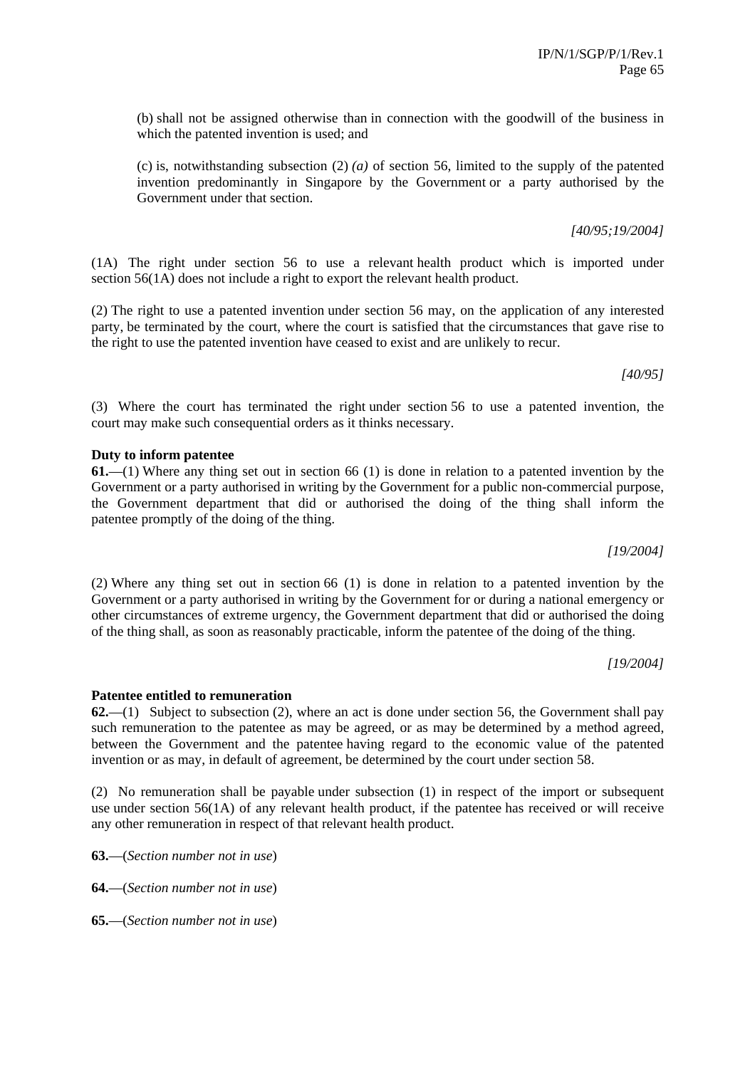(b) shall not be assigned otherwise than in connection with the goodwill of the business in which the patented invention is used; and

(c) is, notwithstanding subsection (2) *(a)* of section 56, limited to the supply of the patented invention predominantly in Singapore by the Government or a party authorised by the Government under that section.

*[40/95;19/2004]* 

(1A) The right under section 56 to use a relevant health product which is imported under section 56(1A) does not include a right to export the relevant health product.

(2) The right to use a patented invention under section 56 may, on the application of any interested party, be terminated by the court, where the court is satisfied that the circumstances that gave rise to the right to use the patented invention have ceased to exist and are unlikely to recur.

(3) Where the court has terminated the right under section 56 to use a patented invention, the court may make such consequential orders as it thinks necessary.

## **Duty to inform patentee**

## **61.**—(1) Where any thing set out in section 66 (1) is done in relation to a patented invention by the Government or a party authorised in writing by the Government for a public non-commercial purpose, the Government department that did or authorised the doing of the thing shall inform the patentee promptly of the doing of the thing.

(2) Where any thing set out in section 66 (1) is done in relation to a patented invention by the Government or a party authorised in writing by the Government for or during a national emergency or other circumstances of extreme urgency, the Government department that did or authorised the doing of the thing shall, as soon as reasonably practicable, inform the patentee of the doing of the thing.

*[19/2004]* 

## **Patentee entitled to remuneration**

**62.**—(1) Subject to subsection (2), where an act is done under section 56, the Government shall pay such remuneration to the patentee as may be agreed, or as may be determined by a method agreed, between the Government and the patentee having regard to the economic value of the patented invention or as may, in default of agreement, be determined by the court under section 58.

(2) No remuneration shall be payable under subsection (1) in respect of the import or subsequent use under section 56(1A) of any relevant health product, if the patentee has received or will receive any other remuneration in respect of that relevant health product.

**63.**—(*Section number not in use*)

**64.**—(*Section number not in use*)

**65.**—(*Section number not in use*)

## *[40/95]*

# *[19/2004]*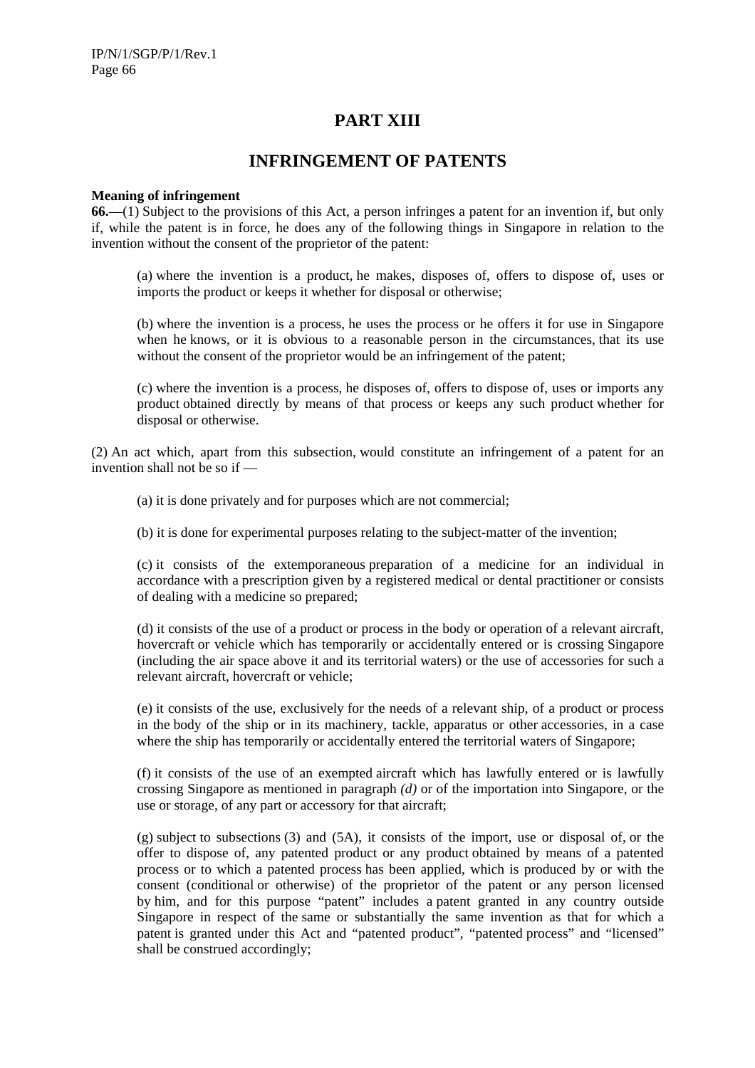## **PART XIII**

## **INFRINGEMENT OF PATENTS**

#### **Meaning of infringement**

**66.**—(1) Subject to the provisions of this Act, a person infringes a patent for an invention if, but only if, while the patent is in force, he does any of the following things in Singapore in relation to the invention without the consent of the proprietor of the patent:

(a) where the invention is a product, he makes, disposes of, offers to dispose of, uses or imports the product or keeps it whether for disposal or otherwise;

(b) where the invention is a process, he uses the process or he offers it for use in Singapore when he knows, or it is obvious to a reasonable person in the circumstances, that its use without the consent of the proprietor would be an infringement of the patent:

(c) where the invention is a process, he disposes of, offers to dispose of, uses or imports any product obtained directly by means of that process or keeps any such product whether for disposal or otherwise.

(2) An act which, apart from this subsection, would constitute an infringement of a patent for an invention shall not be so if —

(a) it is done privately and for purposes which are not commercial;

(b) it is done for experimental purposes relating to the subject-matter of the invention;

(c) it consists of the extemporaneous preparation of a medicine for an individual in accordance with a prescription given by a registered medical or dental practitioner or consists of dealing with a medicine so prepared;

(d) it consists of the use of a product or process in the body or operation of a relevant aircraft, hovercraft or vehicle which has temporarily or accidentally entered or is crossing Singapore (including the air space above it and its territorial waters) or the use of accessories for such a relevant aircraft, hovercraft or vehicle;

(e) it consists of the use, exclusively for the needs of a relevant ship, of a product or process in the body of the ship or in its machinery, tackle, apparatus or other accessories, in a case where the ship has temporarily or accidentally entered the territorial waters of Singapore;

(f) it consists of the use of an exempted aircraft which has lawfully entered or is lawfully crossing Singapore as mentioned in paragraph *(d)* or of the importation into Singapore, or the use or storage, of any part or accessory for that aircraft;

(g) subject to subsections (3) and (5A), it consists of the import, use or disposal of, or the offer to dispose of, any patented product or any product obtained by means of a patented process or to which a patented process has been applied, which is produced by or with the consent (conditional or otherwise) of the proprietor of the patent or any person licensed by him, and for this purpose "patent" includes a patent granted in any country outside Singapore in respect of the same or substantially the same invention as that for which a patent is granted under this Act and "patented product", "patented process" and "licensed" shall be construed accordingly;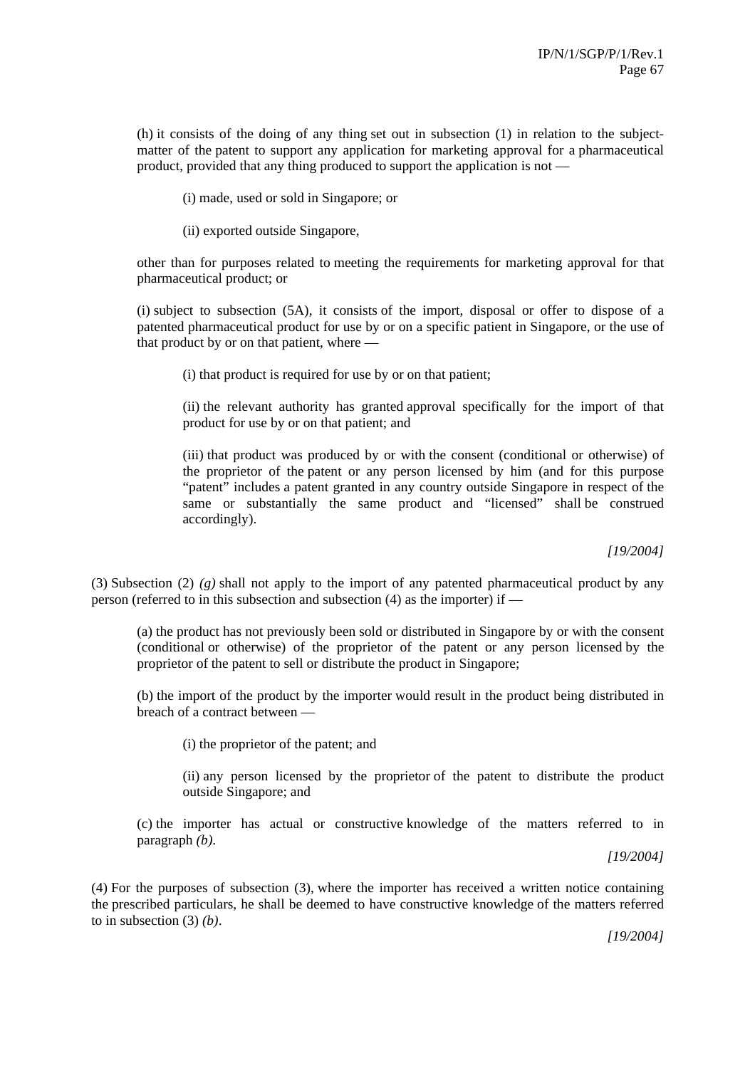(h) it consists of the doing of any thing set out in subsection (1) in relation to the subjectmatter of the patent to support any application for marketing approval for a pharmaceutical product, provided that any thing produced to support the application is not —

(i) made, used or sold in Singapore; or

(ii) exported outside Singapore,

other than for purposes related to meeting the requirements for marketing approval for that pharmaceutical product; or

(i) subject to subsection (5A), it consists of the import, disposal or offer to dispose of a patented pharmaceutical product for use by or on a specific patient in Singapore, or the use of that product by or on that patient, where —

(i) that product is required for use by or on that patient;

(ii) the relevant authority has granted approval specifically for the import of that product for use by or on that patient; and

(iii) that product was produced by or with the consent (conditional or otherwise) of the proprietor of the patent or any person licensed by him (and for this purpose "patent" includes a patent granted in any country outside Singapore in respect of the same or substantially the same product and "licensed" shall be construed accordingly).

*[19/2004]* 

(3) Subsection (2) *(g)* shall not apply to the import of any patented pharmaceutical product by any person (referred to in this subsection and subsection (4) as the importer) if —

(a) the product has not previously been sold or distributed in Singapore by or with the consent (conditional or otherwise) of the proprietor of the patent or any person licensed by the proprietor of the patent to sell or distribute the product in Singapore;

(b) the import of the product by the importer would result in the product being distributed in breach of a contract between —

(i) the proprietor of the patent; and

(ii) any person licensed by the proprietor of the patent to distribute the product outside Singapore; and

(c) the importer has actual or constructive knowledge of the matters referred to in paragraph *(b)*.

*[19/2004]* 

(4) For the purposes of subsection (3), where the importer has received a written notice containing the prescribed particulars, he shall be deemed to have constructive knowledge of the matters referred to in subsection  $(3)$   $(b)$ .

*[19/2004]*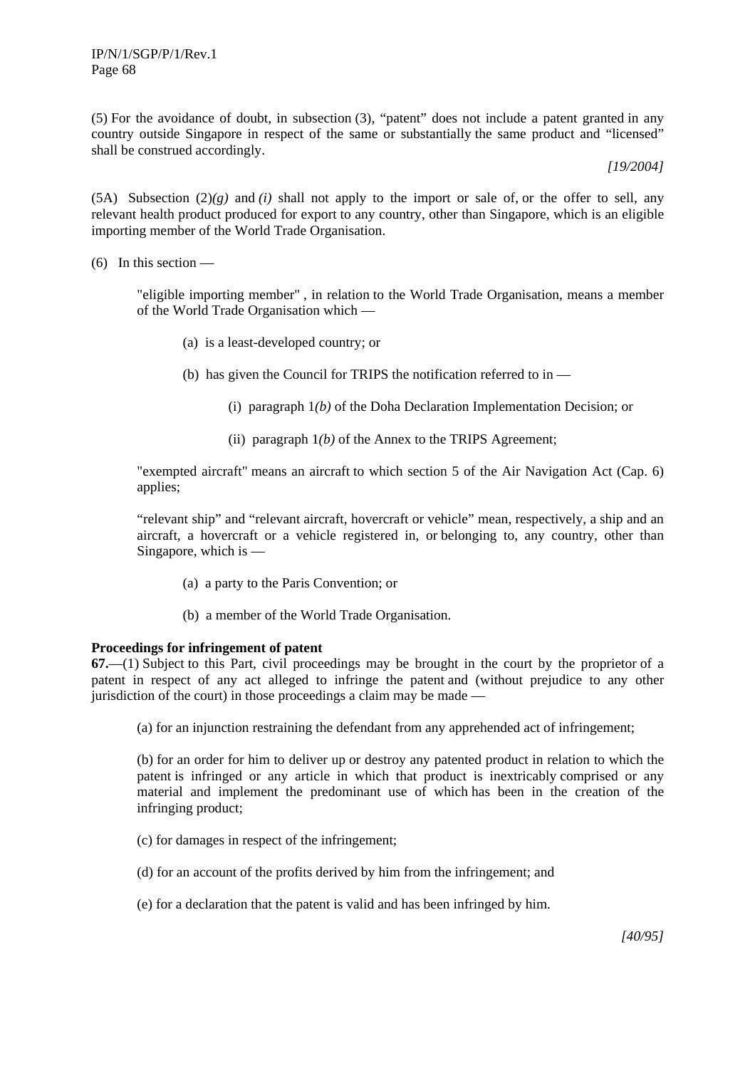(5) For the avoidance of doubt, in subsection (3), "patent" does not include a patent granted in any country outside Singapore in respect of the same or substantially the same product and "licensed" shall be construed accordingly.

*[19/2004]* 

(5A) Subsection  $(2)(g)$  and *(i)* shall not apply to the import or sale of, or the offer to sell, any relevant health product produced for export to any country, other than Singapore, which is an eligible importing member of the World Trade Organisation.

(6) In this section —

"eligible importing member" , in relation to the World Trade Organisation, means a member of the World Trade Organisation which —

(a) is a least-developed country; or

(b) has given the Council for TRIPS the notification referred to in —

- (i) paragraph 1*(b)* of the Doha Declaration Implementation Decision; or
- (ii) paragraph 1*(b)* of the Annex to the TRIPS Agreement;

"exempted aircraft" means an aircraft to which section 5 of the Air Navigation Act (Cap. 6) applies;

"relevant ship" and "relevant aircraft, hovercraft or vehicle" mean, respectively, a ship and an aircraft, a hovercraft or a vehicle registered in, or belonging to, any country, other than Singapore, which is —

- (a) a party to the Paris Convention; or
- (b) a member of the World Trade Organisation.

## **Proceedings for infringement of patent**

**67.**—(1) Subject to this Part, civil proceedings may be brought in the court by the proprietor of a patent in respect of any act alleged to infringe the patent and (without prejudice to any other jurisdiction of the court) in those proceedings a claim may be made —

(a) for an injunction restraining the defendant from any apprehended act of infringement;

(b) for an order for him to deliver up or destroy any patented product in relation to which the patent is infringed or any article in which that product is inextricably comprised or any material and implement the predominant use of which has been in the creation of the infringing product;

- (c) for damages in respect of the infringement;
- (d) for an account of the profits derived by him from the infringement; and
- (e) for a declaration that the patent is valid and has been infringed by him.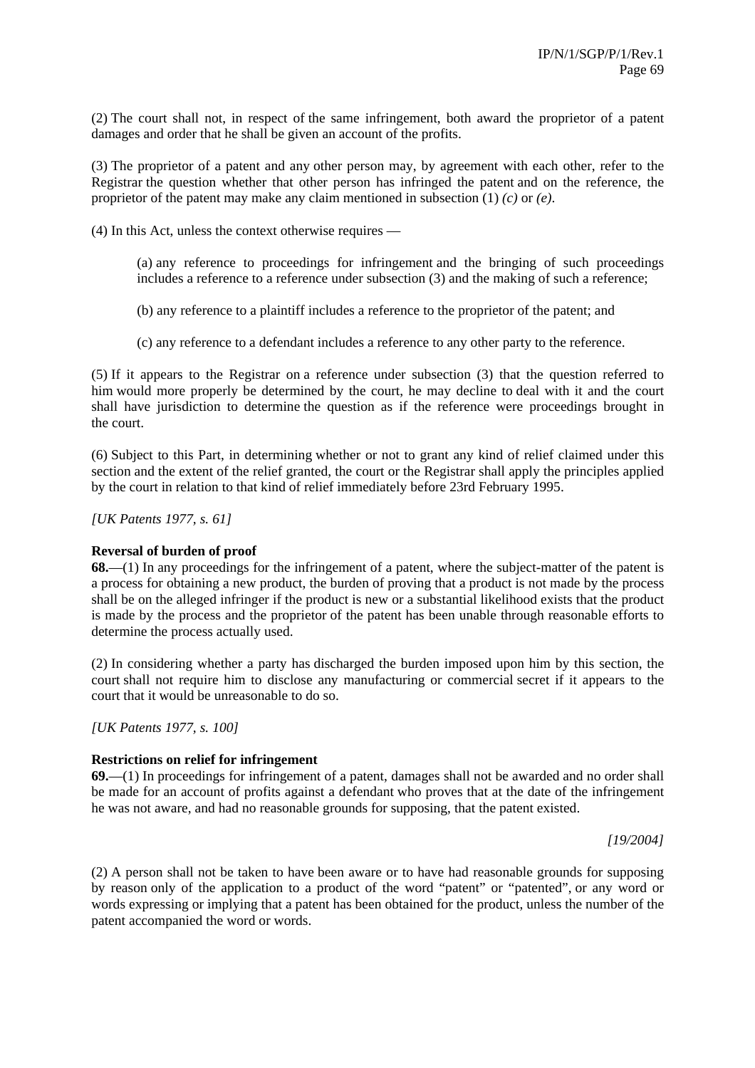(2) The court shall not, in respect of the same infringement, both award the proprietor of a patent damages and order that he shall be given an account of the profits.

(3) The proprietor of a patent and any other person may, by agreement with each other, refer to the Registrar the question whether that other person has infringed the patent and on the reference, the proprietor of the patent may make any claim mentioned in subsection (1) *(c)* or *(e)*.

(4) In this Act, unless the context otherwise requires —

(a) any reference to proceedings for infringement and the bringing of such proceedings includes a reference to a reference under subsection (3) and the making of such a reference;

(b) any reference to a plaintiff includes a reference to the proprietor of the patent; and

(c) any reference to a defendant includes a reference to any other party to the reference.

(5) If it appears to the Registrar on a reference under subsection (3) that the question referred to him would more properly be determined by the court, he may decline to deal with it and the court shall have jurisdiction to determine the question as if the reference were proceedings brought in the court.

(6) Subject to this Part, in determining whether or not to grant any kind of relief claimed under this section and the extent of the relief granted, the court or the Registrar shall apply the principles applied by the court in relation to that kind of relief immediately before 23rd February 1995.

*[UK Patents 1977, s. 61]* 

## **Reversal of burden of proof**

**68.**—(1) In any proceedings for the infringement of a patent, where the subject-matter of the patent is a process for obtaining a new product, the burden of proving that a product is not made by the process shall be on the alleged infringer if the product is new or a substantial likelihood exists that the product is made by the process and the proprietor of the patent has been unable through reasonable efforts to determine the process actually used.

(2) In considering whether a party has discharged the burden imposed upon him by this section, the court shall not require him to disclose any manufacturing or commercial secret if it appears to the court that it would be unreasonable to do so.

*[UK Patents 1977, s. 100]* 

## **Restrictions on relief for infringement**

**69.**—(1) In proceedings for infringement of a patent, damages shall not be awarded and no order shall be made for an account of profits against a defendant who proves that at the date of the infringement he was not aware, and had no reasonable grounds for supposing, that the patent existed.

*[19/2004]* 

(2) A person shall not be taken to have been aware or to have had reasonable grounds for supposing by reason only of the application to a product of the word "patent" or "patented", or any word or words expressing or implying that a patent has been obtained for the product, unless the number of the patent accompanied the word or words.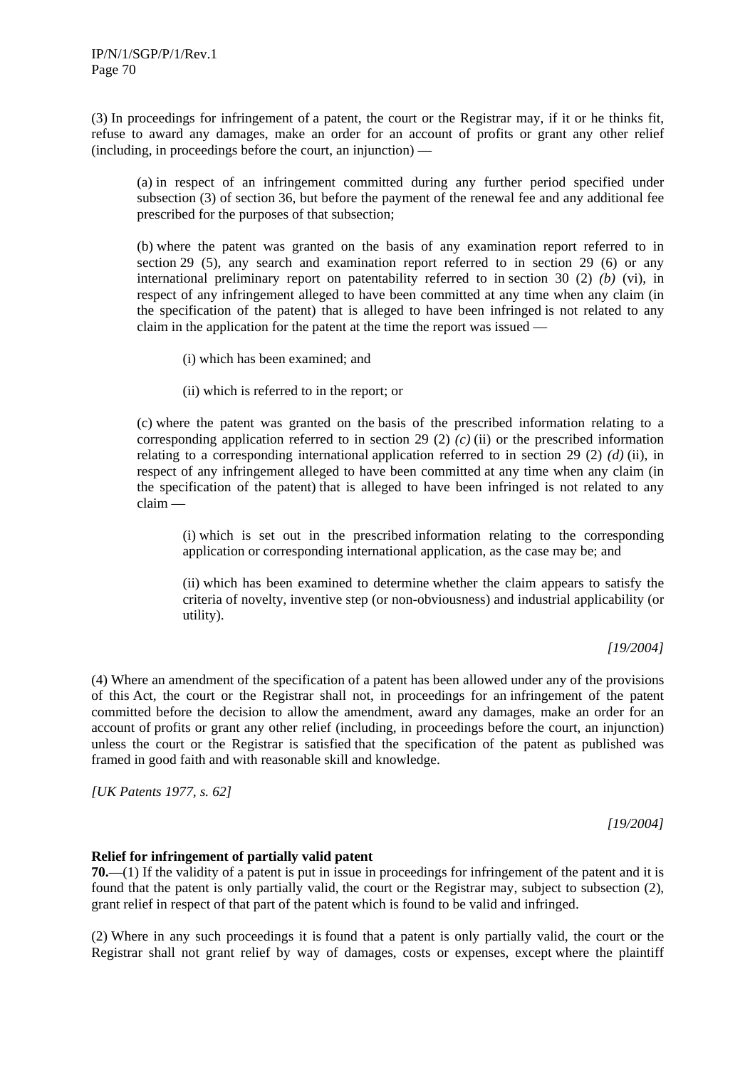(3) In proceedings for infringement of a patent, the court or the Registrar may, if it or he thinks fit, refuse to award any damages, make an order for an account of profits or grant any other relief (including, in proceedings before the court, an injunction) —

(a) in respect of an infringement committed during any further period specified under subsection (3) of section 36, but before the payment of the renewal fee and any additional fee prescribed for the purposes of that subsection;

(b) where the patent was granted on the basis of any examination report referred to in section 29 (5), any search and examination report referred to in section 29 (6) or any international preliminary report on patentability referred to in section 30 (2) *(b)* (vi), in respect of any infringement alleged to have been committed at any time when any claim (in the specification of the patent) that is alleged to have been infringed is not related to any claim in the application for the patent at the time the report was issued —

(i) which has been examined; and

(ii) which is referred to in the report; or

(c) where the patent was granted on the basis of the prescribed information relating to a corresponding application referred to in section 29 (2)  $(c)$  (ii) or the prescribed information relating to a corresponding international application referred to in section 29 (2) *(d)* (ii), in respect of any infringement alleged to have been committed at any time when any claim (in the specification of the patent) that is alleged to have been infringed is not related to any claim —

(i) which is set out in the prescribed information relating to the corresponding application or corresponding international application, as the case may be; and

(ii) which has been examined to determine whether the claim appears to satisfy the criteria of novelty, inventive step (or non-obviousness) and industrial applicability (or utility).

*[19/2004]* 

(4) Where an amendment of the specification of a patent has been allowed under any of the provisions of this Act, the court or the Registrar shall not, in proceedings for an infringement of the patent committed before the decision to allow the amendment, award any damages, make an order for an account of profits or grant any other relief (including, in proceedings before the court, an injunction) unless the court or the Registrar is satisfied that the specification of the patent as published was framed in good faith and with reasonable skill and knowledge.

*[UK Patents 1977, s. 62]* 

*[19/2004]* 

## **Relief for infringement of partially valid patent**

**70.**—(1) If the validity of a patent is put in issue in proceedings for infringement of the patent and it is found that the patent is only partially valid, the court or the Registrar may, subject to subsection (2), grant relief in respect of that part of the patent which is found to be valid and infringed.

(2) Where in any such proceedings it is found that a patent is only partially valid, the court or the Registrar shall not grant relief by way of damages, costs or expenses, except where the plaintiff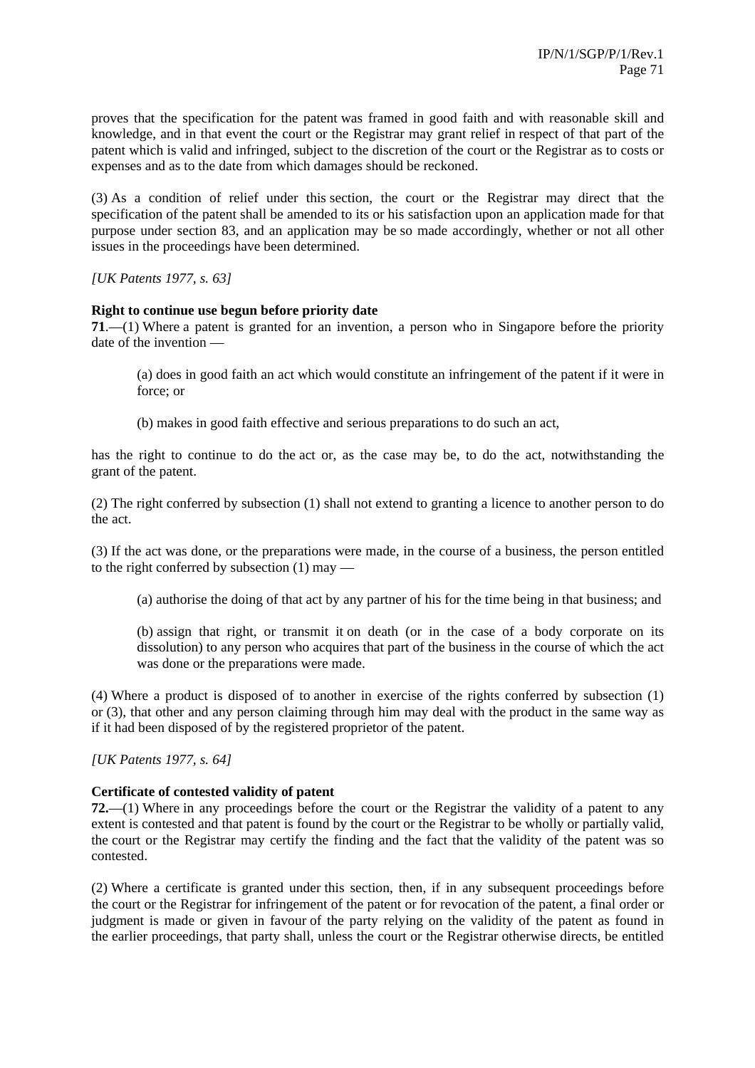proves that the specification for the patent was framed in good faith and with reasonable skill and knowledge, and in that event the court or the Registrar may grant relief in respect of that part of the patent which is valid and infringed, subject to the discretion of the court or the Registrar as to costs or expenses and as to the date from which damages should be reckoned.

(3) As a condition of relief under this section, the court or the Registrar may direct that the specification of the patent shall be amended to its or his satisfaction upon an application made for that purpose under section 83, and an application may be so made accordingly, whether or not all other issues in the proceedings have been determined.

*[UK Patents 1977, s. 63]* 

## **Right to continue use begun before priority date**

**71**.—(1) Where a patent is granted for an invention, a person who in Singapore before the priority date of the invention —

(a) does in good faith an act which would constitute an infringement of the patent if it were in force; or

(b) makes in good faith effective and serious preparations to do such an act,

has the right to continue to do the act or, as the case may be, to do the act, notwithstanding the grant of the patent.

(2) The right conferred by subsection (1) shall not extend to granting a licence to another person to do the act.

(3) If the act was done, or the preparations were made, in the course of a business, the person entitled to the right conferred by subsection (1) may —

(a) authorise the doing of that act by any partner of his for the time being in that business; and

(b) assign that right, or transmit it on death (or in the case of a body corporate on its dissolution) to any person who acquires that part of the business in the course of which the act was done or the preparations were made.

(4) Where a product is disposed of to another in exercise of the rights conferred by subsection (1) or (3), that other and any person claiming through him may deal with the product in the same way as if it had been disposed of by the registered proprietor of the patent.

*[UK Patents 1977, s. 64]* 

## **Certificate of contested validity of patent**

**72.**—(1) Where in any proceedings before the court or the Registrar the validity of a patent to any extent is contested and that patent is found by the court or the Registrar to be wholly or partially valid, the court or the Registrar may certify the finding and the fact that the validity of the patent was so contested.

(2) Where a certificate is granted under this section, then, if in any subsequent proceedings before the court or the Registrar for infringement of the patent or for revocation of the patent, a final order or judgment is made or given in favour of the party relying on the validity of the patent as found in the earlier proceedings, that party shall, unless the court or the Registrar otherwise directs, be entitled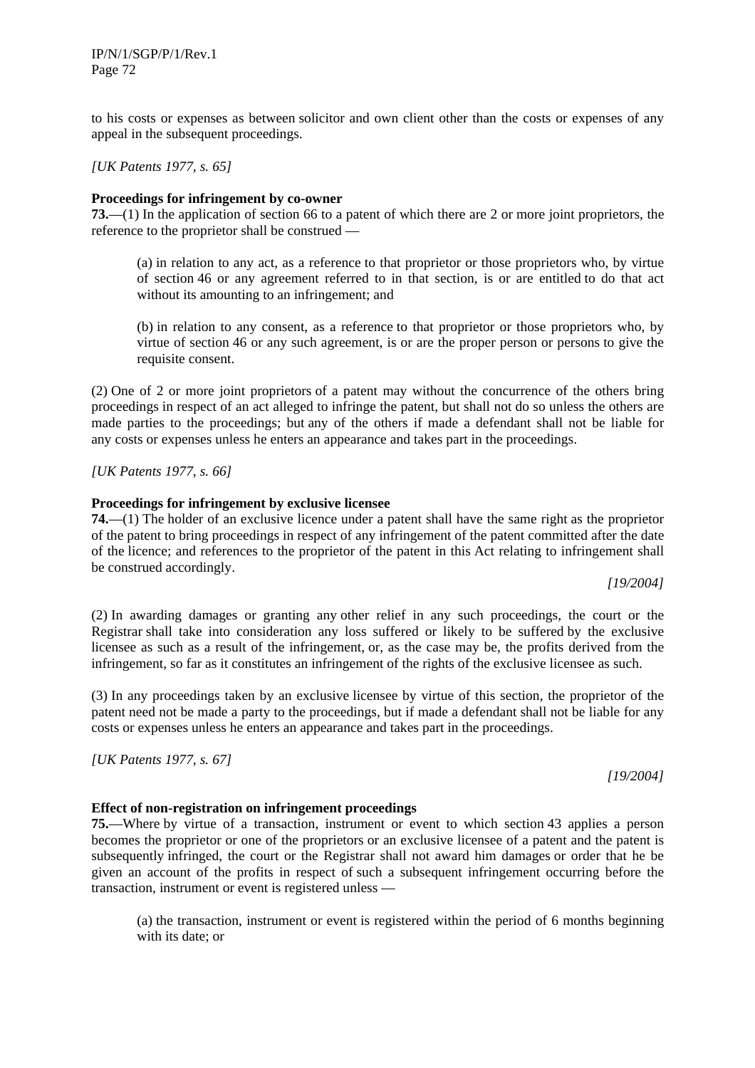to his costs or expenses as between solicitor and own client other than the costs or expenses of any appeal in the subsequent proceedings.

*[UK Patents 1977, s. 65]* 

#### **Proceedings for infringement by co-owner**

**73.**—(1) In the application of section 66 to a patent of which there are 2 or more joint proprietors, the reference to the proprietor shall be construed —

(a) in relation to any act, as a reference to that proprietor or those proprietors who, by virtue of section 46 or any agreement referred to in that section, is or are entitled to do that act without its amounting to an infringement; and

(b) in relation to any consent, as a reference to that proprietor or those proprietors who, by virtue of section 46 or any such agreement, is or are the proper person or persons to give the requisite consent.

(2) One of 2 or more joint proprietors of a patent may without the concurrence of the others bring proceedings in respect of an act alleged to infringe the patent, but shall not do so unless the others are made parties to the proceedings; but any of the others if made a defendant shall not be liable for any costs or expenses unless he enters an appearance and takes part in the proceedings.

*[UK Patents 1977, s. 66]* 

#### **Proceedings for infringement by exclusive licensee**

**74.**—(1) The holder of an exclusive licence under a patent shall have the same right as the proprietor of the patent to bring proceedings in respect of any infringement of the patent committed after the date of the licence; and references to the proprietor of the patent in this Act relating to infringement shall be construed accordingly.

*[19/2004]* 

(2) In awarding damages or granting any other relief in any such proceedings, the court or the Registrar shall take into consideration any loss suffered or likely to be suffered by the exclusive licensee as such as a result of the infringement, or, as the case may be, the profits derived from the infringement, so far as it constitutes an infringement of the rights of the exclusive licensee as such.

(3) In any proceedings taken by an exclusive licensee by virtue of this section, the proprietor of the patent need not be made a party to the proceedings, but if made a defendant shall not be liable for any costs or expenses unless he enters an appearance and takes part in the proceedings.

*[UK Patents 1977, s. 67]* 

## **Effect of non-registration on infringement proceedings**

**75.**—Where by virtue of a transaction, instrument or event to which section 43 applies a person becomes the proprietor or one of the proprietors or an exclusive licensee of a patent and the patent is subsequently infringed, the court or the Registrar shall not award him damages or order that he be given an account of the profits in respect of such a subsequent infringement occurring before the transaction, instrument or event is registered unless —

(a) the transaction, instrument or event is registered within the period of 6 months beginning with its date; or

*[19/2004]*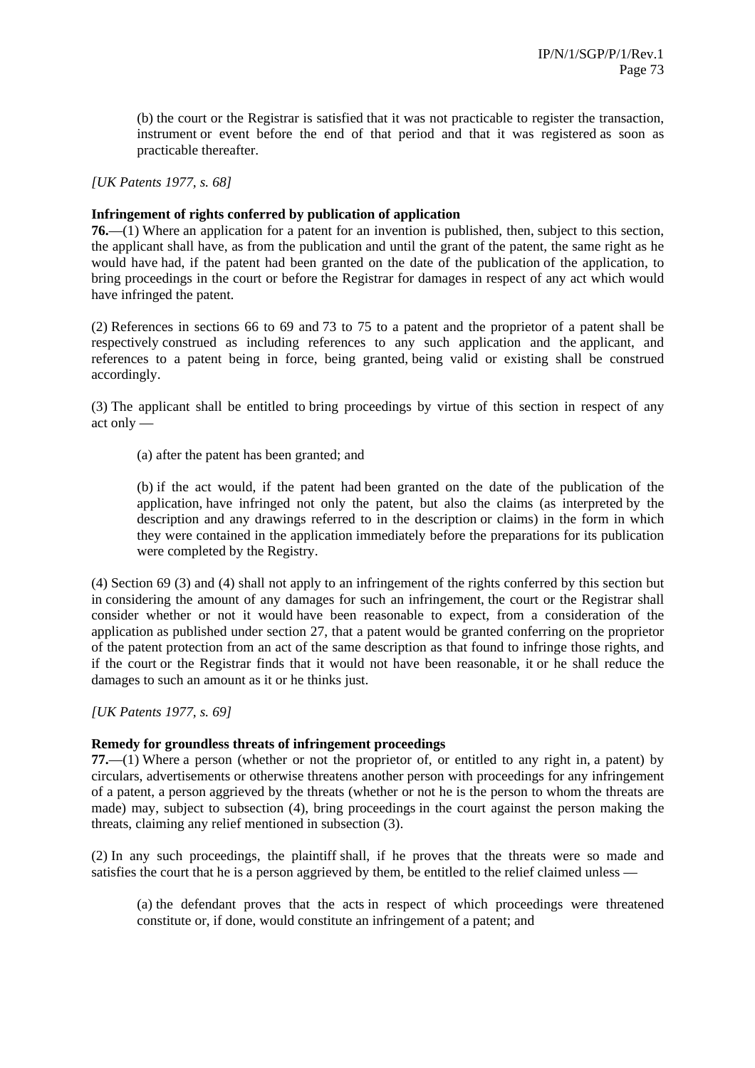(b) the court or the Registrar is satisfied that it was not practicable to register the transaction, instrument or event before the end of that period and that it was registered as soon as practicable thereafter.

*[UK Patents 1977, s. 68]* 

#### **Infringement of rights conferred by publication of application**

**76.**—(1) Where an application for a patent for an invention is published, then, subject to this section, the applicant shall have, as from the publication and until the grant of the patent, the same right as he would have had, if the patent had been granted on the date of the publication of the application, to bring proceedings in the court or before the Registrar for damages in respect of any act which would have infringed the patent.

(2) References in sections 66 to 69 and 73 to 75 to a patent and the proprietor of a patent shall be respectively construed as including references to any such application and the applicant, and references to a patent being in force, being granted, being valid or existing shall be construed accordingly.

(3) The applicant shall be entitled to bring proceedings by virtue of this section in respect of any act only —

(a) after the patent has been granted; and

(b) if the act would, if the patent had been granted on the date of the publication of the application, have infringed not only the patent, but also the claims (as interpreted by the description and any drawings referred to in the description or claims) in the form in which they were contained in the application immediately before the preparations for its publication were completed by the Registry.

(4) Section 69 (3) and (4) shall not apply to an infringement of the rights conferred by this section but in considering the amount of any damages for such an infringement, the court or the Registrar shall consider whether or not it would have been reasonable to expect, from a consideration of the application as published under section 27, that a patent would be granted conferring on the proprietor of the patent protection from an act of the same description as that found to infringe those rights, and if the court or the Registrar finds that it would not have been reasonable, it or he shall reduce the damages to such an amount as it or he thinks just.

*[UK Patents 1977, s. 69]* 

#### **Remedy for groundless threats of infringement proceedings**

**77.**—(1) Where a person (whether or not the proprietor of, or entitled to any right in, a patent) by circulars, advertisements or otherwise threatens another person with proceedings for any infringement of a patent, a person aggrieved by the threats (whether or not he is the person to whom the threats are made) may, subject to subsection (4), bring proceedings in the court against the person making the threats, claiming any relief mentioned in subsection (3).

(2) In any such proceedings, the plaintiff shall, if he proves that the threats were so made and satisfies the court that he is a person aggrieved by them, be entitled to the relief claimed unless —

(a) the defendant proves that the acts in respect of which proceedings were threatened constitute or, if done, would constitute an infringement of a patent; and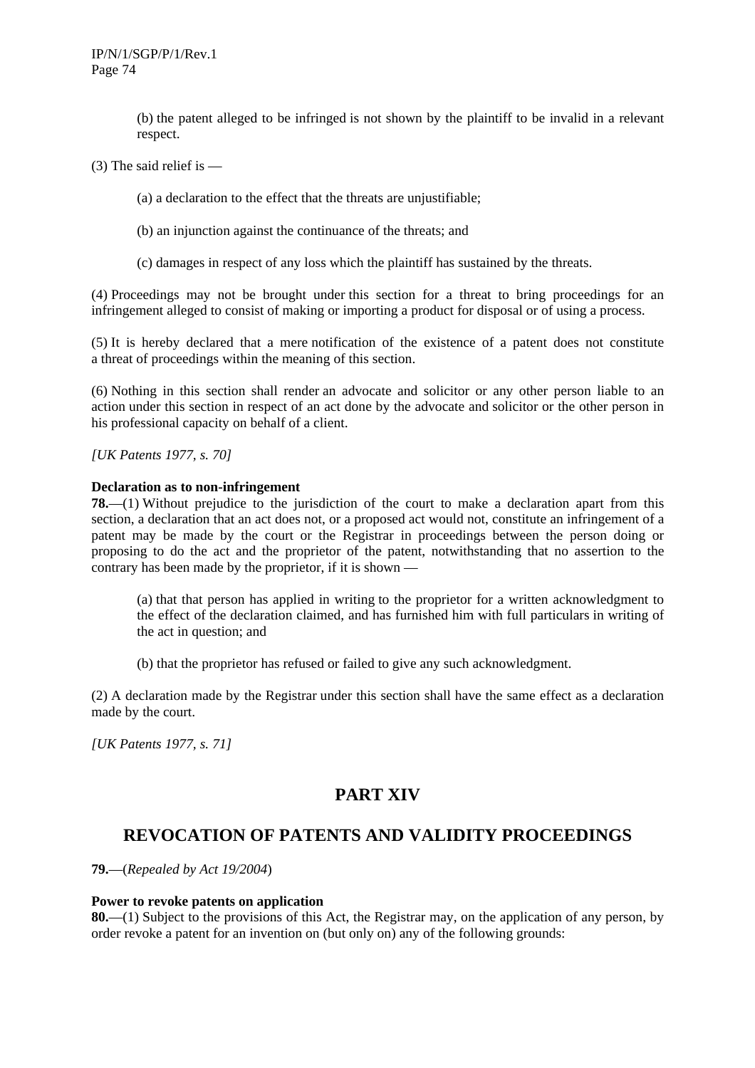(b) the patent alleged to be infringed is not shown by the plaintiff to be invalid in a relevant respect.

 $(3)$  The said relief is —

- (a) a declaration to the effect that the threats are unjustifiable;
- (b) an injunction against the continuance of the threats; and
- (c) damages in respect of any loss which the plaintiff has sustained by the threats.

(4) Proceedings may not be brought under this section for a threat to bring proceedings for an infringement alleged to consist of making or importing a product for disposal or of using a process.

(5) It is hereby declared that a mere notification of the existence of a patent does not constitute a threat of proceedings within the meaning of this section.

(6) Nothing in this section shall render an advocate and solicitor or any other person liable to an action under this section in respect of an act done by the advocate and solicitor or the other person in his professional capacity on behalf of a client.

*[UK Patents 1977, s. 70]* 

#### **Declaration as to non-infringement**

**78.**—(1) Without prejudice to the jurisdiction of the court to make a declaration apart from this section, a declaration that an act does not, or a proposed act would not, constitute an infringement of a patent may be made by the court or the Registrar in proceedings between the person doing or proposing to do the act and the proprietor of the patent, notwithstanding that no assertion to the contrary has been made by the proprietor, if it is shown —

(a) that that person has applied in writing to the proprietor for a written acknowledgment to the effect of the declaration claimed, and has furnished him with full particulars in writing of the act in question; and

(b) that the proprietor has refused or failed to give any such acknowledgment.

(2) A declaration made by the Registrar under this section shall have the same effect as a declaration made by the court.

*[UK Patents 1977, s. 71]* 

# **PART XIV**

## **REVOCATION OF PATENTS AND VALIDITY PROCEEDINGS**

**79.**—(*Repealed by Act 19/2004*)

#### **Power to revoke patents on application**

**80.**—(1) Subject to the provisions of this Act, the Registrar may, on the application of any person, by order revoke a patent for an invention on (but only on) any of the following grounds: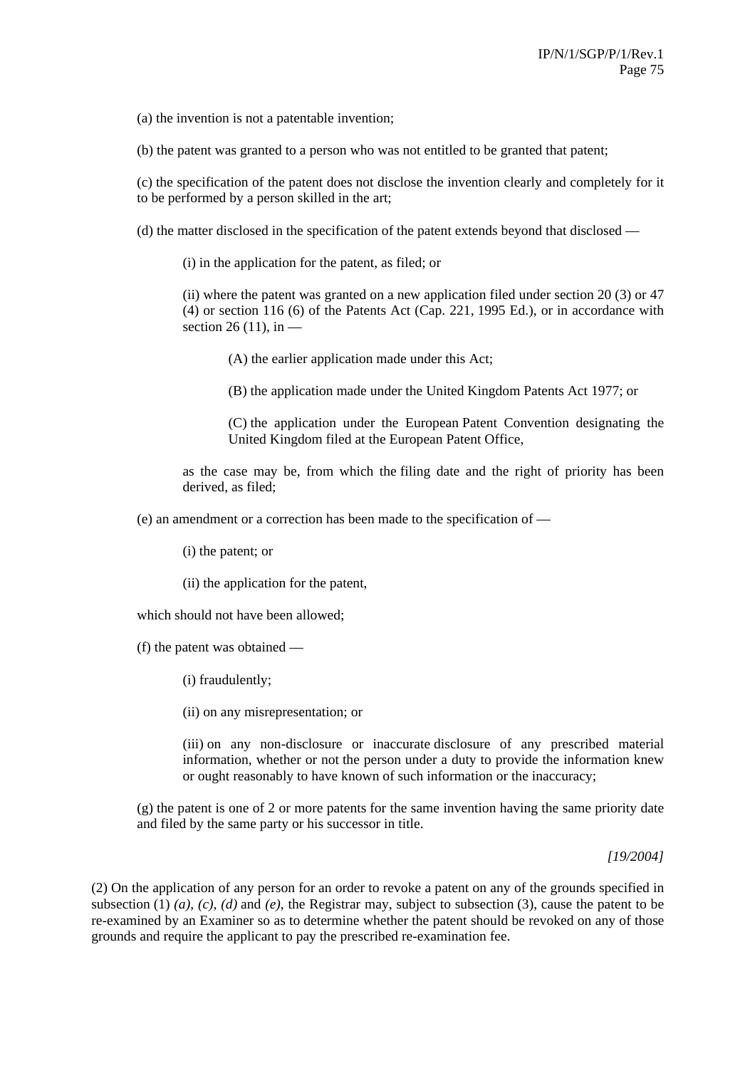(a) the invention is not a patentable invention;

(b) the patent was granted to a person who was not entitled to be granted that patent;

(c) the specification of the patent does not disclose the invention clearly and completely for it to be performed by a person skilled in the art;

(d) the matter disclosed in the specification of the patent extends beyond that disclosed —

(i) in the application for the patent, as filed; or

(ii) where the patent was granted on a new application filed under section 20 (3) or 47 (4) or section 116 (6) of the Patents Act (Cap. 221, 1995 Ed.), or in accordance with section 26  $(11)$ , in  $-$ 

(A) the earlier application made under this Act;

(B) the application made under the United Kingdom Patents Act 1977; or

(C) the application under the European Patent Convention designating the United Kingdom filed at the European Patent Office,

as the case may be, from which the filing date and the right of priority has been derived, as filed;

(e) an amendment or a correction has been made to the specification of —

(i) the patent; or

(ii) the application for the patent,

which should not have been allowed;

(f) the patent was obtained —

(i) fraudulently;

(ii) on any misrepresentation; or

(iii) on any non-disclosure or inaccurate disclosure of any prescribed material information, whether or not the person under a duty to provide the information knew or ought reasonably to have known of such information or the inaccuracy;

(g) the patent is one of 2 or more patents for the same invention having the same priority date and filed by the same party or his successor in title.

*[19/2004]* 

(2) On the application of any person for an order to revoke a patent on any of the grounds specified in subsection (1) *(a)*, *(c)*, *(d)* and *(e)*, the Registrar may, subject to subsection (3), cause the patent to be re-examined by an Examiner so as to determine whether the patent should be revoked on any of those grounds and require the applicant to pay the prescribed re-examination fee.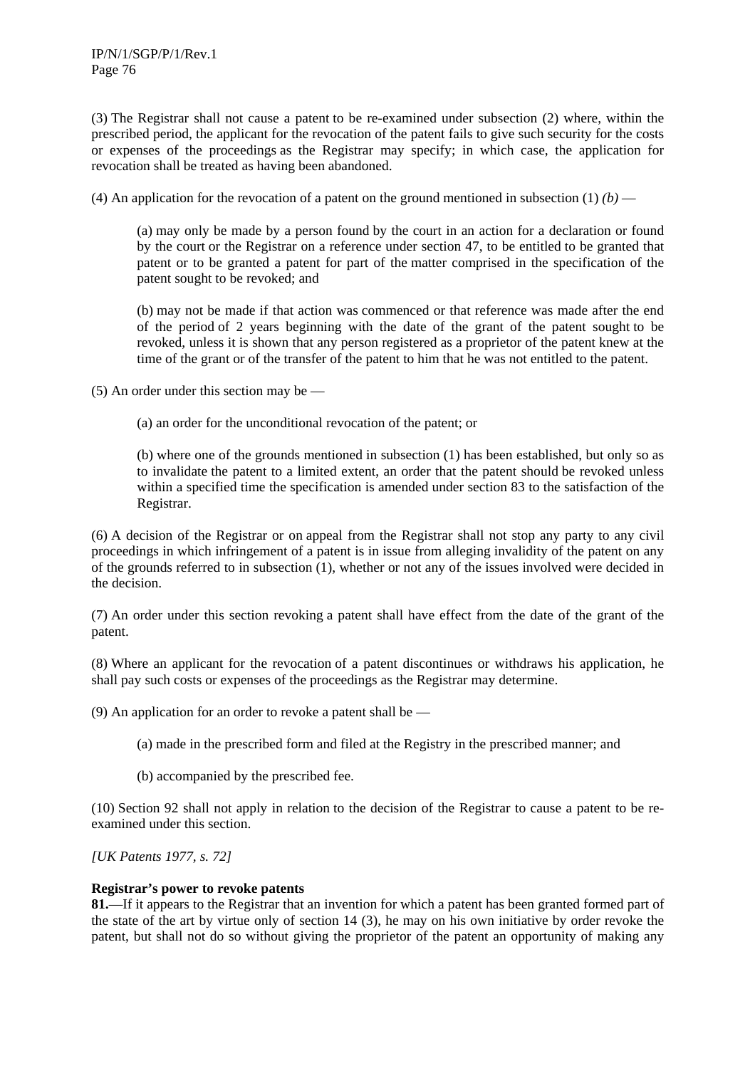(3) The Registrar shall not cause a patent to be re-examined under subsection (2) where, within the prescribed period, the applicant for the revocation of the patent fails to give such security for the costs or expenses of the proceedings as the Registrar may specify; in which case, the application for revocation shall be treated as having been abandoned.

(4) An application for the revocation of a patent on the ground mentioned in subsection  $(1)$   $(b)$  —

(a) may only be made by a person found by the court in an action for a declaration or found by the court or the Registrar on a reference under section 47, to be entitled to be granted that patent or to be granted a patent for part of the matter comprised in the specification of the patent sought to be revoked; and

(b) may not be made if that action was commenced or that reference was made after the end of the period of 2 years beginning with the date of the grant of the patent sought to be revoked, unless it is shown that any person registered as a proprietor of the patent knew at the time of the grant or of the transfer of the patent to him that he was not entitled to the patent.

(5) An order under this section may be —

(a) an order for the unconditional revocation of the patent; or

(b) where one of the grounds mentioned in subsection (1) has been established, but only so as to invalidate the patent to a limited extent, an order that the patent should be revoked unless within a specified time the specification is amended under section 83 to the satisfaction of the Registrar.

(6) A decision of the Registrar or on appeal from the Registrar shall not stop any party to any civil proceedings in which infringement of a patent is in issue from alleging invalidity of the patent on any of the grounds referred to in subsection  $(1)$ , whether or not any of the issues involved were decided in the decision.

(7) An order under this section revoking a patent shall have effect from the date of the grant of the patent.

(8) Where an applicant for the revocation of a patent discontinues or withdraws his application, he shall pay such costs or expenses of the proceedings as the Registrar may determine.

(9) An application for an order to revoke a patent shall be —

(a) made in the prescribed form and filed at the Registry in the prescribed manner; and

(b) accompanied by the prescribed fee.

(10) Section 92 shall not apply in relation to the decision of the Registrar to cause a patent to be reexamined under this section.

*[UK Patents 1977, s. 72]* 

#### **Registrar's power to revoke patents**

**81.**—If it appears to the Registrar that an invention for which a patent has been granted formed part of the state of the art by virtue only of section 14 (3), he may on his own initiative by order revoke the patent, but shall not do so without giving the proprietor of the patent an opportunity of making any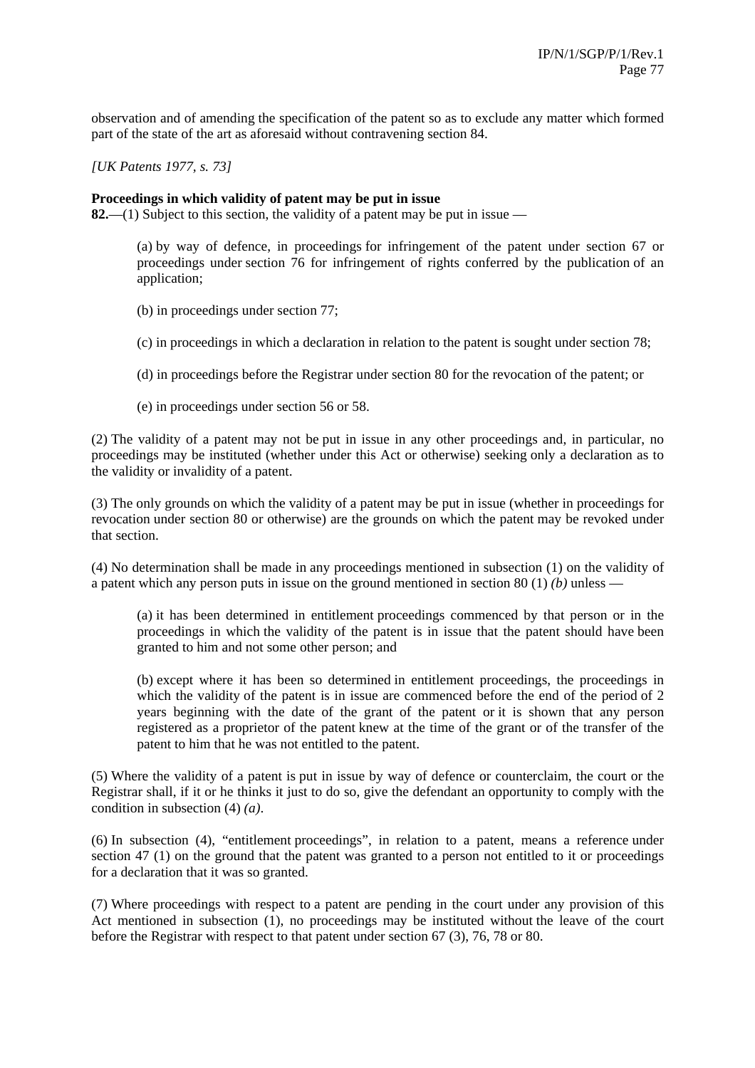observation and of amending the specification of the patent so as to exclude any matter which formed part of the state of the art as aforesaid without contravening section 84.

*[UK Patents 1977, s. 73]* 

#### **Proceedings in which validity of patent may be put in issue**

**82.**—(1) Subject to this section, the validity of a patent may be put in issue —

(a) by way of defence, in proceedings for infringement of the patent under section 67 or proceedings under section 76 for infringement of rights conferred by the publication of an application;

- (b) in proceedings under section 77;
- (c) in proceedings in which a declaration in relation to the patent is sought under section 78;
- (d) in proceedings before the Registrar under section 80 for the revocation of the patent; or
- (e) in proceedings under section 56 or 58.

(2) The validity of a patent may not be put in issue in any other proceedings and, in particular, no proceedings may be instituted (whether under this Act or otherwise) seeking only a declaration as to the validity or invalidity of a patent.

(3) The only grounds on which the validity of a patent may be put in issue (whether in proceedings for revocation under section 80 or otherwise) are the grounds on which the patent may be revoked under that section.

(4) No determination shall be made in any proceedings mentioned in subsection (1) on the validity of a patent which any person puts in issue on the ground mentioned in section 80  $(1)$  *(b)* unless —

(a) it has been determined in entitlement proceedings commenced by that person or in the proceedings in which the validity of the patent is in issue that the patent should have been granted to him and not some other person; and

(b) except where it has been so determined in entitlement proceedings, the proceedings in which the validity of the patent is in issue are commenced before the end of the period of 2 years beginning with the date of the grant of the patent or it is shown that any person registered as a proprietor of the patent knew at the time of the grant or of the transfer of the patent to him that he was not entitled to the patent.

(5) Where the validity of a patent is put in issue by way of defence or counterclaim, the court or the Registrar shall, if it or he thinks it just to do so, give the defendant an opportunity to comply with the condition in subsection (4) *(a)*.

(6) In subsection (4), "entitlement proceedings", in relation to a patent, means a reference under section 47 (1) on the ground that the patent was granted to a person not entitled to it or proceedings for a declaration that it was so granted.

(7) Where proceedings with respect to a patent are pending in the court under any provision of this Act mentioned in subsection (1), no proceedings may be instituted without the leave of the court before the Registrar with respect to that patent under section 67 (3), 76, 78 or 80.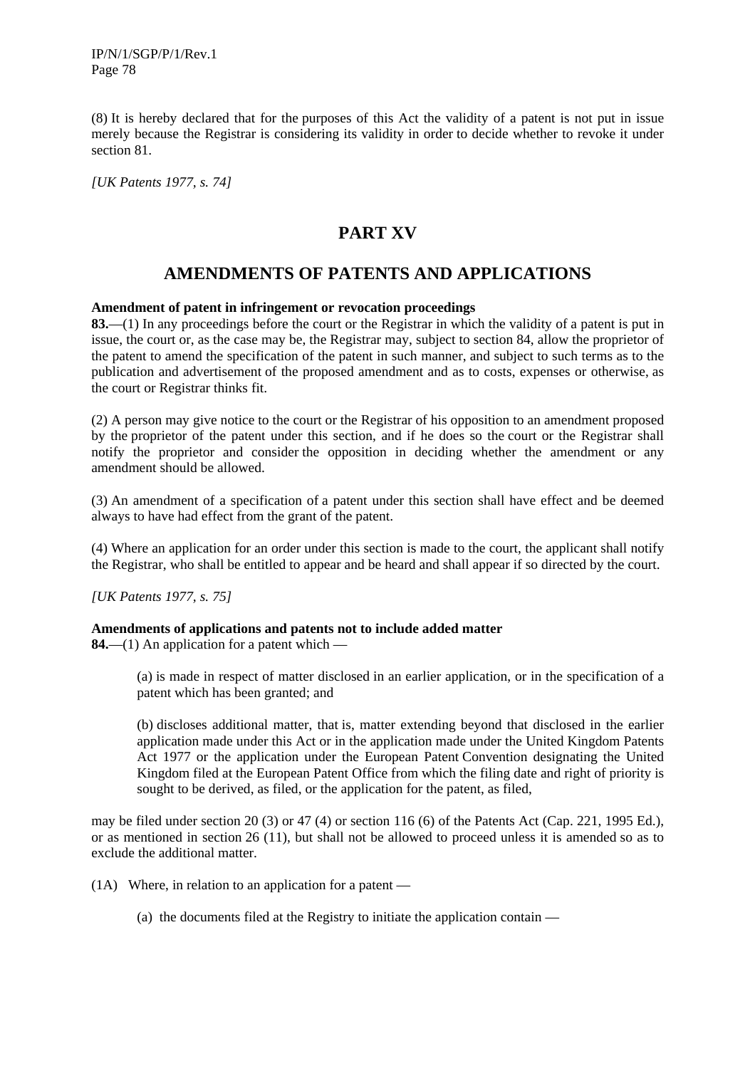IP/N/1/SGP/P/1/Rev.1 Page 78

(8) It is hereby declared that for the purposes of this Act the validity of a patent is not put in issue merely because the Registrar is considering its validity in order to decide whether to revoke it under section 81.

*[UK Patents 1977, s. 74]* 

## **PART XV**

## **AMENDMENTS OF PATENTS AND APPLICATIONS**

#### **Amendment of patent in infringement or revocation proceedings**

**83.**—(1) In any proceedings before the court or the Registrar in which the validity of a patent is put in issue, the court or, as the case may be, the Registrar may, subject to section 84, allow the proprietor of the patent to amend the specification of the patent in such manner, and subject to such terms as to the publication and advertisement of the proposed amendment and as to costs, expenses or otherwise, as the court or Registrar thinks fit.

(2) A person may give notice to the court or the Registrar of his opposition to an amendment proposed by the proprietor of the patent under this section, and if he does so the court or the Registrar shall notify the proprietor and consider the opposition in deciding whether the amendment or any amendment should be allowed.

(3) An amendment of a specification of a patent under this section shall have effect and be deemed always to have had effect from the grant of the patent.

(4) Where an application for an order under this section is made to the court, the applicant shall notify the Registrar, who shall be entitled to appear and be heard and shall appear if so directed by the court.

*[UK Patents 1977, s. 75]* 

#### **Amendments of applications and patents not to include added matter**

**84.**—(1) An application for a patent which —

(a) is made in respect of matter disclosed in an earlier application, or in the specification of a patent which has been granted; and

(b) discloses additional matter, that is, matter extending beyond that disclosed in the earlier application made under this Act or in the application made under the United Kingdom Patents Act 1977 or the application under the European Patent Convention designating the United Kingdom filed at the European Patent Office from which the filing date and right of priority is sought to be derived, as filed, or the application for the patent, as filed,

may be filed under section 20 (3) or 47 (4) or section 116 (6) of the Patents Act (Cap. 221, 1995 Ed.), or as mentioned in section 26 (11), but shall not be allowed to proceed unless it is amended so as to exclude the additional matter.

(1A) Where, in relation to an application for a patent —

(a) the documents filed at the Registry to initiate the application contain —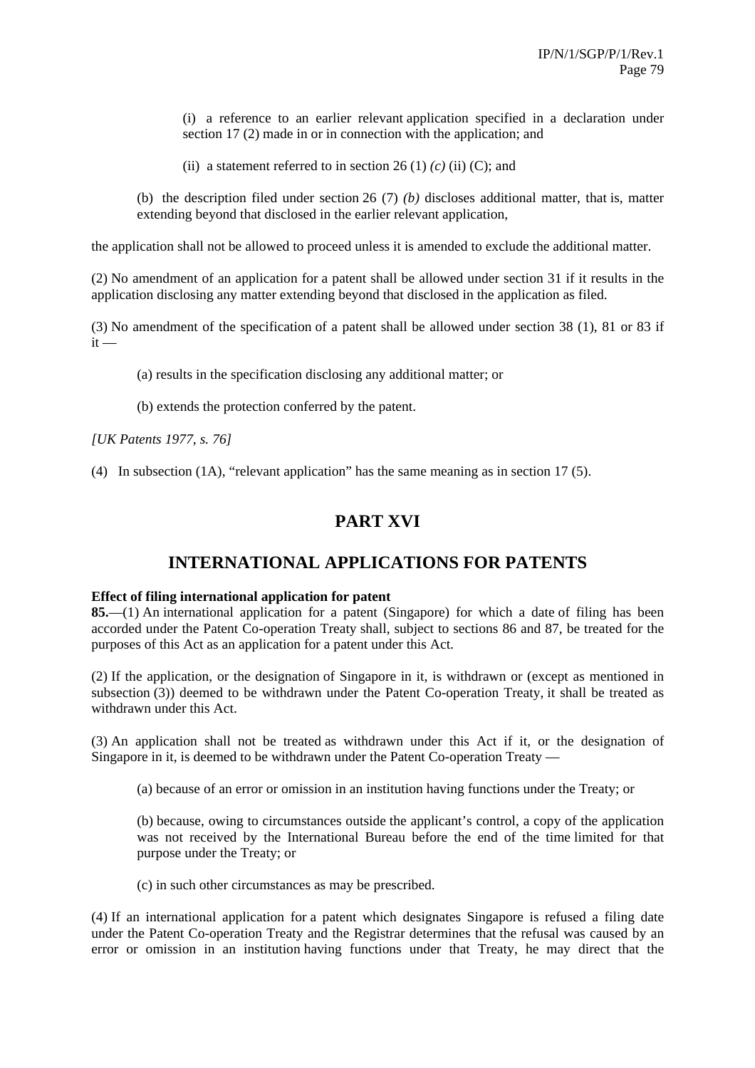(i) a reference to an earlier relevant application specified in a declaration under section 17 (2) made in or in connection with the application; and

(ii) a statement referred to in section 26 (1)  $(c)$  (ii)  $(C)$ ; and

(b) the description filed under section 26 (7) *(b)* discloses additional matter, that is, matter extending beyond that disclosed in the earlier relevant application,

the application shall not be allowed to proceed unless it is amended to exclude the additional matter.

(2) No amendment of an application for a patent shall be allowed under section 31 if it results in the application disclosing any matter extending beyond that disclosed in the application as filed.

(3) No amendment of the specification of a patent shall be allowed under section 38 (1), 81 or 83 if  $it -$ 

(a) results in the specification disclosing any additional matter; or

(b) extends the protection conferred by the patent.

*[UK Patents 1977, s. 76]* 

(4) In subsection (1A), "relevant application" has the same meaning as in section 17 (5).

## **PART XVI**

## **INTERNATIONAL APPLICATIONS FOR PATENTS**

#### **Effect of filing international application for patent**

**85.**—(1) An international application for a patent (Singapore) for which a date of filing has been accorded under the Patent Co-operation Treaty shall, subject to sections 86 and 87, be treated for the purposes of this Act as an application for a patent under this Act.

(2) If the application, or the designation of Singapore in it, is withdrawn or (except as mentioned in subsection (3)) deemed to be withdrawn under the Patent Co-operation Treaty, it shall be treated as withdrawn under this Act.

(3) An application shall not be treated as withdrawn under this Act if it, or the designation of Singapore in it, is deemed to be withdrawn under the Patent Co-operation Treaty —

(a) because of an error or omission in an institution having functions under the Treaty; or

(b) because, owing to circumstances outside the applicant's control, a copy of the application was not received by the International Bureau before the end of the time limited for that purpose under the Treaty; or

(c) in such other circumstances as may be prescribed.

(4) If an international application for a patent which designates Singapore is refused a filing date under the Patent Co-operation Treaty and the Registrar determines that the refusal was caused by an error or omission in an institution having functions under that Treaty, he may direct that the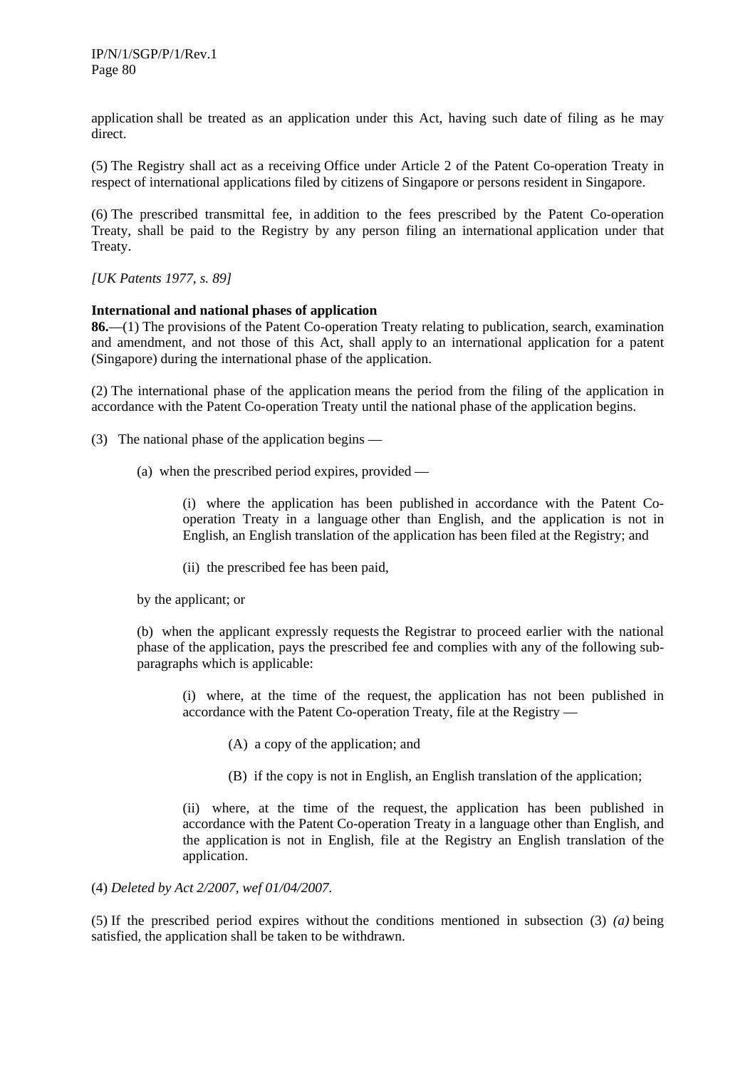IP/N/1/SGP/P/1/Rev.1 Page 80

application shall be treated as an application under this Act, having such date of filing as he may direct.

(5) The Registry shall act as a receiving Office under Article 2 of the Patent Co-operation Treaty in respect of international applications filed by citizens of Singapore or persons resident in Singapore.

(6) The prescribed transmittal fee, in addition to the fees prescribed by the Patent Co-operation Treaty, shall be paid to the Registry by any person filing an international application under that Treaty.

*[UK Patents 1977, s. 89]* 

#### **International and national phases of application**

**86.**—(1) The provisions of the Patent Co-operation Treaty relating to publication, search, examination and amendment, and not those of this Act, shall apply to an international application for a patent (Singapore) during the international phase of the application.

(2) The international phase of the application means the period from the filing of the application in accordance with the Patent Co-operation Treaty until the national phase of the application begins.

- (3) The national phase of the application begins
	- (a) when the prescribed period expires, provided —

(i) where the application has been published in accordance with the Patent Cooperation Treaty in a language other than English, and the application is not in English, an English translation of the application has been filed at the Registry; and

(ii) the prescribed fee has been paid,

by the applicant; or

(b) when the applicant expressly requests the Registrar to proceed earlier with the national phase of the application, pays the prescribed fee and complies with any of the following subparagraphs which is applicable:

(i) where, at the time of the request, the application has not been published in accordance with the Patent Co-operation Treaty, file at the Registry —

- (A) a copy of the application; and
- (B) if the copy is not in English, an English translation of the application;

(ii) where, at the time of the request, the application has been published in accordance with the Patent Co-operation Treaty in a language other than English, and the application is not in English, file at the Registry an English translation of the application.

#### (4) *Deleted by Act 2/2007, wef 01/04/2007.*

(5) If the prescribed period expires without the conditions mentioned in subsection (3) *(a)* being satisfied, the application shall be taken to be withdrawn.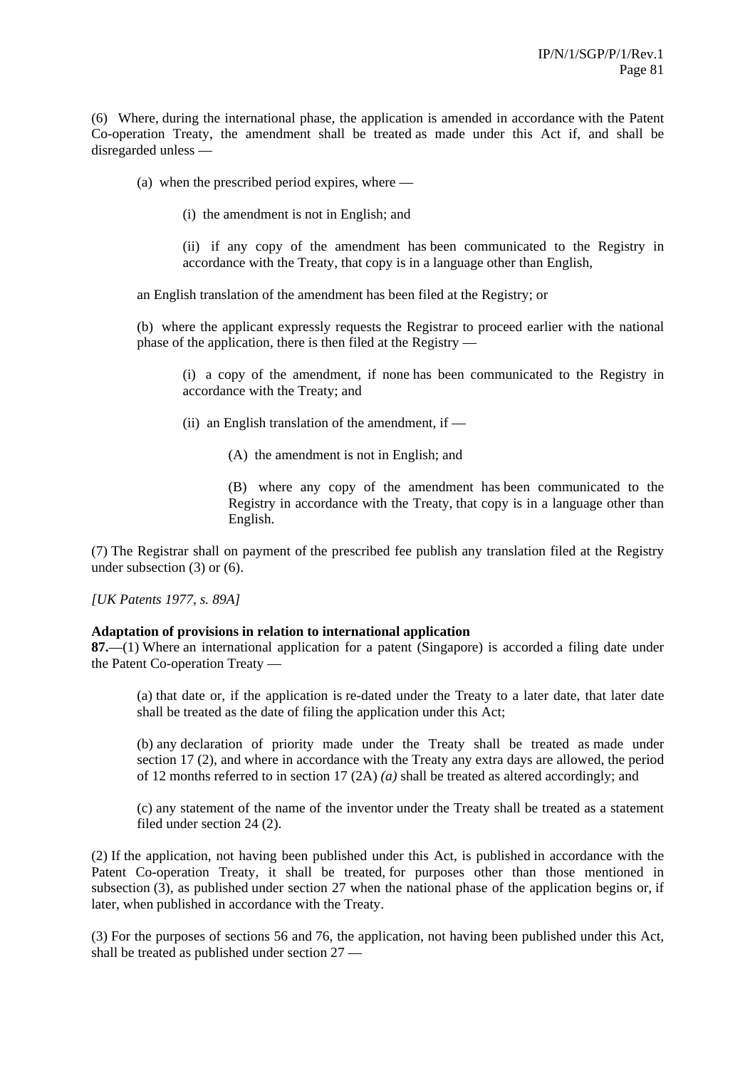(6) Where, during the international phase, the application is amended in accordance with the Patent Co-operation Treaty, the amendment shall be treated as made under this Act if, and shall be disregarded unless —

(a) when the prescribed period expires, where —

(i) the amendment is not in English; and

(ii) if any copy of the amendment has been communicated to the Registry in accordance with the Treaty, that copy is in a language other than English,

an English translation of the amendment has been filed at the Registry; or

(b) where the applicant expressly requests the Registrar to proceed earlier with the national phase of the application, there is then filed at the Registry —

(i) a copy of the amendment, if none has been communicated to the Registry in accordance with the Treaty; and

(ii) an English translation of the amendment, if  $-$ 

(A) the amendment is not in English; and

(B) where any copy of the amendment has been communicated to the Registry in accordance with the Treaty, that copy is in a language other than English.

(7) The Registrar shall on payment of the prescribed fee publish any translation filed at the Registry under subsection (3) or (6).

*[UK Patents 1977, s. 89A]* 

#### **Adaptation of provisions in relation to international application**

**87.**—(1) Where an international application for a patent (Singapore) is accorded a filing date under the Patent Co-operation Treaty —

(a) that date or, if the application is re-dated under the Treaty to a later date, that later date shall be treated as the date of filing the application under this Act;

(b) any declaration of priority made under the Treaty shall be treated as made under section 17 (2), and where in accordance with the Treaty any extra days are allowed, the period of 12 months referred to in section 17 (2A) *(a)* shall be treated as altered accordingly; and

(c) any statement of the name of the inventor under the Treaty shall be treated as a statement filed under section 24 (2).

(2) If the application, not having been published under this Act, is published in accordance with the Patent Co-operation Treaty, it shall be treated, for purposes other than those mentioned in subsection (3), as published under section 27 when the national phase of the application begins or, if later, when published in accordance with the Treaty.

(3) For the purposes of sections 56 and 76, the application, not having been published under this Act, shall be treated as published under section 27 —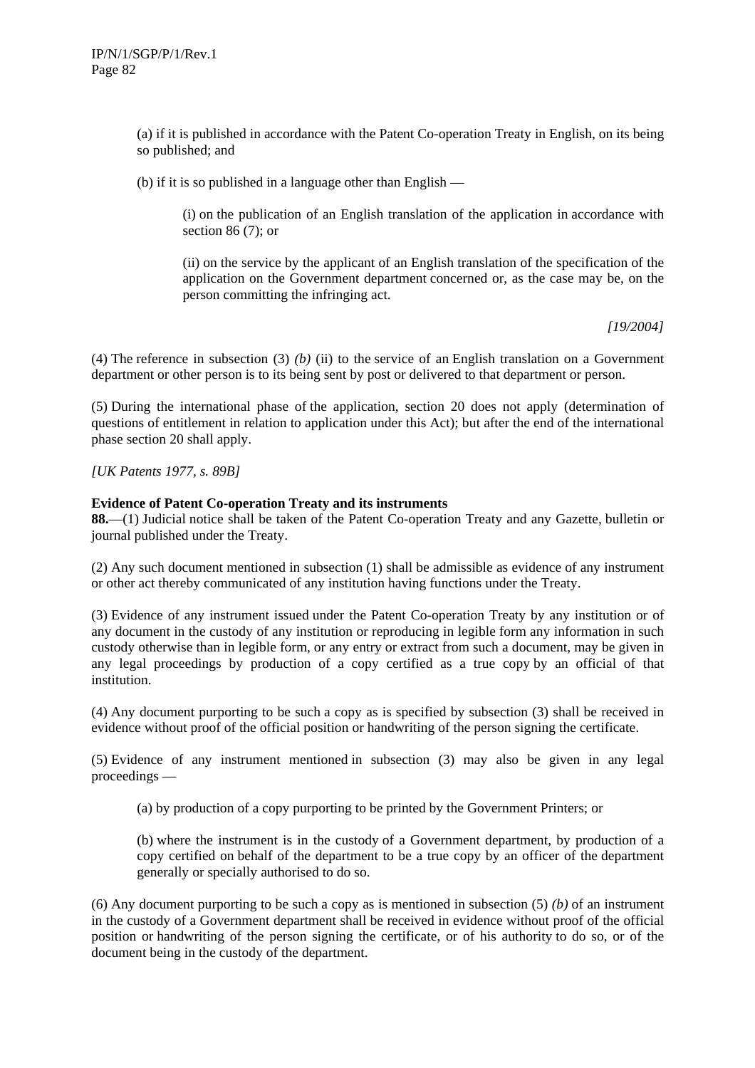(a) if it is published in accordance with the Patent Co-operation Treaty in English, on its being so published; and

(b) if it is so published in a language other than English —

(i) on the publication of an English translation of the application in accordance with section 86 (7); or

(ii) on the service by the applicant of an English translation of the specification of the application on the Government department concerned or, as the case may be, on the person committing the infringing act.

*[19/2004]* 

(4) The reference in subsection (3)  $(b)$  (ii) to the service of an English translation on a Government department or other person is to its being sent by post or delivered to that department or person.

(5) During the international phase of the application, section 20 does not apply (determination of questions of entitlement in relation to application under this Act); but after the end of the international phase section 20 shall apply.

*[UK Patents 1977, s. 89B]* 

#### **Evidence of Patent Co-operation Treaty and its instruments**

**88.**—(1) Judicial notice shall be taken of the Patent Co-operation Treaty and any Gazette, bulletin or journal published under the Treaty.

(2) Any such document mentioned in subsection (1) shall be admissible as evidence of any instrument or other act thereby communicated of any institution having functions under the Treaty.

(3) Evidence of any instrument issued under the Patent Co-operation Treaty by any institution or of any document in the custody of any institution or reproducing in legible form any information in such custody otherwise than in legible form, or any entry or extract from such a document, may be given in any legal proceedings by production of a copy certified as a true copy by an official of that institution.

(4) Any document purporting to be such a copy as is specified by subsection (3) shall be received in evidence without proof of the official position or handwriting of the person signing the certificate.

(5) Evidence of any instrument mentioned in subsection (3) may also be given in any legal proceedings —

(a) by production of a copy purporting to be printed by the Government Printers; or

(b) where the instrument is in the custody of a Government department, by production of a copy certified on behalf of the department to be a true copy by an officer of the department generally or specially authorised to do so.

(6) Any document purporting to be such a copy as is mentioned in subsection (5) *(b)* of an instrument in the custody of a Government department shall be received in evidence without proof of the official position or handwriting of the person signing the certificate, or of his authority to do so, or of the document being in the custody of the department.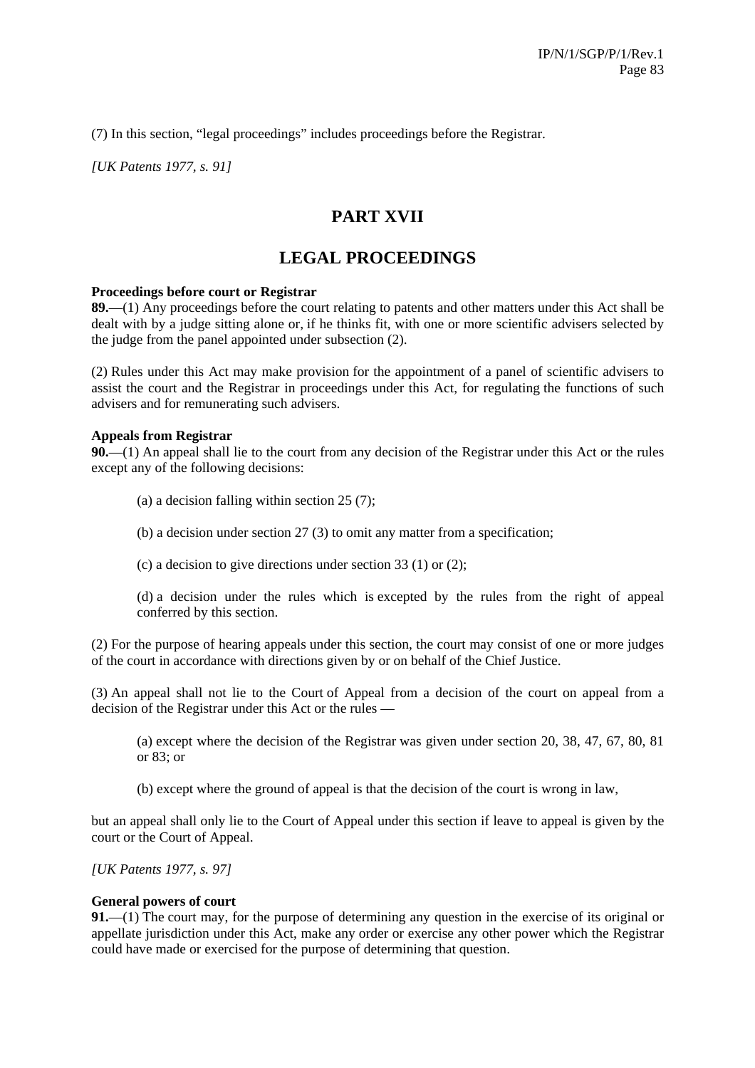(7) In this section, "legal proceedings" includes proceedings before the Registrar.

*[UK Patents 1977, s. 91]* 

## **PART XVII**

## **LEGAL PROCEEDINGS**

#### **Proceedings before court or Registrar**

**89.**—(1) Any proceedings before the court relating to patents and other matters under this Act shall be dealt with by a judge sitting alone or, if he thinks fit, with one or more scientific advisers selected by the judge from the panel appointed under subsection (2).

(2) Rules under this Act may make provision for the appointment of a panel of scientific advisers to assist the court and the Registrar in proceedings under this Act, for regulating the functions of such advisers and for remunerating such advisers.

#### **Appeals from Registrar**

**90.**—(1) An appeal shall lie to the court from any decision of the Registrar under this Act or the rules except any of the following decisions:

(a) a decision falling within section  $25(7)$ ;

(b) a decision under section 27 (3) to omit any matter from a specification;

(c) a decision to give directions under section 33 (1) or (2);

(d) a decision under the rules which is excepted by the rules from the right of appeal conferred by this section.

(2) For the purpose of hearing appeals under this section, the court may consist of one or more judges of the court in accordance with directions given by or on behalf of the Chief Justice.

(3) An appeal shall not lie to the Court of Appeal from a decision of the court on appeal from a decision of the Registrar under this Act or the rules —

(a) except where the decision of the Registrar was given under section 20, 38, 47, 67, 80, 81 or 83; or

(b) except where the ground of appeal is that the decision of the court is wrong in law,

but an appeal shall only lie to the Court of Appeal under this section if leave to appeal is given by the court or the Court of Appeal.

*[UK Patents 1977, s. 97]* 

#### **General powers of court**

**91.**—(1) The court may, for the purpose of determining any question in the exercise of its original or appellate jurisdiction under this Act, make any order or exercise any other power which the Registrar could have made or exercised for the purpose of determining that question.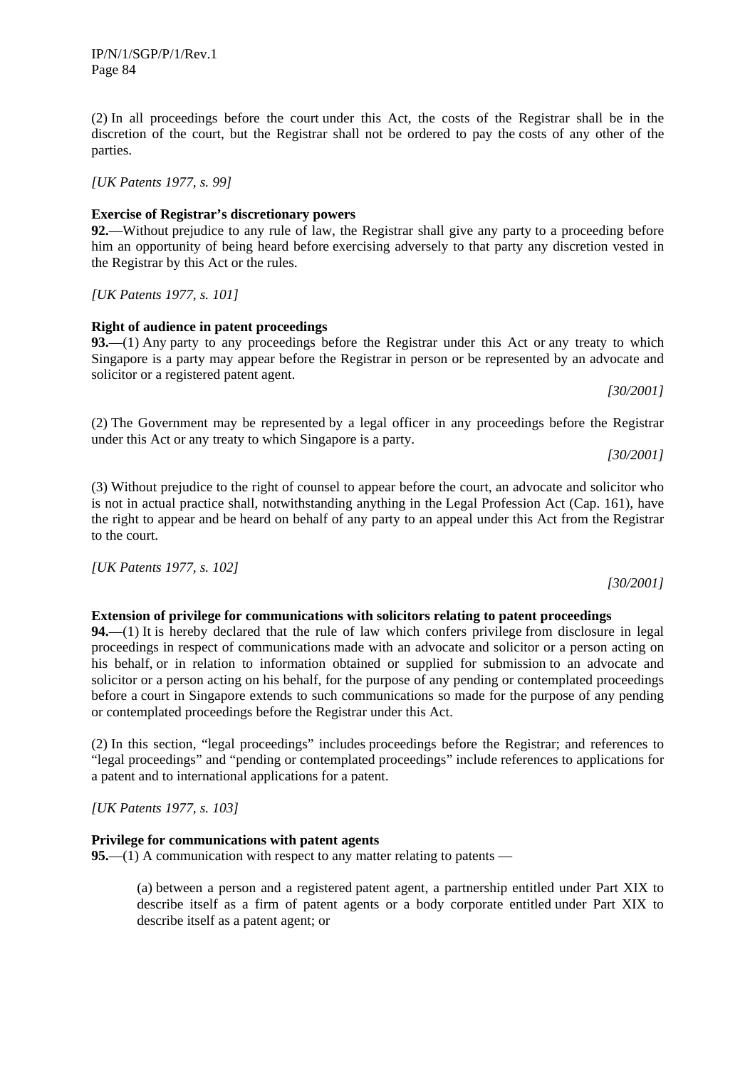(2) In all proceedings before the court under this Act, the costs of the Registrar shall be in the discretion of the court, but the Registrar shall not be ordered to pay the costs of any other of the parties.

*[UK Patents 1977, s. 99]* 

## **Exercise of Registrar's discretionary powers**

**92.**—Without prejudice to any rule of law, the Registrar shall give any party to a proceeding before him an opportunity of being heard before exercising adversely to that party any discretion vested in the Registrar by this Act or the rules.

*[UK Patents 1977, s. 101]* 

# **Right of audience in patent proceedings**

**93.**—(1) Any party to any proceedings before the Registrar under this Act or any treaty to which Singapore is a party may appear before the Registrar in person or be represented by an advocate and solicitor or a registered patent agent.

(2) The Government may be represented by a legal officer in any proceedings before the Registrar under this Act or any treaty to which Singapore is a party.

*[30/2001]* 

(3) Without prejudice to the right of counsel to appear before the court, an advocate and solicitor who is not in actual practice shall, notwithstanding anything in the Legal Profession Act (Cap. 161), have the right to appear and be heard on behalf of any party to an appeal under this Act from the Registrar to the court.

*[UK Patents 1977, s. 102]* 

## **Extension of privilege for communications with solicitors relating to patent proceedings**

**94.**—(1) It is hereby declared that the rule of law which confers privilege from disclosure in legal proceedings in respect of communications made with an advocate and solicitor or a person acting on his behalf, or in relation to information obtained or supplied for submission to an advocate and solicitor or a person acting on his behalf, for the purpose of any pending or contemplated proceedings before a court in Singapore extends to such communications so made for the purpose of any pending or contemplated proceedings before the Registrar under this Act.

(2) In this section, "legal proceedings" includes proceedings before the Registrar; and references to "legal proceedings" and "pending or contemplated proceedings" include references to applications for a patent and to international applications for a patent.

*[UK Patents 1977, s. 103]* 

## **Privilege for communications with patent agents**

**95.**—(1) A communication with respect to any matter relating to patents —

(a) between a person and a registered patent agent, a partnership entitled under Part XIX to describe itself as a firm of patent agents or a body corporate entitled under Part XIX to describe itself as a patent agent; or

*[30/2001]*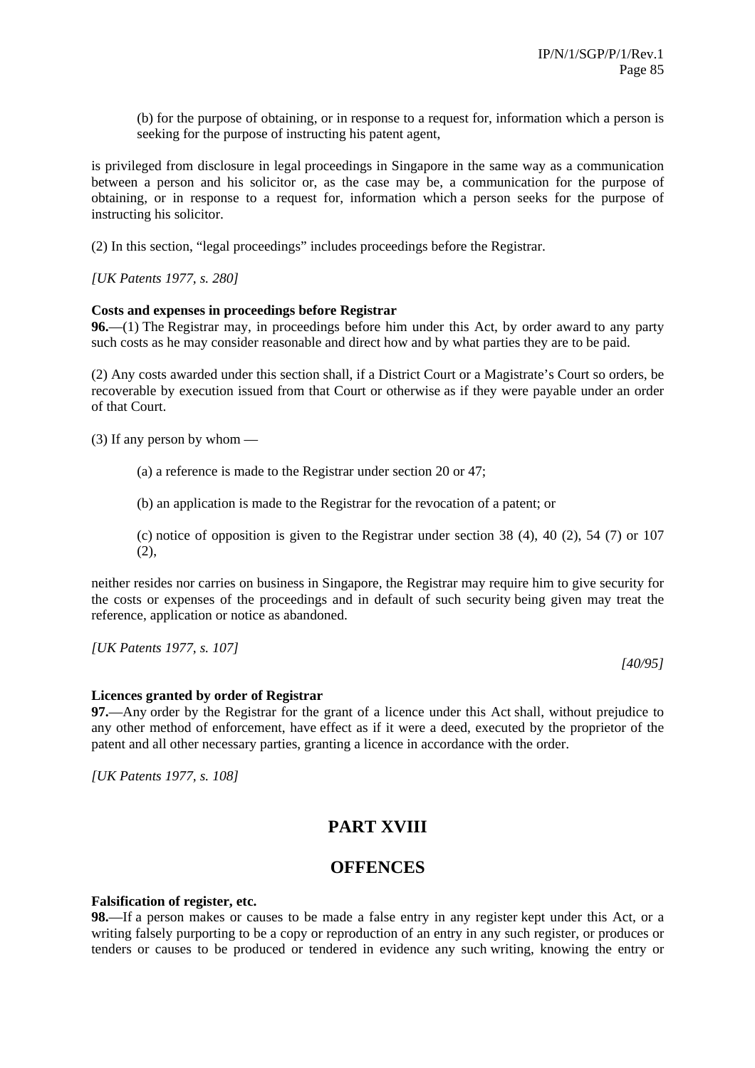(b) for the purpose of obtaining, or in response to a request for, information which a person is seeking for the purpose of instructing his patent agent,

is privileged from disclosure in legal proceedings in Singapore in the same way as a communication between a person and his solicitor or, as the case may be, a communication for the purpose of obtaining, or in response to a request for, information which a person seeks for the purpose of instructing his solicitor.

(2) In this section, "legal proceedings" includes proceedings before the Registrar.

*[UK Patents 1977, s. 280]* 

#### **Costs and expenses in proceedings before Registrar**

**96.**—(1) The Registrar may, in proceedings before him under this Act, by order award to any party such costs as he may consider reasonable and direct how and by what parties they are to be paid.

(2) Any costs awarded under this section shall, if a District Court or a Magistrate's Court so orders, be recoverable by execution issued from that Court or otherwise as if they were payable under an order of that Court.

(3) If any person by whom —

- (a) a reference is made to the Registrar under section 20 or 47;
- (b) an application is made to the Registrar for the revocation of a patent; or
- (c) notice of opposition is given to the Registrar under section  $38$  (4), 40 (2), 54 (7) or 107  $(2)$ ,

neither resides nor carries on business in Singapore, the Registrar may require him to give security for the costs or expenses of the proceedings and in default of such security being given may treat the reference, application or notice as abandoned.

*[UK Patents 1977, s. 107]* 

*[40/95]* 

#### **Licences granted by order of Registrar**

**97.**—Any order by the Registrar for the grant of a licence under this Act shall, without prejudice to any other method of enforcement, have effect as if it were a deed, executed by the proprietor of the patent and all other necessary parties, granting a licence in accordance with the order.

*[UK Patents 1977, s. 108]* 

## **PART XVIII**

## **OFFENCES**

#### **Falsification of register, etc.**

**98.**—If a person makes or causes to be made a false entry in any register kept under this Act, or a writing falsely purporting to be a copy or reproduction of an entry in any such register, or produces or tenders or causes to be produced or tendered in evidence any such writing, knowing the entry or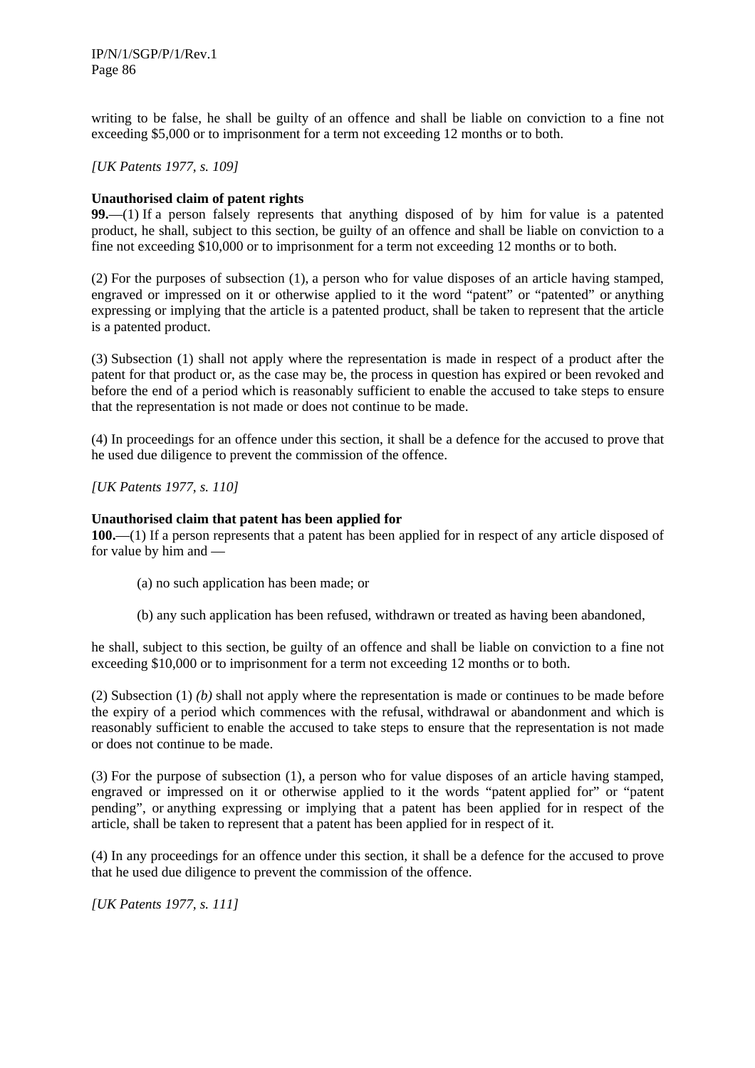IP/N/1/SGP/P/1/Rev.1 Page 86

writing to be false, he shall be guilty of an offence and shall be liable on conviction to a fine not exceeding \$5,000 or to imprisonment for a term not exceeding 12 months or to both.

*[UK Patents 1977, s. 109]* 

#### **Unauthorised claim of patent rights**

**99.**—(1) If a person falsely represents that anything disposed of by him for value is a patented product, he shall, subject to this section, be guilty of an offence and shall be liable on conviction to a fine not exceeding \$10,000 or to imprisonment for a term not exceeding 12 months or to both.

(2) For the purposes of subsection (1), a person who for value disposes of an article having stamped, engraved or impressed on it or otherwise applied to it the word "patent" or "patented" or anything expressing or implying that the article is a patented product, shall be taken to represent that the article is a patented product.

(3) Subsection (1) shall not apply where the representation is made in respect of a product after the patent for that product or, as the case may be, the process in question has expired or been revoked and before the end of a period which is reasonably sufficient to enable the accused to take steps to ensure that the representation is not made or does not continue to be made.

(4) In proceedings for an offence under this section, it shall be a defence for the accused to prove that he used due diligence to prevent the commission of the offence.

*[UK Patents 1977, s. 110]* 

#### **Unauthorised claim that patent has been applied for**

**100.**—(1) If a person represents that a patent has been applied for in respect of any article disposed of for value by him and —

- (a) no such application has been made; or
- (b) any such application has been refused, withdrawn or treated as having been abandoned,

he shall, subject to this section, be guilty of an offence and shall be liable on conviction to a fine not exceeding \$10,000 or to imprisonment for a term not exceeding 12 months or to both.

(2) Subsection (1) *(b)* shall not apply where the representation is made or continues to be made before the expiry of a period which commences with the refusal, withdrawal or abandonment and which is reasonably sufficient to enable the accused to take steps to ensure that the representation is not made or does not continue to be made.

(3) For the purpose of subsection (1), a person who for value disposes of an article having stamped, engraved or impressed on it or otherwise applied to it the words "patent applied for" or "patent pending", or anything expressing or implying that a patent has been applied for in respect of the article, shall be taken to represent that a patent has been applied for in respect of it.

(4) In any proceedings for an offence under this section, it shall be a defence for the accused to prove that he used due diligence to prevent the commission of the offence.

*[UK Patents 1977, s. 111]*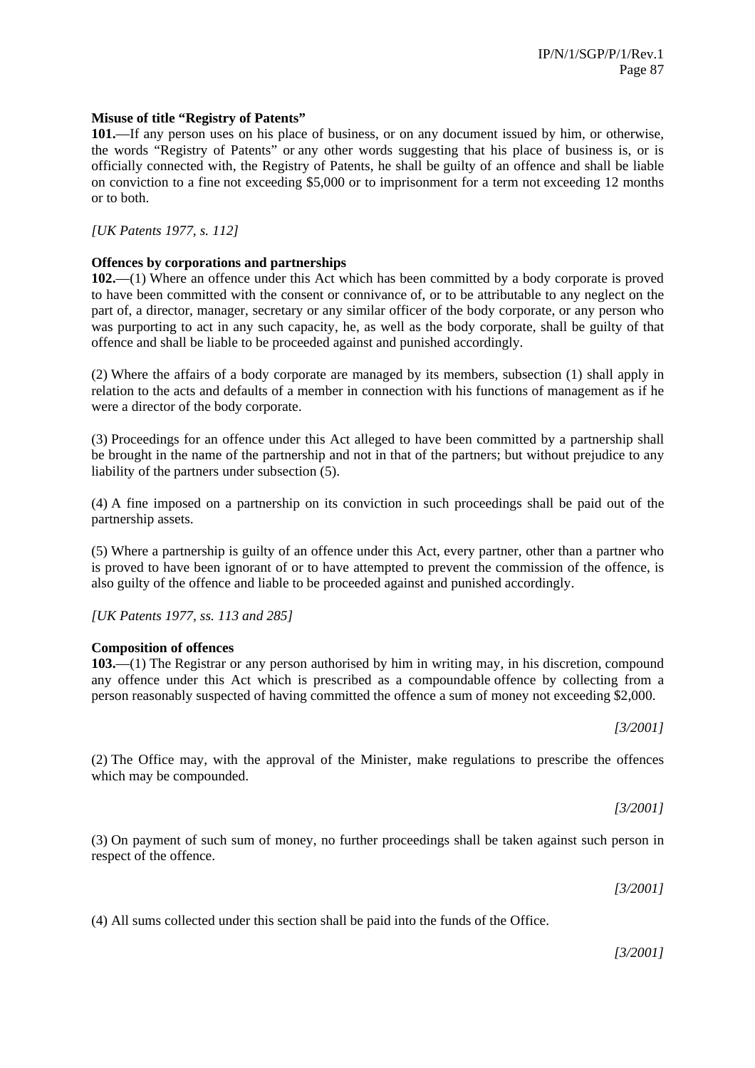#### **Misuse of title "Registry of Patents"**

**101.**—If any person uses on his place of business, or on any document issued by him, or otherwise, the words "Registry of Patents" or any other words suggesting that his place of business is, or is officially connected with, the Registry of Patents, he shall be guilty of an offence and shall be liable on conviction to a fine not exceeding \$5,000 or to imprisonment for a term not exceeding 12 months or to both.

#### *[UK Patents 1977, s. 112]*

#### **Offences by corporations and partnerships**

**102.**—(1) Where an offence under this Act which has been committed by a body corporate is proved to have been committed with the consent or connivance of, or to be attributable to any neglect on the part of, a director, manager, secretary or any similar officer of the body corporate, or any person who was purporting to act in any such capacity, he, as well as the body corporate, shall be guilty of that offence and shall be liable to be proceeded against and punished accordingly.

(2) Where the affairs of a body corporate are managed by its members, subsection (1) shall apply in relation to the acts and defaults of a member in connection with his functions of management as if he were a director of the body corporate.

(3) Proceedings for an offence under this Act alleged to have been committed by a partnership shall be brought in the name of the partnership and not in that of the partners; but without prejudice to any liability of the partners under subsection (5).

(4) A fine imposed on a partnership on its conviction in such proceedings shall be paid out of the partnership assets.

(5) Where a partnership is guilty of an offence under this Act, every partner, other than a partner who is proved to have been ignorant of or to have attempted to prevent the commission of the offence, is also guilty of the offence and liable to be proceeded against and punished accordingly.

#### *[UK Patents 1977, ss. 113 and 285]*

#### **Composition of offences**

**103.**—(1) The Registrar or any person authorised by him in writing may, in his discretion, compound any offence under this Act which is prescribed as a compoundable offence by collecting from a person reasonably suspected of having committed the offence a sum of money not exceeding \$2,000.

*[3/2001]* 

(2) The Office may, with the approval of the Minister, make regulations to prescribe the offences which may be compounded.

$$
[3/2001]
$$

(3) On payment of such sum of money, no further proceedings shall be taken against such person in respect of the offence.

*[3/2001]* 

(4) All sums collected under this section shall be paid into the funds of the Office.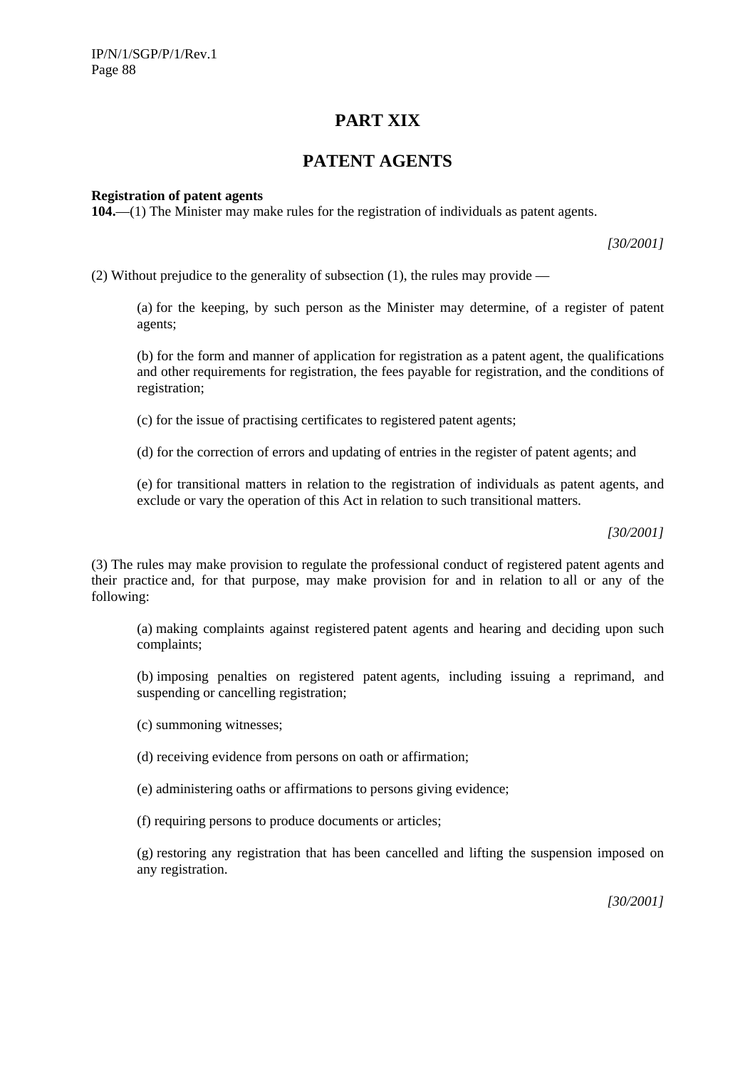# **PART XIX**

## **PATENT AGENTS**

#### **Registration of patent agents**

**104.**—(1) The Minister may make rules for the registration of individuals as patent agents.

*[30/2001]* 

(2) Without prejudice to the generality of subsection (1), the rules may provide —

(a) for the keeping, by such person as the Minister may determine, of a register of patent agents;

(b) for the form and manner of application for registration as a patent agent, the qualifications and other requirements for registration, the fees payable for registration, and the conditions of registration;

(c) for the issue of practising certificates to registered patent agents;

(d) for the correction of errors and updating of entries in the register of patent agents; and

(e) for transitional matters in relation to the registration of individuals as patent agents, and exclude or vary the operation of this Act in relation to such transitional matters.

*[30/2001]* 

(3) The rules may make provision to regulate the professional conduct of registered patent agents and their practice and, for that purpose, may make provision for and in relation to all or any of the following:

(a) making complaints against registered patent agents and hearing and deciding upon such complaints;

(b) imposing penalties on registered patent agents, including issuing a reprimand, and suspending or cancelling registration;

(c) summoning witnesses;

(d) receiving evidence from persons on oath or affirmation;

(e) administering oaths or affirmations to persons giving evidence;

(f) requiring persons to produce documents or articles;

(g) restoring any registration that has been cancelled and lifting the suspension imposed on any registration.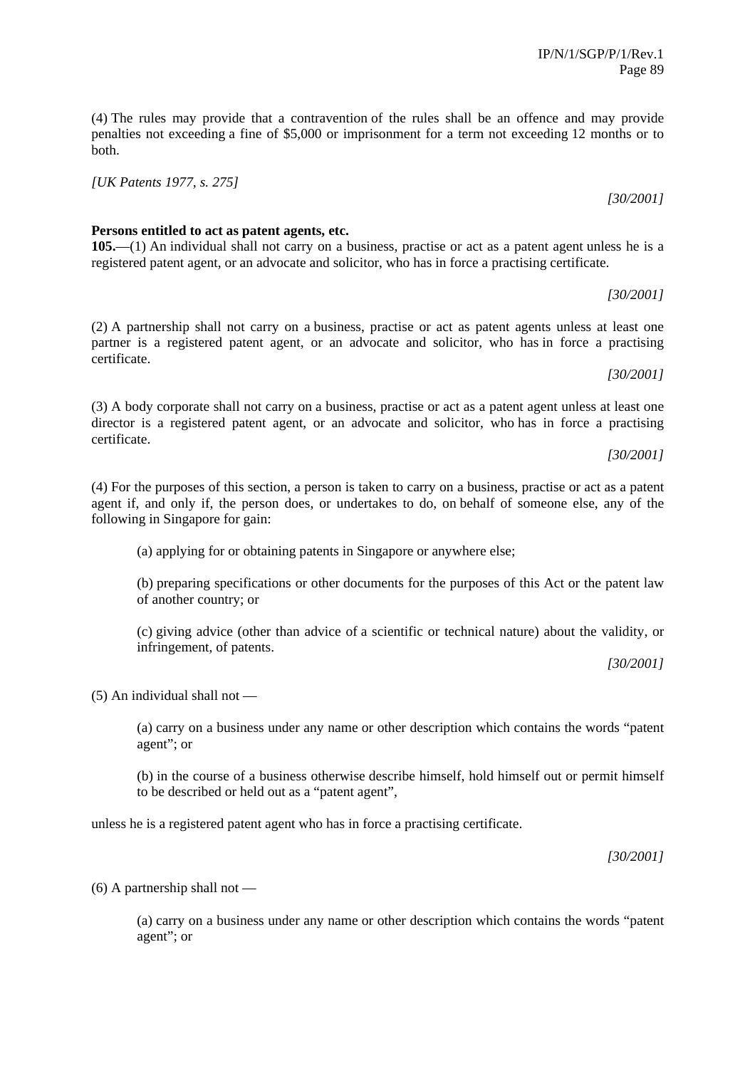(4) The rules may provide that a contravention of the rules shall be an offence and may provide penalties not exceeding a fine of \$5,000 or imprisonment for a term not exceeding 12 months or to both.

*[UK Patents 1977, s. 275]* 

**Persons entitled to act as patent agents, etc.** 

#### **105.**—(1) An individual shall not carry on a business, practise or act as a patent agent unless he is a registered patent agent, or an advocate and solicitor, who has in force a practising certificate.

#### (2) A partnership shall not carry on a business, practise or act as patent agents unless at least one partner is a registered patent agent, or an advocate and solicitor, who has in force a practising certificate. *[30/2001]*

(3) A body corporate shall not carry on a business, practise or act as a patent agent unless at least one director is a registered patent agent, or an advocate and solicitor, who has in force a practising certificate.

*[30/2001]* 

(4) For the purposes of this section, a person is taken to carry on a business, practise or act as a patent agent if, and only if, the person does, or undertakes to do, on behalf of someone else, any of the following in Singapore for gain:

(a) applying for or obtaining patents in Singapore or anywhere else;

(b) preparing specifications or other documents for the purposes of this Act or the patent law of another country; or

(c) giving advice (other than advice of a scientific or technical nature) about the validity, or infringement, of patents.

*[30/2001]* 

(5) An individual shall not —

(a) carry on a business under any name or other description which contains the words "patent agent"; or

(b) in the course of a business otherwise describe himself, hold himself out or permit himself to be described or held out as a "patent agent",

unless he is a registered patent agent who has in force a practising certificate.

*[30/2001]* 

(6) A partnership shall not —

(a) carry on a business under any name or other description which contains the words "patent agent"; or

*[30/2001]*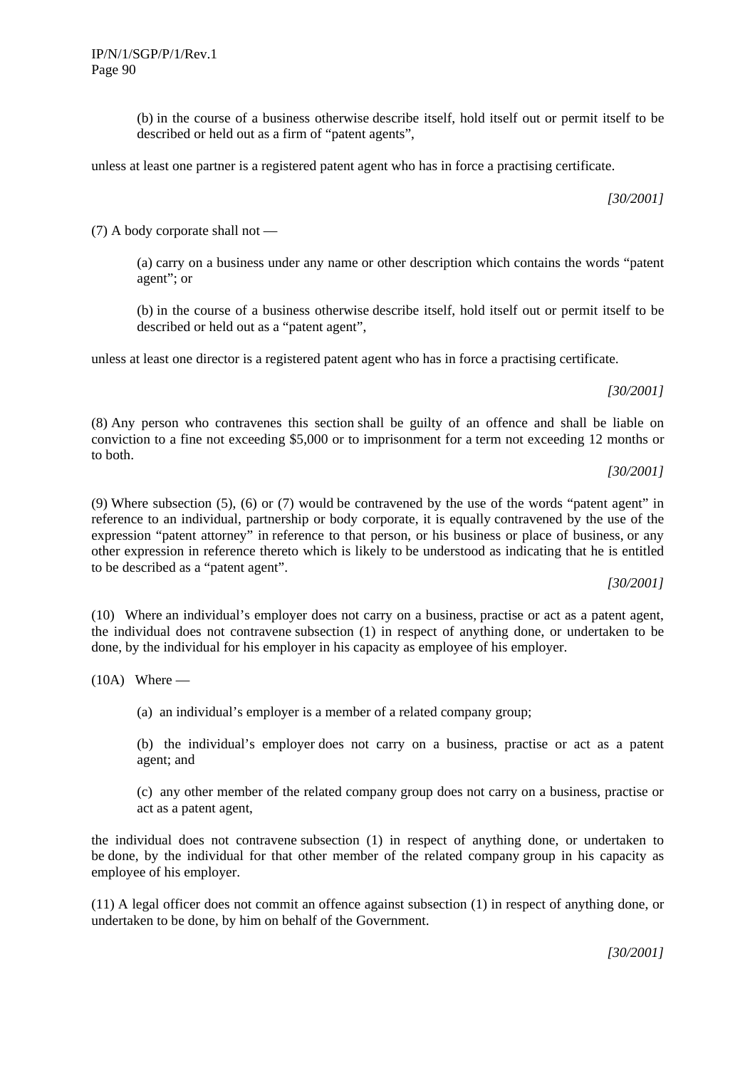(b) in the course of a business otherwise describe itself, hold itself out or permit itself to be described or held out as a firm of "patent agents",

unless at least one partner is a registered patent agent who has in force a practising certificate.

*[30/2001]* 

(7) A body corporate shall not —

(a) carry on a business under any name or other description which contains the words "patent agent"; or

(b) in the course of a business otherwise describe itself, hold itself out or permit itself to be described or held out as a "patent agent",

unless at least one director is a registered patent agent who has in force a practising certificate.

*[30/2001]* 

(8) Any person who contravenes this section shall be guilty of an offence and shall be liable on conviction to a fine not exceeding \$5,000 or to imprisonment for a term not exceeding 12 months or to both.

*[30/2001]* 

(9) Where subsection (5), (6) or (7) would be contravened by the use of the words "patent agent" in reference to an individual, partnership or body corporate, it is equally contravened by the use of the expression "patent attorney" in reference to that person, or his business or place of business, or any other expression in reference thereto which is likely to be understood as indicating that he is entitled to be described as a "patent agent".

*[30/2001]* 

(10) Where an individual's employer does not carry on a business, practise or act as a patent agent, the individual does not contravene subsection (1) in respect of anything done, or undertaken to be done, by the individual for his employer in his capacity as employee of his employer.

 $(10A)$  Where —

(a) an individual's employer is a member of a related company group;

(b) the individual's employer does not carry on a business, practise or act as a patent agent; and

(c) any other member of the related company group does not carry on a business, practise or act as a patent agent,

the individual does not contravene subsection (1) in respect of anything done, or undertaken to be done, by the individual for that other member of the related company group in his capacity as employee of his employer.

(11) A legal officer does not commit an offence against subsection (1) in respect of anything done, or undertaken to be done, by him on behalf of the Government.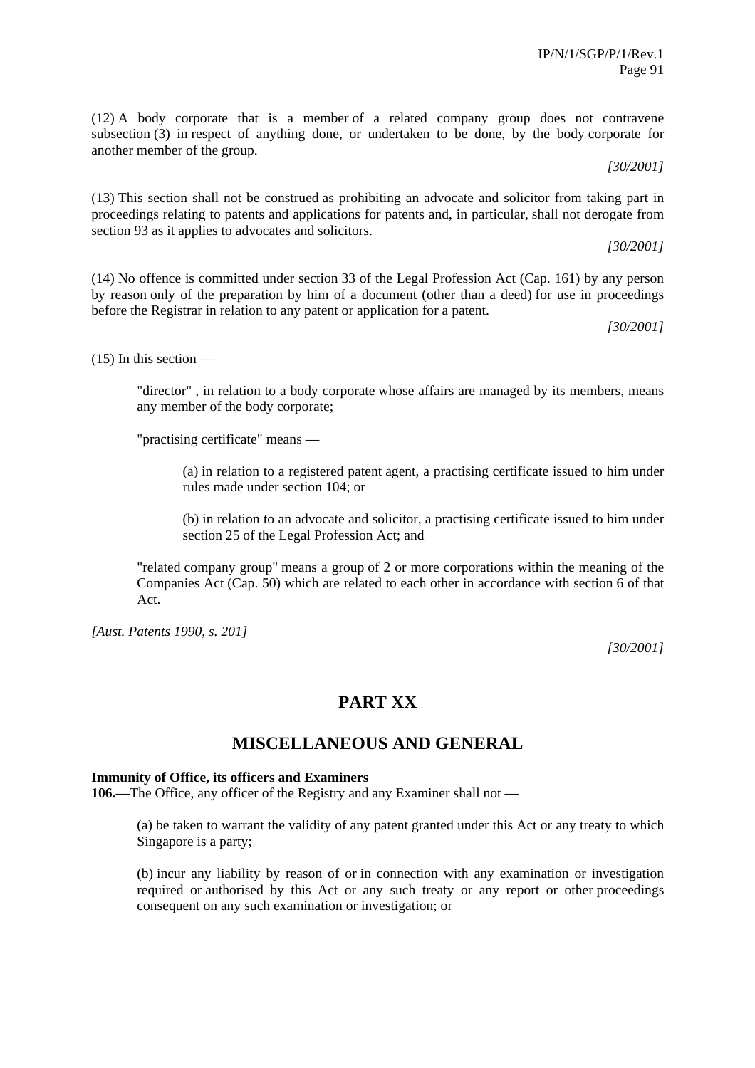(12) A body corporate that is a member of a related company group does not contravene subsection (3) in respect of anything done, or undertaken to be done, by the body corporate for another member of the group.

*[30/2001]* 

(13) This section shall not be construed as prohibiting an advocate and solicitor from taking part in proceedings relating to patents and applications for patents and, in particular, shall not derogate from section 93 as it applies to advocates and solicitors.

*[30/2001]* 

(14) No offence is committed under section 33 of the Legal Profession Act (Cap. 161) by any person by reason only of the preparation by him of a document (other than a deed) for use in proceedings before the Registrar in relation to any patent or application for a patent.

*[30/2001]* 

 $(15)$  In this section —

"director" , in relation to a body corporate whose affairs are managed by its members, means any member of the body corporate;

"practising certificate" means —

(a) in relation to a registered patent agent, a practising certificate issued to him under rules made under section 104; or

(b) in relation to an advocate and solicitor, a practising certificate issued to him under section 25 of the Legal Profession Act; and

"related company group" means a group of 2 or more corporations within the meaning of the Companies Act (Cap. 50) which are related to each other in accordance with section 6 of that Act.

*[Aust. Patents 1990, s. 201]* 

*[30/2001]* 

# **PART XX**

## **MISCELLANEOUS AND GENERAL**

#### **Immunity of Office, its officers and Examiners**

**106.**—The Office, any officer of the Registry and any Examiner shall not —

(a) be taken to warrant the validity of any patent granted under this Act or any treaty to which Singapore is a party;

(b) incur any liability by reason of or in connection with any examination or investigation required or authorised by this Act or any such treaty or any report or other proceedings consequent on any such examination or investigation; or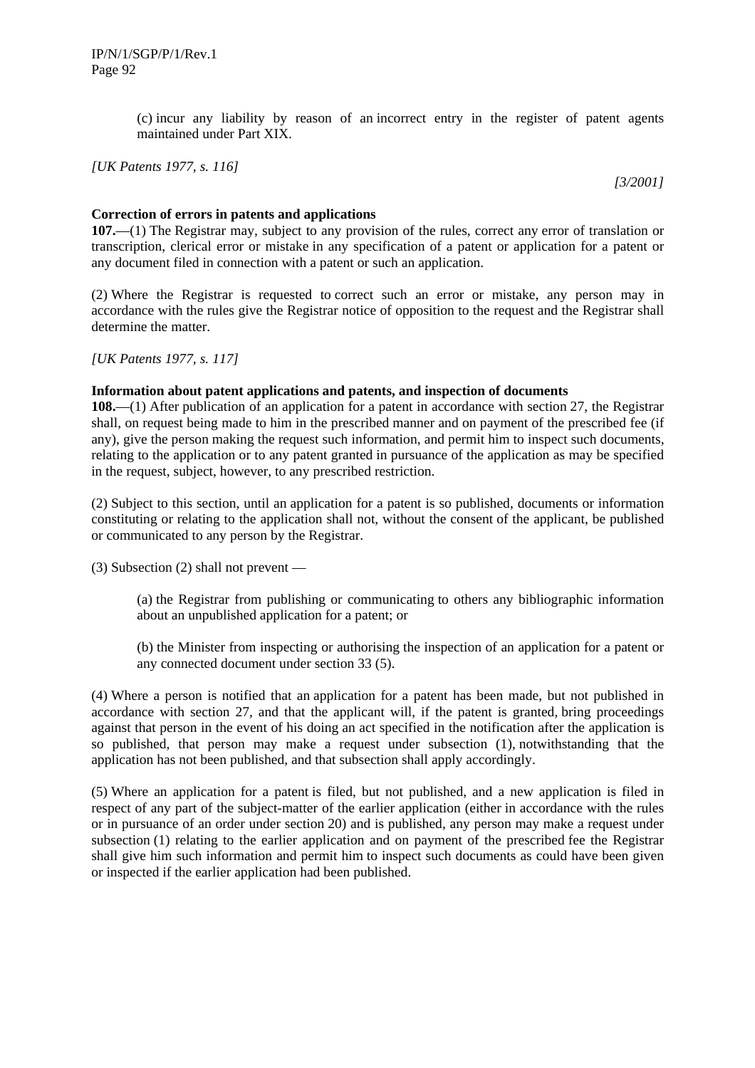(c) incur any liability by reason of an incorrect entry in the register of patent agents maintained under Part XIX.

*[UK Patents 1977, s. 116]* 

### **Correction of errors in patents and applications**

**107.**—(1) The Registrar may, subject to any provision of the rules, correct any error of translation or transcription, clerical error or mistake in any specification of a patent or application for a patent or any document filed in connection with a patent or such an application.

(2) Where the Registrar is requested to correct such an error or mistake, any person may in accordance with the rules give the Registrar notice of opposition to the request and the Registrar shall determine the matter.

*[UK Patents 1977, s. 117]* 

#### **Information about patent applications and patents, and inspection of documents**

**108.**—(1) After publication of an application for a patent in accordance with section 27, the Registrar shall, on request being made to him in the prescribed manner and on payment of the prescribed fee (if any), give the person making the request such information, and permit him to inspect such documents, relating to the application or to any patent granted in pursuance of the application as may be specified in the request, subject, however, to any prescribed restriction.

(2) Subject to this section, until an application for a patent is so published, documents or information constituting or relating to the application shall not, without the consent of the applicant, be published or communicated to any person by the Registrar.

(3) Subsection (2) shall not prevent —

(a) the Registrar from publishing or communicating to others any bibliographic information about an unpublished application for a patent; or

(b) the Minister from inspecting or authorising the inspection of an application for a patent or any connected document under section 33 (5).

(4) Where a person is notified that an application for a patent has been made, but not published in accordance with section 27, and that the applicant will, if the patent is granted, bring proceedings against that person in the event of his doing an act specified in the notification after the application is so published, that person may make a request under subsection (1), notwithstanding that the application has not been published, and that subsection shall apply accordingly.

(5) Where an application for a patent is filed, but not published, and a new application is filed in respect of any part of the subject-matter of the earlier application (either in accordance with the rules or in pursuance of an order under section 20) and is published, any person may make a request under subsection (1) relating to the earlier application and on payment of the prescribed fee the Registrar shall give him such information and permit him to inspect such documents as could have been given or inspected if the earlier application had been published.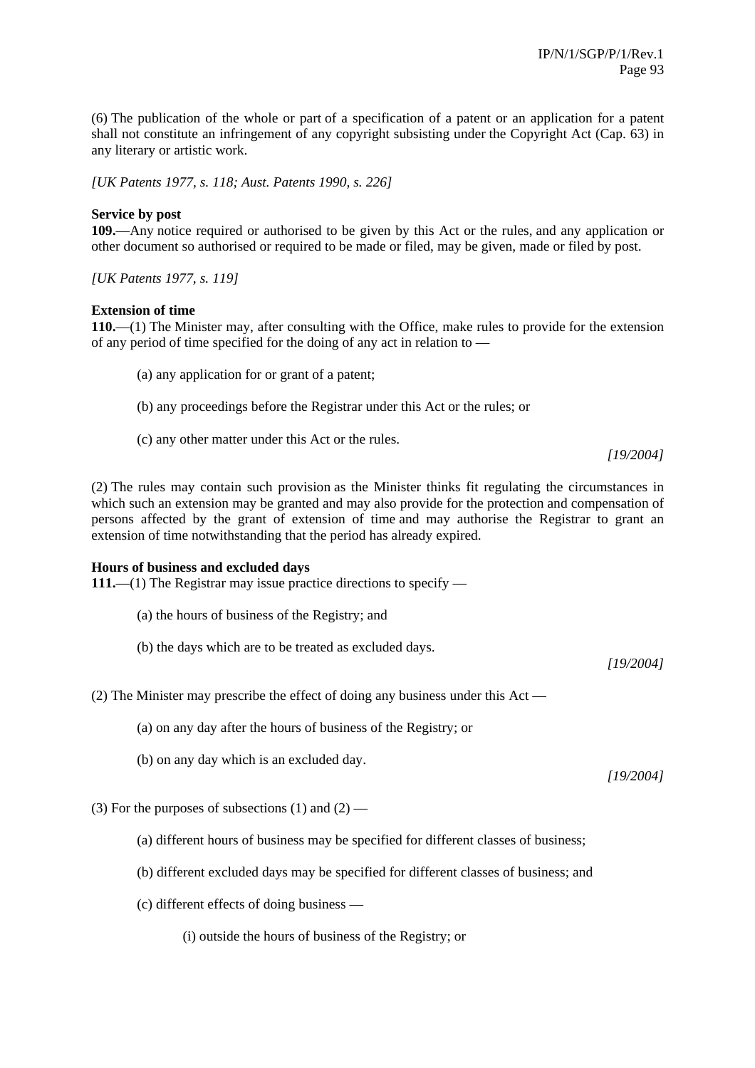(6) The publication of the whole or part of a specification of a patent or an application for a patent shall not constitute an infringement of any copyright subsisting under the Copyright Act (Cap. 63) in any literary or artistic work.

*[UK Patents 1977, s. 118; Aust. Patents 1990, s. 226]* 

#### **Service by post**

**109.**—Any notice required or authorised to be given by this Act or the rules, and any application or other document so authorised or required to be made or filed, may be given, made or filed by post.

*[UK Patents 1977, s. 119]* 

### **Extension of time**

**110.**—(1) The Minister may, after consulting with the Office, make rules to provide for the extension of any period of time specified for the doing of any act in relation to —

- (a) any application for or grant of a patent;
- (b) any proceedings before the Registrar under this Act or the rules; or
- (c) any other matter under this Act or the rules.

*[19/2004]* 

(2) The rules may contain such provision as the Minister thinks fit regulating the circumstances in which such an extension may be granted and may also provide for the protection and compensation of persons affected by the grant of extension of time and may authorise the Registrar to grant an extension of time notwithstanding that the period has already expired.

#### **Hours of business and excluded days**

**111.**—(1) The Registrar may issue practice directions to specify —

- (a) the hours of business of the Registry; and
- (b) the days which are to be treated as excluded days.

*[19/2004]* 

*[19/2004]* 

(2) The Minister may prescribe the effect of doing any business under this Act —

(a) on any day after the hours of business of the Registry; or

- (b) on any day which is an excluded day.
- (3) For the purposes of subsections (1) and (2) —

(a) different hours of business may be specified for different classes of business;

- (b) different excluded days may be specified for different classes of business; and
- (c) different effects of doing business —

(i) outside the hours of business of the Registry; or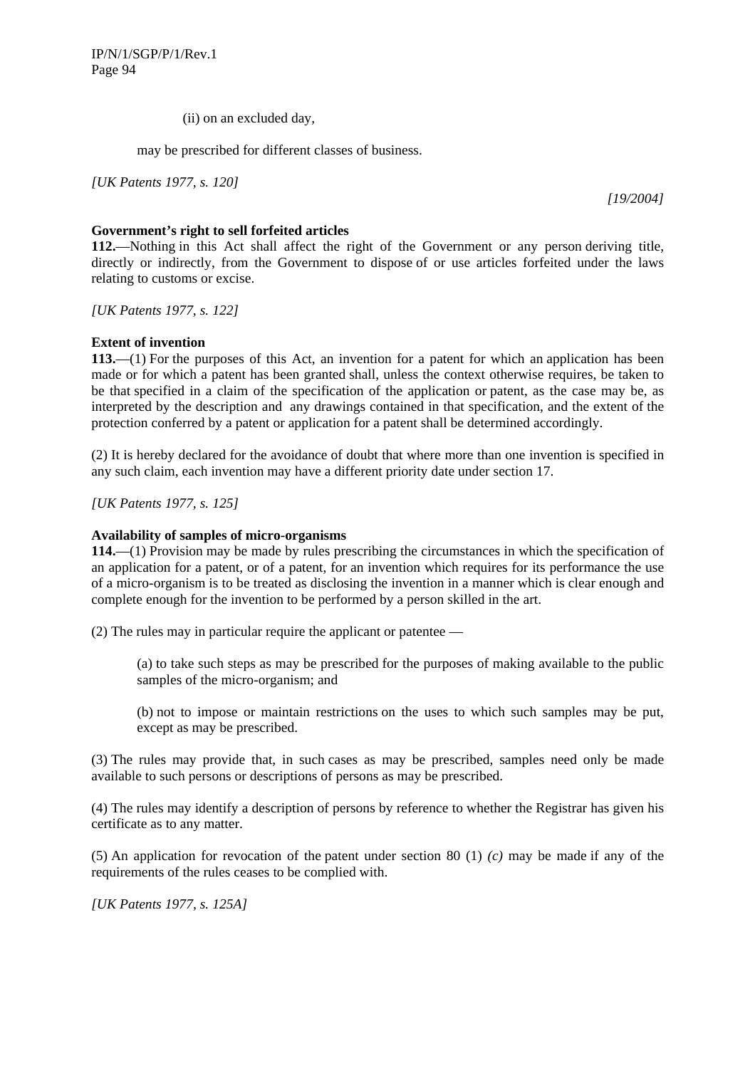(ii) on an excluded day,

may be prescribed for different classes of business.

*[UK Patents 1977, s. 120]* 

**Government's right to sell forfeited articles** 

**112.**—Nothing in this Act shall affect the right of the Government or any person deriving title, directly or indirectly, from the Government to dispose of or use articles forfeited under the laws relating to customs or excise.

*[UK Patents 1977, s. 122]* 

### **Extent of invention**

**113.**—(1) For the purposes of this Act, an invention for a patent for which an application has been made or for which a patent has been granted shall, unless the context otherwise requires, be taken to be that specified in a claim of the specification of the application or patent, as the case may be, as interpreted by the description and any drawings contained in that specification, and the extent of the protection conferred by a patent or application for a patent shall be determined accordingly.

(2) It is hereby declared for the avoidance of doubt that where more than one invention is specified in any such claim, each invention may have a different priority date under section 17.

*[UK Patents 1977, s. 125]* 

#### **Availability of samples of micro-organisms**

**114.**—(1) Provision may be made by rules prescribing the circumstances in which the specification of an application for a patent, or of a patent, for an invention which requires for its performance the use of a micro-organism is to be treated as disclosing the invention in a manner which is clear enough and complete enough for the invention to be performed by a person skilled in the art.

(2) The rules may in particular require the applicant or patentee —

(a) to take such steps as may be prescribed for the purposes of making available to the public samples of the micro-organism; and

(b) not to impose or maintain restrictions on the uses to which such samples may be put, except as may be prescribed.

(3) The rules may provide that, in such cases as may be prescribed, samples need only be made available to such persons or descriptions of persons as may be prescribed.

(4) The rules may identify a description of persons by reference to whether the Registrar has given his certificate as to any matter.

(5) An application for revocation of the patent under section 80 (1) *(c)* may be made if any of the requirements of the rules ceases to be complied with.

*[UK Patents 1977, s. 125A]* 

*[19/2004]*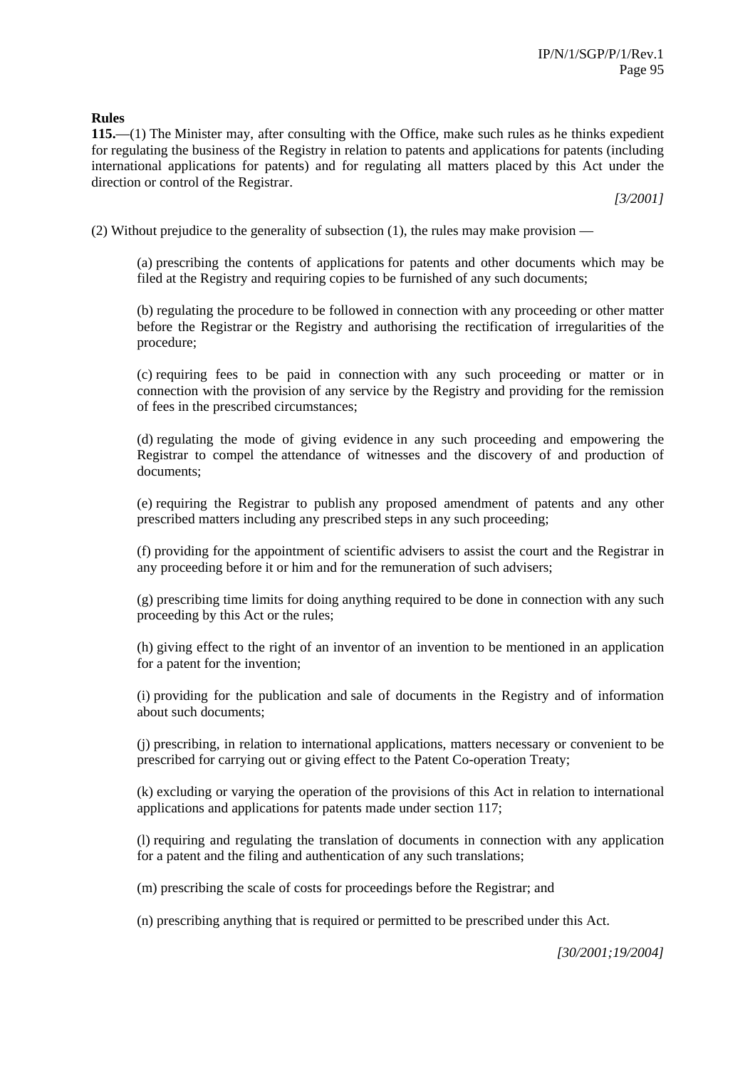#### **Rules**

**115.**—(1) The Minister may, after consulting with the Office, make such rules as he thinks expedient for regulating the business of the Registry in relation to patents and applications for patents (including international applications for patents) and for regulating all matters placed by this Act under the direction or control of the Registrar.

*[3/2001]* 

(2) Without prejudice to the generality of subsection (1), the rules may make provision —

(a) prescribing the contents of applications for patents and other documents which may be filed at the Registry and requiring copies to be furnished of any such documents;

(b) regulating the procedure to be followed in connection with any proceeding or other matter before the Registrar or the Registry and authorising the rectification of irregularities of the procedure;

(c) requiring fees to be paid in connection with any such proceeding or matter or in connection with the provision of any service by the Registry and providing for the remission of fees in the prescribed circumstances;

(d) regulating the mode of giving evidence in any such proceeding and empowering the Registrar to compel the attendance of witnesses and the discovery of and production of documents;

(e) requiring the Registrar to publish any proposed amendment of patents and any other prescribed matters including any prescribed steps in any such proceeding;

(f) providing for the appointment of scientific advisers to assist the court and the Registrar in any proceeding before it or him and for the remuneration of such advisers;

(g) prescribing time limits for doing anything required to be done in connection with any such proceeding by this Act or the rules;

(h) giving effect to the right of an inventor of an invention to be mentioned in an application for a patent for the invention;

(i) providing for the publication and sale of documents in the Registry and of information about such documents;

(j) prescribing, in relation to international applications, matters necessary or convenient to be prescribed for carrying out or giving effect to the Patent Co-operation Treaty;

(k) excluding or varying the operation of the provisions of this Act in relation to international applications and applications for patents made under section 117;

(l) requiring and regulating the translation of documents in connection with any application for a patent and the filing and authentication of any such translations;

(m) prescribing the scale of costs for proceedings before the Registrar; and

(n) prescribing anything that is required or permitted to be prescribed under this Act.

*[30/2001;19/2004]*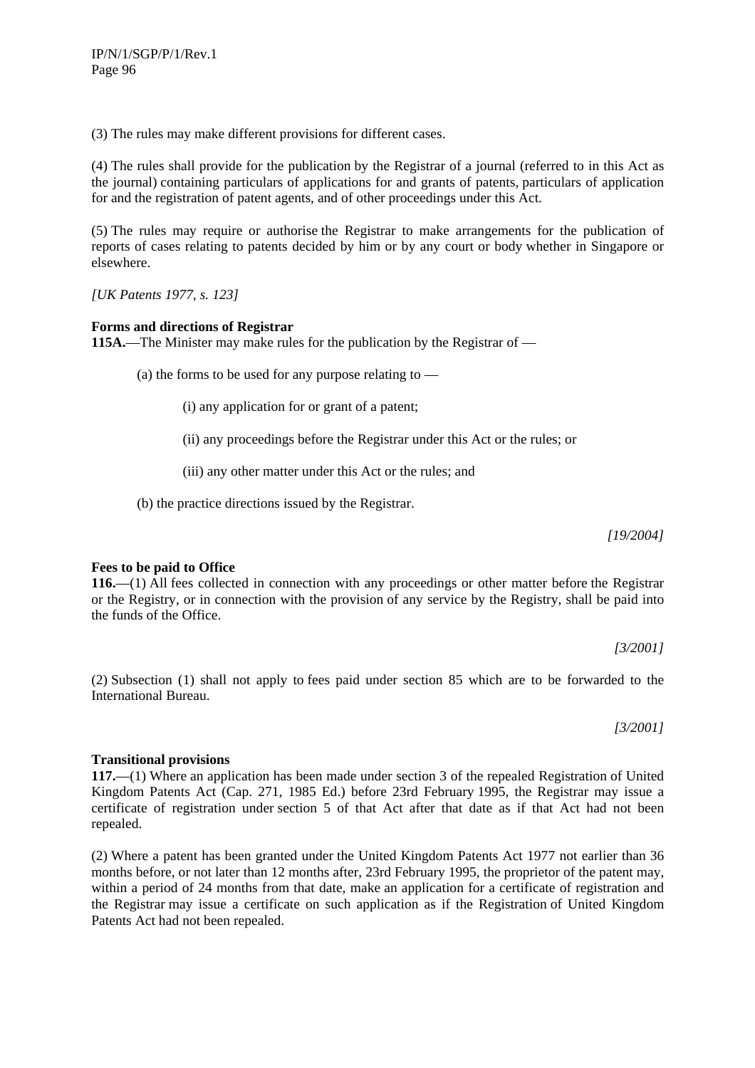(3) The rules may make different provisions for different cases.

(4) The rules shall provide for the publication by the Registrar of a journal (referred to in this Act as the journal) containing particulars of applications for and grants of patents, particulars of application for and the registration of patent agents, and of other proceedings under this Act.

(5) The rules may require or authorise the Registrar to make arrangements for the publication of reports of cases relating to patents decided by him or by any court or body whether in Singapore or elsewhere.

*[UK Patents 1977, s. 123]* 

### **Forms and directions of Registrar**

**115A.**—The Minister may make rules for the publication by the Registrar of —

(a) the forms to be used for any purpose relating to —

(i) any application for or grant of a patent;

(ii) any proceedings before the Registrar under this Act or the rules; or

- (iii) any other matter under this Act or the rules; and
- (b) the practice directions issued by the Registrar.

*[19/2004]* 

#### **Fees to be paid to Office**

**116.**—(1) All fees collected in connection with any proceedings or other matter before the Registrar or the Registry, or in connection with the provision of any service by the Registry, shall be paid into the funds of the Office.

*[3/2001]* 

(2) Subsection (1) shall not apply to fees paid under section 85 which are to be forwarded to the International Bureau.

*[3/2001]* 

#### **Transitional provisions**

**117.**—(1) Where an application has been made under section 3 of the repealed Registration of United Kingdom Patents Act (Cap. 271, 1985 Ed.) before 23rd February 1995, the Registrar may issue a certificate of registration under section 5 of that Act after that date as if that Act had not been repealed.

(2) Where a patent has been granted under the United Kingdom Patents Act 1977 not earlier than 36 months before, or not later than 12 months after, 23rd February 1995, the proprietor of the patent may, within a period of 24 months from that date, make an application for a certificate of registration and the Registrar may issue a certificate on such application as if the Registration of United Kingdom Patents Act had not been repealed.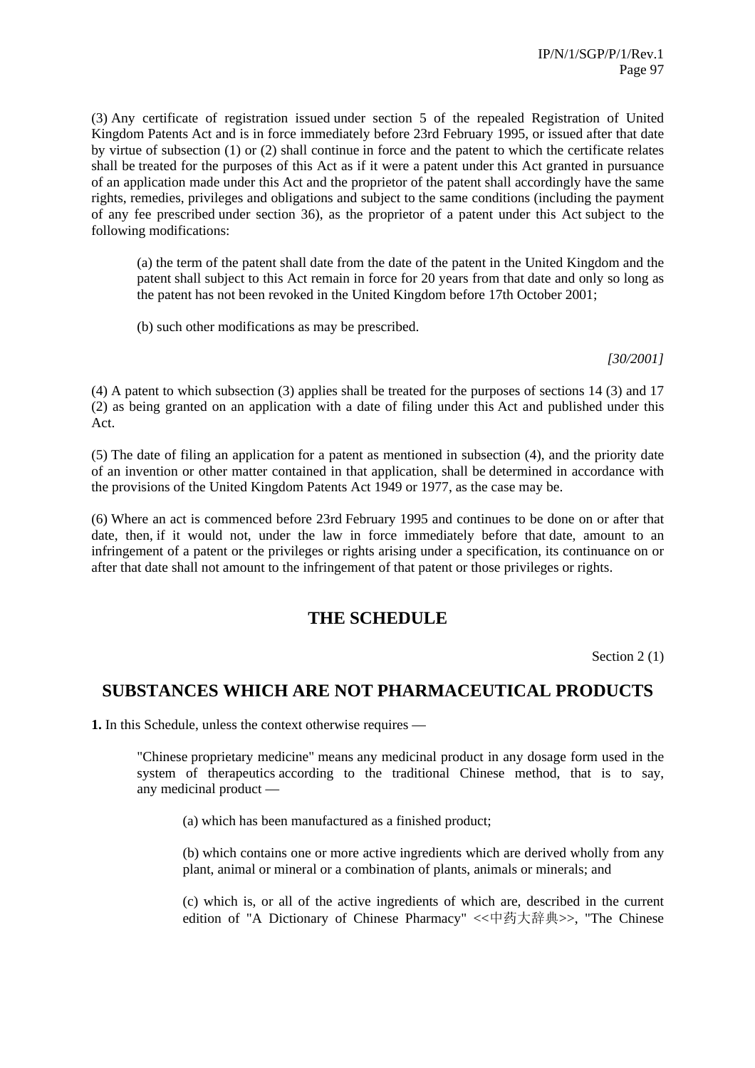(3) Any certificate of registration issued under section 5 of the repealed Registration of United Kingdom Patents Act and is in force immediately before 23rd February 1995, or issued after that date by virtue of subsection (1) or (2) shall continue in force and the patent to which the certificate relates shall be treated for the purposes of this Act as if it were a patent under this Act granted in pursuance of an application made under this Act and the proprietor of the patent shall accordingly have the same rights, remedies, privileges and obligations and subject to the same conditions (including the payment of any fee prescribed under section 36), as the proprietor of a patent under this Act subject to the following modifications:

(a) the term of the patent shall date from the date of the patent in the United Kingdom and the patent shall subject to this Act remain in force for 20 years from that date and only so long as the patent has not been revoked in the United Kingdom before 17th October 2001;

(b) such other modifications as may be prescribed.

*[30/2001]* 

(4) A patent to which subsection (3) applies shall be treated for the purposes of sections 14 (3) and 17 (2) as being granted on an application with a date of filing under this Act and published under this Act.

(5) The date of filing an application for a patent as mentioned in subsection (4), and the priority date of an invention or other matter contained in that application, shall be determined in accordance with the provisions of the United Kingdom Patents Act 1949 or 1977, as the case may be.

(6) Where an act is commenced before 23rd February 1995 and continues to be done on or after that date, then, if it would not, under the law in force immediately before that date, amount to an infringement of a patent or the privileges or rights arising under a specification, its continuance on or after that date shall not amount to the infringement of that patent or those privileges or rights.

## **THE SCHEDULE**

Section 2(1)

## **SUBSTANCES WHICH ARE NOT PHARMACEUTICAL PRODUCTS**

**1.** In this Schedule, unless the context otherwise requires —

"Chinese proprietary medicine" means any medicinal product in any dosage form used in the system of therapeutics according to the traditional Chinese method, that is to say, any medicinal product —

(a) which has been manufactured as a finished product;

(b) which contains one or more active ingredients which are derived wholly from any plant, animal or mineral or a combination of plants, animals or minerals; and

(c) which is, or all of the active ingredients of which are, described in the current edition of "A Dictionary of Chinese Pharmacy" <<中药大辞典>>, "The Chinese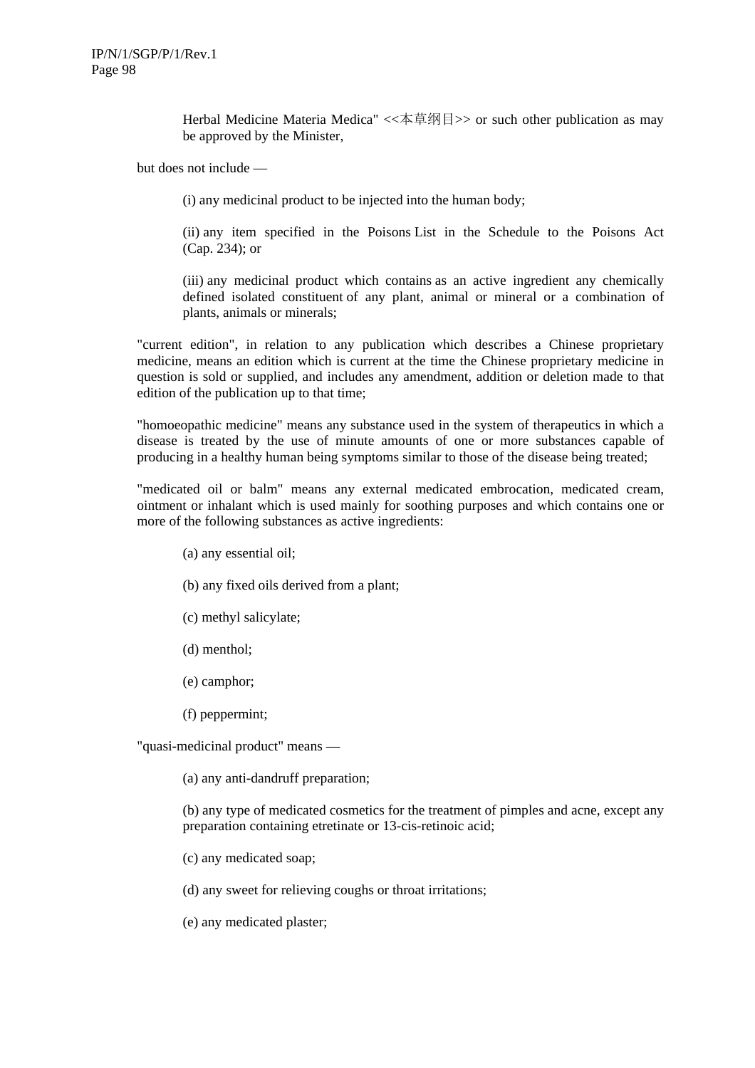Herbal Medicine Materia Medica" <<本草纲目>> or such other publication as may be approved by the Minister,

but does not include —

(i) any medicinal product to be injected into the human body;

(ii) any item specified in the Poisons List in the Schedule to the Poisons Act (Cap. 234); or

(iii) any medicinal product which contains as an active ingredient any chemically defined isolated constituent of any plant, animal or mineral or a combination of plants, animals or minerals;

"current edition", in relation to any publication which describes a Chinese proprietary medicine, means an edition which is current at the time the Chinese proprietary medicine in question is sold or supplied, and includes any amendment, addition or deletion made to that edition of the publication up to that time;

"homoeopathic medicine" means any substance used in the system of therapeutics in which a disease is treated by the use of minute amounts of one or more substances capable of producing in a healthy human being symptoms similar to those of the disease being treated;

"medicated oil or balm" means any external medicated embrocation, medicated cream, ointment or inhalant which is used mainly for soothing purposes and which contains one or more of the following substances as active ingredients:

- (a) any essential oil;
- (b) any fixed oils derived from a plant;
- (c) methyl salicylate;
- (d) menthol;
- (e) camphor;
- (f) peppermint;

"quasi-medicinal product" means —

(a) any anti-dandruff preparation;

(b) any type of medicated cosmetics for the treatment of pimples and acne, except any preparation containing etretinate or 13-cis-retinoic acid;

- (c) any medicated soap;
- (d) any sweet for relieving coughs or throat irritations;
- (e) any medicated plaster;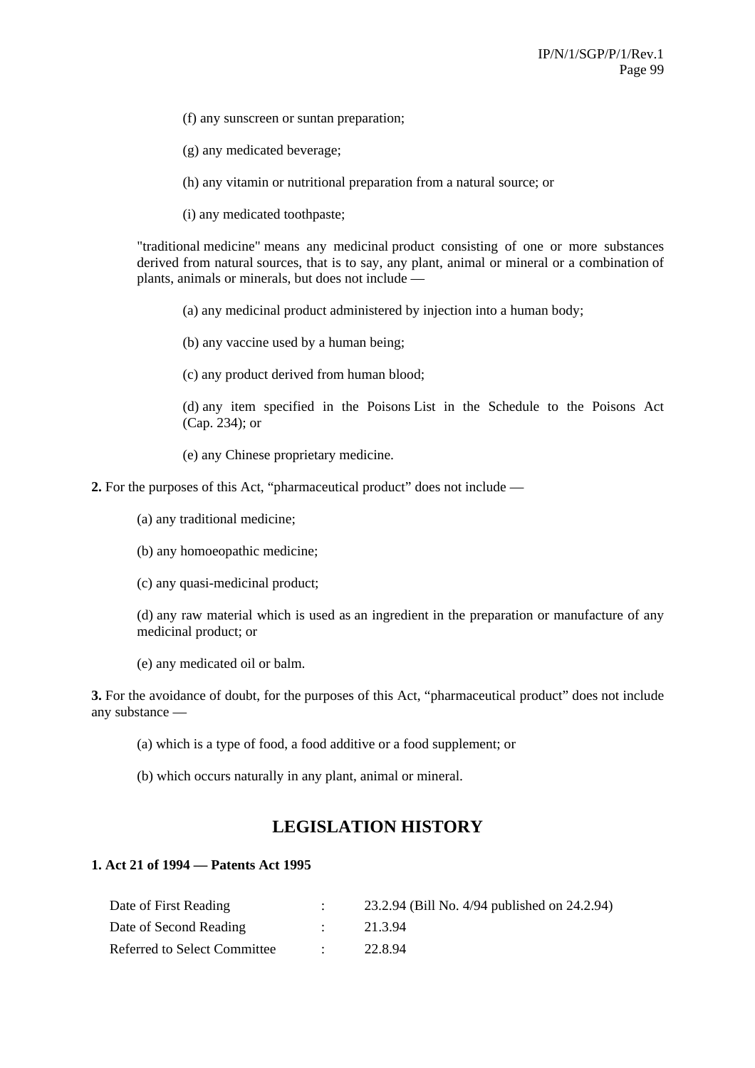(f) any sunscreen or suntan preparation;

(g) any medicated beverage;

(h) any vitamin or nutritional preparation from a natural source; or

(i) any medicated toothpaste;

"traditional medicine" means any medicinal product consisting of one or more substances derived from natural sources, that is to say, any plant, animal or mineral or a combination of plants, animals or minerals, but does not include —

(a) any medicinal product administered by injection into a human body;

(b) any vaccine used by a human being;

(c) any product derived from human blood;

(d) any item specified in the Poisons List in the Schedule to the Poisons Act (Cap. 234); or

(e) any Chinese proprietary medicine.

**2.** For the purposes of this Act, "pharmaceutical product" does not include —

(a) any traditional medicine;

- (b) any homoeopathic medicine;
- (c) any quasi-medicinal product;

(d) any raw material which is used as an ingredient in the preparation or manufacture of any medicinal product; or

(e) any medicated oil or balm.

**3.** For the avoidance of doubt, for the purposes of this Act, "pharmaceutical product" does not include any substance —

- (a) which is a type of food, a food additive or a food supplement; or
- (b) which occurs naturally in any plant, animal or mineral.

# **LEGISLATION HISTORY**

#### **1. Act 21 of 1994 — Patents Act 1995**

| Date of First Reading        |                          | 23.2.94 (Bill No. 4/94 published on 24.2.94) |
|------------------------------|--------------------------|----------------------------------------------|
| Date of Second Reading       |                          | 21.3.94                                      |
| Referred to Select Committee | <b>Contract Contract</b> | 22.8.94                                      |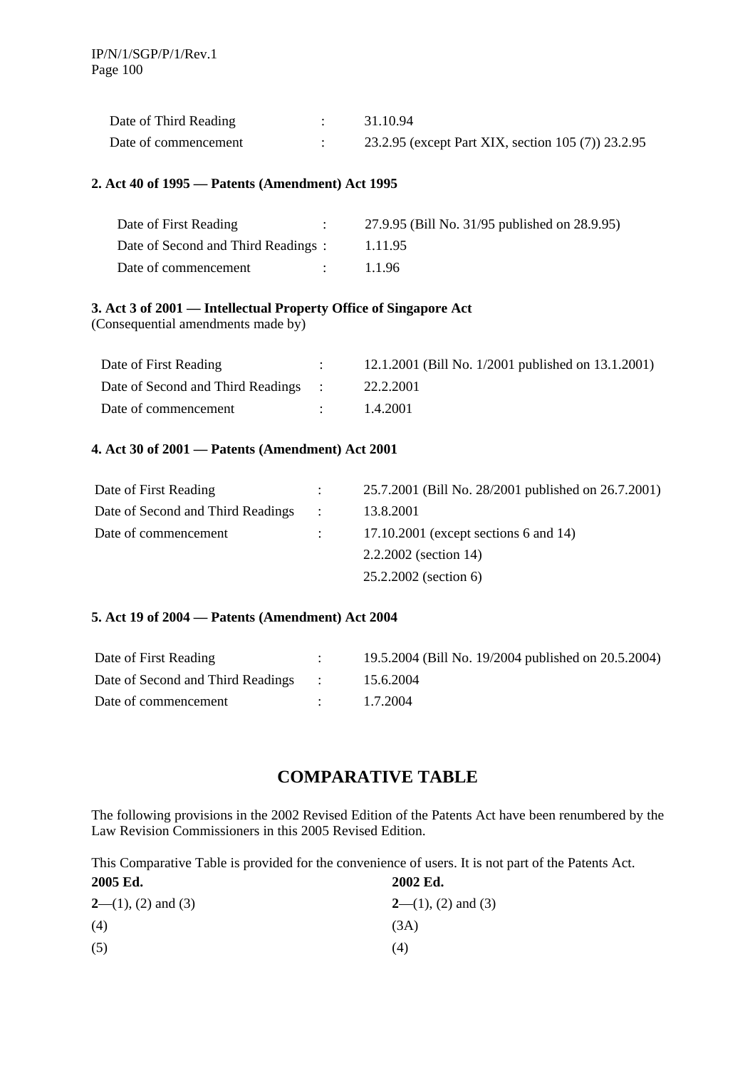| Date of Third Reading | 31.10.94                                           |
|-----------------------|----------------------------------------------------|
| Date of commencement  | 23.2.95 (except Part XIX, section 105 (7)) 23.2.95 |

### **2. Act 40 of 1995 — Patents (Amendment) Act 1995**

| Date of First Reading              | 27.9.95 (Bill No. 31/95 published on 28.9.95) |
|------------------------------------|-----------------------------------------------|
| Date of Second and Third Readings: | 1.11.95                                       |
| Date of commencement               | 1.1.96                                        |

#### **3. Act 3 of 2001 — Intellectual Property Office of Singapore Act**

(Consequential amendments made by)

| Date of First Reading               | 12.1.2001 (Bill No. 1/2001 published on 13.1.2001) |
|-------------------------------------|----------------------------------------------------|
| Date of Second and Third Readings : | 22.2.2001                                          |
| Date of commencement                | 1.4.2001                                           |

### **4. Act 30 of 2001 — Patents (Amendment) Act 2001**

| Date of First Reading             |                   | 25.7.2001 (Bill No. 28/2001 published on 26.7.2001) |
|-----------------------------------|-------------------|-----------------------------------------------------|
| Date of Second and Third Readings | $\sim$ 100 $\sim$ | 13.8.2001                                           |
| Date of commencement              |                   | $17.10.2001$ (except sections 6 and 14)             |
|                                   |                   | 2.2.2002 (section 14)                               |
|                                   |                   | 25.2.2002 (section 6)                               |

#### **5. Act 19 of 2004 — Patents (Amendment) Act 2004**

| Date of First Reading               | 19.5.2004 (Bill No. 19/2004 published on 20.5.2004) |
|-------------------------------------|-----------------------------------------------------|
| Date of Second and Third Readings : | 15.6.2004                                           |
| Date of commencement                | 1.7.2004                                            |

# **COMPARATIVE TABLE**

The following provisions in the 2002 Revised Edition of the Patents Act have been renumbered by the Law Revision Commissioners in this 2005 Revised Edition.

This Comparative Table is provided for the convenience of users. It is not part of the Patents Act. **2005 Ed. 2002 Ed.** 

| $2-(1)$ , (2) and (3) |
|-----------------------|
| (3A)                  |
| (4)                   |
|                       |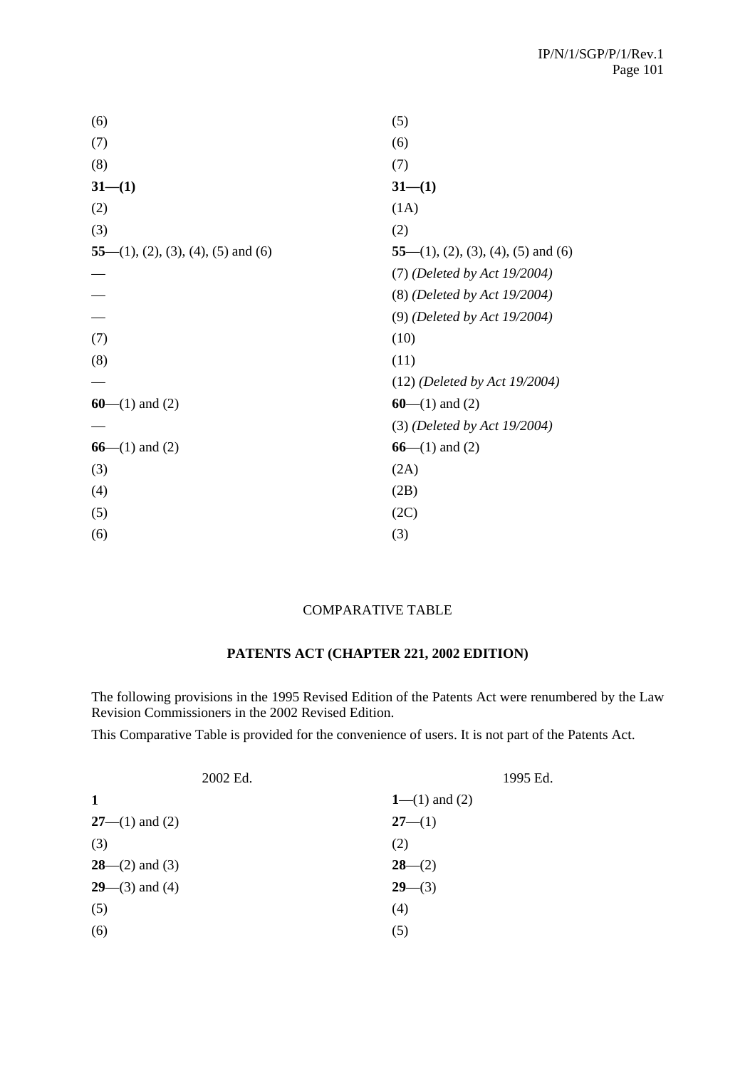| (6)                                | (5)                                |
|------------------------------------|------------------------------------|
| (7)                                | (6)                                |
| (8)                                | (7)                                |
| $31-(1)$                           | $31-(1)$                           |
| (2)                                | (1A)                               |
| (3)                                | (2)                                |
| 55—(1), (2), (3), (4), (5) and (6) | 55—(1), (2), (3), (4), (5) and (6) |
|                                    | $(7)$ (Deleted by Act 19/2004)     |
|                                    | (8) (Deleted by Act 19/2004)       |
|                                    | $(9)$ (Deleted by Act 19/2004)     |
| (7)                                | (10)                               |
| (8)                                | (11)                               |
|                                    | $(12)$ (Deleted by Act 19/2004)    |
| $60-(1)$ and (2)                   | $60-(1)$ and (2)                   |
|                                    | $(3)$ (Deleted by Act 19/2004)     |
| $66-(1)$ and (2)                   | $66-(1)$ and (2)                   |
| (3)                                | (2A)                               |
| (4)                                | (2B)                               |
| (5)                                | (2C)                               |
| (6)                                | (3)                                |
|                                    |                                    |

## COMPARATIVE TABLE

## **PATENTS ACT (CHAPTER 221, 2002 EDITION)**

The following provisions in the 1995 Revised Edition of the Patents Act were renumbered by the Law Revision Commissioners in the 2002 Revised Edition.

This Comparative Table is provided for the convenience of users. It is not part of the Patents Act.

|                   | 2002 Ed. |                 | 1995 Ed. |
|-------------------|----------|-----------------|----------|
| 1                 |          | $1-(1)$ and (2) |          |
| $27-(1)$ and (2)  |          | $27 - (1)$      |          |
| (3)               |          | (2)             |          |
| $28-(2)$ and (3)  |          | $28-(2)$        |          |
| $29$ —(3) and (4) |          | $29-(3)$        |          |
| (5)               |          | (4)             |          |
| (6)               |          | (5)             |          |
|                   |          |                 |          |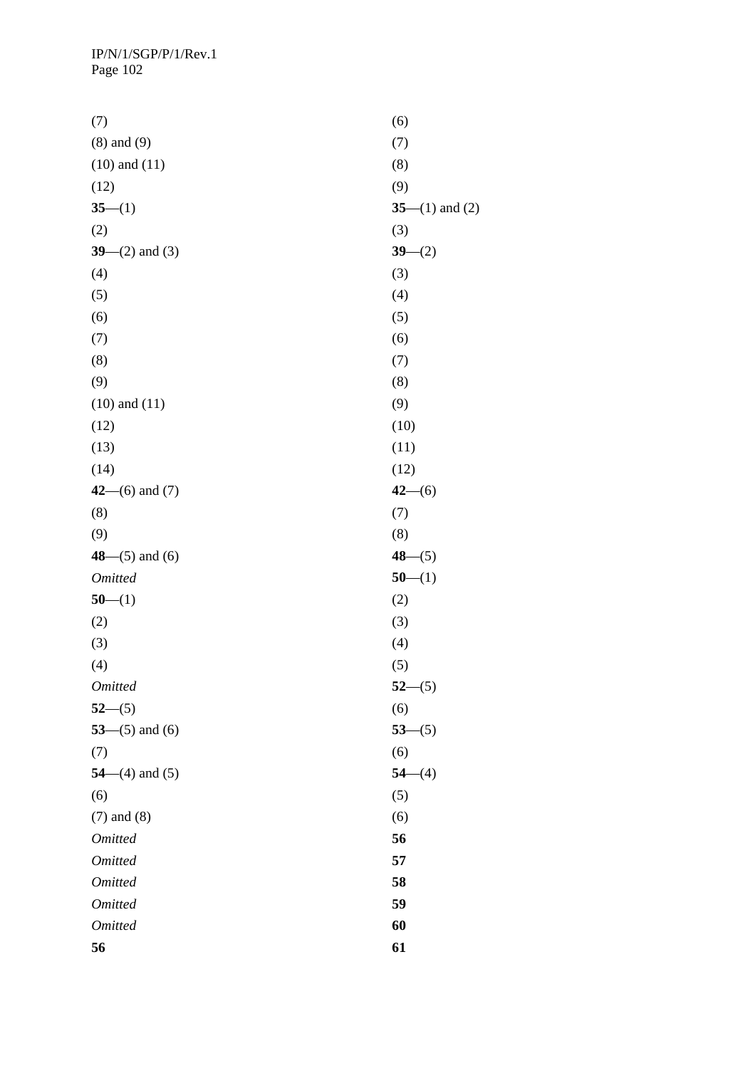IP/N/1/SGP/P/1/Rev.1 Page 102

| (7)                 | (6)              |
|---------------------|------------------|
| $(8)$ and $(9)$     | (7)              |
| $(10)$ and $(11)$   | (8)              |
| (12)                | (9)              |
| $35-(1)$            | $35-(1)$ and (2) |
| (2)                 | (3)              |
| $39-(2)$ and (3)    | $39-(2)$         |
| (4)                 | (3)              |
| (5)                 | (4)              |
| (6)                 | (5)              |
| (7)                 | (6)              |
| (8)                 | (7)              |
| (9)                 | (8)              |
| $(10)$ and $(11)$   | (9)              |
| (12)                | (10)             |
| (13)                | (11)             |
| (14)                | (12)             |
| 42— $(6)$ and $(7)$ | $42- (6)$        |
| (8)                 | (7)              |
| (9)                 | (8)              |
| 48— $(5)$ and $(6)$ | $48 - (5)$       |
| <b>Omitted</b>      | $50-(1)$         |
| $50-(1)$            | (2)              |
| (2)                 | (3)              |
| (3)                 | (4)              |
| (4)                 | (5)              |
| <b>Omitted</b>      | $52-(5)$         |
| $52-(5)$            | (6)              |
| 53– $(5)$ and $(6)$ | $53-(5)$         |
| (7)                 | (6)              |
| $54-(4)$ and $(5)$  | $54-(4)$         |
| (6)                 | (5)              |
| $(7)$ and $(8)$     | (6)              |
| <b>Omitted</b>      | 56               |
| <b>Omitted</b>      | 57               |
| <b>Omitted</b>      | 58               |
| <b>Omitted</b>      | 59               |
| <b>Omitted</b>      | 60               |
| 56                  | 61               |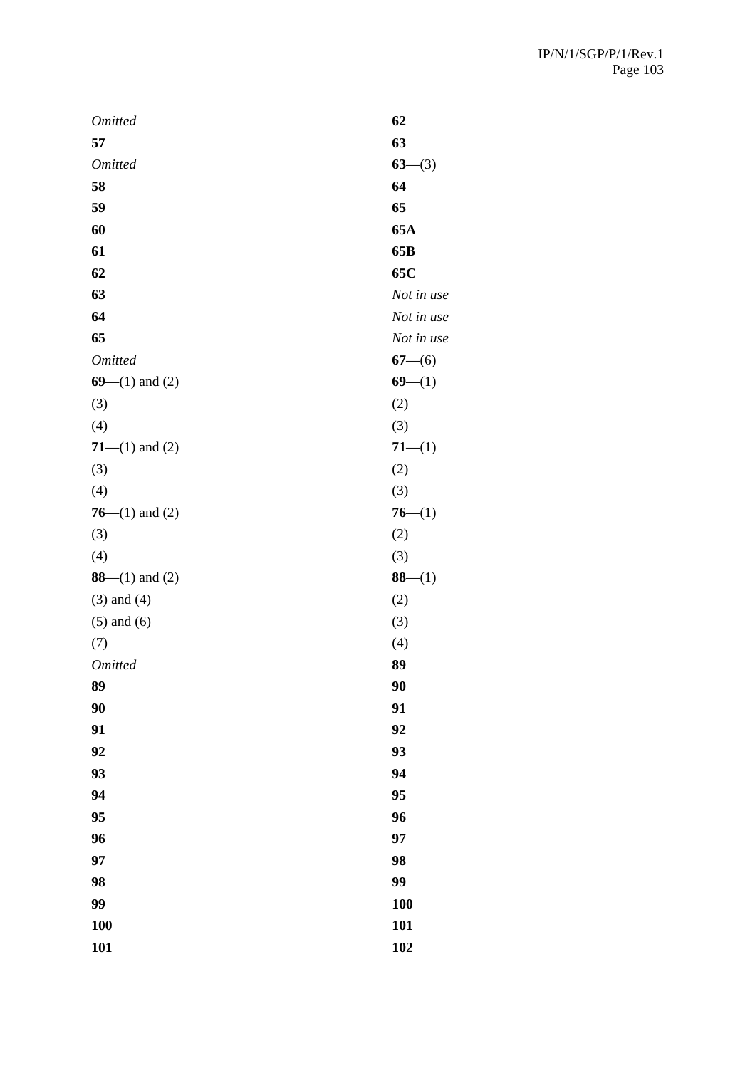| <b>Omitted</b>      | 62         |
|---------------------|------------|
| 57                  | 63         |
| <b>Omitted</b>      | $63-(3)$   |
| 58                  | 64         |
| 59                  | 65         |
| 60                  | 65A        |
| 61                  | 65B        |
| 62                  | 65C        |
| 63                  | Not in use |
| 64                  | Not in use |
| 65                  | Not in use |
| <b>Omitted</b>      | $67-(6)$   |
| $69-(1)$ and (2)    | $69- (1)$  |
| (3)                 | (2)        |
| (4)                 | (3)        |
| 71— $(1)$ and $(2)$ | $71-(1)$   |
| (3)                 | (2)        |
| (4)                 | (3)        |
| 76— $(1)$ and $(2)$ | $76-(1)$   |
| (3)                 | (2)        |
| (4)                 | (3)        |
| 88— $(1)$ and $(2)$ | $88-(1)$   |
| $(3)$ and $(4)$     | (2)        |
| $(5)$ and $(6)$     | (3)        |
| (7)                 | (4)        |
| <b>Omitted</b>      | 89         |
| 89                  | 90         |
| 90                  | 91         |
| 91                  | 92         |
| 92                  | 93         |
| 93                  | 94         |
| 94                  | 95         |
| 95                  | 96         |
| 96                  | 97         |
| 97                  | 98         |
| 98                  | 99         |
| 99                  | <b>100</b> |
| <b>100</b>          | 101        |
| <b>101</b>          | 102        |